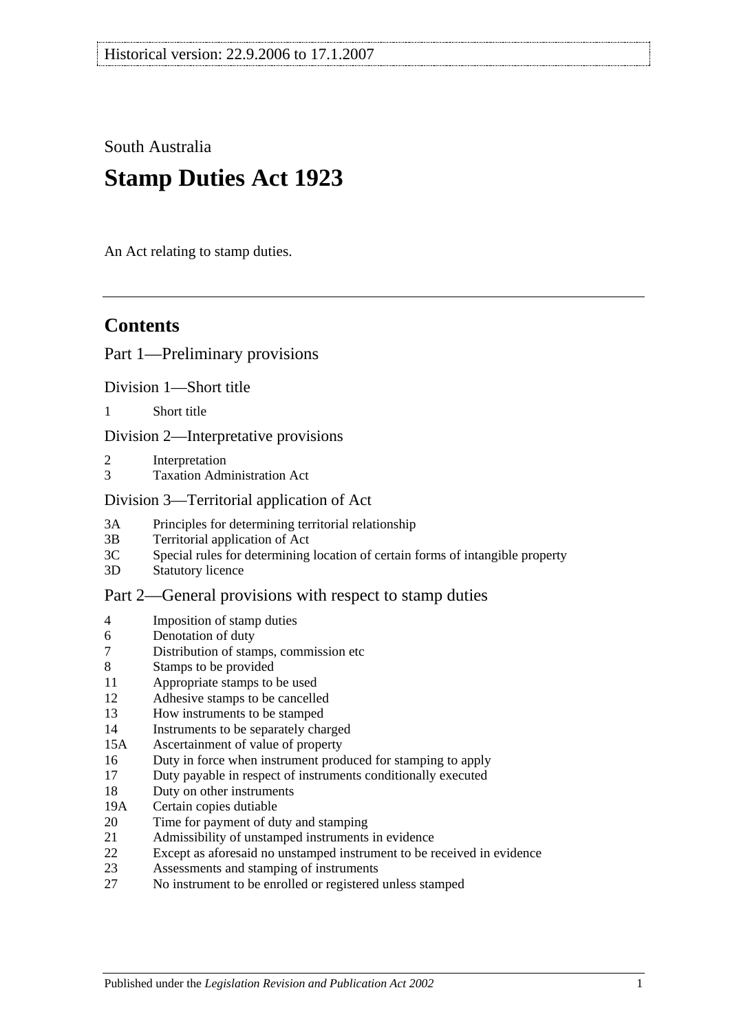South Australia

# **Stamp Duties Act 1923**

An Act relating to stamp duties.

# **Contents**

#### [Part 1—Preliminary provisions](#page-6-0)

[Division 1—Short title](#page-6-1)

1 [Short title](#page-6-2)

[Division 2—Interpretative provisions](#page-6-3)

- 2 [Interpretation](#page-6-4)
- 3 [Taxation Administration Act](#page-9-0)

#### [Division 3—Territorial application of Act](#page-9-1)

- 3A [Principles for determining territorial relationship](#page-9-2)
- 3B [Territorial application of Act](#page-10-0)
- 3C [Special rules for determining location of certain forms of intangible property](#page-10-1)
- 3D [Statutory licence](#page-11-0)

#### [Part 2—General provisions with respect to stamp duties](#page-12-0)

- 4 [Imposition of stamp duties](#page-12-1)
- 6 [Denotation of duty](#page-12-2)
- 7 [Distribution of stamps, commission etc](#page-12-3)
- 8 [Stamps to be provided](#page-12-4)
- 11 [Appropriate stamps to be used](#page-12-5)
- 12 [Adhesive stamps to be cancelled](#page-13-0)
- 13 [How instruments to be stamped](#page-13-1)
- 14 [Instruments to be separately charged](#page-13-2)
- 15A [Ascertainment of value of property](#page-13-3)
- 16 [Duty in force when instrument produced for stamping to apply](#page-14-0)
- 17 [Duty payable in respect of instruments conditionally executed](#page-14-1)
- 18 [Duty on other instruments](#page-14-2)
- 19A [Certain copies dutiable](#page-14-3)
- 20 [Time for payment of duty and stamping](#page-15-0)
- 21 [Admissibility of unstamped instruments in evidence](#page-15-1)
- 22 [Except as aforesaid no unstamped instrument to be received in evidence](#page-15-2)
- 23 [Assessments and stamping of instruments](#page-16-0)
- 27 [No instrument to be enrolled or registered unless stamped](#page-16-1)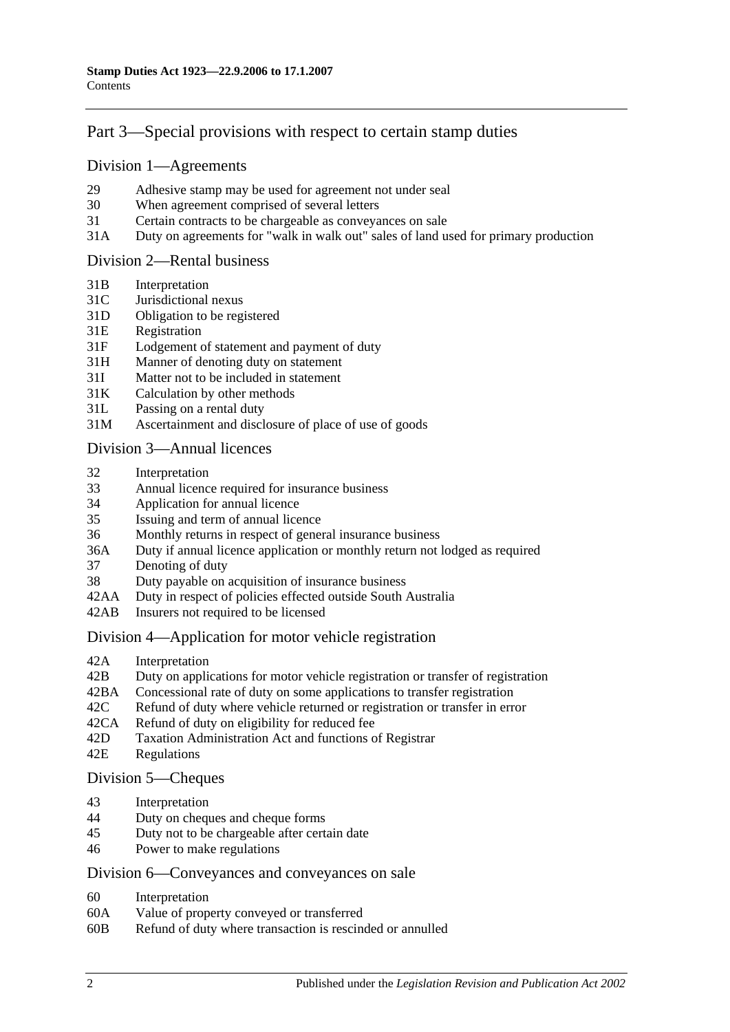# [Part 3—Special provisions with respect to certain stamp duties](#page-18-0)

#### [Division 1—Agreements](#page-18-1)

- 29 [Adhesive stamp may be used for agreement not under seal](#page-18-2)
- 30 [When agreement comprised of several letters](#page-18-3)
- 31 [Certain contracts to be chargeable as conveyances on sale](#page-18-4)
- 31A [Duty on agreements for "walk in walk out" sales of land used for primary production](#page-19-0)

#### [Division 2—Rental business](#page-19-1)

- 31B [Interpretation](#page-19-2)
- 31C [Jurisdictional nexus](#page-21-0)
- 31D [Obligation to be registered](#page-21-1)
- 31E [Registration](#page-21-2)
- 31F [Lodgement of statement and payment of duty](#page-21-3)
- 31H [Manner of denoting duty on statement](#page-22-0)
- 31I [Matter not to be included in statement](#page-23-0)
- 31K [Calculation by other methods](#page-24-0)
- 31L [Passing on a rental duty](#page-25-0)
- 31M [Ascertainment and disclosure of place of use of goods](#page-25-1)

#### [Division 3—Annual licences](#page-26-0)

- 32 [Interpretation](#page-26-1)
- 33 [Annual licence required for insurance business](#page-26-2)
- 34 [Application for annual licence](#page-27-0)
- 35 [Issuing and term of annual licence](#page-27-1)
- 36 [Monthly returns in respect of general insurance business](#page-27-2)
- 36A [Duty if annual licence application or monthly return not lodged as required](#page-27-3)
- 37 [Denoting of duty](#page-28-0)
- 38 [Duty payable on acquisition of insurance business](#page-28-1)
- 42AA [Duty in respect of policies effected outside South Australia](#page-28-2)
- 42AB [Insurers not required to be licensed](#page-28-3)

#### [Division 4—Application for motor vehicle registration](#page-29-0)

- 42A [Interpretation](#page-29-1)
- 42B [Duty on applications for motor vehicle registration or transfer of registration](#page-30-0)
- 42BA [Concessional rate of duty on some applications to transfer registration](#page-32-0)
- 42C [Refund of duty where vehicle returned or registration or transfer in error](#page-33-0)
- 42CA [Refund of duty on eligibility for reduced fee](#page-33-1)
- 42D [Taxation Administration Act and functions of Registrar](#page-33-2)
- 42E [Regulations](#page-33-3)

#### [Division 5—Cheques](#page-33-4)

- 43 [Interpretation](#page-33-5)<br>44 Duty on chequ
- [Duty on cheques and cheque forms](#page-34-0)
- 45 [Duty not to be chargeable after certain date](#page-34-1)
- 46 [Power to make regulations](#page-35-0)

#### [Division 6—Conveyances and conveyances on sale](#page-35-1)

- 60 [Interpretation](#page-35-2)
- 60A [Value of property conveyed or transferred](#page-35-3)
- 60B [Refund of duty where transaction is rescinded or annulled](#page-37-0)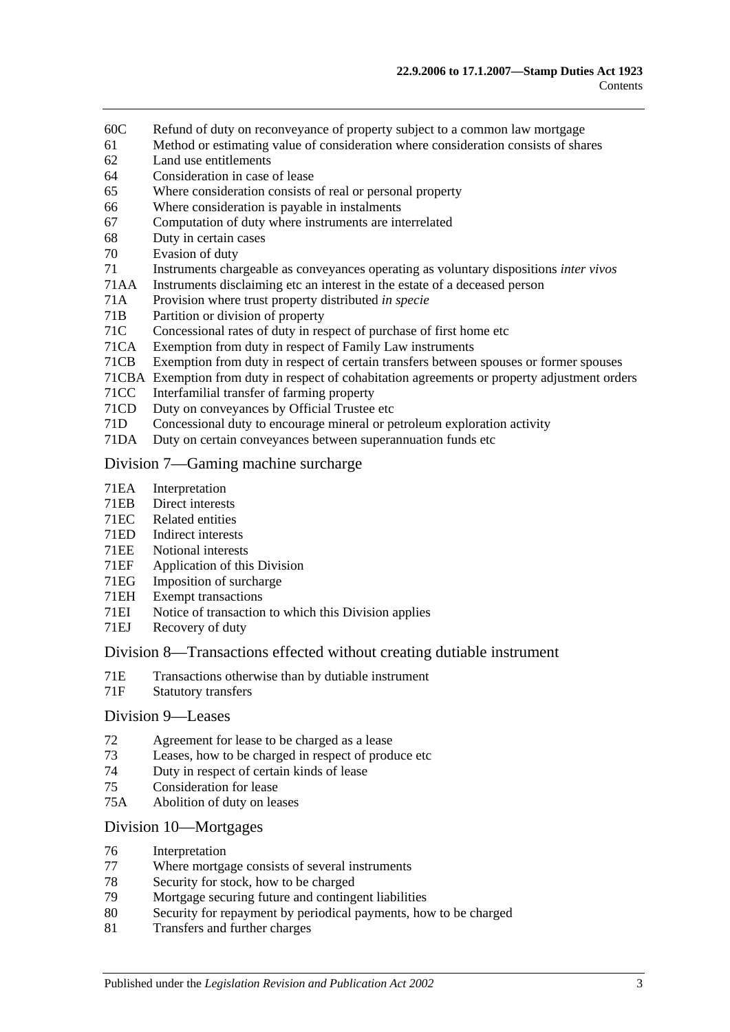- 60C [Refund of duty on reconveyance of property subject to a common law mortgage](#page-38-0)
- 61 [Method or estimating value of consideration where consideration consists of shares](#page-38-1)
- 62 [Land use entitlements](#page-38-2)
- 64 [Consideration in case of lease](#page-39-0)
- 65 [Where consideration consists of real or personal property](#page-39-1)
- 66 [Where consideration is payable in instalments](#page-39-2)
- 67 [Computation of duty where instruments are interrelated](#page-39-3)
- 68 [Duty in certain cases](#page-40-0)
- 70 [Evasion of duty](#page-40-1)
- 71 [Instruments chargeable as conveyances operating as voluntary dispositions](#page-41-0) *inter vivos*
- 71AA [Instruments disclaiming etc an interest in the estate of a deceased person](#page-44-0)
- 71A [Provision where trust property distributed](#page-45-0) *in specie*
- 71B [Partition or division of property](#page-45-1)
- 71C [Concessional rates of duty in respect of purchase of first home etc](#page-45-2)
- 71CA [Exemption from duty in respect of Family Law instruments](#page-49-0)
- 71CB [Exemption from duty in respect of certain transfers between spouses or former spouses](#page-52-0)
- 71CBA [Exemption from duty in respect of cohabitation agreements or property adjustment orders](#page-53-0)
- 71CC [Interfamilial transfer of farming property](#page-54-0)
- 71CD [Duty on conveyances by Official Trustee etc](#page-56-0)
- 71D [Concessional duty to encourage mineral or petroleum exploration activity](#page-56-1)
- 71DA [Duty on certain conveyances between superannuation funds etc](#page-58-0)

#### [Division 7—Gaming machine surcharge](#page-59-0)

- 71EA [Interpretation](#page-59-1)
- 71EB [Direct interests](#page-60-0)
- 71EC [Related entities](#page-61-0)
- 71ED [Indirect interests](#page-61-1)
- 71EE [Notional interests](#page-62-0)
- 71EF [Application of this](#page-62-1) Division
- 71EG [Imposition of surcharge](#page-62-2)
- 71EH [Exempt transactions](#page-63-0)
- 71EI [Notice of transaction to which this Division applies](#page-63-1)
- 71EJ [Recovery of duty](#page-63-2)

#### [Division 8—Transactions effected without creating dutiable instrument](#page-64-0)

- 71E [Transactions otherwise than by dutiable instrument](#page-64-1)
- 71F [Statutory transfers](#page-65-0)

#### [Division 9—Leases](#page-66-0)

- 72 [Agreement for lease to be charged as a lease](#page-66-1)
- 73 [Leases, how to be charged in respect of produce etc](#page-66-2)
- 74 [Duty in respect of certain kinds of lease](#page-67-0)
- 75 [Consideration for lease](#page-67-1)
- 75A [Abolition of duty on leases](#page-68-0)

#### [Division 10—Mortgages](#page-68-1)

- 76 [Interpretation](#page-68-2)
- 77 [Where mortgage consists of several instruments](#page-68-3)<br>78 Security for stock how to be charged
- [Security for stock, how to be charged](#page-69-0)
- 79 [Mortgage securing future and contingent liabilities](#page-69-1)
- 80 [Security for repayment by periodical payments, how to be charged](#page-71-0)
- 81 [Transfers and further charges](#page-71-1)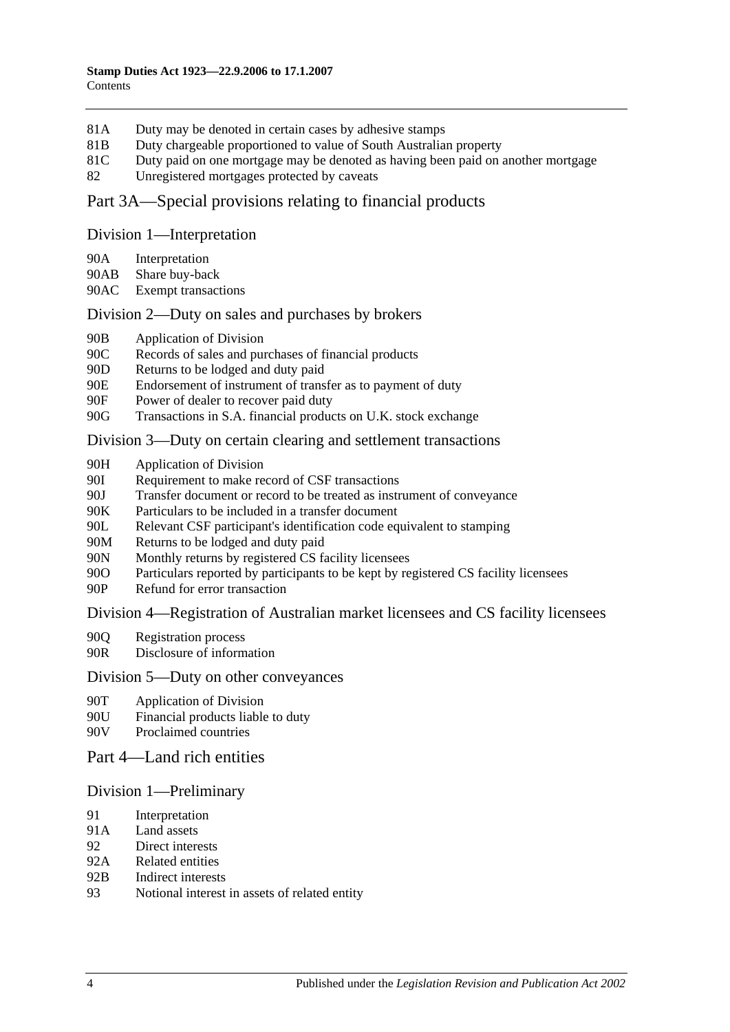- 81A [Duty may be denoted in certain cases by adhesive stamps](#page-71-2)
- 81B [Duty chargeable proportioned to value of South Australian property](#page-71-3)
- 81C [Duty paid on one mortgage may be denoted as having been paid on another mortgage](#page-72-0)
- 82 [Unregistered mortgages protected by caveats](#page-73-0)

# [Part 3A—Special provisions relating to financial products](#page-74-0)

#### [Division 1—Interpretation](#page-74-1)

- 90A [Interpretation](#page-74-2)
- 90AB [Share buy-back](#page-76-0)
- 90AC [Exempt transactions](#page-76-1)

# [Division 2—Duty on sales and purchases by brokers](#page-76-2)

- 90B [Application of Division](#page-76-3)
- 90C [Records of sales and purchases of financial products](#page-77-0)
- 90D [Returns to be lodged and duty paid](#page-78-0)
- 90E [Endorsement of instrument of transfer as to payment of duty](#page-79-0)
- 90F [Power of dealer to recover paid duty](#page-79-1)
- 90G [Transactions in S.A. financial products on U.K. stock exchange](#page-79-2)

# [Division 3—Duty on certain clearing and settlement transactions](#page-81-0)

- 90H [Application of Division](#page-81-1)
- 90I [Requirement to make record of CSF transactions](#page-82-0)
- 90J Transfer document or [record to be treated as instrument of conveyance](#page-82-1)
- 90K [Particulars to be included in a transfer document](#page-83-0)
- 90L [Relevant CSF participant's identification code equivalent to stamping](#page-83-1)
- 90M [Returns to be lodged and duty paid](#page-83-2)
- 90N [Monthly returns by registered CS facility licensees](#page-83-3)
- 90O [Particulars reported by participants to be kept by registered CS facility licensees](#page-84-0)
- 90P [Refund for error transaction](#page-84-1)

# [Division 4—Registration of Australian market licensees and CS facility licensees](#page-84-2)

- 90Q [Registration process](#page-84-3)
- 90R [Disclosure of information](#page-85-0)

# [Division 5—Duty on other conveyances](#page-85-1)

- 90T [Application of Division](#page-85-2)
- 90U [Financial products liable to duty](#page-85-3)
- 90V [Proclaimed countries](#page-85-4)

# [Part 4—Land rich entities](#page-86-0)

# [Division 1—Preliminary](#page-86-1)

- 91 [Interpretation](#page-86-2)
- 91A [Land assets](#page-88-0)
- 92 [Direct interests](#page-88-1)
- 92A [Related entities](#page-89-0)
- 92B [Indirect interests](#page-89-1)
- 93 [Notional interest in assets of related entity](#page-90-0)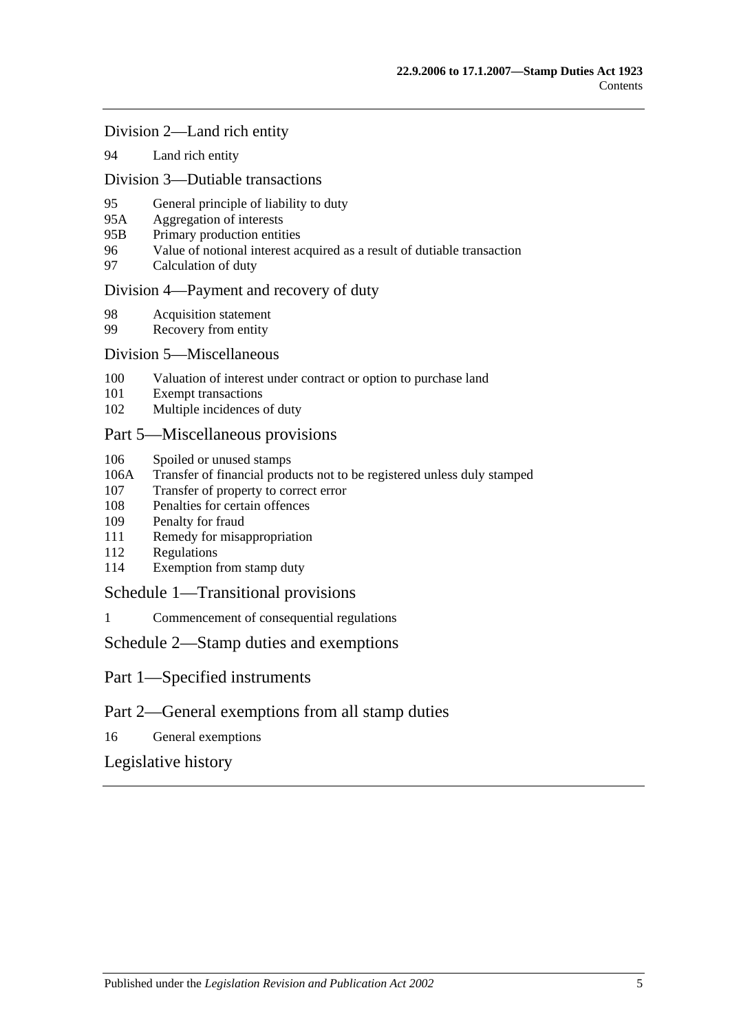#### [Division 2—Land rich entity](#page-90-1)

94 [Land rich entity](#page-90-2)

#### [Division 3—Dutiable transactions](#page-91-0)

- 95 [General principle of liability to duty](#page-91-1)
- 95A [Aggregation of interests](#page-92-0)
- 95B [Primary production entities](#page-92-1)
- 96 [Value of notional interest acquired as a result of dutiable transaction](#page-93-0)
- 97 [Calculation of duty](#page-93-1)

#### [Division 4—Payment and recovery of duty](#page-94-0)

- 98 [Acquisition statement](#page-94-1)<br>99 Recovery from entity
- [Recovery from entity](#page-95-0)

#### [Division 5—Miscellaneous](#page-96-0)

- 100 [Valuation of interest under contract or option to purchase land](#page-96-1)
- 101 [Exempt transactions](#page-96-2)
- 102 [Multiple incidences of duty](#page-96-3)

#### [Part 5—Miscellaneous provisions](#page-98-0)

- 106 [Spoiled or unused stamps](#page-98-1)
- 106A [Transfer of financial products not to be registered unless duly stamped](#page-98-2)
- 107 [Transfer of property to correct error](#page-99-0)
- 108 [Penalties for certain offences](#page-99-1)
- 109 [Penalty for fraud](#page-100-0)
- 111 [Remedy for misappropriation](#page-100-1)
- 112 [Regulations](#page-100-2)
- 114 [Exemption from stamp duty](#page-101-0)

#### [Schedule 1—Transitional provisions](#page-102-0)

1 [Commencement of consequential regulations](#page-102-1)

#### [Schedule 2—Stamp duties and exemptions](#page-102-2)

- Part 1—Specified instruments
- Part 2—General exemptions from all stamp duties
- 16 [General exemptions](#page-116-0)

# [Legislative history](#page-122-0)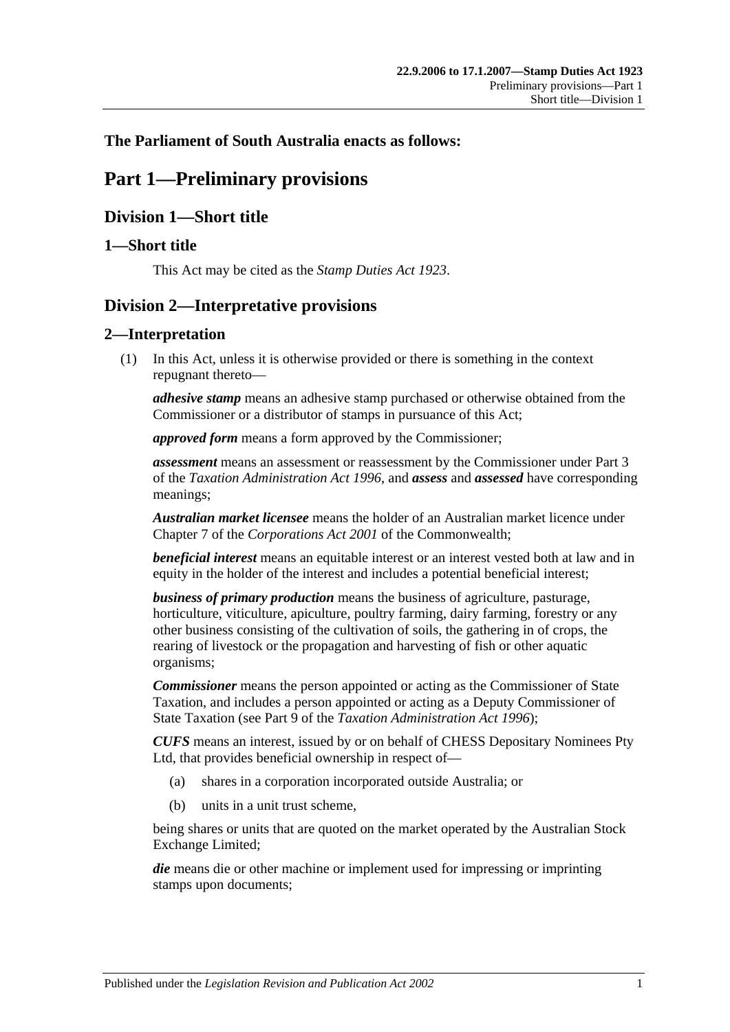# <span id="page-6-0"></span>**The Parliament of South Australia enacts as follows:**

# **Part 1—Preliminary provisions**

# <span id="page-6-1"></span>**Division 1—Short title**

# <span id="page-6-2"></span>**1—Short title**

This Act may be cited as the *Stamp Duties Act 1923*.

# <span id="page-6-3"></span>**Division 2—Interpretative provisions**

# <span id="page-6-4"></span>**2—Interpretation**

(1) In this Act, unless it is otherwise provided or there is something in the context repugnant thereto—

*adhesive stamp* means an adhesive stamp purchased or otherwise obtained from the Commissioner or a distributor of stamps in pursuance of this Act;

*approved form* means a form approved by the Commissioner;

*assessment* means an assessment or reassessment by the Commissioner under Part 3 of the *[Taxation Administration Act](http://www.legislation.sa.gov.au/index.aspx?action=legref&type=act&legtitle=Taxation%20Administration%20Act%201996) 1996*, and *assess* and *assessed* have corresponding meanings;

*Australian market licensee* means the holder of an Australian market licence under Chapter 7 of the *Corporations Act 2001* of the Commonwealth;

*beneficial interest* means an equitable interest or an interest vested both at law and in equity in the holder of the interest and includes a potential beneficial interest;

*business of primary production* means the business of agriculture, pasturage, horticulture, viticulture, apiculture, poultry farming, dairy farming, forestry or any other business consisting of the cultivation of soils, the gathering in of crops, the rearing of livestock or the propagation and harvesting of fish or other aquatic organisms;

*Commissioner* means the person appointed or acting as the Commissioner of State Taxation, and includes a person appointed or acting as a Deputy Commissioner of State Taxation (see Part 9 of the *[Taxation Administration Act](http://www.legislation.sa.gov.au/index.aspx?action=legref&type=act&legtitle=Taxation%20Administration%20Act%201996) 1996*);

*CUFS* means an interest, issued by or on behalf of CHESS Depositary Nominees Pty Ltd, that provides beneficial ownership in respect of—

- (a) shares in a corporation incorporated outside Australia; or
- (b) units in a unit trust scheme,

being shares or units that are quoted on the market operated by the Australian Stock Exchange Limited;

*die* means die or other machine or implement used for impressing or imprinting stamps upon documents;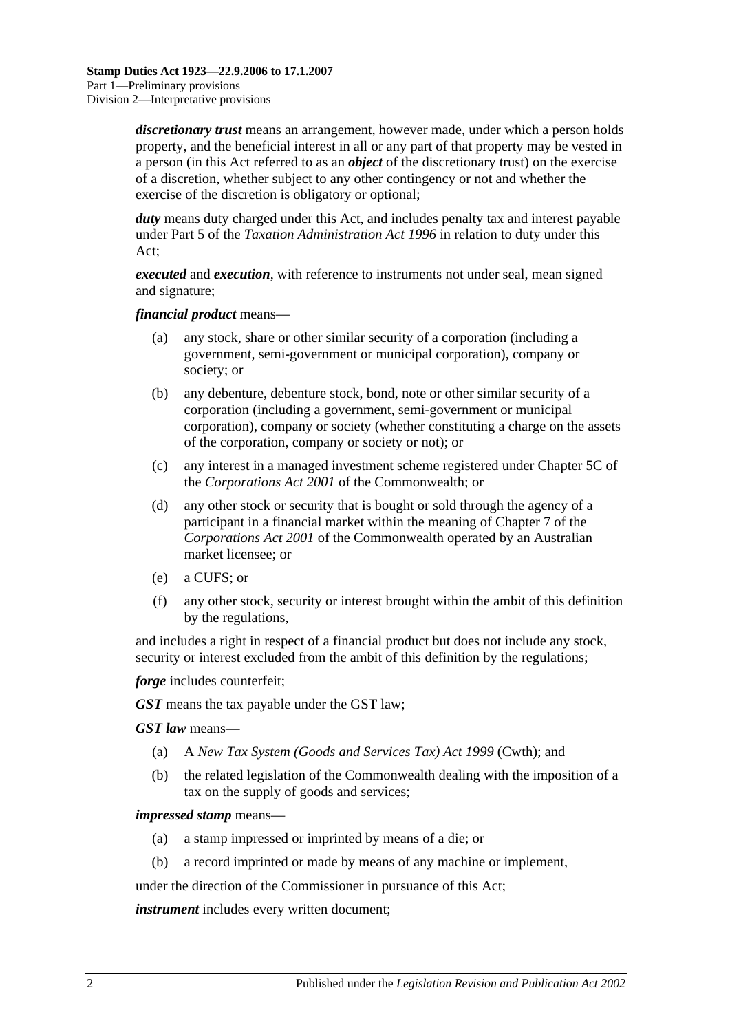*discretionary trust* means an arrangement, however made, under which a person holds property, and the beneficial interest in all or any part of that property may be vested in a person (in this Act referred to as an *object* of the discretionary trust) on the exercise of a discretion, whether subject to any other contingency or not and whether the exercise of the discretion is obligatory or optional;

*duty* means duty charged under this Act, and includes penalty tax and interest payable under Part 5 of the *[Taxation Administration Act](http://www.legislation.sa.gov.au/index.aspx?action=legref&type=act&legtitle=Taxation%20Administration%20Act%201996) 1996* in relation to duty under this Act;

*executed* and *execution*, with reference to instruments not under seal, mean signed and signature;

*financial product* means—

- (a) any stock, share or other similar security of a corporation (including a government, semi-government or municipal corporation), company or society; or
- (b) any debenture, debenture stock, bond, note or other similar security of a corporation (including a government, semi-government or municipal corporation), company or society (whether constituting a charge on the assets of the corporation, company or society or not); or
- (c) any interest in a managed investment scheme registered under Chapter 5C of the *Corporations Act 2001* of the Commonwealth; or
- (d) any other stock or security that is bought or sold through the agency of a participant in a financial market within the meaning of Chapter 7 of the *Corporations Act 2001* of the Commonwealth operated by an Australian market licensee; or
- (e) a CUFS; or
- (f) any other stock, security or interest brought within the ambit of this definition by the regulations,

and includes a right in respect of a financial product but does not include any stock, security or interest excluded from the ambit of this definition by the regulations;

*forge* includes counterfeit;

*GST* means the tax payable under the GST law;

*GST law* means—

- (a) A *New Tax System (Goods and Services Tax) Act 1999* (Cwth); and
- (b) the related legislation of the Commonwealth dealing with the imposition of a tax on the supply of goods and services;

#### *impressed stamp* means—

- (a) a stamp impressed or imprinted by means of a die; or
- (b) a record imprinted or made by means of any machine or implement,

under the direction of the Commissioner in pursuance of this Act;

*instrument* includes every written document;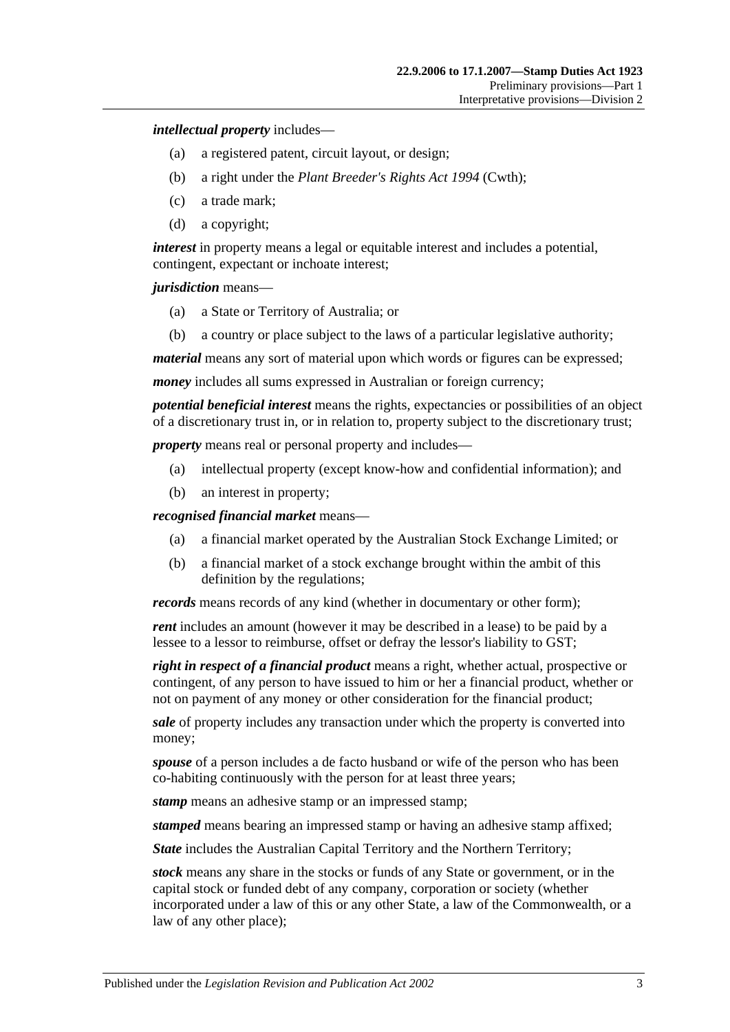*intellectual property* includes—

- (a) a registered patent, circuit layout, or design;
- (b) a right under the *Plant Breeder's Rights Act 1994* (Cwth);
- (c) a trade mark;
- (d) a copyright;

*interest* in property means a legal or equitable interest and includes a potential, contingent, expectant or inchoate interest;

*jurisdiction* means—

- (a) a State or Territory of Australia; or
- (b) a country or place subject to the laws of a particular legislative authority;

*material* means any sort of material upon which words or figures can be expressed;

*money* includes all sums expressed in Australian or foreign currency;

*potential beneficial interest* means the rights, expectancies or possibilities of an object of a discretionary trust in, or in relation to, property subject to the discretionary trust;

*property* means real or personal property and includes—

- (a) intellectual property (except know-how and confidential information); and
- (b) an interest in property;

*recognised financial market* means—

- (a) a financial market operated by the Australian Stock Exchange Limited; or
- (b) a financial market of a stock exchange brought within the ambit of this definition by the regulations;

*records* means records of any kind (whether in documentary or other form);

*rent* includes an amount (however it may be described in a lease) to be paid by a lessee to a lessor to reimburse, offset or defray the lessor's liability to GST;

*right in respect of a financial product* means a right, whether actual, prospective or contingent, of any person to have issued to him or her a financial product, whether or not on payment of any money or other consideration for the financial product;

*sale* of property includes any transaction under which the property is converted into money;

*spouse* of a person includes a de facto husband or wife of the person who has been co-habiting continuously with the person for at least three years;

*stamp* means an adhesive stamp or an impressed stamp;

*stamped* means bearing an impressed stamp or having an adhesive stamp affixed;

*State* includes the Australian Capital Territory and the Northern Territory;

*stock* means any share in the stocks or funds of any State or government, or in the capital stock or funded debt of any company, corporation or society (whether incorporated under a law of this or any other State, a law of the Commonwealth, or a law of any other place);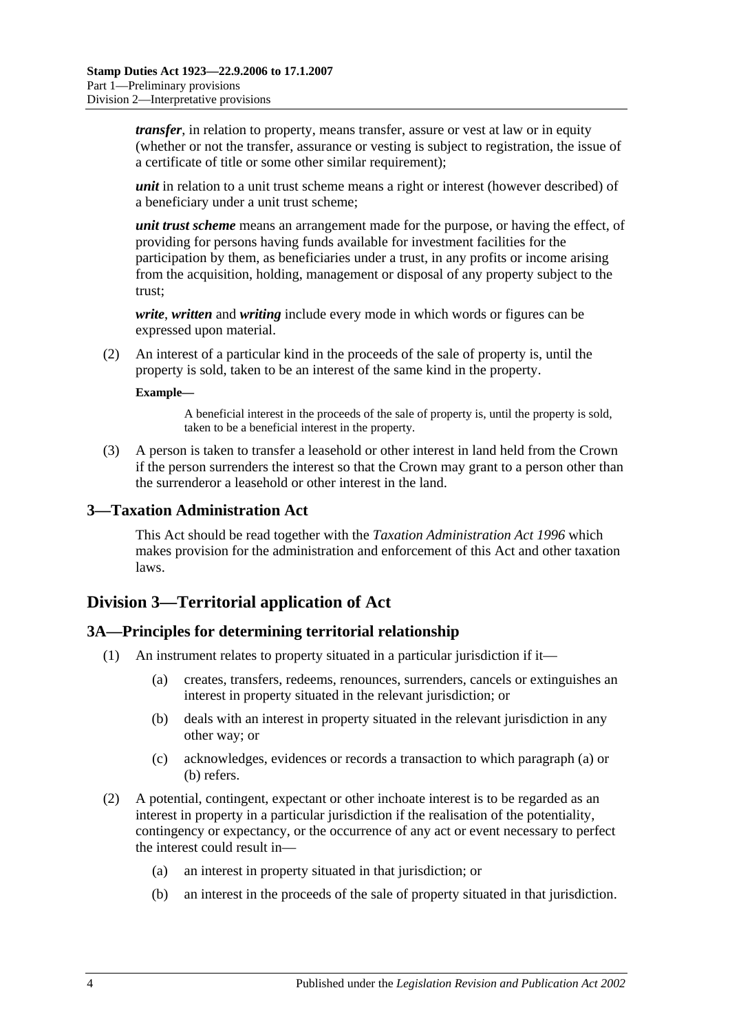*transfer*, in relation to property, means transfer, assure or vest at law or in equity (whether or not the transfer, assurance or vesting is subject to registration, the issue of a certificate of title or some other similar requirement);

*unit* in relation to a unit trust scheme means a right or interest (however described) of a beneficiary under a unit trust scheme;

*unit trust scheme* means an arrangement made for the purpose, or having the effect, of providing for persons having funds available for investment facilities for the participation by them, as beneficiaries under a trust, in any profits or income arising from the acquisition, holding, management or disposal of any property subject to the trust;

*write*, *written* and *writing* include every mode in which words or figures can be expressed upon material.

(2) An interest of a particular kind in the proceeds of the sale of property is, until the property is sold, taken to be an interest of the same kind in the property.

#### **Example—**

A beneficial interest in the proceeds of the sale of property is, until the property is sold, taken to be a beneficial interest in the property.

(3) A person is taken to transfer a leasehold or other interest in land held from the Crown if the person surrenders the interest so that the Crown may grant to a person other than the surrenderor a leasehold or other interest in the land.

#### <span id="page-9-0"></span>**3—Taxation Administration Act**

This Act should be read together with the *[Taxation Administration Act](http://www.legislation.sa.gov.au/index.aspx?action=legref&type=act&legtitle=Taxation%20Administration%20Act%201996) 1996* which makes provision for the administration and enforcement of this Act and other taxation laws.

# <span id="page-9-1"></span>**Division 3—Territorial application of Act**

#### <span id="page-9-2"></span>**3A—Principles for determining territorial relationship**

- <span id="page-9-4"></span><span id="page-9-3"></span>(1) An instrument relates to property situated in a particular jurisdiction if it—
	- (a) creates, transfers, redeems, renounces, surrenders, cancels or extinguishes an interest in property situated in the relevant jurisdiction; or
	- (b) deals with an interest in property situated in the relevant jurisdiction in any other way; or
	- (c) acknowledges, evidences or records a transaction to which [paragraph](#page-9-3) (a) or [\(b\)](#page-9-4) refers.
- (2) A potential, contingent, expectant or other inchoate interest is to be regarded as an interest in property in a particular jurisdiction if the realisation of the potentiality, contingency or expectancy, or the occurrence of any act or event necessary to perfect the interest could result in—
	- (a) an interest in property situated in that jurisdiction; or
	- (b) an interest in the proceeds of the sale of property situated in that jurisdiction.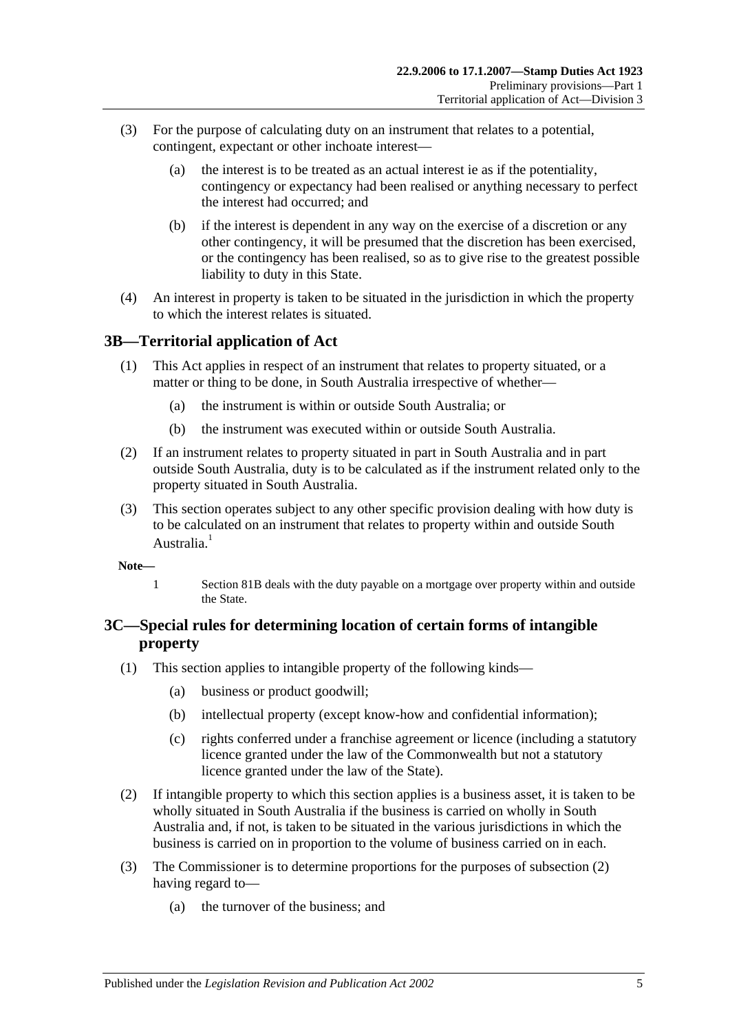- (3) For the purpose of calculating duty on an instrument that relates to a potential, contingent, expectant or other inchoate interest—
	- (a) the interest is to be treated as an actual interest ie as if the potentiality, contingency or expectancy had been realised or anything necessary to perfect the interest had occurred; and
	- (b) if the interest is dependent in any way on the exercise of a discretion or any other contingency, it will be presumed that the discretion has been exercised, or the contingency has been realised, so as to give rise to the greatest possible liability to duty in this State.
- (4) An interest in property is taken to be situated in the jurisdiction in which the property to which the interest relates is situated.

# <span id="page-10-0"></span>**3B—Territorial application of Act**

- (1) This Act applies in respect of an instrument that relates to property situated, or a matter or thing to be done, in South Australia irrespective of whether—
	- (a) the instrument is within or outside South Australia; or
	- (b) the instrument was executed within or outside South Australia.
- (2) If an instrument relates to property situated in part in South Australia and in part outside South Australia, duty is to be calculated as if the instrument related only to the property situated in South Australia.
- (3) This section operates subject to any other specific provision dealing with how duty is to be calculated on an instrument that relates to property within and outside South Australia<sup>1</sup>
- **Note—**
	- 1 [Section](#page-71-3) 81B deals with the duty payable on a mortgage over property within and outside the State.

# <span id="page-10-1"></span>**3C—Special rules for determining location of certain forms of intangible property**

- (1) This section applies to intangible property of the following kinds—
	- (a) business or product goodwill;
	- (b) intellectual property (except know-how and confidential information);
	- (c) rights conferred under a franchise agreement or licence (including a statutory licence granted under the law of the Commonwealth but not a statutory licence granted under the law of the State).
- <span id="page-10-2"></span>(2) If intangible property to which this section applies is a business asset, it is taken to be wholly situated in South Australia if the business is carried on wholly in South Australia and, if not, is taken to be situated in the various jurisdictions in which the business is carried on in proportion to the volume of business carried on in each.
- (3) The Commissioner is to determine proportions for the purposes of [subsection](#page-10-2) (2) having regard to—
	- (a) the turnover of the business; and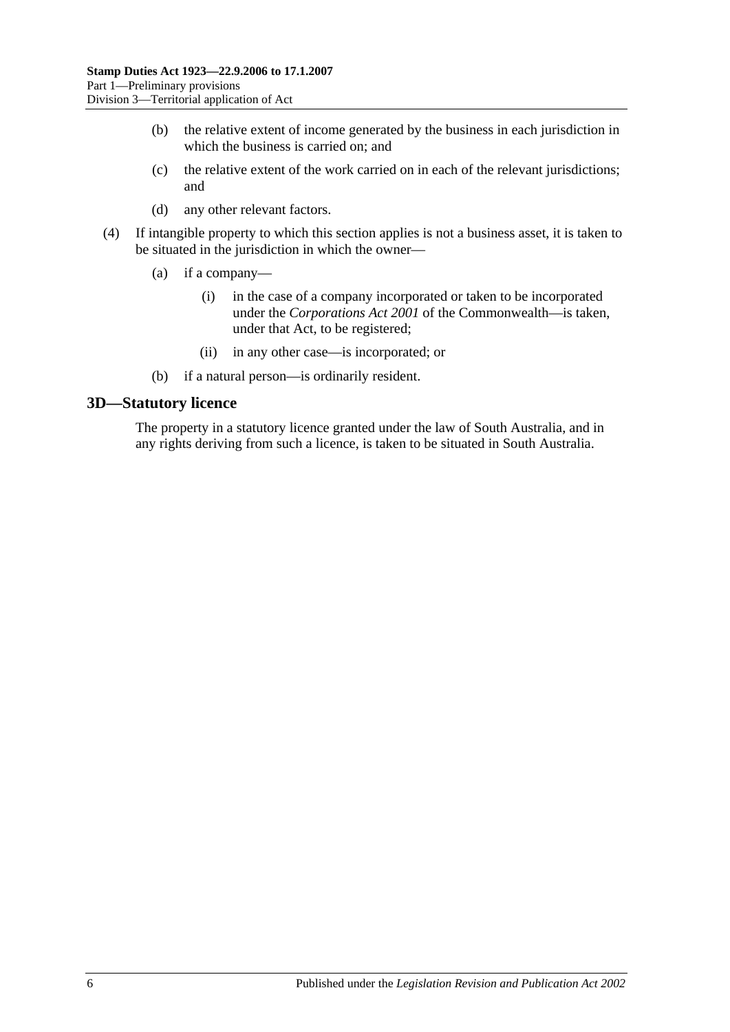- (b) the relative extent of income generated by the business in each jurisdiction in which the business is carried on; and
- (c) the relative extent of the work carried on in each of the relevant jurisdictions; and
- (d) any other relevant factors.
- (4) If intangible property to which this section applies is not a business asset, it is taken to be situated in the jurisdiction in which the owner—
	- (a) if a company—
		- (i) in the case of a company incorporated or taken to be incorporated under the *Corporations Act 2001* of the Commonwealth—is taken, under that Act, to be registered;
		- (ii) in any other case—is incorporated; or
	- (b) if a natural person—is ordinarily resident.

#### <span id="page-11-0"></span>**3D—Statutory licence**

The property in a statutory licence granted under the law of South Australia, and in any rights deriving from such a licence, is taken to be situated in South Australia.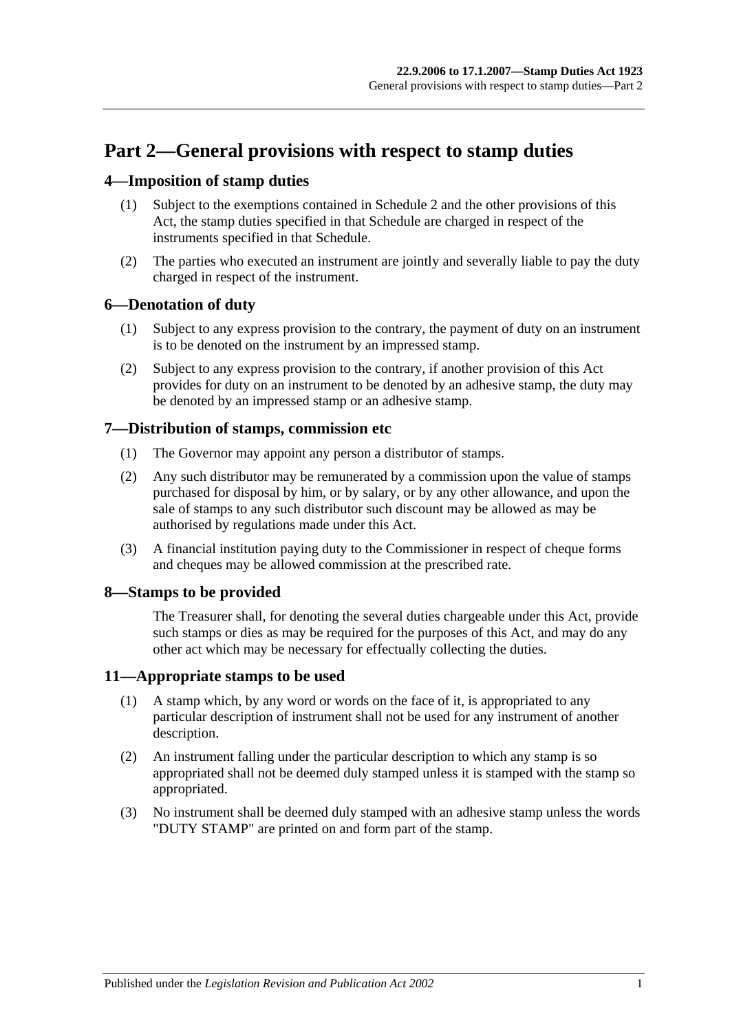# <span id="page-12-0"></span>**Part 2—General provisions with respect to stamp duties**

# <span id="page-12-1"></span>**4—Imposition of stamp duties**

- (1) Subject to the exemptions contained in [Schedule 2](#page-102-2) and the other provisions of this Act, the stamp duties specified in that Schedule are charged in respect of the instruments specified in that Schedule.
- (2) The parties who executed an instrument are jointly and severally liable to pay the duty charged in respect of the instrument.

# <span id="page-12-2"></span>**6—Denotation of duty**

- (1) Subject to any express provision to the contrary, the payment of duty on an instrument is to be denoted on the instrument by an impressed stamp.
- (2) Subject to any express provision to the contrary, if another provision of this Act provides for duty on an instrument to be denoted by an adhesive stamp, the duty may be denoted by an impressed stamp or an adhesive stamp.

# <span id="page-12-3"></span>**7—Distribution of stamps, commission etc**

- (1) The Governor may appoint any person a distributor of stamps.
- (2) Any such distributor may be remunerated by a commission upon the value of stamps purchased for disposal by him, or by salary, or by any other allowance, and upon the sale of stamps to any such distributor such discount may be allowed as may be authorised by regulations made under this Act.
- (3) A financial institution paying duty to the Commissioner in respect of cheque forms and cheques may be allowed commission at the prescribed rate.

# <span id="page-12-4"></span>**8—Stamps to be provided**

The Treasurer shall, for denoting the several duties chargeable under this Act, provide such stamps or dies as may be required for the purposes of this Act, and may do any other act which may be necessary for effectually collecting the duties.

# <span id="page-12-5"></span>**11—Appropriate stamps to be used**

- (1) A stamp which, by any word or words on the face of it, is appropriated to any particular description of instrument shall not be used for any instrument of another description.
- (2) An instrument falling under the particular description to which any stamp is so appropriated shall not be deemed duly stamped unless it is stamped with the stamp so appropriated.
- (3) No instrument shall be deemed duly stamped with an adhesive stamp unless the words "DUTY STAMP" are printed on and form part of the stamp.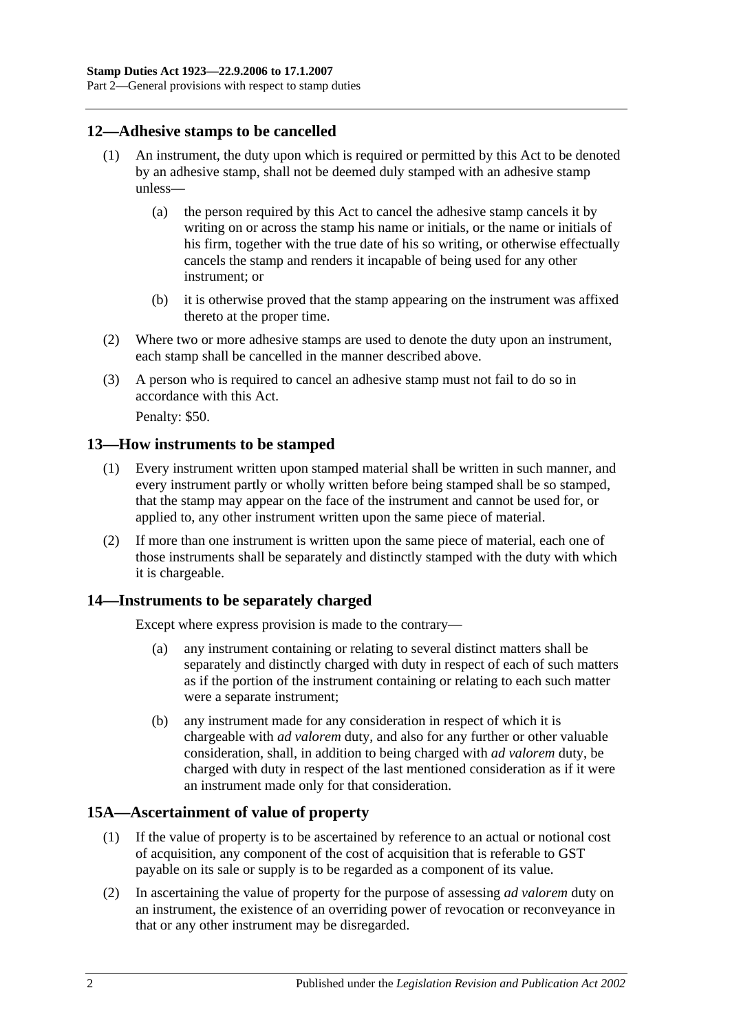# <span id="page-13-0"></span>**12—Adhesive stamps to be cancelled**

- (1) An instrument, the duty upon which is required or permitted by this Act to be denoted by an adhesive stamp, shall not be deemed duly stamped with an adhesive stamp unless—
	- (a) the person required by this Act to cancel the adhesive stamp cancels it by writing on or across the stamp his name or initials, or the name or initials of his firm, together with the true date of his so writing, or otherwise effectually cancels the stamp and renders it incapable of being used for any other instrument; or
	- (b) it is otherwise proved that the stamp appearing on the instrument was affixed thereto at the proper time.
- (2) Where two or more adhesive stamps are used to denote the duty upon an instrument, each stamp shall be cancelled in the manner described above.
- (3) A person who is required to cancel an adhesive stamp must not fail to do so in accordance with this Act.

Penalty: \$50.

# <span id="page-13-1"></span>**13—How instruments to be stamped**

- (1) Every instrument written upon stamped material shall be written in such manner, and every instrument partly or wholly written before being stamped shall be so stamped, that the stamp may appear on the face of the instrument and cannot be used for, or applied to, any other instrument written upon the same piece of material.
- (2) If more than one instrument is written upon the same piece of material, each one of those instruments shall be separately and distinctly stamped with the duty with which it is chargeable.

# <span id="page-13-2"></span>**14—Instruments to be separately charged**

Except where express provision is made to the contrary—

- (a) any instrument containing or relating to several distinct matters shall be separately and distinctly charged with duty in respect of each of such matters as if the portion of the instrument containing or relating to each such matter were a separate instrument;
- (b) any instrument made for any consideration in respect of which it is chargeable with *ad valorem* duty, and also for any further or other valuable consideration, shall, in addition to being charged with *ad valorem* duty, be charged with duty in respect of the last mentioned consideration as if it were an instrument made only for that consideration.

# <span id="page-13-3"></span>**15A—Ascertainment of value of property**

- (1) If the value of property is to be ascertained by reference to an actual or notional cost of acquisition, any component of the cost of acquisition that is referable to GST payable on its sale or supply is to be regarded as a component of its value.
- (2) In ascertaining the value of property for the purpose of assessing *ad valorem* duty on an instrument, the existence of an overriding power of revocation or reconveyance in that or any other instrument may be disregarded.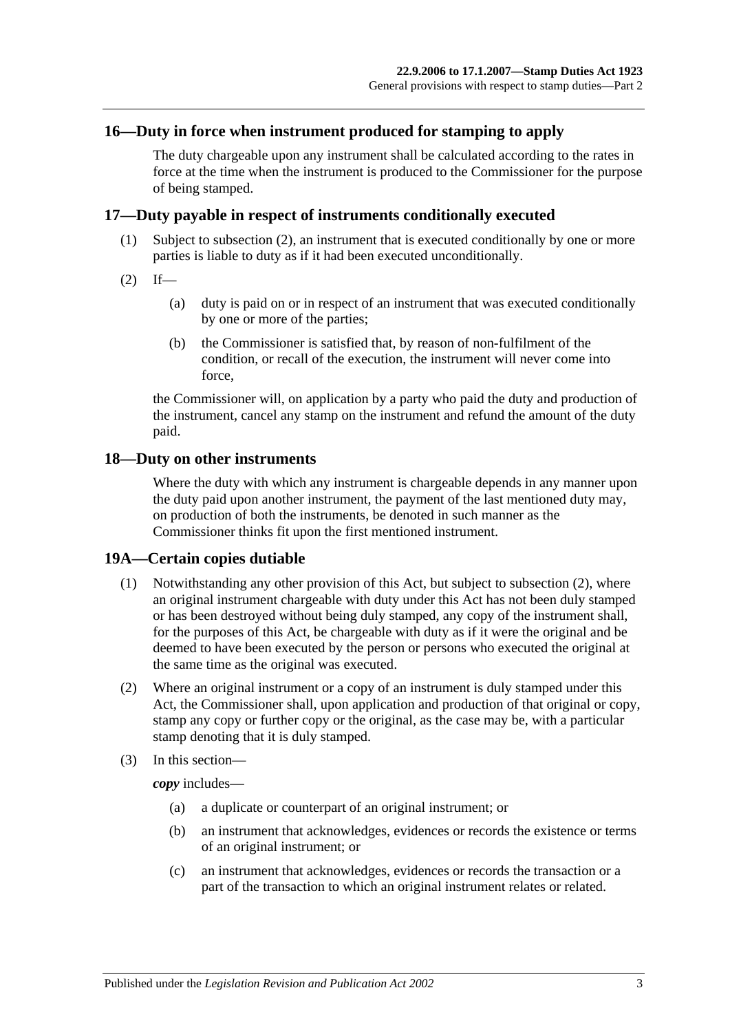#### <span id="page-14-0"></span>**16—Duty in force when instrument produced for stamping to apply**

The duty chargeable upon any instrument shall be calculated according to the rates in force at the time when the instrument is produced to the Commissioner for the purpose of being stamped.

#### <span id="page-14-1"></span>**17—Duty payable in respect of instruments conditionally executed**

- (1) Subject to [subsection](#page-14-4) (2), an instrument that is executed conditionally by one or more parties is liable to duty as if it had been executed unconditionally.
- <span id="page-14-4"></span> $(2)$  If—
	- (a) duty is paid on or in respect of an instrument that was executed conditionally by one or more of the parties;
	- (b) the Commissioner is satisfied that, by reason of non-fulfilment of the condition, or recall of the execution, the instrument will never come into force,

the Commissioner will, on application by a party who paid the duty and production of the instrument, cancel any stamp on the instrument and refund the amount of the duty paid.

#### <span id="page-14-2"></span>**18—Duty on other instruments**

Where the duty with which any instrument is chargeable depends in any manner upon the duty paid upon another instrument, the payment of the last mentioned duty may, on production of both the instruments, be denoted in such manner as the Commissioner thinks fit upon the first mentioned instrument.

#### <span id="page-14-3"></span>**19A—Certain copies dutiable**

- (1) Notwithstanding any other provision of this Act, but subject to [subsection](#page-14-5) (2), where an original instrument chargeable with duty under this Act has not been duly stamped or has been destroyed without being duly stamped, any copy of the instrument shall, for the purposes of this Act, be chargeable with duty as if it were the original and be deemed to have been executed by the person or persons who executed the original at the same time as the original was executed.
- <span id="page-14-5"></span>(2) Where an original instrument or a copy of an instrument is duly stamped under this Act, the Commissioner shall, upon application and production of that original or copy, stamp any copy or further copy or the original, as the case may be, with a particular stamp denoting that it is duly stamped.
- (3) In this section—

*copy* includes—

- (a) a duplicate or counterpart of an original instrument; or
- (b) an instrument that acknowledges, evidences or records the existence or terms of an original instrument; or
- (c) an instrument that acknowledges, evidences or records the transaction or a part of the transaction to which an original instrument relates or related.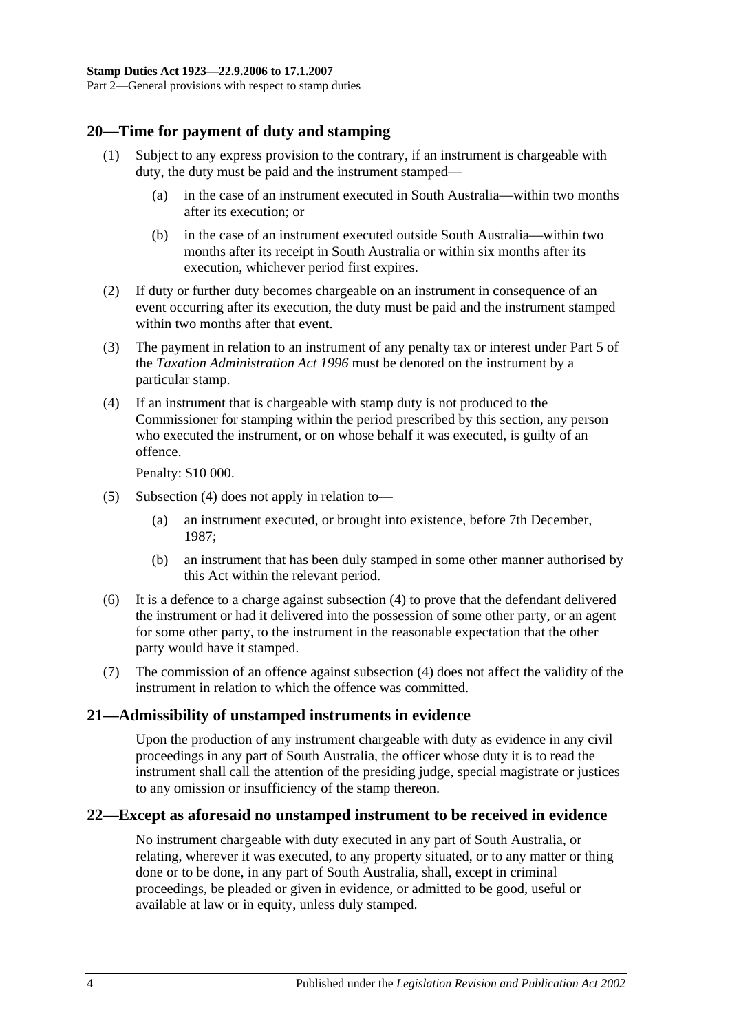# <span id="page-15-0"></span>**20—Time for payment of duty and stamping**

- (1) Subject to any express provision to the contrary, if an instrument is chargeable with duty, the duty must be paid and the instrument stamped—
	- (a) in the case of an instrument executed in South Australia—within two months after its execution; or
	- (b) in the case of an instrument executed outside South Australia—within two months after its receipt in South Australia or within six months after its execution, whichever period first expires.
- (2) If duty or further duty becomes chargeable on an instrument in consequence of an event occurring after its execution, the duty must be paid and the instrument stamped within two months after that event.
- (3) The payment in relation to an instrument of any penalty tax or interest under Part 5 of the *[Taxation Administration Act](http://www.legislation.sa.gov.au/index.aspx?action=legref&type=act&legtitle=Taxation%20Administration%20Act%201996) 1996* must be denoted on the instrument by a particular stamp.
- <span id="page-15-3"></span>(4) If an instrument that is chargeable with stamp duty is not produced to the Commissioner for stamping within the period prescribed by this section, any person who executed the instrument, or on whose behalf it was executed, is guilty of an offence.

Penalty: \$10 000.

- (5) [Subsection](#page-15-3) (4) does not apply in relation to—
	- (a) an instrument executed, or brought into existence, before 7th December, 1987;
	- (b) an instrument that has been duly stamped in some other manner authorised by this Act within the relevant period.
- (6) It is a defence to a charge against [subsection](#page-15-3) (4) to prove that the defendant delivered the instrument or had it delivered into the possession of some other party, or an agent for some other party, to the instrument in the reasonable expectation that the other party would have it stamped.
- (7) The commission of an offence against [subsection](#page-15-3) (4) does not affect the validity of the instrument in relation to which the offence was committed.

# <span id="page-15-1"></span>**21—Admissibility of unstamped instruments in evidence**

Upon the production of any instrument chargeable with duty as evidence in any civil proceedings in any part of South Australia, the officer whose duty it is to read the instrument shall call the attention of the presiding judge, special magistrate or justices to any omission or insufficiency of the stamp thereon.

# <span id="page-15-2"></span>**22—Except as aforesaid no unstamped instrument to be received in evidence**

No instrument chargeable with duty executed in any part of South Australia, or relating, wherever it was executed, to any property situated, or to any matter or thing done or to be done, in any part of South Australia, shall, except in criminal proceedings, be pleaded or given in evidence, or admitted to be good, useful or available at law or in equity, unless duly stamped.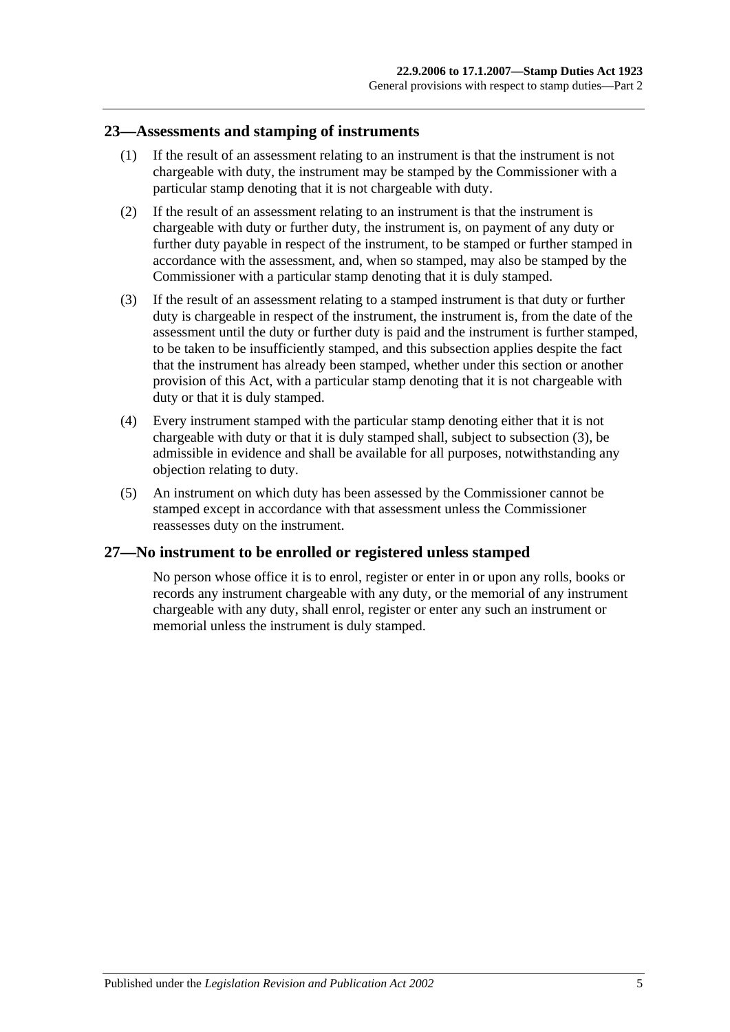#### <span id="page-16-0"></span>**23—Assessments and stamping of instruments**

- (1) If the result of an assessment relating to an instrument is that the instrument is not chargeable with duty, the instrument may be stamped by the Commissioner with a particular stamp denoting that it is not chargeable with duty.
- (2) If the result of an assessment relating to an instrument is that the instrument is chargeable with duty or further duty, the instrument is, on payment of any duty or further duty payable in respect of the instrument, to be stamped or further stamped in accordance with the assessment, and, when so stamped, may also be stamped by the Commissioner with a particular stamp denoting that it is duly stamped.
- <span id="page-16-2"></span>(3) If the result of an assessment relating to a stamped instrument is that duty or further duty is chargeable in respect of the instrument, the instrument is, from the date of the assessment until the duty or further duty is paid and the instrument is further stamped, to be taken to be insufficiently stamped, and this subsection applies despite the fact that the instrument has already been stamped, whether under this section or another provision of this Act, with a particular stamp denoting that it is not chargeable with duty or that it is duly stamped.
- (4) Every instrument stamped with the particular stamp denoting either that it is not chargeable with duty or that it is duly stamped shall, subject to [subsection](#page-16-2) (3), be admissible in evidence and shall be available for all purposes, notwithstanding any objection relating to duty.
- (5) An instrument on which duty has been assessed by the Commissioner cannot be stamped except in accordance with that assessment unless the Commissioner reassesses duty on the instrument.

# <span id="page-16-1"></span>**27—No instrument to be enrolled or registered unless stamped**

No person whose office it is to enrol, register or enter in or upon any rolls, books or records any instrument chargeable with any duty, or the memorial of any instrument chargeable with any duty, shall enrol, register or enter any such an instrument or memorial unless the instrument is duly stamped.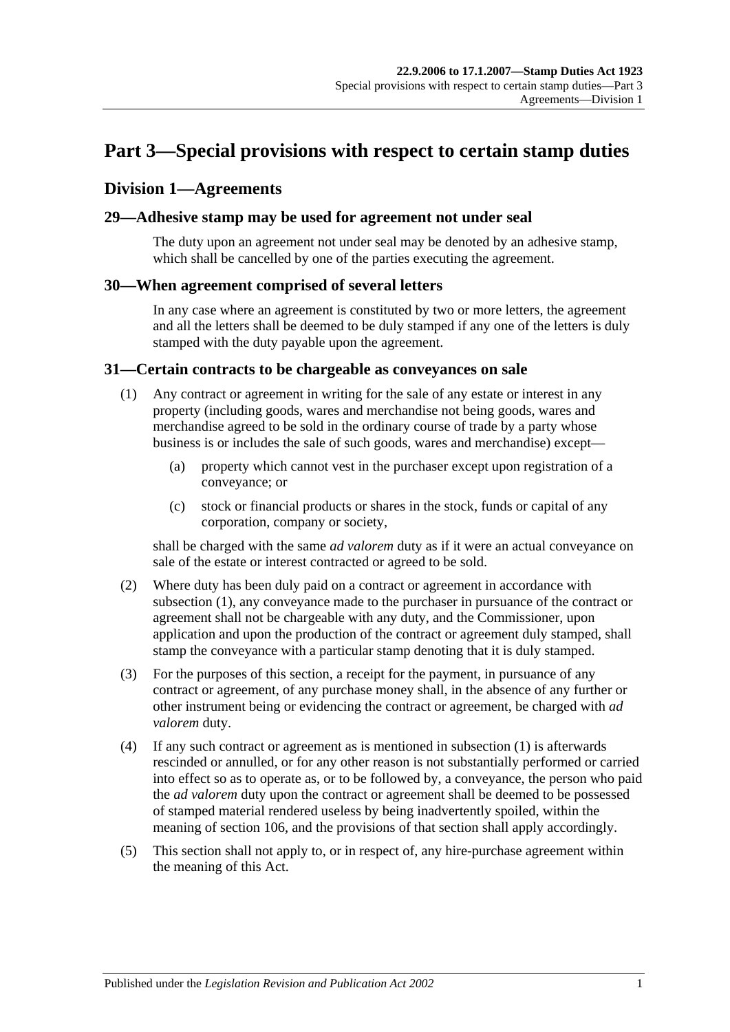# <span id="page-18-0"></span>**Part 3—Special provisions with respect to certain stamp duties**

# <span id="page-18-1"></span>**Division 1—Agreements**

#### <span id="page-18-2"></span>**29—Adhesive stamp may be used for agreement not under seal**

The duty upon an agreement not under seal may be denoted by an adhesive stamp, which shall be cancelled by one of the parties executing the agreement.

#### <span id="page-18-3"></span>**30—When agreement comprised of several letters**

In any case where an agreement is constituted by two or more letters, the agreement and all the letters shall be deemed to be duly stamped if any one of the letters is duly stamped with the duty payable upon the agreement.

#### <span id="page-18-5"></span><span id="page-18-4"></span>**31—Certain contracts to be chargeable as conveyances on sale**

- (1) Any contract or agreement in writing for the sale of any estate or interest in any property (including goods, wares and merchandise not being goods, wares and merchandise agreed to be sold in the ordinary course of trade by a party whose business is or includes the sale of such goods, wares and merchandise) except—
	- (a) property which cannot vest in the purchaser except upon registration of a conveyance; or
	- (c) stock or financial products or shares in the stock, funds or capital of any corporation, company or society,

shall be charged with the same *ad valorem* duty as if it were an actual conveyance on sale of the estate or interest contracted or agreed to be sold.

- (2) Where duty has been duly paid on a contract or agreement in accordance with [subsection](#page-18-5) (1), any conveyance made to the purchaser in pursuance of the contract or agreement shall not be chargeable with any duty, and the Commissioner, upon application and upon the production of the contract or agreement duly stamped, shall stamp the conveyance with a particular stamp denoting that it is duly stamped.
- (3) For the purposes of this section, a receipt for the payment, in pursuance of any contract or agreement, of any purchase money shall, in the absence of any further or other instrument being or evidencing the contract or agreement, be charged with *ad valorem* duty.
- (4) If any such contract or agreement as is mentioned in [subsection](#page-18-5) (1) is afterwards rescinded or annulled, or for any other reason is not substantially performed or carried into effect so as to operate as, or to be followed by, a conveyance, the person who paid the *ad valorem* duty upon the contract or agreement shall be deemed to be possessed of stamped material rendered useless by being inadvertently spoiled, within the meaning of [section](#page-98-1) 106, and the provisions of that section shall apply accordingly.
- (5) This section shall not apply to, or in respect of, any hire-purchase agreement within the meaning of this Act.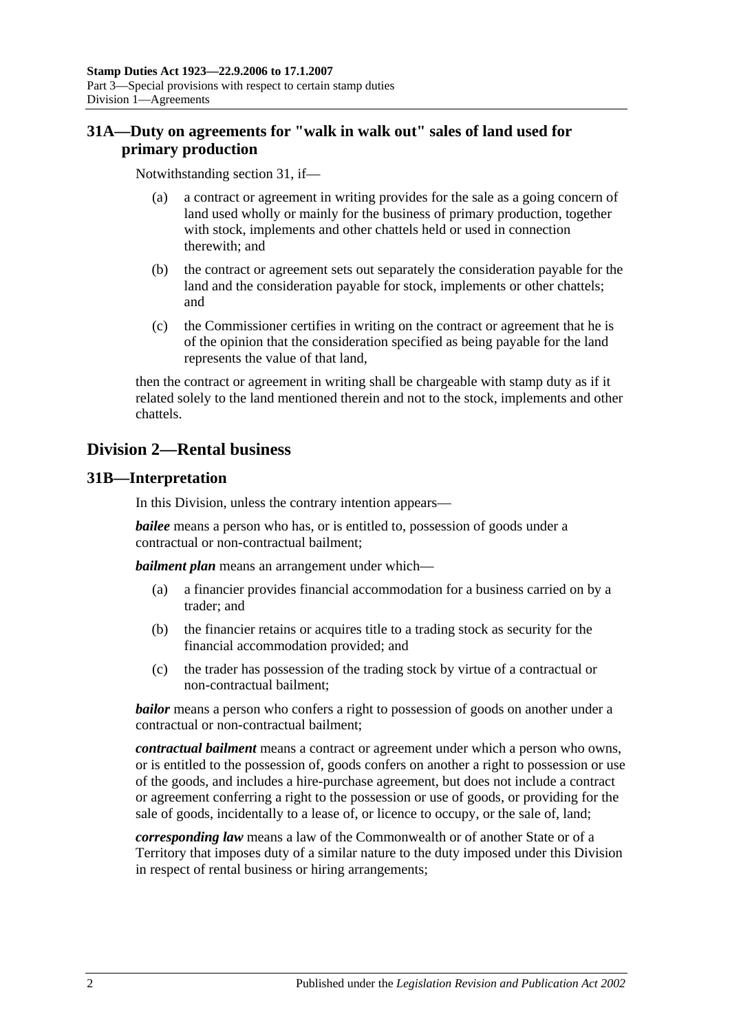# <span id="page-19-0"></span>**31A—Duty on agreements for "walk in walk out" sales of land used for primary production**

Notwithstanding [section](#page-18-4) 31, if—

- (a) a contract or agreement in writing provides for the sale as a going concern of land used wholly or mainly for the business of primary production, together with stock, implements and other chattels held or used in connection therewith; and
- (b) the contract or agreement sets out separately the consideration payable for the land and the consideration payable for stock, implements or other chattels; and
- (c) the Commissioner certifies in writing on the contract or agreement that he is of the opinion that the consideration specified as being payable for the land represents the value of that land,

then the contract or agreement in writing shall be chargeable with stamp duty as if it related solely to the land mentioned therein and not to the stock, implements and other chattels.

# <span id="page-19-1"></span>**Division 2—Rental business**

# <span id="page-19-2"></span>**31B—Interpretation**

In this Division, unless the contrary intention appears—

*bailee* means a person who has, or is entitled to, possession of goods under a contractual or non-contractual bailment;

*bailment plan* means an arrangement under which—

- (a) a financier provides financial accommodation for a business carried on by a trader; and
- (b) the financier retains or acquires title to a trading stock as security for the financial accommodation provided; and
- (c) the trader has possession of the trading stock by virtue of a contractual or non-contractual bailment;

*bailor* means a person who confers a right to possession of goods on another under a contractual or non-contractual bailment;

*contractual bailment* means a contract or agreement under which a person who owns, or is entitled to the possession of, goods confers on another a right to possession or use of the goods, and includes a hire-purchase agreement, but does not include a contract or agreement conferring a right to the possession or use of goods, or providing for the sale of goods, incidentally to a lease of, or licence to occupy, or the sale of, land;

*corresponding law* means a law of the Commonwealth or of another State or of a Territory that imposes duty of a similar nature to the duty imposed under this Division in respect of rental business or hiring arrangements;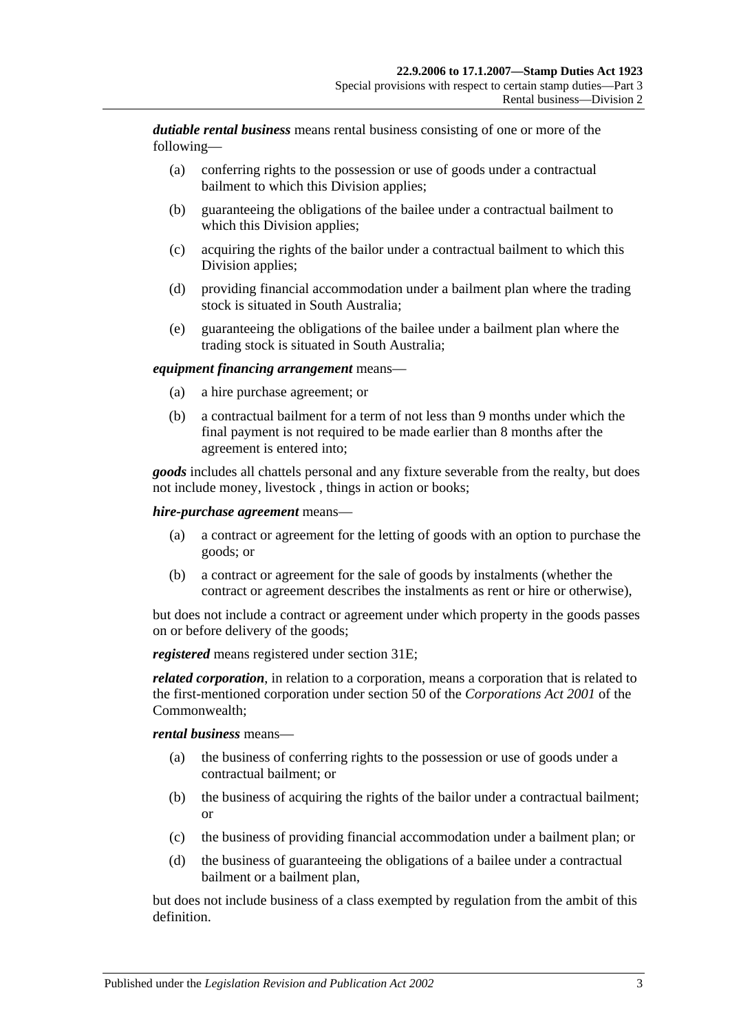*dutiable rental business* means rental business consisting of one or more of the following—

- (a) conferring rights to the possession or use of goods under a contractual bailment to which this Division applies;
- (b) guaranteeing the obligations of the bailee under a contractual bailment to which this Division applies;
- (c) acquiring the rights of the bailor under a contractual bailment to which this Division applies;
- (d) providing financial accommodation under a bailment plan where the trading stock is situated in South Australia;
- (e) guaranteeing the obligations of the bailee under a bailment plan where the trading stock is situated in South Australia;

#### *equipment financing arrangement* means—

- (a) a hire purchase agreement; or
- (b) a contractual bailment for a term of not less than 9 months under which the final payment is not required to be made earlier than 8 months after the agreement is entered into;

*goods* includes all chattels personal and any fixture severable from the realty, but does not include money, livestock , things in action or books;

#### *hire-purchase agreement* means—

- (a) a contract or agreement for the letting of goods with an option to purchase the goods; or
- (b) a contract or agreement for the sale of goods by instalments (whether the contract or agreement describes the instalments as rent or hire or otherwise),

but does not include a contract or agreement under which property in the goods passes on or before delivery of the goods;

*registered* means registered under [section](#page-21-2) 31E;

*related corporation*, in relation to a corporation, means a corporation that is related to the first-mentioned corporation under section 50 of the *Corporations Act 2001* of the Commonwealth;

#### *rental business* means—

- (a) the business of conferring rights to the possession or use of goods under a contractual bailment; or
- (b) the business of acquiring the rights of the bailor under a contractual bailment; or
- (c) the business of providing financial accommodation under a bailment plan; or
- (d) the business of guaranteeing the obligations of a bailee under a contractual bailment or a bailment plan,

but does not include business of a class exempted by regulation from the ambit of this definition.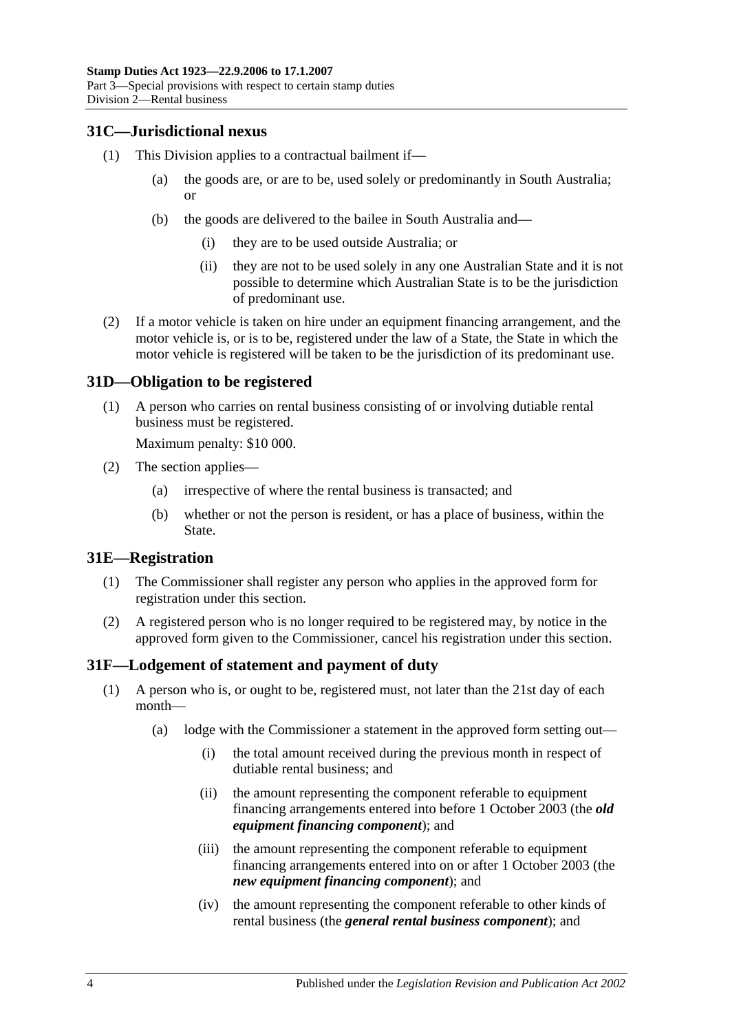# <span id="page-21-0"></span>**31C—Jurisdictional nexus**

- (1) This Division applies to a contractual bailment if—
	- (a) the goods are, or are to be, used solely or predominantly in South Australia; or
	- (b) the goods are delivered to the bailee in South Australia and—
		- (i) they are to be used outside Australia; or
		- (ii) they are not to be used solely in any one Australian State and it is not possible to determine which Australian State is to be the jurisdiction of predominant use.
- (2) If a motor vehicle is taken on hire under an equipment financing arrangement, and the motor vehicle is, or is to be, registered under the law of a State, the State in which the motor vehicle is registered will be taken to be the jurisdiction of its predominant use.

# <span id="page-21-1"></span>**31D—Obligation to be registered**

(1) A person who carries on rental business consisting of or involving dutiable rental business must be registered.

Maximum penalty: \$10 000.

- (2) The section applies—
	- (a) irrespective of where the rental business is transacted; and
	- (b) whether or not the person is resident, or has a place of business, within the State.

#### <span id="page-21-2"></span>**31E—Registration**

- (1) The Commissioner shall register any person who applies in the approved form for registration under this section.
- (2) A registered person who is no longer required to be registered may, by notice in the approved form given to the Commissioner, cancel his registration under this section.

# <span id="page-21-4"></span><span id="page-21-3"></span>**31F—Lodgement of statement and payment of duty**

- (1) A person who is, or ought to be, registered must, not later than the 21st day of each month—
	- (a) lodge with the Commissioner a statement in the approved form setting out—
		- (i) the total amount received during the previous month in respect of dutiable rental business; and
		- (ii) the amount representing the component referable to equipment financing arrangements entered into before 1 October 2003 (the *old equipment financing component*); and
		- (iii) the amount representing the component referable to equipment financing arrangements entered into on or after 1 October 2003 (the *new equipment financing component*); and
		- (iv) the amount representing the component referable to other kinds of rental business (the *general rental business component*); and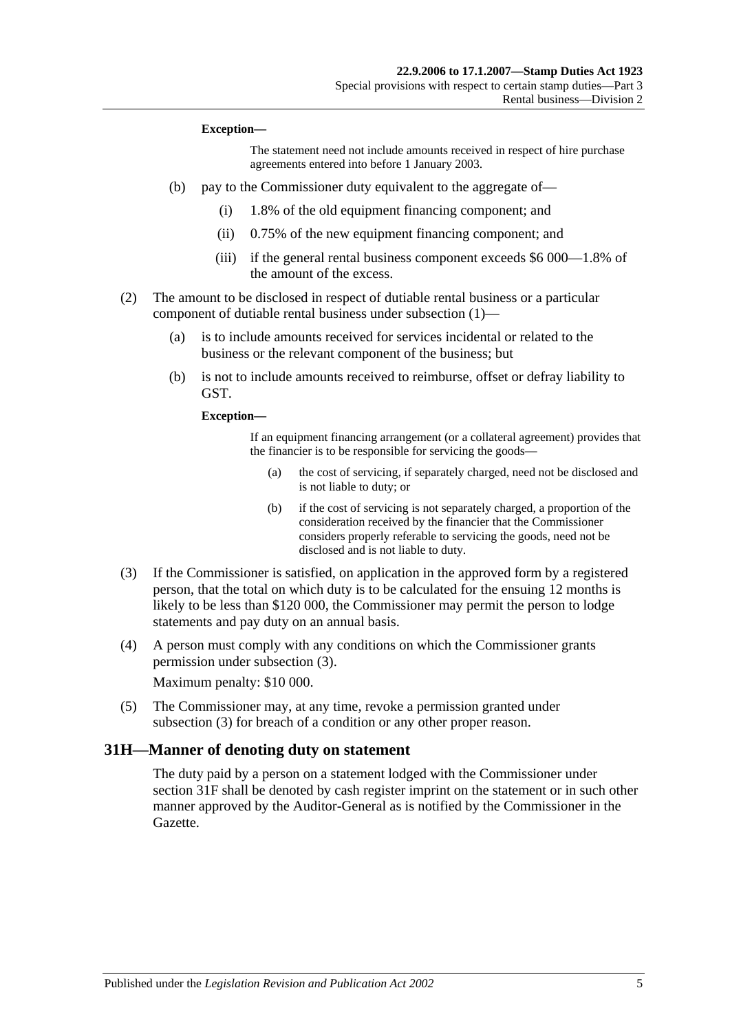#### **Exception—**

The statement need not include amounts received in respect of hire purchase agreements entered into before 1 January 2003.

- (b) pay to the Commissioner duty equivalent to the aggregate of—
	- (i) 1.8% of the old equipment financing component; and
	- (ii) 0.75% of the new equipment financing component; and
	- (iii) if the general rental business component exceeds \$6 000—1.8% of the amount of the excess.
- (2) The amount to be disclosed in respect of dutiable rental business or a particular component of dutiable rental business under [subsection](#page-21-4) (1)—
	- (a) is to include amounts received for services incidental or related to the business or the relevant component of the business; but
	- (b) is not to include amounts received to reimburse, offset or defray liability to GST.

**Exception—**

If an equipment financing arrangement (or a collateral agreement) provides that the financier is to be responsible for servicing the goods—

- (a) the cost of servicing, if separately charged, need not be disclosed and is not liable to duty; or
- (b) if the cost of servicing is not separately charged, a proportion of the consideration received by the financier that the Commissioner considers properly referable to servicing the goods, need not be disclosed and is not liable to duty.
- <span id="page-22-1"></span>(3) If the Commissioner is satisfied, on application in the approved form by a registered person, that the total on which duty is to be calculated for the ensuing 12 months is likely to be less than \$120 000, the Commissioner may permit the person to lodge statements and pay duty on an annual basis.
- (4) A person must comply with any conditions on which the Commissioner grants permission under [subsection](#page-22-1) (3).

Maximum penalty: \$10 000.

(5) The Commissioner may, at any time, revoke a permission granted under [subsection](#page-22-1) (3) for breach of a condition or any other proper reason.

#### <span id="page-22-0"></span>**31H—Manner of denoting duty on statement**

The duty paid by a person on a statement lodged with the Commissioner under [section](#page-21-3) 31F shall be denoted by cash register imprint on the statement or in such other manner approved by the Auditor-General as is notified by the Commissioner in the Gazette.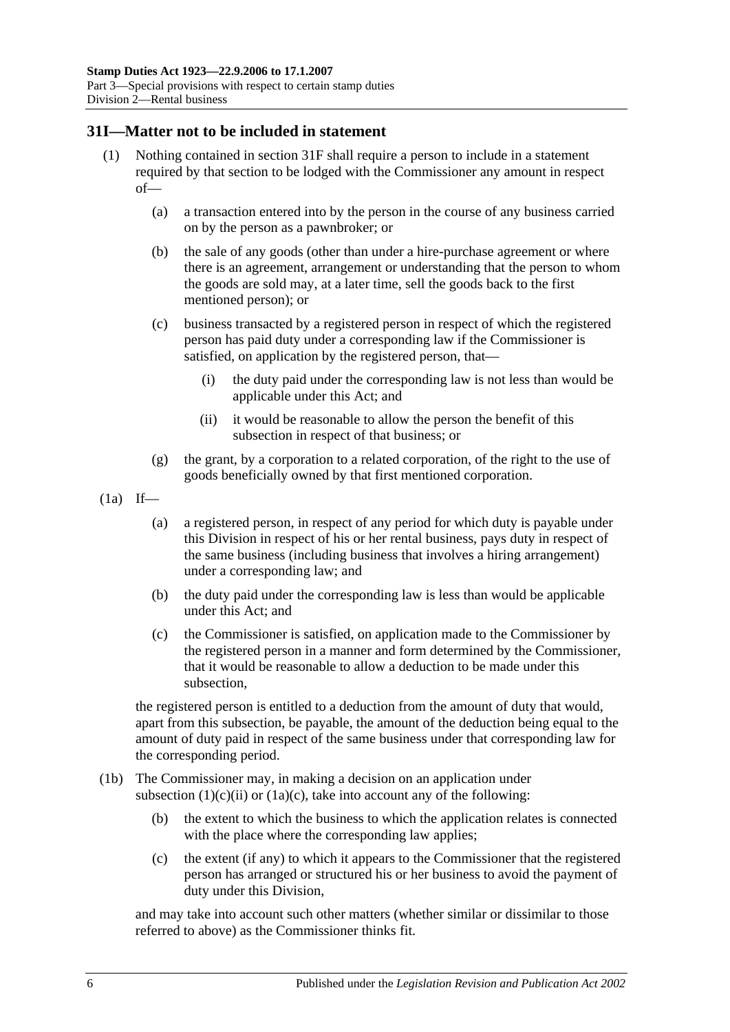#### <span id="page-23-0"></span>**31I—Matter not to be included in statement**

- (1) Nothing contained in [section](#page-21-3) 31F shall require a person to include in a statement required by that section to be lodged with the Commissioner any amount in respect of—
	- (a) a transaction entered into by the person in the course of any business carried on by the person as a pawnbroker; or
	- (b) the sale of any goods (other than under a hire-purchase agreement or where there is an agreement, arrangement or understanding that the person to whom the goods are sold may, at a later time, sell the goods back to the first mentioned person); or
	- (c) business transacted by a registered person in respect of which the registered person has paid duty under a corresponding law if the Commissioner is satisfied, on application by the registered person, that—
		- (i) the duty paid under the corresponding law is not less than would be applicable under this Act; and
		- (ii) it would be reasonable to allow the person the benefit of this subsection in respect of that business; or
	- (g) the grant, by a corporation to a related corporation, of the right to the use of goods beneficially owned by that first mentioned corporation.
- <span id="page-23-1"></span> $(1a)$  If—
	- (a) a registered person, in respect of any period for which duty is payable under this Division in respect of his or her rental business, pays duty in respect of the same business (including business that involves a hiring arrangement) under a corresponding law; and
	- (b) the duty paid under the corresponding law is less than would be applicable under this Act; and
	- (c) the Commissioner is satisfied, on application made to the Commissioner by the registered person in a manner and form determined by the Commissioner, that it would be reasonable to allow a deduction to be made under this subsection,

<span id="page-23-2"></span>the registered person is entitled to a deduction from the amount of duty that would, apart from this subsection, be payable, the amount of the deduction being equal to the amount of duty paid in respect of the same business under that corresponding law for the corresponding period.

- (1b) The Commissioner may, in making a decision on an application under [subsection](#page-23-1)  $(1)(c)(ii)$  or  $(1a)(c)$ , take into account any of the following:
	- (b) the extent to which the business to which the application relates is connected with the place where the corresponding law applies;
	- (c) the extent (if any) to which it appears to the Commissioner that the registered person has arranged or structured his or her business to avoid the payment of duty under this Division,

and may take into account such other matters (whether similar or dissimilar to those referred to above) as the Commissioner thinks fit.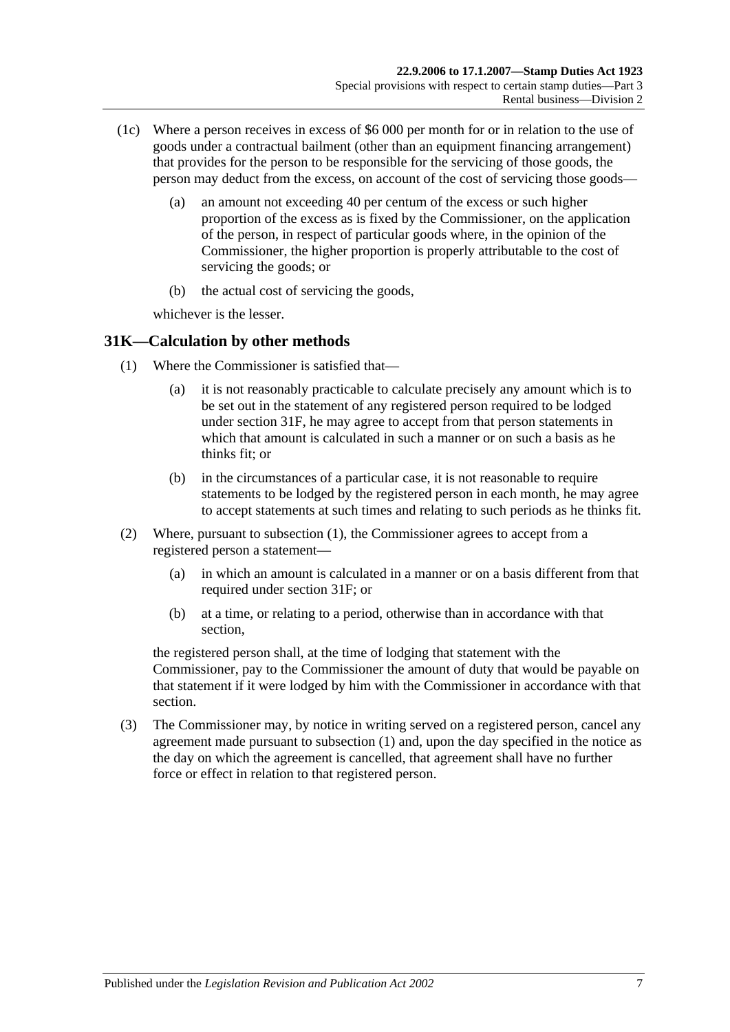- (1c) Where a person receives in excess of \$6 000 per month for or in relation to the use of goods under a contractual bailment (other than an equipment financing arrangement) that provides for the person to be responsible for the servicing of those goods, the person may deduct from the excess, on account of the cost of servicing those goods—
	- (a) an amount not exceeding 40 per centum of the excess or such higher proportion of the excess as is fixed by the Commissioner, on the application of the person, in respect of particular goods where, in the opinion of the Commissioner, the higher proportion is properly attributable to the cost of servicing the goods; or
	- (b) the actual cost of servicing the goods,

whichever is the lesser.

# <span id="page-24-1"></span><span id="page-24-0"></span>**31K—Calculation by other methods**

- (1) Where the Commissioner is satisfied that—
	- (a) it is not reasonably practicable to calculate precisely any amount which is to be set out in the statement of any registered person required to be lodged under [section](#page-21-3) 31F, he may agree to accept from that person statements in which that amount is calculated in such a manner or on such a basis as he thinks fit: or
	- (b) in the circumstances of a particular case, it is not reasonable to require statements to be lodged by the registered person in each month, he may agree to accept statements at such times and relating to such periods as he thinks fit.
- (2) Where, pursuant to [subsection](#page-24-1) (1), the Commissioner agrees to accept from a registered person a statement—
	- (a) in which an amount is calculated in a manner or on a basis different from that required under [section](#page-21-3) 31F; or
	- (b) at a time, or relating to a period, otherwise than in accordance with that section,

the registered person shall, at the time of lodging that statement with the Commissioner, pay to the Commissioner the amount of duty that would be payable on that statement if it were lodged by him with the Commissioner in accordance with that section.

(3) The Commissioner may, by notice in writing served on a registered person, cancel any agreement made pursuant to [subsection](#page-24-1) (1) and, upon the day specified in the notice as the day on which the agreement is cancelled, that agreement shall have no further force or effect in relation to that registered person.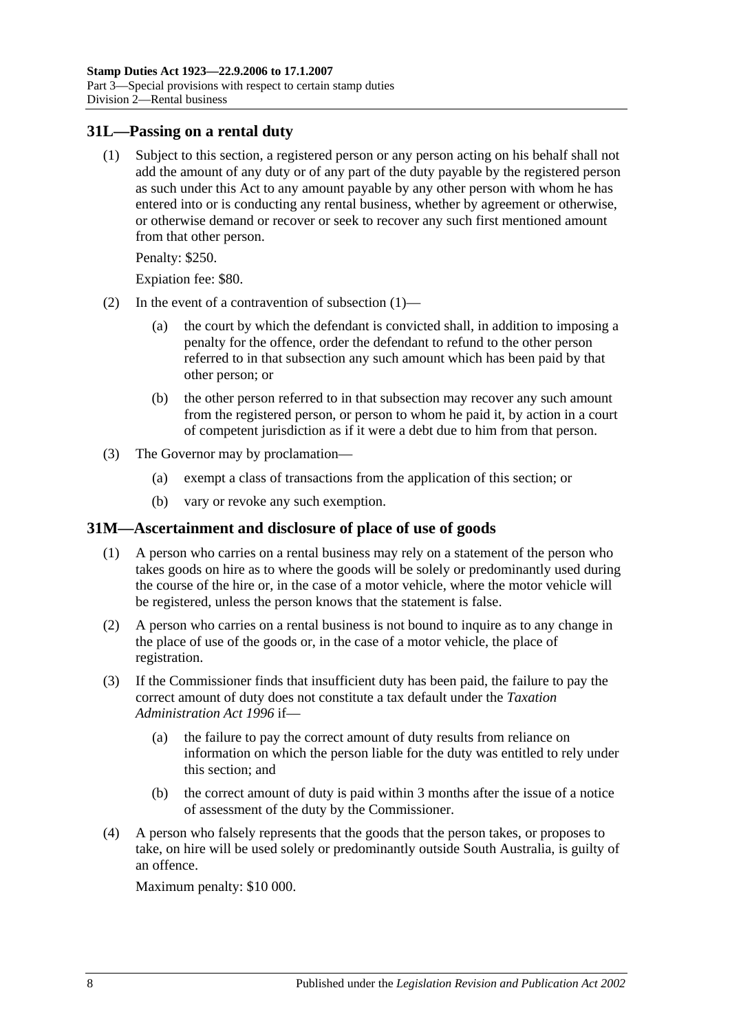#### <span id="page-25-2"></span><span id="page-25-0"></span>**31L—Passing on a rental duty**

(1) Subject to this section, a registered person or any person acting on his behalf shall not add the amount of any duty or of any part of the duty payable by the registered person as such under this Act to any amount payable by any other person with whom he has entered into or is conducting any rental business, whether by agreement or otherwise, or otherwise demand or recover or seek to recover any such first mentioned amount from that other person.

Penalty: \$250.

Expiation fee: \$80.

- (2) In the event of a contravention of [subsection](#page-25-2) (1)—
	- (a) the court by which the defendant is convicted shall, in addition to imposing a penalty for the offence, order the defendant to refund to the other person referred to in that subsection any such amount which has been paid by that other person; or
	- (b) the other person referred to in that subsection may recover any such amount from the registered person, or person to whom he paid it, by action in a court of competent jurisdiction as if it were a debt due to him from that person.
- (3) The Governor may by proclamation—
	- (a) exempt a class of transactions from the application of this section; or
	- (b) vary or revoke any such exemption.

#### <span id="page-25-1"></span>**31M—Ascertainment and disclosure of place of use of goods**

- (1) A person who carries on a rental business may rely on a statement of the person who takes goods on hire as to where the goods will be solely or predominantly used during the course of the hire or, in the case of a motor vehicle, where the motor vehicle will be registered, unless the person knows that the statement is false.
- (2) A person who carries on a rental business is not bound to inquire as to any change in the place of use of the goods or, in the case of a motor vehicle, the place of registration.
- (3) If the Commissioner finds that insufficient duty has been paid, the failure to pay the correct amount of duty does not constitute a tax default under the *[Taxation](http://www.legislation.sa.gov.au/index.aspx?action=legref&type=act&legtitle=Taxation%20Administration%20Act%201996)  [Administration Act](http://www.legislation.sa.gov.au/index.aspx?action=legref&type=act&legtitle=Taxation%20Administration%20Act%201996) 1996* if—
	- (a) the failure to pay the correct amount of duty results from reliance on information on which the person liable for the duty was entitled to rely under this section; and
	- (b) the correct amount of duty is paid within 3 months after the issue of a notice of assessment of the duty by the Commissioner.
- (4) A person who falsely represents that the goods that the person takes, or proposes to take, on hire will be used solely or predominantly outside South Australia, is guilty of an offence.

Maximum penalty: \$10 000.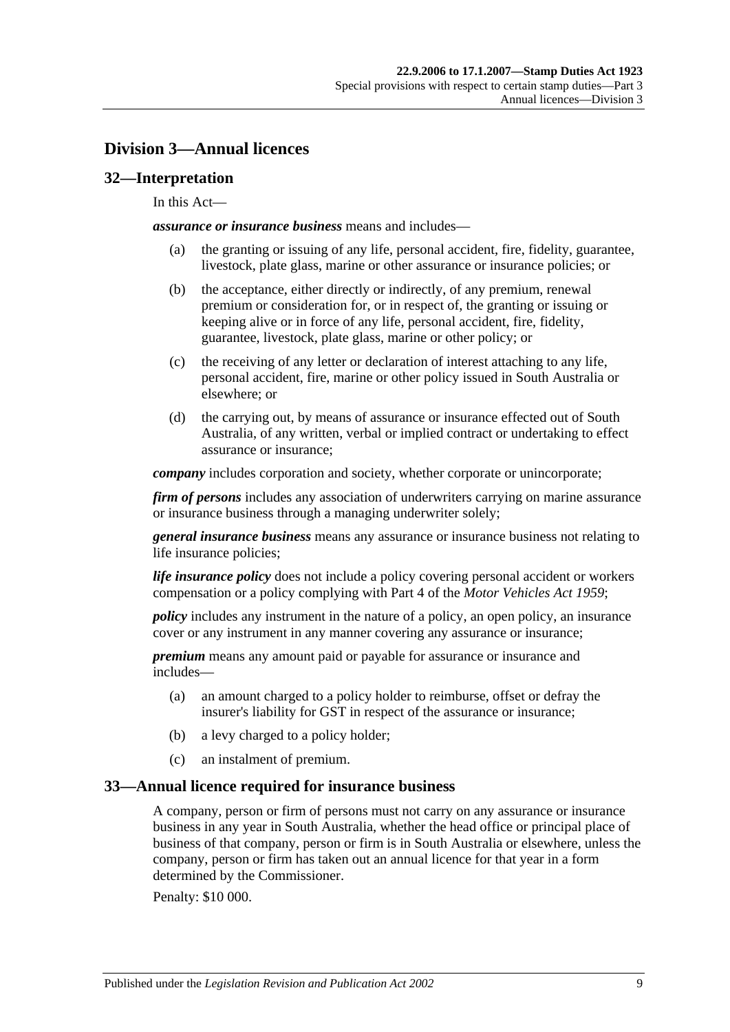# <span id="page-26-0"></span>**Division 3—Annual licences**

# <span id="page-26-1"></span>**32—Interpretation**

#### In this Act—

*assurance or insurance business* means and includes—

- (a) the granting or issuing of any life, personal accident, fire, fidelity, guarantee, livestock, plate glass, marine or other assurance or insurance policies; or
- (b) the acceptance, either directly or indirectly, of any premium, renewal premium or consideration for, or in respect of, the granting or issuing or keeping alive or in force of any life, personal accident, fire, fidelity, guarantee, livestock, plate glass, marine or other policy; or
- (c) the receiving of any letter or declaration of interest attaching to any life, personal accident, fire, marine or other policy issued in South Australia or elsewhere; or
- (d) the carrying out, by means of assurance or insurance effected out of South Australia, of any written, verbal or implied contract or undertaking to effect assurance or insurance;

*company* includes corporation and society, whether corporate or unincorporate;

*firm of persons* includes any association of underwriters carrying on marine assurance or insurance business through a managing underwriter solely;

*general insurance business* means any assurance or insurance business not relating to life insurance policies;

*life insurance policy* does not include a policy covering personal accident or workers compensation or a policy complying with Part 4 of the *[Motor Vehicles Act](http://www.legislation.sa.gov.au/index.aspx?action=legref&type=act&legtitle=Motor%20Vehicles%20Act%201959) 1959*;

*policy* includes any instrument in the nature of a policy, an open policy, an insurance cover or any instrument in any manner covering any assurance or insurance;

*premium* means any amount paid or payable for assurance or insurance and includes—

- (a) an amount charged to a policy holder to reimburse, offset or defray the insurer's liability for GST in respect of the assurance or insurance;
- (b) a levy charged to a policy holder;
- (c) an instalment of premium.

#### <span id="page-26-2"></span>**33—Annual licence required for insurance business**

A company, person or firm of persons must not carry on any assurance or insurance business in any year in South Australia, whether the head office or principal place of business of that company, person or firm is in South Australia or elsewhere, unless the company, person or firm has taken out an annual licence for that year in a form determined by the Commissioner.

Penalty: \$10 000.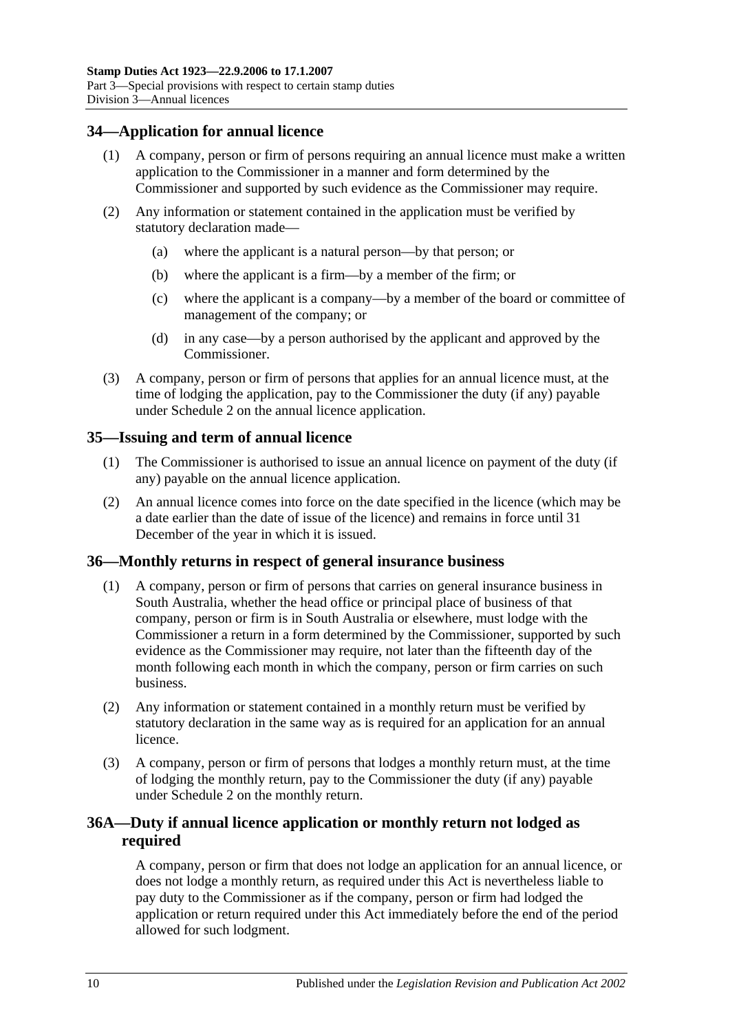# <span id="page-27-0"></span>**34—Application for annual licence**

- (1) A company, person or firm of persons requiring an annual licence must make a written application to the Commissioner in a manner and form determined by the Commissioner and supported by such evidence as the Commissioner may require.
- (2) Any information or statement contained in the application must be verified by statutory declaration made—
	- (a) where the applicant is a natural person—by that person; or
	- (b) where the applicant is a firm—by a member of the firm; or
	- (c) where the applicant is a company—by a member of the board or committee of management of the company; or
	- (d) in any case—by a person authorised by the applicant and approved by the Commissioner.
- (3) A company, person or firm of persons that applies for an annual licence must, at the time of lodging the application, pay to the Commissioner the duty (if any) payable under [Schedule 2](#page-102-2) on the annual licence application.

# <span id="page-27-1"></span>**35—Issuing and term of annual licence**

- (1) The Commissioner is authorised to issue an annual licence on payment of the duty (if any) payable on the annual licence application.
- (2) An annual licence comes into force on the date specified in the licence (which may be a date earlier than the date of issue of the licence) and remains in force until 31 December of the year in which it is issued.

# <span id="page-27-2"></span>**36—Monthly returns in respect of general insurance business**

- (1) A company, person or firm of persons that carries on general insurance business in South Australia, whether the head office or principal place of business of that company, person or firm is in South Australia or elsewhere, must lodge with the Commissioner a return in a form determined by the Commissioner, supported by such evidence as the Commissioner may require, not later than the fifteenth day of the month following each month in which the company, person or firm carries on such business.
- (2) Any information or statement contained in a monthly return must be verified by statutory declaration in the same way as is required for an application for an annual licence.
- (3) A company, person or firm of persons that lodges a monthly return must, at the time of lodging the monthly return, pay to the Commissioner the duty (if any) payable under [Schedule 2](#page-102-2) on the monthly return.

# <span id="page-27-3"></span>**36A—Duty if annual licence application or monthly return not lodged as required**

A company, person or firm that does not lodge an application for an annual licence, or does not lodge a monthly return, as required under this Act is nevertheless liable to pay duty to the Commissioner as if the company, person or firm had lodged the application or return required under this Act immediately before the end of the period allowed for such lodgment.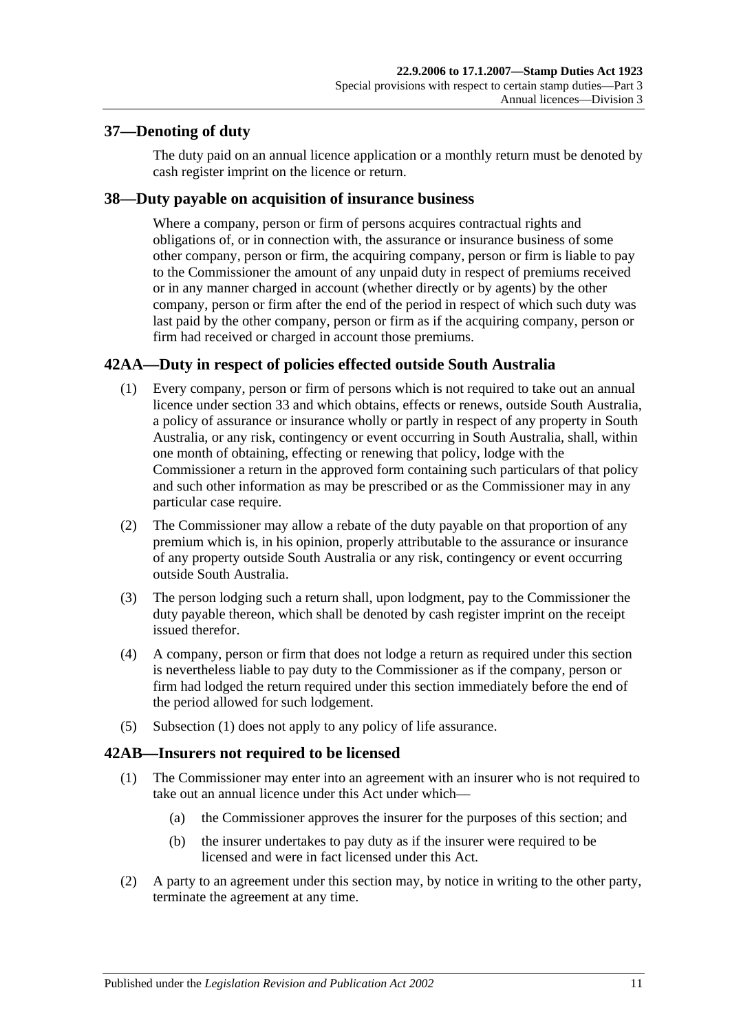# <span id="page-28-0"></span>**37—Denoting of duty**

The duty paid on an annual licence application or a monthly return must be denoted by cash register imprint on the licence or return.

# <span id="page-28-1"></span>**38—Duty payable on acquisition of insurance business**

Where a company, person or firm of persons acquires contractual rights and obligations of, or in connection with, the assurance or insurance business of some other company, person or firm, the acquiring company, person or firm is liable to pay to the Commissioner the amount of any unpaid duty in respect of premiums received or in any manner charged in account (whether directly or by agents) by the other company, person or firm after the end of the period in respect of which such duty was last paid by the other company, person or firm as if the acquiring company, person or firm had received or charged in account those premiums.

# <span id="page-28-4"></span><span id="page-28-2"></span>**42AA—Duty in respect of policies effected outside South Australia**

- (1) Every company, person or firm of persons which is not required to take out an annual licence under [section](#page-26-2) 33 and which obtains, effects or renews, outside South Australia, a policy of assurance or insurance wholly or partly in respect of any property in South Australia, or any risk, contingency or event occurring in South Australia, shall, within one month of obtaining, effecting or renewing that policy, lodge with the Commissioner a return in the approved form containing such particulars of that policy and such other information as may be prescribed or as the Commissioner may in any particular case require.
- (2) The Commissioner may allow a rebate of the duty payable on that proportion of any premium which is, in his opinion, properly attributable to the assurance or insurance of any property outside South Australia or any risk, contingency or event occurring outside South Australia.
- (3) The person lodging such a return shall, upon lodgment, pay to the Commissioner the duty payable thereon, which shall be denoted by cash register imprint on the receipt issued therefor.
- (4) A company, person or firm that does not lodge a return as required under this section is nevertheless liable to pay duty to the Commissioner as if the company, person or firm had lodged the return required under this section immediately before the end of the period allowed for such lodgement.
- (5) [Subsection](#page-28-4) (1) does not apply to any policy of life assurance.

# <span id="page-28-3"></span>**42AB—Insurers not required to be licensed**

- (1) The Commissioner may enter into an agreement with an insurer who is not required to take out an annual licence under this Act under which—
	- (a) the Commissioner approves the insurer for the purposes of this section; and
	- (b) the insurer undertakes to pay duty as if the insurer were required to be licensed and were in fact licensed under this Act.
- (2) A party to an agreement under this section may, by notice in writing to the other party, terminate the agreement at any time.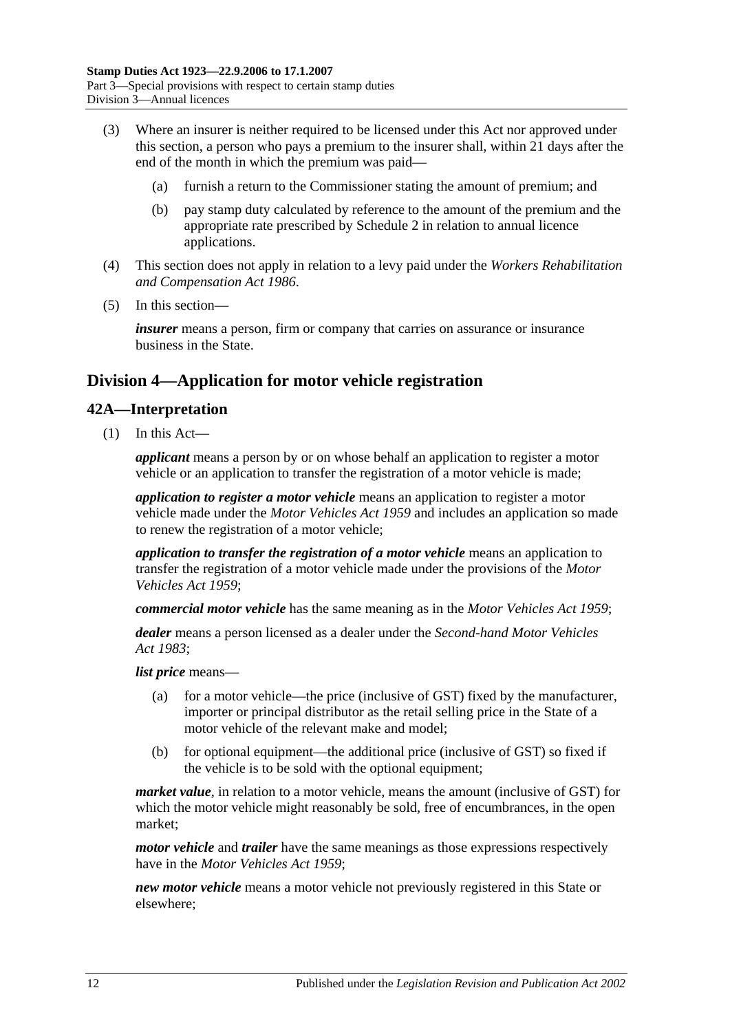- (3) Where an insurer is neither required to be licensed under this Act nor approved under this section, a person who pays a premium to the insurer shall, within 21 days after the end of the month in which the premium was paid—
	- (a) furnish a return to the Commissioner stating the amount of premium; and
	- (b) pay stamp duty calculated by reference to the amount of the premium and the appropriate rate prescribed by [Schedule 2](#page-102-2) in relation to annual licence applications.
- (4) This section does not apply in relation to a levy paid under the *[Workers Rehabilitation](http://www.legislation.sa.gov.au/index.aspx?action=legref&type=act&legtitle=Workers%20Rehabilitation%20and%20Compensation%20Act%201986)  [and Compensation Act](http://www.legislation.sa.gov.au/index.aspx?action=legref&type=act&legtitle=Workers%20Rehabilitation%20and%20Compensation%20Act%201986) 1986*.
- (5) In this section—

*insurer* means a person, firm or company that carries on assurance or insurance business in the State.

# <span id="page-29-0"></span>**Division 4—Application for motor vehicle registration**

#### <span id="page-29-1"></span>**42A—Interpretation**

(1) In this Act—

*applicant* means a person by or on whose behalf an application to register a motor vehicle or an application to transfer the registration of a motor vehicle is made;

*application to register a motor vehicle* means an application to register a motor vehicle made under the *[Motor Vehicles Act](http://www.legislation.sa.gov.au/index.aspx?action=legref&type=act&legtitle=Motor%20Vehicles%20Act%201959) 1959* and includes an application so made to renew the registration of a motor vehicle;

*application to transfer the registration of a motor vehicle* means an application to transfer the registration of a motor vehicle made under the provisions of the *[Motor](http://www.legislation.sa.gov.au/index.aspx?action=legref&type=act&legtitle=Motor%20Vehicles%20Act%201959)  [Vehicles Act](http://www.legislation.sa.gov.au/index.aspx?action=legref&type=act&legtitle=Motor%20Vehicles%20Act%201959) 1959*;

*commercial motor vehicle* has the same meaning as in the *[Motor Vehicles Act](http://www.legislation.sa.gov.au/index.aspx?action=legref&type=act&legtitle=Motor%20Vehicles%20Act%201959) 1959*;

*dealer* means a person licensed as a dealer under the *[Second-hand Motor Vehicles](http://www.legislation.sa.gov.au/index.aspx?action=legref&type=act&legtitle=Second-hand%20Motor%20Vehicles%20Act%201983)  Act [1983](http://www.legislation.sa.gov.au/index.aspx?action=legref&type=act&legtitle=Second-hand%20Motor%20Vehicles%20Act%201983)*;

*list price* means—

- (a) for a motor vehicle—the price (inclusive of GST) fixed by the manufacturer, importer or principal distributor as the retail selling price in the State of a motor vehicle of the relevant make and model;
- (b) for optional equipment—the additional price (inclusive of GST) so fixed if the vehicle is to be sold with the optional equipment;

*market value*, in relation to a motor vehicle, means the amount (inclusive of GST) for which the motor vehicle might reasonably be sold, free of encumbrances, in the open market;

*motor vehicle* and *trailer* have the same meanings as those expressions respectively have in the *[Motor Vehicles Act](http://www.legislation.sa.gov.au/index.aspx?action=legref&type=act&legtitle=Motor%20Vehicles%20Act%201959) 1959*;

*new motor vehicle* means a motor vehicle not previously registered in this State or elsewhere;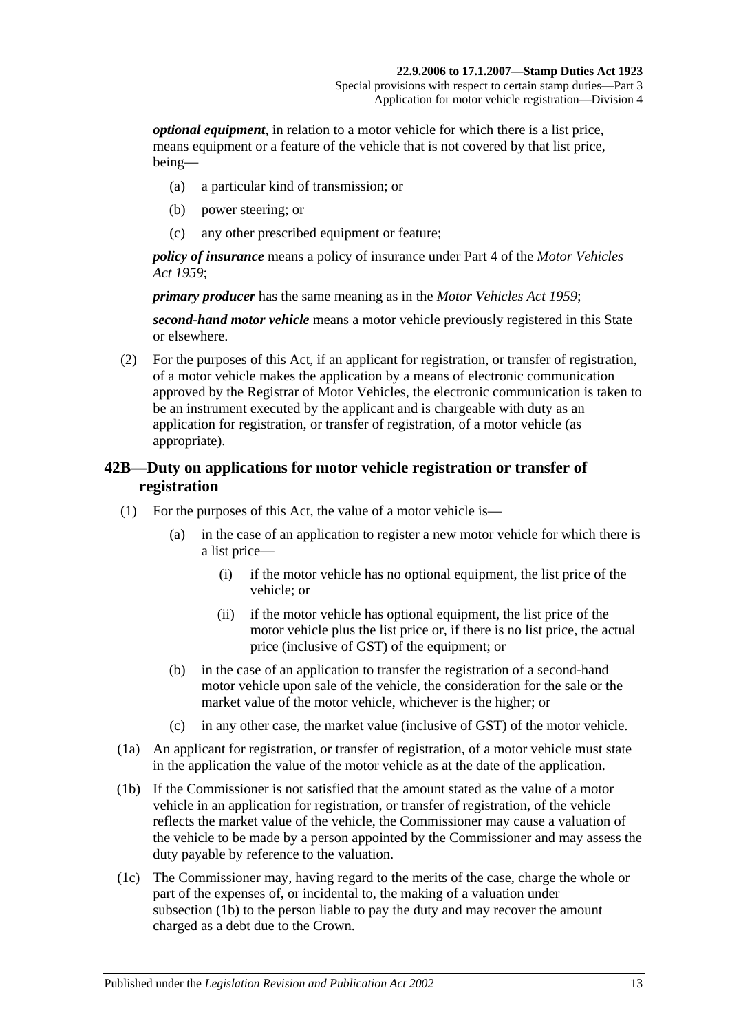*optional equipment*, in relation to a motor vehicle for which there is a list price, means equipment or a feature of the vehicle that is not covered by that list price, being—

- (a) a particular kind of transmission; or
- (b) power steering; or
- (c) any other prescribed equipment or feature;

*policy of insurance* means a policy of insurance under Part 4 of the *[Motor Vehicles](http://www.legislation.sa.gov.au/index.aspx?action=legref&type=act&legtitle=Motor%20Vehicles%20Act%201959)  Act [1959](http://www.legislation.sa.gov.au/index.aspx?action=legref&type=act&legtitle=Motor%20Vehicles%20Act%201959)*;

*primary producer* has the same meaning as in the *[Motor Vehicles Act](http://www.legislation.sa.gov.au/index.aspx?action=legref&type=act&legtitle=Motor%20Vehicles%20Act%201959) 1959*;

*second-hand motor vehicle* means a motor vehicle previously registered in this State or elsewhere.

(2) For the purposes of this Act, if an applicant for registration, or transfer of registration, of a motor vehicle makes the application by a means of electronic communication approved by the Registrar of Motor Vehicles, the electronic communication is taken to be an instrument executed by the applicant and is chargeable with duty as an application for registration, or transfer of registration, of a motor vehicle (as appropriate).

# <span id="page-30-0"></span>**42B—Duty on applications for motor vehicle registration or transfer of registration**

- (1) For the purposes of this Act, the value of a motor vehicle is—
	- (a) in the case of an application to register a new motor vehicle for which there is a list price—
		- (i) if the motor vehicle has no optional equipment, the list price of the vehicle; or
		- (ii) if the motor vehicle has optional equipment, the list price of the motor vehicle plus the list price or, if there is no list price, the actual price (inclusive of GST) of the equipment; or
	- (b) in the case of an application to transfer the registration of a second-hand motor vehicle upon sale of the vehicle, the consideration for the sale or the market value of the motor vehicle, whichever is the higher; or
	- (c) in any other case, the market value (inclusive of GST) of the motor vehicle.
- (1a) An applicant for registration, or transfer of registration, of a motor vehicle must state in the application the value of the motor vehicle as at the date of the application.
- <span id="page-30-1"></span>(1b) If the Commissioner is not satisfied that the amount stated as the value of a motor vehicle in an application for registration, or transfer of registration, of the vehicle reflects the market value of the vehicle, the Commissioner may cause a valuation of the vehicle to be made by a person appointed by the Commissioner and may assess the duty payable by reference to the valuation.
- (1c) The Commissioner may, having regard to the merits of the case, charge the whole or part of the expenses of, or incidental to, the making of a valuation under [subsection](#page-30-1) (1b) to the person liable to pay the duty and may recover the amount charged as a debt due to the Crown.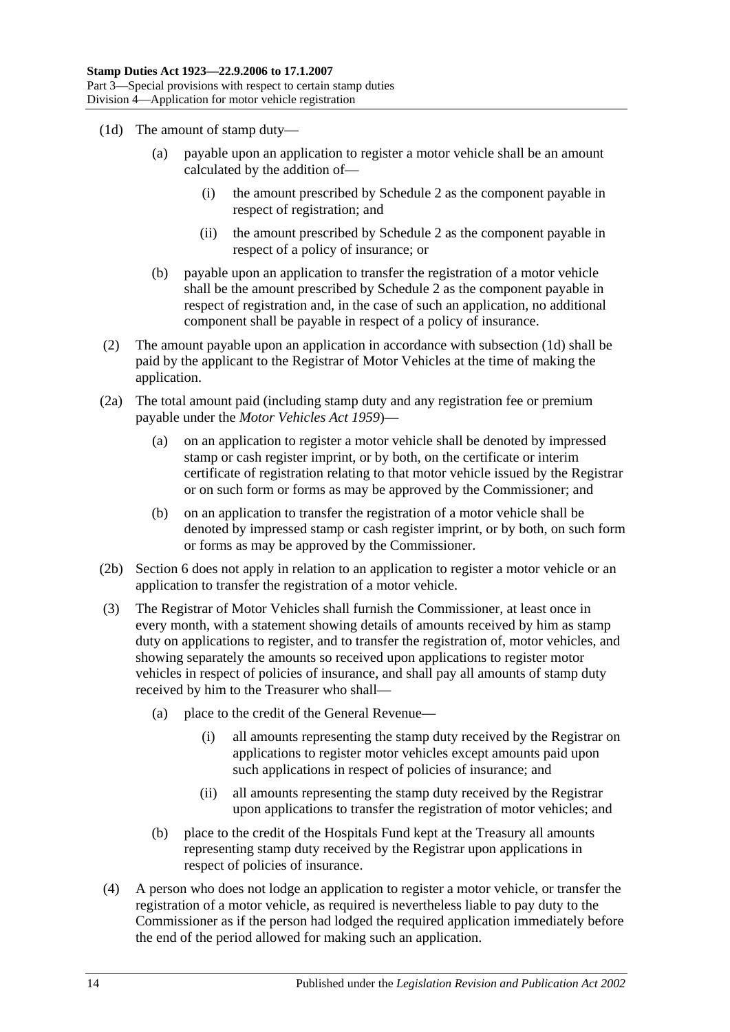- <span id="page-31-0"></span>(1d) The amount of stamp duty—
	- (a) payable upon an application to register a motor vehicle shall be an amount calculated by the addition of—
		- (i) the amount prescribed by [Schedule 2](#page-102-2) as the component payable in respect of registration; and
		- (ii) the amount prescribed by [Schedule 2](#page-102-2) as the component payable in respect of a policy of insurance; or
	- (b) payable upon an application to transfer the registration of a motor vehicle shall be the amount prescribed by [Schedule 2](#page-102-2) as the component payable in respect of registration and, in the case of such an application, no additional component shall be payable in respect of a policy of insurance.
- (2) The amount payable upon an application in accordance with [subsection](#page-31-0) (1d) shall be paid by the applicant to the Registrar of Motor Vehicles at the time of making the application.
- (2a) The total amount paid (including stamp duty and any registration fee or premium payable under the *[Motor Vehicles Act](http://www.legislation.sa.gov.au/index.aspx?action=legref&type=act&legtitle=Motor%20Vehicles%20Act%201959) 1959*)—
	- (a) on an application to register a motor vehicle shall be denoted by impressed stamp or cash register imprint, or by both, on the certificate or interim certificate of registration relating to that motor vehicle issued by the Registrar or on such form or forms as may be approved by the Commissioner; and
	- (b) on an application to transfer the registration of a motor vehicle shall be denoted by impressed stamp or cash register imprint, or by both, on such form or forms as may be approved by the Commissioner.
- (2b) Section 6 does not apply in relation to an application to register a motor vehicle or an application to transfer the registration of a motor vehicle.
- (3) The Registrar of Motor Vehicles shall furnish the Commissioner, at least once in every month, with a statement showing details of amounts received by him as stamp duty on applications to register, and to transfer the registration of, motor vehicles, and showing separately the amounts so received upon applications to register motor vehicles in respect of policies of insurance, and shall pay all amounts of stamp duty received by him to the Treasurer who shall—
	- (a) place to the credit of the General Revenue—
		- (i) all amounts representing the stamp duty received by the Registrar on applications to register motor vehicles except amounts paid upon such applications in respect of policies of insurance; and
		- (ii) all amounts representing the stamp duty received by the Registrar upon applications to transfer the registration of motor vehicles; and
	- (b) place to the credit of the Hospitals Fund kept at the Treasury all amounts representing stamp duty received by the Registrar upon applications in respect of policies of insurance.
- (4) A person who does not lodge an application to register a motor vehicle, or transfer the registration of a motor vehicle, as required is nevertheless liable to pay duty to the Commissioner as if the person had lodged the required application immediately before the end of the period allowed for making such an application.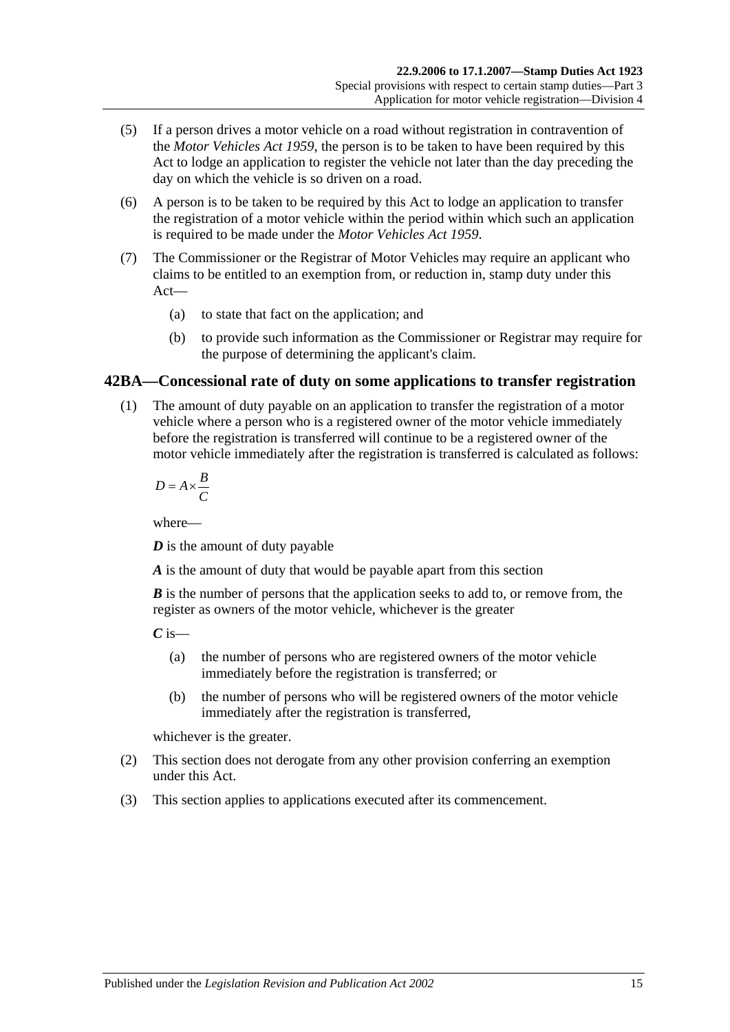- (5) If a person drives a motor vehicle on a road without registration in contravention of the *[Motor Vehicles Act](http://www.legislation.sa.gov.au/index.aspx?action=legref&type=act&legtitle=Motor%20Vehicles%20Act%201959) 1959*, the person is to be taken to have been required by this Act to lodge an application to register the vehicle not later than the day preceding the day on which the vehicle is so driven on a road.
- (6) A person is to be taken to be required by this Act to lodge an application to transfer the registration of a motor vehicle within the period within which such an application is required to be made under the *[Motor Vehicles Act](http://www.legislation.sa.gov.au/index.aspx?action=legref&type=act&legtitle=Motor%20Vehicles%20Act%201959) 1959*.
- (7) The Commissioner or the Registrar of Motor Vehicles may require an applicant who claims to be entitled to an exemption from, or reduction in, stamp duty under this Act—
	- (a) to state that fact on the application; and
	- (b) to provide such information as the Commissioner or Registrar may require for the purpose of determining the applicant's claim.

# <span id="page-32-0"></span>**42BA—Concessional rate of duty on some applications to transfer registration**

(1) The amount of duty payable on an application to transfer the registration of a motor vehicle where a person who is a registered owner of the motor vehicle immediately before the registration is transferred will continue to be a registered owner of the motor vehicle immediately after the registration is transferred is calculated as follows:

$$
D = A \times \frac{B}{C}
$$

where—

*D* is the amount of duty payable

*A* is the amount of duty that would be payable apart from this section

*B* is the number of persons that the application seeks to add to, or remove from, the register as owners of the motor vehicle, whichever is the greater

 $C$  is—

- (a) the number of persons who are registered owners of the motor vehicle immediately before the registration is transferred; or
- (b) the number of persons who will be registered owners of the motor vehicle immediately after the registration is transferred,

whichever is the greater.

- (2) This section does not derogate from any other provision conferring an exemption under this Act.
- (3) This section applies to applications executed after its commencement.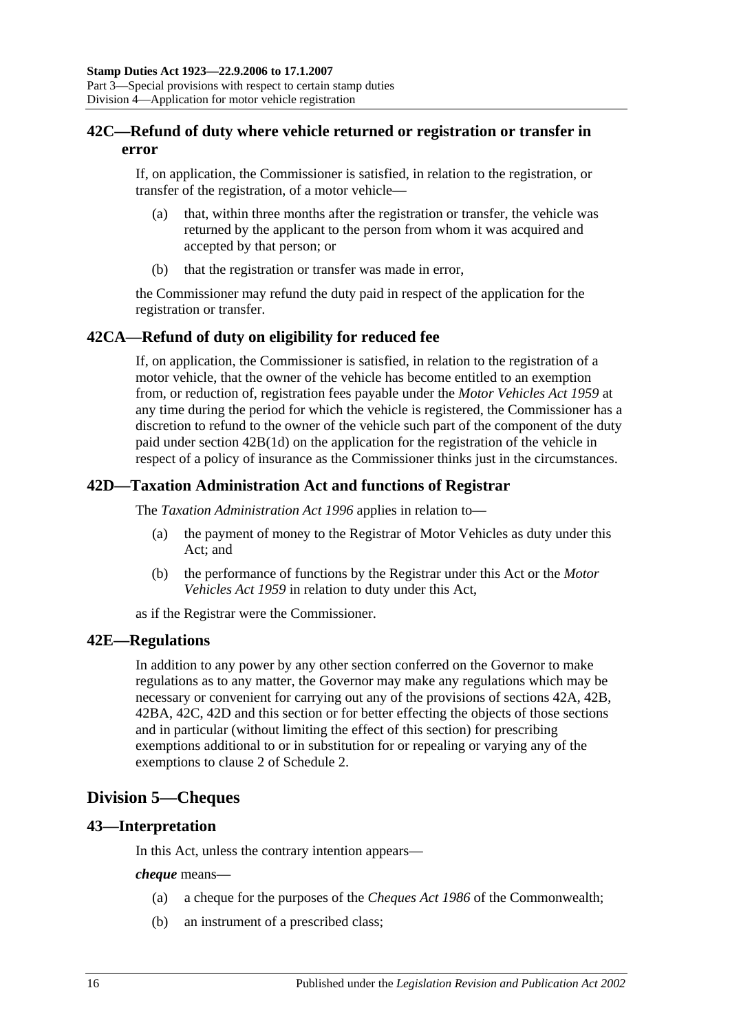# <span id="page-33-0"></span>**42C—Refund of duty where vehicle returned or registration or transfer in error**

If, on application, the Commissioner is satisfied, in relation to the registration, or transfer of the registration, of a motor vehicle—

- (a) that, within three months after the registration or transfer, the vehicle was returned by the applicant to the person from whom it was acquired and accepted by that person; or
- (b) that the registration or transfer was made in error,

the Commissioner may refund the duty paid in respect of the application for the registration or transfer.

# <span id="page-33-1"></span>**42CA—Refund of duty on eligibility for reduced fee**

If, on application, the Commissioner is satisfied, in relation to the registration of a motor vehicle, that the owner of the vehicle has become entitled to an exemption from, or reduction of, registration fees payable under the *[Motor Vehicles Act](http://www.legislation.sa.gov.au/index.aspx?action=legref&type=act&legtitle=Motor%20Vehicles%20Act%201959) 1959* at any time during the period for which the vehicle is registered, the Commissioner has a discretion to refund to the owner of the vehicle such part of the component of the duty paid under section [42B\(1d\)](#page-31-0) on the application for the registration of the vehicle in respect of a policy of insurance as the Commissioner thinks just in the circumstances.

# <span id="page-33-2"></span>**42D—Taxation Administration Act and functions of Registrar**

The *[Taxation Administration Act](http://www.legislation.sa.gov.au/index.aspx?action=legref&type=act&legtitle=Taxation%20Administration%20Act%201996) 1996* applies in relation to—

- (a) the payment of money to the Registrar of Motor Vehicles as duty under this Act; and
- (b) the performance of functions by the Registrar under this Act or the *[Motor](http://www.legislation.sa.gov.au/index.aspx?action=legref&type=act&legtitle=Motor%20Vehicles%20Act%201959)  [Vehicles Act](http://www.legislation.sa.gov.au/index.aspx?action=legref&type=act&legtitle=Motor%20Vehicles%20Act%201959) 1959* in relation to duty under this Act,

as if the Registrar were the Commissioner.

#### <span id="page-33-3"></span>**42E—Regulations**

In addition to any power by any other section conferred on the Governor to make regulations as to any matter, the Governor may make any regulations which may be necessary or convenient for carrying out any of the provisions of [sections](#page-29-1) 42A, [42B,](#page-30-0) [42BA,](#page-32-0) [42C,](#page-33-0) [42D](#page-33-2) and this section or for better effecting the objects of those sections and in particular (without limiting the effect of this section) for prescribing exemptions additional to or in substitution for or repealing or varying any of the exemptions to clause 2 of [Schedule 2.](#page-102-2)

# <span id="page-33-4"></span>**Division 5—Cheques**

# <span id="page-33-5"></span>**43—Interpretation**

In this Act, unless the contrary intention appears—

*cheque* means—

- (a) a cheque for the purposes of the *Cheques Act 1986* of the Commonwealth;
- (b) an instrument of a prescribed class;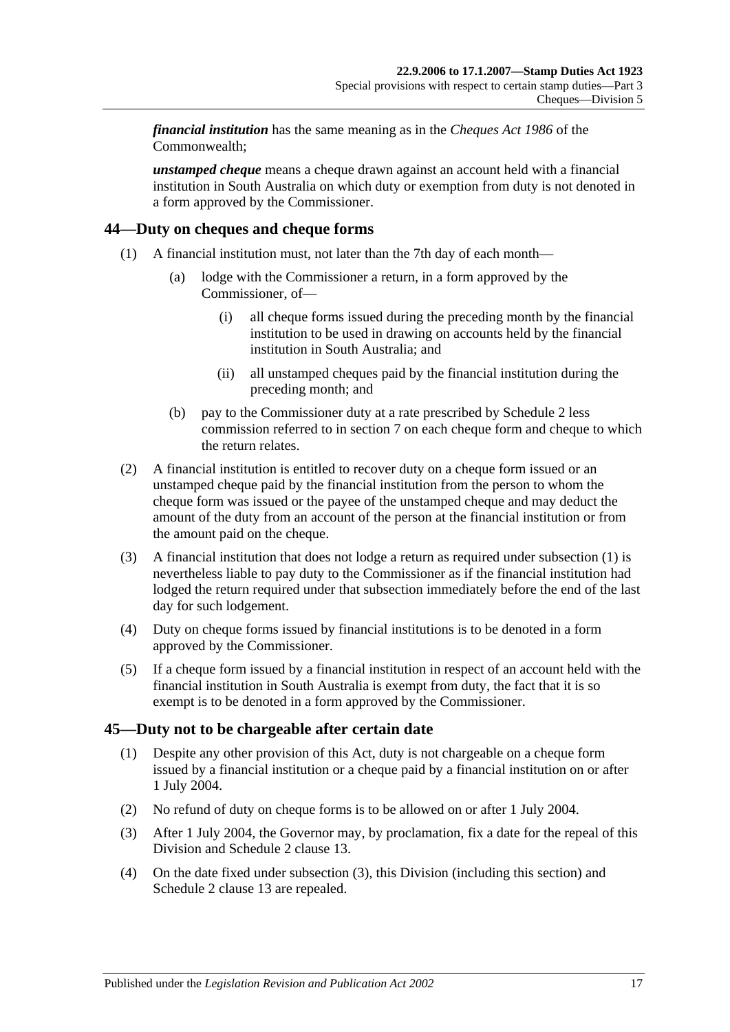*financial institution* has the same meaning as in the *Cheques Act 1986* of the Commonwealth;

*unstamped cheque* means a cheque drawn against an account held with a financial institution in South Australia on which duty or exemption from duty is not denoted in a form approved by the Commissioner.

# <span id="page-34-2"></span><span id="page-34-0"></span>**44—Duty on cheques and cheque forms**

- (1) A financial institution must, not later than the 7th day of each month—
	- (a) lodge with the Commissioner a return, in a form approved by the Commissioner, of—
		- (i) all cheque forms issued during the preceding month by the financial institution to be used in drawing on accounts held by the financial institution in South Australia; and
		- (ii) all unstamped cheques paid by the financial institution during the preceding month; and
	- (b) pay to the Commissioner duty at a rate prescribed by [Schedule 2](#page-102-2) less commission referred to in [section](#page-12-3) 7 on each cheque form and cheque to which the return relates.
- (2) A financial institution is entitled to recover duty on a cheque form issued or an unstamped cheque paid by the financial institution from the person to whom the cheque form was issued or the payee of the unstamped cheque and may deduct the amount of the duty from an account of the person at the financial institution or from the amount paid on the cheque.
- (3) A financial institution that does not lodge a return as required under [subsection](#page-34-2) (1) is nevertheless liable to pay duty to the Commissioner as if the financial institution had lodged the return required under that subsection immediately before the end of the last day for such lodgement.
- (4) Duty on cheque forms issued by financial institutions is to be denoted in a form approved by the Commissioner.
- (5) If a cheque form issued by a financial institution in respect of an account held with the financial institution in South Australia is exempt from duty, the fact that it is so exempt is to be denoted in a form approved by the Commissioner.

# <span id="page-34-1"></span>**45—Duty not to be chargeable after certain date**

- (1) Despite any other provision of this Act, duty is not chargeable on a cheque form issued by a financial institution or a cheque paid by a financial institution on or after 1 July 2004.
- (2) No refund of duty on cheque forms is to be allowed on or after 1 July 2004.
- <span id="page-34-3"></span>(3) After 1 July 2004, the Governor may, by proclamation, fix a date for the repeal of this Division and Schedule 2 clause 13.
- (4) On the date fixed under [subsection](#page-34-3) (3), this Division (including this section) and Schedule 2 clause 13 are repealed.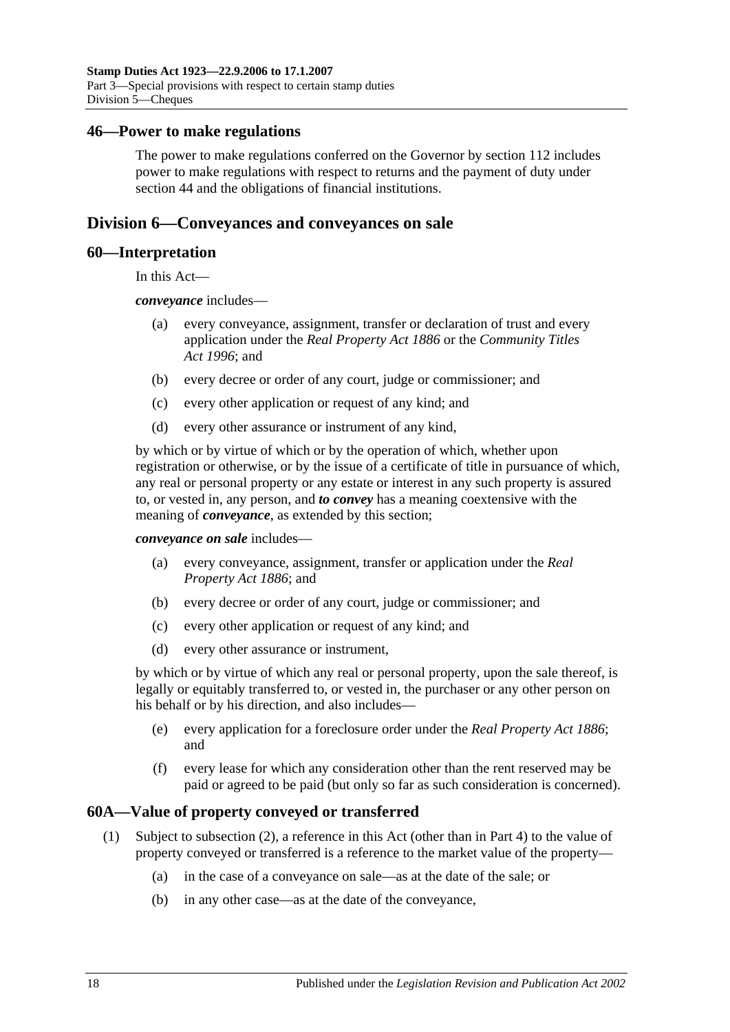#### <span id="page-35-0"></span>**46—Power to make regulations**

The power to make regulations conferred on the Governor by [section](#page-100-2) 112 includes power to make regulations with respect to returns and the payment of duty under [section](#page-34-0) 44 and the obligations of financial institutions.

# <span id="page-35-1"></span>**Division 6—Conveyances and conveyances on sale**

#### <span id="page-35-2"></span>**60—Interpretation**

In this Act—

*conveyance* includes—

- (a) every conveyance, assignment, transfer or declaration of trust and every application under the *[Real Property Act](http://www.legislation.sa.gov.au/index.aspx?action=legref&type=act&legtitle=Real%20Property%20Act%201886) 1886* or the *[Community Titles](http://www.legislation.sa.gov.au/index.aspx?action=legref&type=act&legtitle=Community%20Titles%20Act%201996)  Act [1996](http://www.legislation.sa.gov.au/index.aspx?action=legref&type=act&legtitle=Community%20Titles%20Act%201996)*; and
- (b) every decree or order of any court, judge or commissioner; and
- (c) every other application or request of any kind; and
- (d) every other assurance or instrument of any kind,

by which or by virtue of which or by the operation of which, whether upon registration or otherwise, or by the issue of a certificate of title in pursuance of which, any real or personal property or any estate or interest in any such property is assured to, or vested in, any person, and *to convey* has a meaning coextensive with the meaning of *conveyance*, as extended by this section;

*conveyance on sale* includes—

- (a) every conveyance, assignment, transfer or application under the *[Real](http://www.legislation.sa.gov.au/index.aspx?action=legref&type=act&legtitle=Real%20Property%20Act%201886)  [Property Act](http://www.legislation.sa.gov.au/index.aspx?action=legref&type=act&legtitle=Real%20Property%20Act%201886) 1886*; and
- (b) every decree or order of any court, judge or commissioner; and
- (c) every other application or request of any kind; and
- (d) every other assurance or instrument,

by which or by virtue of which any real or personal property, upon the sale thereof, is legally or equitably transferred to, or vested in, the purchaser or any other person on his behalf or by his direction, and also includes—

- (e) every application for a foreclosure order under the *[Real Property Act](http://www.legislation.sa.gov.au/index.aspx?action=legref&type=act&legtitle=Real%20Property%20Act%201886) 1886*; and
- (f) every lease for which any consideration other than the rent reserved may be paid or agreed to be paid (but only so far as such consideration is concerned).

# <span id="page-35-3"></span>**60A—Value of property conveyed or transferred**

- (1) Subject to [subsection](#page-36-0) (2), a reference in this Act (other than in [Part 4\)](#page-86-0) to the value of property conveyed or transferred is a reference to the market value of the property—
	- (a) in the case of a conveyance on sale—as at the date of the sale; or
	- (b) in any other case—as at the date of the conveyance,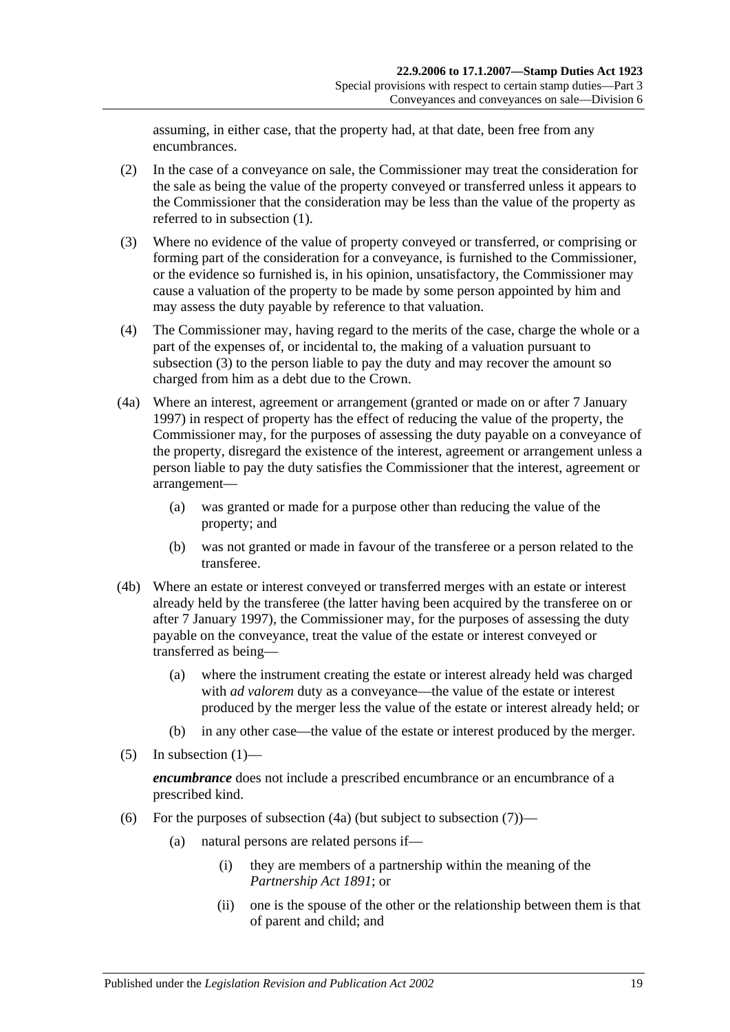assuming, in either case, that the property had, at that date, been free from any encumbrances.

- (2) In the case of a conveyance on sale, the Commissioner may treat the consideration for the sale as being the value of the property conveyed or transferred unless it appears to the Commissioner that the consideration may be less than the value of the property as referred to in [subsection](#page-35-0) (1).
- <span id="page-36-0"></span>(3) Where no evidence of the value of property conveyed or transferred, or comprising or forming part of the consideration for a conveyance, is furnished to the Commissioner, or the evidence so furnished is, in his opinion, unsatisfactory, the Commissioner may cause a valuation of the property to be made by some person appointed by him and may assess the duty payable by reference to that valuation.
- (4) The Commissioner may, having regard to the merits of the case, charge the whole or a part of the expenses of, or incidental to, the making of a valuation pursuant to [subsection](#page-36-0) (3) to the person liable to pay the duty and may recover the amount so charged from him as a debt due to the Crown.
- <span id="page-36-1"></span>(4a) Where an interest, agreement or arrangement (granted or made on or after 7 January 1997) in respect of property has the effect of reducing the value of the property, the Commissioner may, for the purposes of assessing the duty payable on a conveyance of the property, disregard the existence of the interest, agreement or arrangement unless a person liable to pay the duty satisfies the Commissioner that the interest, agreement or arrangement—
	- (a) was granted or made for a purpose other than reducing the value of the property; and
	- (b) was not granted or made in favour of the transferee or a person related to the transferee.
- (4b) Where an estate or interest conveyed or transferred merges with an estate or interest already held by the transferee (the latter having been acquired by the transferee on or after 7 January 1997), the Commissioner may, for the purposes of assessing the duty payable on the conveyance, treat the value of the estate or interest conveyed or transferred as being—
	- (a) where the instrument creating the estate or interest already held was charged with *ad valorem* duty as a conveyance—the value of the estate or interest produced by the merger less the value of the estate or interest already held; or
	- (b) in any other case—the value of the estate or interest produced by the merger.
- $(5)$  In [subsection](#page-35-0)  $(1)$ —

*encumbrance* does not include a prescribed encumbrance or an encumbrance of a prescribed kind.

- <span id="page-36-2"></span>(6) For the purposes of [subsection](#page-37-0)  $(4a)$  (but subject to subsection  $(7)$ )—
	- (a) natural persons are related persons if—
		- (i) they are members of a partnership within the meaning of the *[Partnership Act](http://www.legislation.sa.gov.au/index.aspx?action=legref&type=act&legtitle=Partnership%20Act%201891) 1891*; or
		- (ii) one is the spouse of the other or the relationship between them is that of parent and child; and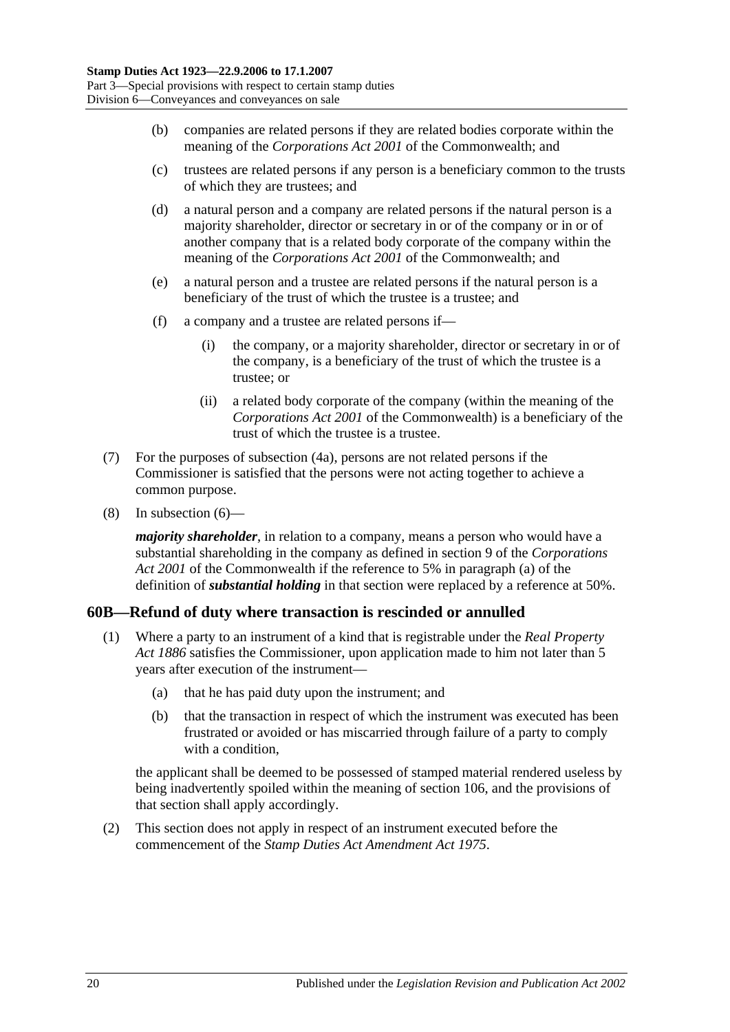- (b) companies are related persons if they are related bodies corporate within the meaning of the *Corporations Act 2001* of the Commonwealth; and
- (c) trustees are related persons if any person is a beneficiary common to the trusts of which they are trustees; and
- (d) a natural person and a company are related persons if the natural person is a majority shareholder, director or secretary in or of the company or in or of another company that is a related body corporate of the company within the meaning of the *Corporations Act 2001* of the Commonwealth; and
- (e) a natural person and a trustee are related persons if the natural person is a beneficiary of the trust of which the trustee is a trustee; and
- (f) a company and a trustee are related persons if—
	- (i) the company, or a majority shareholder, director or secretary in or of the company, is a beneficiary of the trust of which the trustee is a trustee; or
	- (ii) a related body corporate of the company (within the meaning of the *Corporations Act 2001* of the Commonwealth) is a beneficiary of the trust of which the trustee is a trustee.
- <span id="page-37-0"></span>(7) For the purposes of [subsection](#page-36-1) (4a), persons are not related persons if the Commissioner is satisfied that the persons were not acting together to achieve a common purpose.
- (8) In [subsection](#page-36-2) (6)—

*majority shareholder*, in relation to a company, means a person who would have a substantial shareholding in the company as defined in section 9 of the *Corporations Act 2001* of the Commonwealth if the reference to 5% in paragraph (a) of the definition of *substantial holding* in that section were replaced by a reference at 50%.

# **60B—Refund of duty where transaction is rescinded or annulled**

- (1) Where a party to an instrument of a kind that is registrable under the *[Real Property](http://www.legislation.sa.gov.au/index.aspx?action=legref&type=act&legtitle=Real%20Property%20Act%201886)  Act [1886](http://www.legislation.sa.gov.au/index.aspx?action=legref&type=act&legtitle=Real%20Property%20Act%201886)* satisfies the Commissioner, upon application made to him not later than 5 years after execution of the instrument—
	- (a) that he has paid duty upon the instrument; and
	- (b) that the transaction in respect of which the instrument was executed has been frustrated or avoided or has miscarried through failure of a party to comply with a condition.

the applicant shall be deemed to be possessed of stamped material rendered useless by being inadvertently spoiled within the meaning of [section](#page-98-0) 106, and the provisions of that section shall apply accordingly.

(2) This section does not apply in respect of an instrument executed before the commencement of the *[Stamp Duties Act Amendment Act](http://www.legislation.sa.gov.au/index.aspx?action=legref&type=act&legtitle=Stamp%20Duties%20Act%20Amendment%20Act%201975) 1975*.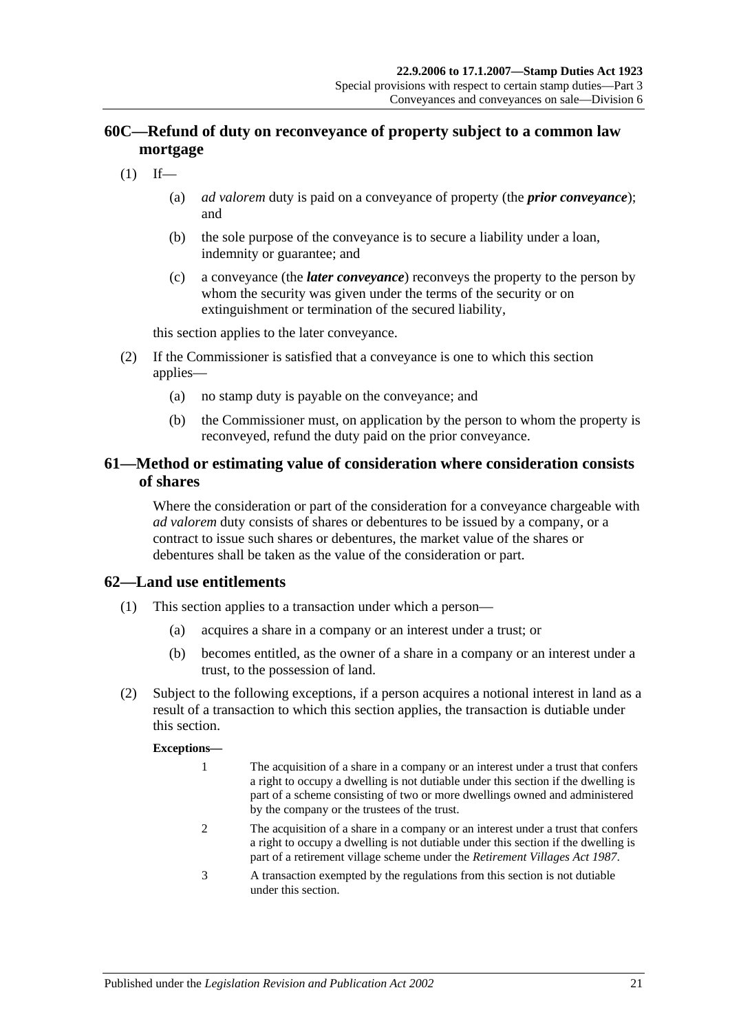# **60C—Refund of duty on reconveyance of property subject to a common law mortgage**

- $(1)$  If—
	- (a) *ad valorem* duty is paid on a conveyance of property (the *prior conveyance*); and
	- (b) the sole purpose of the conveyance is to secure a liability under a loan, indemnity or guarantee; and
	- (c) a conveyance (the *later conveyance*) reconveys the property to the person by whom the security was given under the terms of the security or on extinguishment or termination of the secured liability,

this section applies to the later conveyance.

- (2) If the Commissioner is satisfied that a conveyance is one to which this section applies—
	- (a) no stamp duty is payable on the conveyance; and
	- (b) the Commissioner must, on application by the person to whom the property is reconveyed, refund the duty paid on the prior conveyance.

## **61—Method or estimating value of consideration where consideration consists of shares**

Where the consideration or part of the consideration for a conveyance chargeable with *ad valorem* duty consists of shares or debentures to be issued by a company, or a contract to issue such shares or debentures, the market value of the shares or debentures shall be taken as the value of the consideration or part.

## **62—Land use entitlements**

- (1) This section applies to a transaction under which a person—
	- (a) acquires a share in a company or an interest under a trust; or
	- (b) becomes entitled, as the owner of a share in a company or an interest under a trust, to the possession of land.
- (2) Subject to the following exceptions, if a person acquires a notional interest in land as a result of a transaction to which this section applies, the transaction is dutiable under this section.

#### **Exceptions—**

- 1 The acquisition of a share in a company or an interest under a trust that confers a right to occupy a dwelling is not dutiable under this section if the dwelling is part of a scheme consisting of two or more dwellings owned and administered by the company or the trustees of the trust.
- 2 The acquisition of a share in a company or an interest under a trust that confers a right to occupy a dwelling is not dutiable under this section if the dwelling is part of a retirement village scheme under the *[Retirement Villages Act](http://www.legislation.sa.gov.au/index.aspx?action=legref&type=act&legtitle=Retirement%20Villages%20Act%201987) 1987*.
- 3 A transaction exempted by the regulations from this section is not dutiable under this section.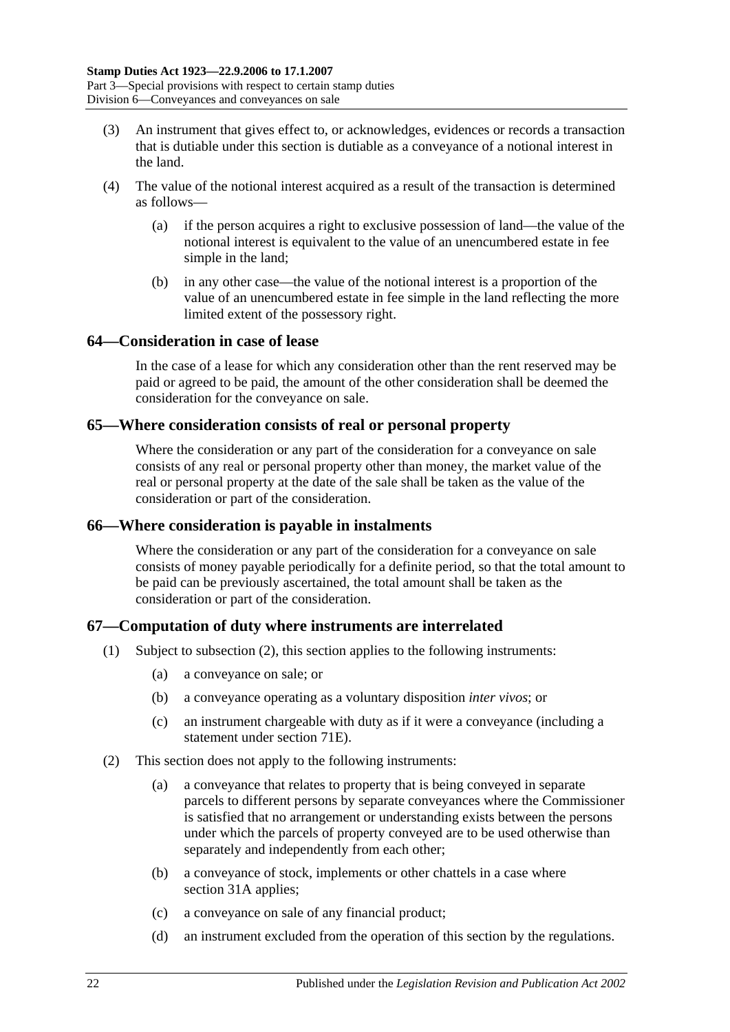- (3) An instrument that gives effect to, or acknowledges, evidences or records a transaction that is dutiable under this section is dutiable as a conveyance of a notional interest in the land.
- (4) The value of the notional interest acquired as a result of the transaction is determined as follows—
	- (a) if the person acquires a right to exclusive possession of land—the value of the notional interest is equivalent to the value of an unencumbered estate in fee simple in the land;
	- (b) in any other case—the value of the notional interest is a proportion of the value of an unencumbered estate in fee simple in the land reflecting the more limited extent of the possessory right.

### **64—Consideration in case of lease**

In the case of a lease for which any consideration other than the rent reserved may be paid or agreed to be paid, the amount of the other consideration shall be deemed the consideration for the conveyance on sale.

### **65—Where consideration consists of real or personal property**

Where the consideration or any part of the consideration for a conveyance on sale consists of any real or personal property other than money, the market value of the real or personal property at the date of the sale shall be taken as the value of the consideration or part of the consideration.

### **66—Where consideration is payable in instalments**

Where the consideration or any part of the consideration for a conveyance on sale consists of money payable periodically for a definite period, so that the total amount to be paid can be previously ascertained, the total amount shall be taken as the consideration or part of the consideration.

## **67—Computation of duty where instruments are interrelated**

- (1) Subject to [subsection](#page-39-0) (2), this section applies to the following instruments:
	- (a) a conveyance on sale; or
	- (b) a conveyance operating as a voluntary disposition *inter vivos*; or
	- (c) an instrument chargeable with duty as if it were a conveyance (including a statement under [section](#page-64-0) 71E).
- <span id="page-39-0"></span>(2) This section does not apply to the following instruments:
	- (a) a conveyance that relates to property that is being conveyed in separate parcels to different persons by separate conveyances where the Commissioner is satisfied that no arrangement or understanding exists between the persons under which the parcels of property conveyed are to be used otherwise than separately and independently from each other;
	- (b) a conveyance of stock, implements or other chattels in a case where [section](#page-19-0) 31A applies;
	- (c) a conveyance on sale of any financial product;
	- (d) an instrument excluded from the operation of this section by the regulations.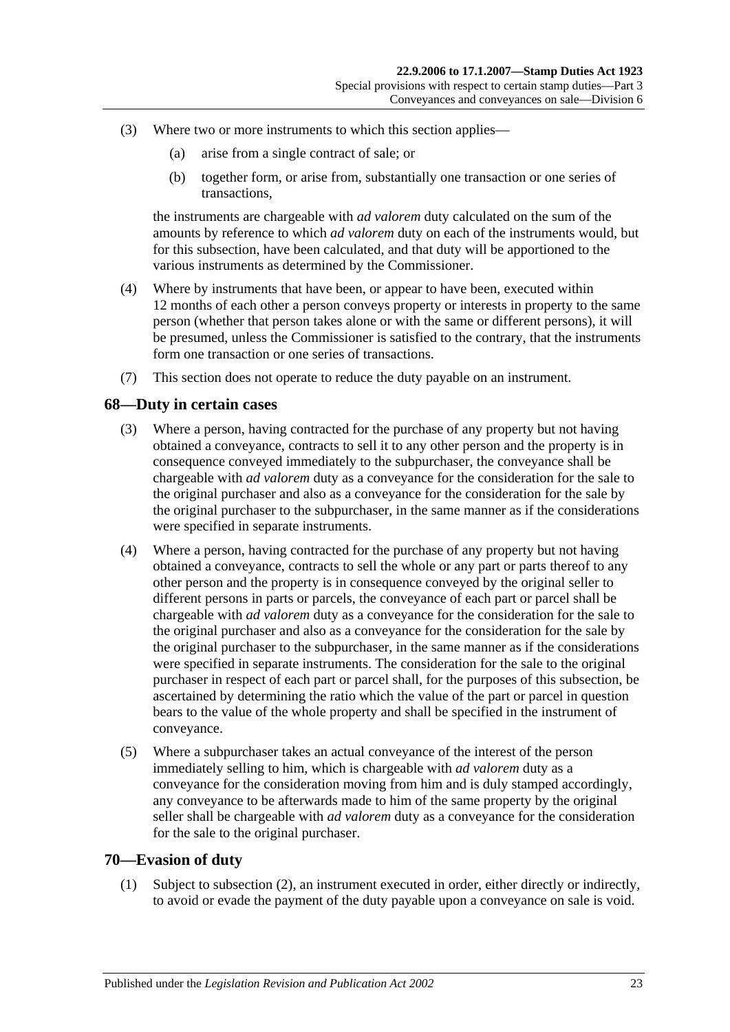- (3) Where two or more instruments to which this section applies—
	- (a) arise from a single contract of sale; or
	- (b) together form, or arise from, substantially one transaction or one series of transactions,

the instruments are chargeable with *ad valorem* duty calculated on the sum of the amounts by reference to which *ad valorem* duty on each of the instruments would, but for this subsection, have been calculated, and that duty will be apportioned to the various instruments as determined by the Commissioner.

- (4) Where by instruments that have been, or appear to have been, executed within 12 months of each other a person conveys property or interests in property to the same person (whether that person takes alone or with the same or different persons), it will be presumed, unless the Commissioner is satisfied to the contrary, that the instruments form one transaction or one series of transactions.
- (7) This section does not operate to reduce the duty payable on an instrument.

### **68—Duty in certain cases**

- (3) Where a person, having contracted for the purchase of any property but not having obtained a conveyance, contracts to sell it to any other person and the property is in consequence conveyed immediately to the subpurchaser, the conveyance shall be chargeable with *ad valorem* duty as a conveyance for the consideration for the sale to the original purchaser and also as a conveyance for the consideration for the sale by the original purchaser to the subpurchaser, in the same manner as if the considerations were specified in separate instruments.
- (4) Where a person, having contracted for the purchase of any property but not having obtained a conveyance, contracts to sell the whole or any part or parts thereof to any other person and the property is in consequence conveyed by the original seller to different persons in parts or parcels, the conveyance of each part or parcel shall be chargeable with *ad valorem* duty as a conveyance for the consideration for the sale to the original purchaser and also as a conveyance for the consideration for the sale by the original purchaser to the subpurchaser, in the same manner as if the considerations were specified in separate instruments. The consideration for the sale to the original purchaser in respect of each part or parcel shall, for the purposes of this subsection, be ascertained by determining the ratio which the value of the part or parcel in question bears to the value of the whole property and shall be specified in the instrument of conveyance.
- (5) Where a subpurchaser takes an actual conveyance of the interest of the person immediately selling to him, which is chargeable with *ad valorem* duty as a conveyance for the consideration moving from him and is duly stamped accordingly, any conveyance to be afterwards made to him of the same property by the original seller shall be chargeable with *ad valorem* duty as a conveyance for the consideration for the sale to the original purchaser.

### <span id="page-40-0"></span>**70—Evasion of duty**

(1) Subject to [subsection](#page-41-0) (2), an instrument executed in order, either directly or indirectly, to avoid or evade the payment of the duty payable upon a conveyance on sale is void.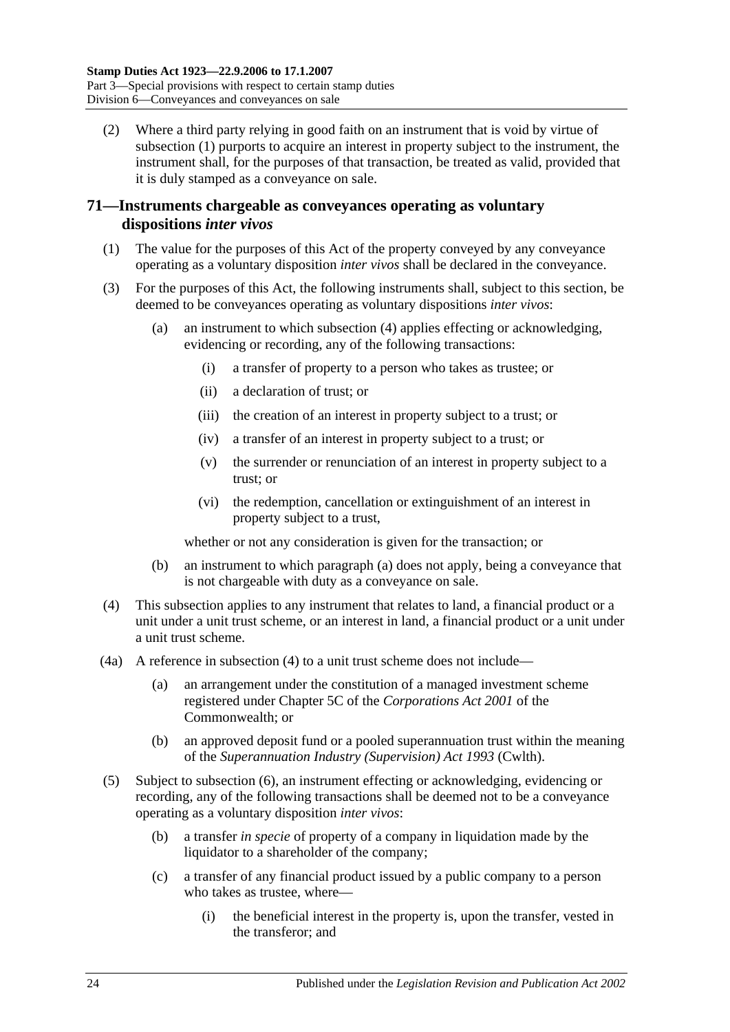<span id="page-41-0"></span>(2) Where a third party relying in good faith on an instrument that is void by virtue of [subsection](#page-40-0) (1) purports to acquire an interest in property subject to the instrument, the instrument shall, for the purposes of that transaction, be treated as valid, provided that it is duly stamped as a conveyance on sale.

## **71—Instruments chargeable as conveyances operating as voluntary dispositions** *inter vivos*

- (1) The value for the purposes of this Act of the property conveyed by any conveyance operating as a voluntary disposition *inter vivos* shall be declared in the conveyance.
- <span id="page-41-2"></span>(3) For the purposes of this Act, the following instruments shall, subject to this section, be deemed to be conveyances operating as voluntary dispositions *inter vivos*:
	- (a) an instrument to which [subsection](#page-41-1) (4) applies effecting or acknowledging, evidencing or recording, any of the following transactions:
		- (i) a transfer of property to a person who takes as trustee; or
		- (ii) a declaration of trust; or
		- (iii) the creation of an interest in property subject to a trust; or
		- (iv) a transfer of an interest in property subject to a trust; or
		- (v) the surrender or renunciation of an interest in property subject to a trust; or
		- (vi) the redemption, cancellation or extinguishment of an interest in property subject to a trust,

whether or not any consideration is given for the transaction; or

- (b) an instrument to which [paragraph](#page-41-2) (a) does not apply, being a conveyance that is not chargeable with duty as a conveyance on sale.
- <span id="page-41-1"></span>(4) This subsection applies to any instrument that relates to land, a financial product or a unit under a unit trust scheme, or an interest in land, a financial product or a unit under a unit trust scheme.
- (4a) A reference in [subsection](#page-41-1) (4) to a unit trust scheme does not include—
	- (a) an arrangement under the constitution of a managed investment scheme registered under Chapter 5C of the *Corporations Act 2001* of the Commonwealth; or
	- (b) an approved deposit fund or a pooled superannuation trust within the meaning of the *Superannuation Industry (Supervision) Act 1993* (Cwlth).
- <span id="page-41-3"></span>(5) Subject to [subsection](#page-43-0) (6), an instrument effecting or acknowledging, evidencing or recording, any of the following transactions shall be deemed not to be a conveyance operating as a voluntary disposition *inter vivos*:
	- (b) a transfer *in specie* of property of a company in liquidation made by the liquidator to a shareholder of the company;
	- (c) a transfer of any financial product issued by a public company to a person who takes as trustee, where—
		- (i) the beneficial interest in the property is, upon the transfer, vested in the transferor; and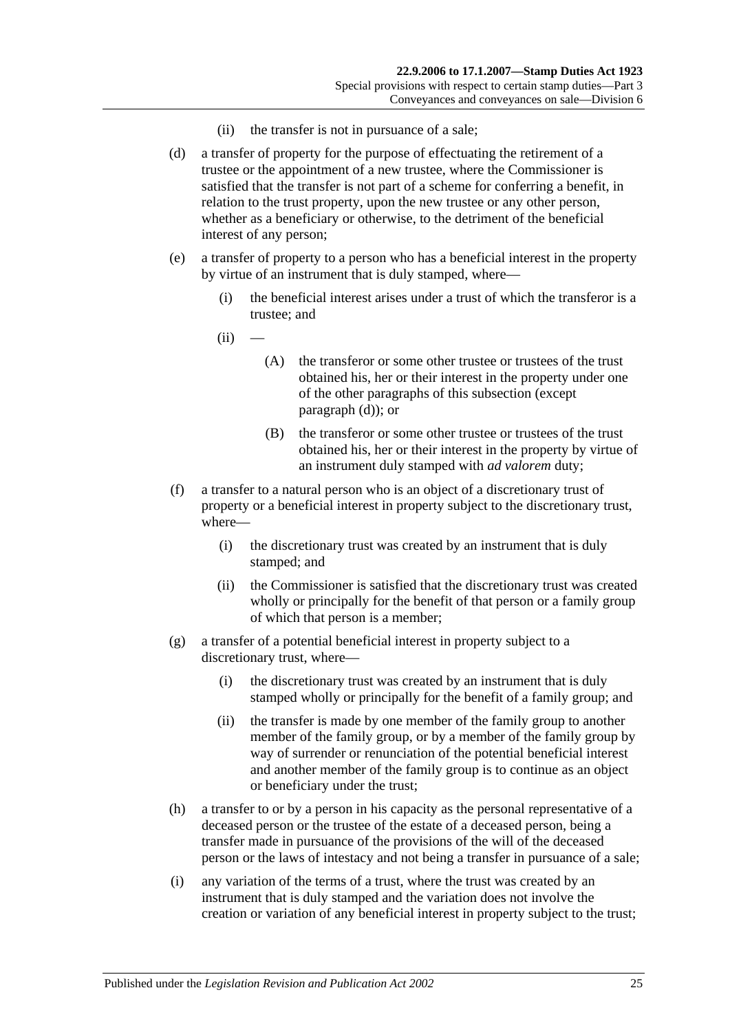- (ii) the transfer is not in pursuance of a sale;
- <span id="page-42-0"></span>(d) a transfer of property for the purpose of effectuating the retirement of a trustee or the appointment of a new trustee, where the Commissioner is satisfied that the transfer is not part of a scheme for conferring a benefit, in relation to the trust property, upon the new trustee or any other person, whether as a beneficiary or otherwise, to the detriment of the beneficial interest of any person;
- <span id="page-42-1"></span>(e) a transfer of property to a person who has a beneficial interest in the property by virtue of an instrument that is duly stamped, where—
	- (i) the beneficial interest arises under a trust of which the transferor is a trustee; and
	- $(ii)$ 
		- (A) the transferor or some other trustee or trustees of the trust obtained his, her or their interest in the property under one of the other paragraphs of this subsection (except [paragraph](#page-42-0) (d)); or
		- (B) the transferor or some other trustee or trustees of the trust obtained his, her or their interest in the property by virtue of an instrument duly stamped with *ad valorem* duty;
- (f) a transfer to a natural person who is an object of a discretionary trust of property or a beneficial interest in property subject to the discretionary trust, where—
	- (i) the discretionary trust was created by an instrument that is duly stamped; and
	- (ii) the Commissioner is satisfied that the discretionary trust was created wholly or principally for the benefit of that person or a family group of which that person is a member;
- (g) a transfer of a potential beneficial interest in property subject to a discretionary trust, where—
	- (i) the discretionary trust was created by an instrument that is duly stamped wholly or principally for the benefit of a family group; and
	- (ii) the transfer is made by one member of the family group to another member of the family group, or by a member of the family group by way of surrender or renunciation of the potential beneficial interest and another member of the family group is to continue as an object or beneficiary under the trust;
- (h) a transfer to or by a person in his capacity as the personal representative of a deceased person or the trustee of the estate of a deceased person, being a transfer made in pursuance of the provisions of the will of the deceased person or the laws of intestacy and not being a transfer in pursuance of a sale;
- (i) any variation of the terms of a trust, where the trust was created by an instrument that is duly stamped and the variation does not involve the creation or variation of any beneficial interest in property subject to the trust;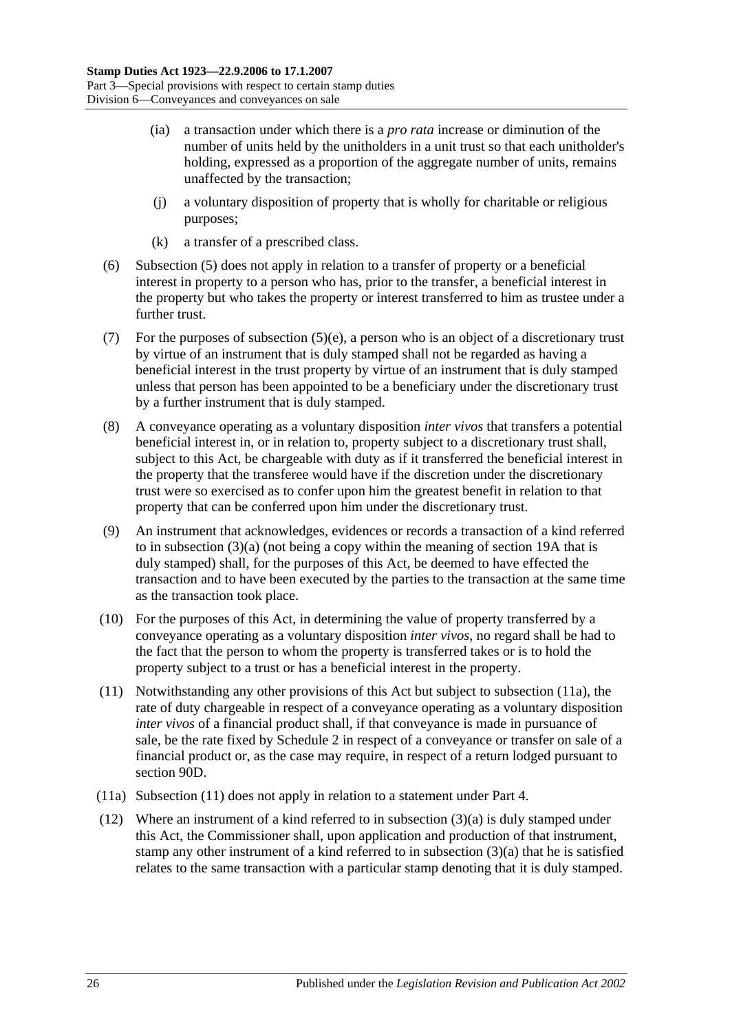- (ia) a transaction under which there is a *pro rata* increase or diminution of the number of units held by the unitholders in a unit trust so that each unitholder's holding, expressed as a proportion of the aggregate number of units, remains unaffected by the transaction;
- (j) a voluntary disposition of property that is wholly for charitable or religious purposes;
- (k) a transfer of a prescribed class.
- <span id="page-43-0"></span>(6) [Subsection](#page-41-3) (5) does not apply in relation to a transfer of property or a beneficial interest in property to a person who has, prior to the transfer, a beneficial interest in the property but who takes the property or interest transferred to him as trustee under a further trust.
- (7) For the purposes of [subsection](#page-42-1) (5)(e), a person who is an object of a discretionary trust by virtue of an instrument that is duly stamped shall not be regarded as having a beneficial interest in the trust property by virtue of an instrument that is duly stamped unless that person has been appointed to be a beneficiary under the discretionary trust by a further instrument that is duly stamped.
- (8) A conveyance operating as a voluntary disposition *inter vivos* that transfers a potential beneficial interest in, or in relation to, property subject to a discretionary trust shall, subject to this Act, be chargeable with duty as if it transferred the beneficial interest in the property that the transferee would have if the discretion under the discretionary trust were so exercised as to confer upon him the greatest benefit in relation to that property that can be conferred upon him under the discretionary trust.
- (9) An instrument that acknowledges, evidences or records a transaction of a kind referred to in [subsection](#page-41-2) (3)(a) (not being a copy within the meaning of [section](#page-14-0) 19A that is duly stamped) shall, for the purposes of this Act, be deemed to have effected the transaction and to have been executed by the parties to the transaction at the same time as the transaction took place.
- (10) For the purposes of this Act, in determining the value of property transferred by a conveyance operating as a voluntary disposition *inter vivos*, no regard shall be had to the fact that the person to whom the property is transferred takes or is to hold the property subject to a trust or has a beneficial interest in the property.
- <span id="page-43-2"></span>(11) Notwithstanding any other provisions of this Act but subject to [subsection](#page-43-1) (11a), the rate of duty chargeable in respect of a conveyance operating as a voluntary disposition *inter vivos* of a financial product shall, if that conveyance is made in pursuance of sale, be the rate fixed by [Schedule 2](#page-102-0) in respect of a conveyance or transfer on sale of a financial product or, as the case may require, in respect of a return lodged pursuant to [section](#page-78-0) 90D.
- <span id="page-43-1"></span>(11a) [Subsection](#page-43-2) (11) does not apply in relation to a statement under [Part 4.](#page-86-0)
- <span id="page-43-3"></span>(12) Where an instrument of a kind referred to in [subsection](#page-41-2) (3)(a) is duly stamped under this Act, the Commissioner shall, upon application and production of that instrument, stamp any other instrument of a kind referred to in [subsection](#page-41-2) (3)(a) that he is satisfied relates to the same transaction with a particular stamp denoting that it is duly stamped.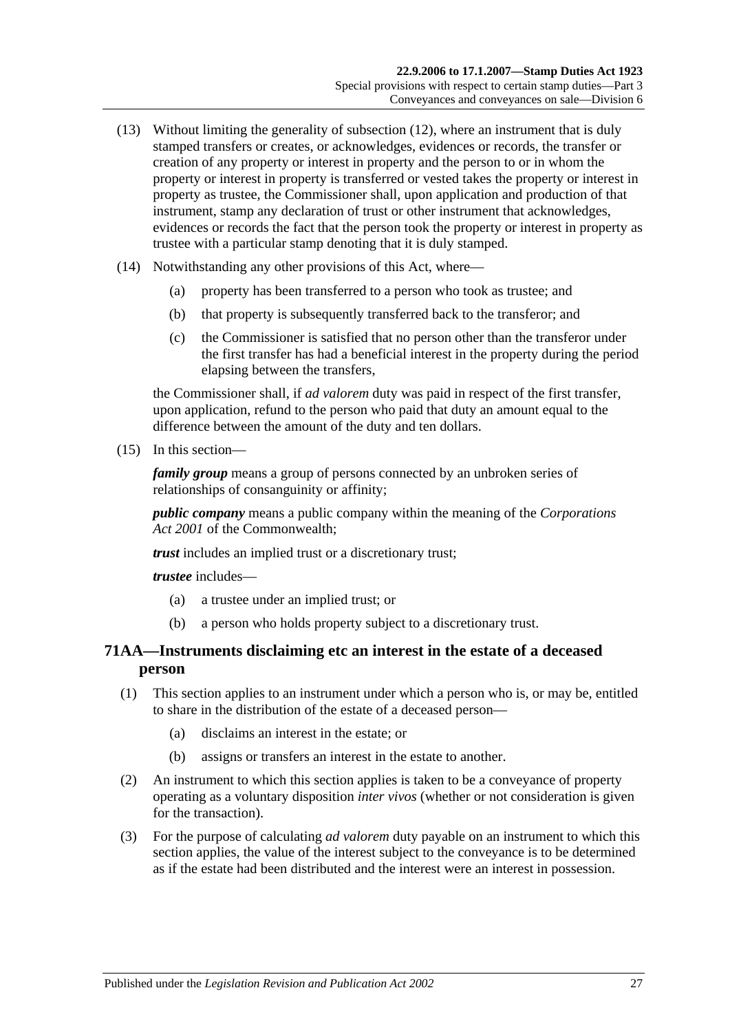- (13) Without limiting the generality of [subsection](#page-43-3) (12), where an instrument that is duly stamped transfers or creates, or acknowledges, evidences or records, the transfer or creation of any property or interest in property and the person to or in whom the property or interest in property is transferred or vested takes the property or interest in property as trustee, the Commissioner shall, upon application and production of that instrument, stamp any declaration of trust or other instrument that acknowledges, evidences or records the fact that the person took the property or interest in property as trustee with a particular stamp denoting that it is duly stamped.
- (14) Notwithstanding any other provisions of this Act, where—
	- (a) property has been transferred to a person who took as trustee; and
	- (b) that property is subsequently transferred back to the transferor; and
	- (c) the Commissioner is satisfied that no person other than the transferor under the first transfer has had a beneficial interest in the property during the period elapsing between the transfers,

the Commissioner shall, if *ad valorem* duty was paid in respect of the first transfer, upon application, refund to the person who paid that duty an amount equal to the difference between the amount of the duty and ten dollars.

<span id="page-44-0"></span>(15) In this section—

*family group* means a group of persons connected by an unbroken series of relationships of consanguinity or affinity;

*public company* means a public company within the meaning of the *Corporations Act 2001* of the Commonwealth;

*trust* includes an implied trust or a discretionary trust;

*trustee* includes—

- (a) a trustee under an implied trust; or
- (b) a person who holds property subject to a discretionary trust.

# **71AA—Instruments disclaiming etc an interest in the estate of a deceased person**

- (1) This section applies to an instrument under which a person who is, or may be, entitled to share in the distribution of the estate of a deceased person—
	- (a) disclaims an interest in the estate; or
	- (b) assigns or transfers an interest in the estate to another.
- (2) An instrument to which this section applies is taken to be a conveyance of property operating as a voluntary disposition *inter vivos* (whether or not consideration is given for the transaction).
- (3) For the purpose of calculating *ad valorem* duty payable on an instrument to which this section applies, the value of the interest subject to the conveyance is to be determined as if the estate had been distributed and the interest were an interest in possession.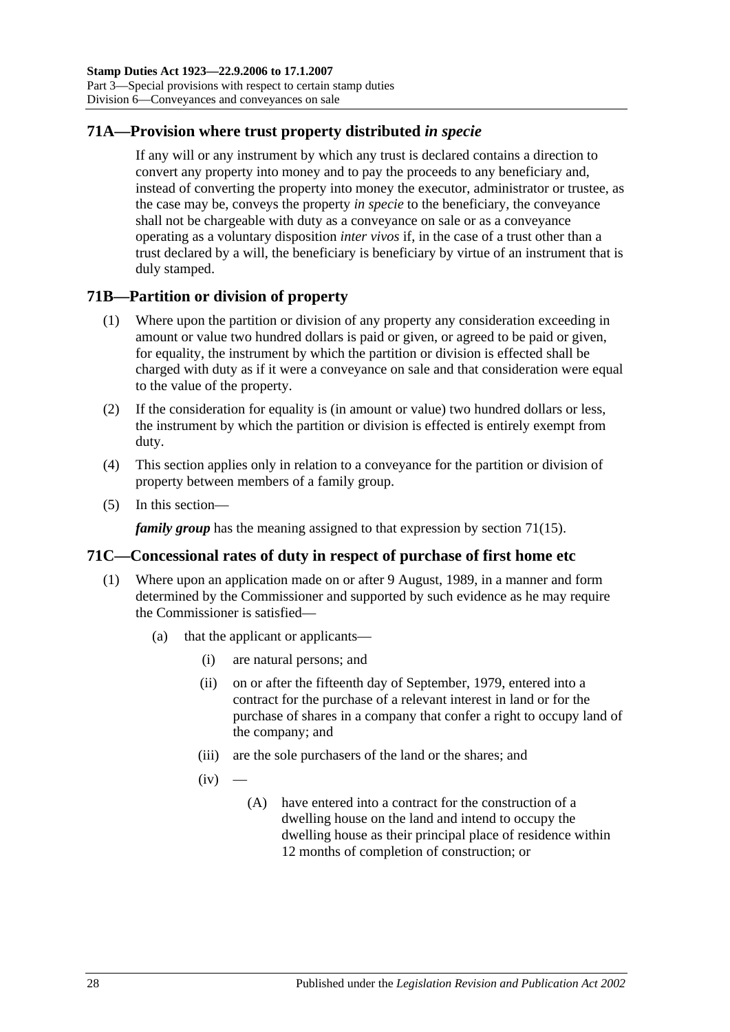# **71A—Provision where trust property distributed** *in specie*

If any will or any instrument by which any trust is declared contains a direction to convert any property into money and to pay the proceeds to any beneficiary and, instead of converting the property into money the executor, administrator or trustee, as the case may be, conveys the property *in specie* to the beneficiary, the conveyance shall not be chargeable with duty as a conveyance on sale or as a conveyance operating as a voluntary disposition *inter vivos* if, in the case of a trust other than a trust declared by a will, the beneficiary is beneficiary by virtue of an instrument that is duly stamped.

## **71B—Partition or division of property**

- (1) Where upon the partition or division of any property any consideration exceeding in amount or value two hundred dollars is paid or given, or agreed to be paid or given, for equality, the instrument by which the partition or division is effected shall be charged with duty as if it were a conveyance on sale and that consideration were equal to the value of the property.
- (2) If the consideration for equality is (in amount or value) two hundred dollars or less, the instrument by which the partition or division is effected is entirely exempt from duty.
- (4) This section applies only in relation to a conveyance for the partition or division of property between members of a family group.
- (5) In this section—

*family group* has the meaning assigned to that expression by [section](#page-44-0) 71(15).

## **71C—Concessional rates of duty in respect of purchase of first home etc**

- <span id="page-45-1"></span><span id="page-45-0"></span>(1) Where upon an application made on or after 9 August, 1989, in a manner and form determined by the Commissioner and supported by such evidence as he may require the Commissioner is satisfied—
	- (a) that the applicant or applicants—
		- (i) are natural persons; and
		- (ii) on or after the fifteenth day of September, 1979, entered into a contract for the purchase of a relevant interest in land or for the purchase of shares in a company that confer a right to occupy land of the company; and
		- (iii) are the sole purchasers of the land or the shares; and
		- $(iv)$ 
			- (A) have entered into a contract for the construction of a dwelling house on the land and intend to occupy the dwelling house as their principal place of residence within 12 months of completion of construction; or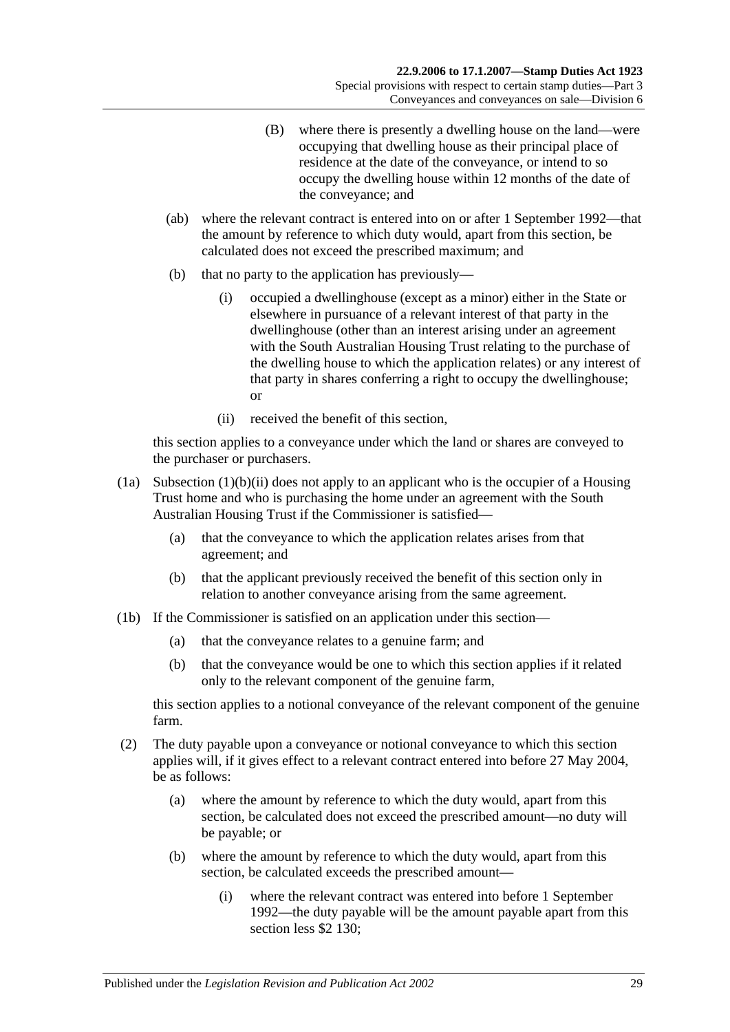- (B) where there is presently a dwelling house on the land—were occupying that dwelling house as their principal place of residence at the date of the conveyance, or intend to so occupy the dwelling house within 12 months of the date of the conveyance; and
- (ab) where the relevant contract is entered into on or after 1 September 1992—that the amount by reference to which duty would, apart from this section, be calculated does not exceed the prescribed maximum; and
- (b) that no party to the application has previously—
	- (i) occupied a dwellinghouse (except as a minor) either in the State or elsewhere in pursuance of a relevant interest of that party in the dwellinghouse (other than an interest arising under an agreement with the South Australian Housing Trust relating to the purchase of the dwelling house to which the application relates) or any interest of that party in shares conferring a right to occupy the dwellinghouse; or
	- (ii) received the benefit of this section,

<span id="page-46-0"></span>this section applies to a conveyance under which the land or shares are conveyed to the purchaser or purchasers.

- (1a) [Subsection](#page-46-0) (1)(b)(ii) does not apply to an applicant who is the occupier of a Housing Trust home and who is purchasing the home under an agreement with the South Australian Housing Trust if the Commissioner is satisfied—
	- (a) that the conveyance to which the application relates arises from that agreement; and
	- (b) that the applicant previously received the benefit of this section only in relation to another conveyance arising from the same agreement.
- (1b) If the Commissioner is satisfied on an application under this section—
	- (a) that the conveyance relates to a genuine farm; and
	- (b) that the conveyance would be one to which this section applies if it related only to the relevant component of the genuine farm,

this section applies to a notional conveyance of the relevant component of the genuine farm.

- (2) The duty payable upon a conveyance or notional conveyance to which this section applies will, if it gives effect to a relevant contract entered into before 27 May 2004, be as follows:
	- (a) where the amount by reference to which the duty would, apart from this section, be calculated does not exceed the prescribed amount—no duty will be payable; or
	- (b) where the amount by reference to which the duty would, apart from this section, be calculated exceeds the prescribed amount—
		- (i) where the relevant contract was entered into before 1 September 1992—the duty payable will be the amount payable apart from this section less \$2 130: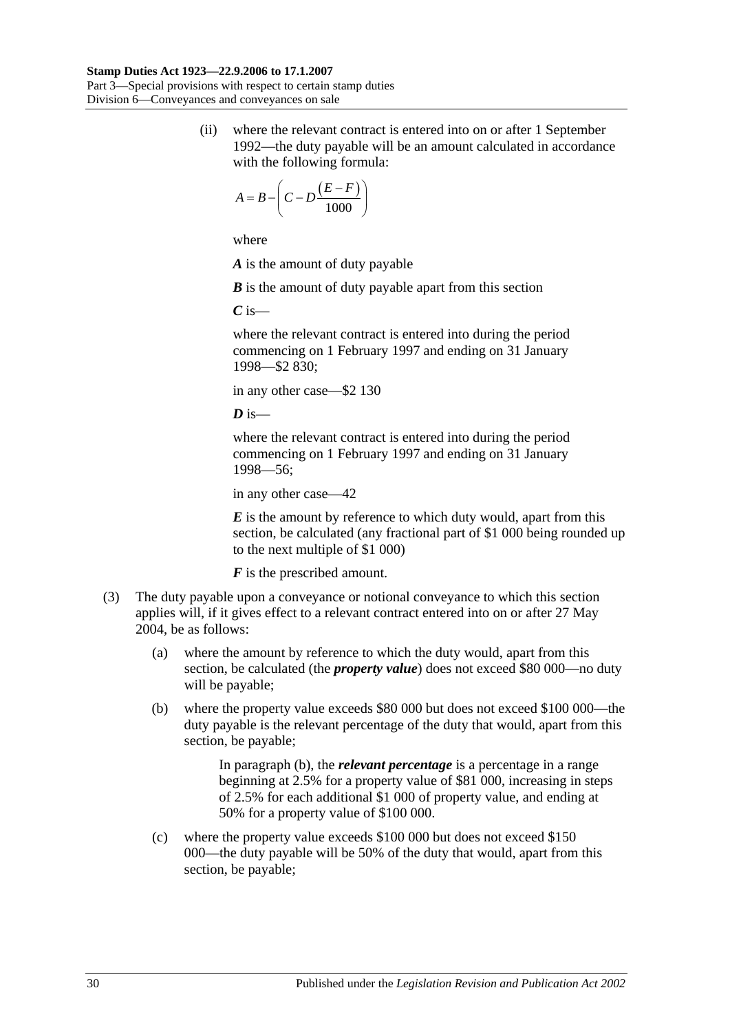(ii) where the relevant contract is entered into on or after 1 September 1992—the duty payable will be an amount calculated in accordance with the following formula:

$$
A = B - \left(C - D \frac{(E - F)}{1000}\right)
$$

where

*A* is the amount of duty payable

*B* is the amount of duty payable apart from this section

*C* is—

where the relevant contract is entered into during the period commencing on 1 February 1997 and ending on 31 January 1998—\$2 830;

in any other case—\$2 130

 $\overline{D}$  is—

where the relevant contract is entered into during the period commencing on 1 February 1997 and ending on 31 January 1998—56;

in any other case—42

*E* is the amount by reference to which duty would, apart from this section, be calculated (any fractional part of \$1 000 being rounded up to the next multiple of \$1 000)

*F* is the prescribed amount.

- <span id="page-47-0"></span>(3) The duty payable upon a conveyance or notional conveyance to which this section applies will, if it gives effect to a relevant contract entered into on or after 27 May 2004, be as follows:
	- (a) where the amount by reference to which the duty would, apart from this section, be calculated (the *property value*) does not exceed \$80 000—no duty will be payable;
	- (b) where the property value exceeds \$80 000 but does not exceed \$100 000—the duty payable is the relevant percentage of the duty that would, apart from this section, be payable;

In [paragraph](#page-47-0) (b), the *relevant percentage* is a percentage in a range beginning at 2.5% for a property value of \$81 000, increasing in steps of 2.5% for each additional \$1 000 of property value, and ending at 50% for a property value of \$100 000.

(c) where the property value exceeds \$100 000 but does not exceed \$150 000—the duty payable will be 50% of the duty that would, apart from this section, be payable;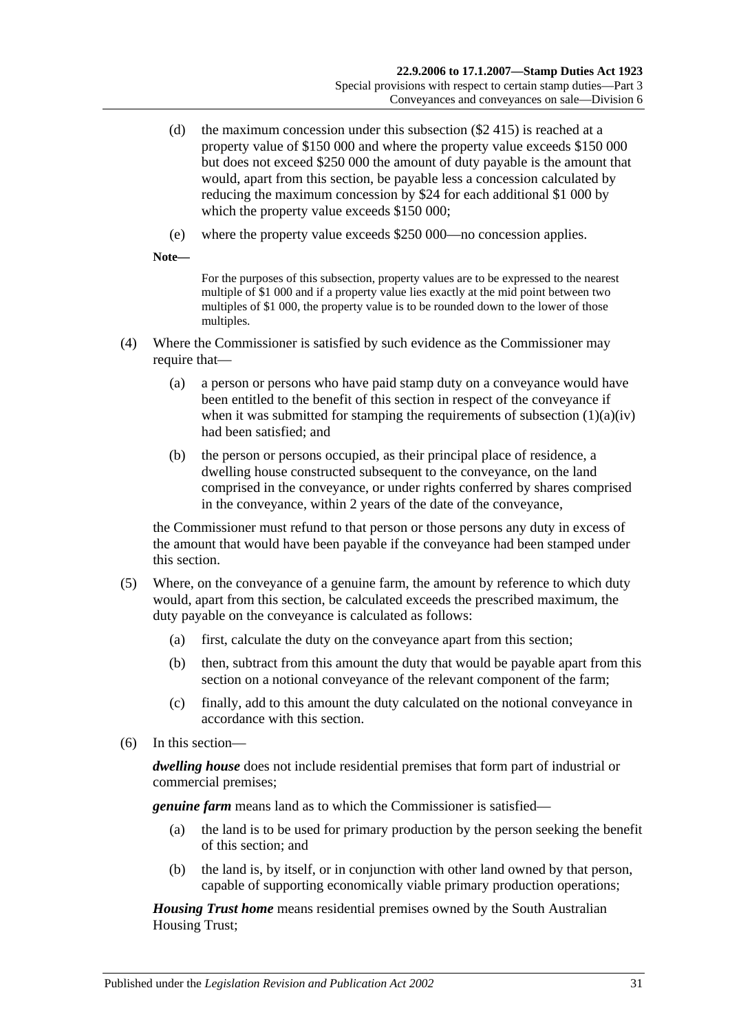- (d) the maximum concession under this subsection (\$2 415) is reached at a property value of \$150 000 and where the property value exceeds \$150 000 but does not exceed \$250 000 the amount of duty payable is the amount that would, apart from this section, be payable less a concession calculated by reducing the maximum concession by \$24 for each additional \$1 000 by which the property value exceeds \$150 000;
- (e) where the property value exceeds \$250 000—no concession applies.

**Note—**

For the purposes of this subsection, property values are to be expressed to the nearest multiple of \$1 000 and if a property value lies exactly at the mid point between two multiples of \$1 000, the property value is to be rounded down to the lower of those multiples.

- (4) Where the Commissioner is satisfied by such evidence as the Commissioner may require that—
	- (a) a person or persons who have paid stamp duty on a conveyance would have been entitled to the benefit of this section in respect of the conveyance if when it was submitted for stamping the requirements of [subsection](#page-45-0)  $(1)(a)(iv)$ had been satisfied; and
	- (b) the person or persons occupied, as their principal place of residence, a dwelling house constructed subsequent to the conveyance, on the land comprised in the conveyance, or under rights conferred by shares comprised in the conveyance, within 2 years of the date of the conveyance,

the Commissioner must refund to that person or those persons any duty in excess of the amount that would have been payable if the conveyance had been stamped under this section.

- (5) Where, on the conveyance of a genuine farm, the amount by reference to which duty would, apart from this section, be calculated exceeds the prescribed maximum, the duty payable on the conveyance is calculated as follows:
	- (a) first, calculate the duty on the conveyance apart from this section;
	- (b) then, subtract from this amount the duty that would be payable apart from this section on a notional conveyance of the relevant component of the farm;
	- (c) finally, add to this amount the duty calculated on the notional conveyance in accordance with this section.
- (6) In this section—

*dwelling house* does not include residential premises that form part of industrial or commercial premises;

*genuine farm* means land as to which the Commissioner is satisfied—

- (a) the land is to be used for primary production by the person seeking the benefit of this section; and
- (b) the land is, by itself, or in conjunction with other land owned by that person, capable of supporting economically viable primary production operations;

*Housing Trust home* means residential premises owned by the South Australian Housing Trust;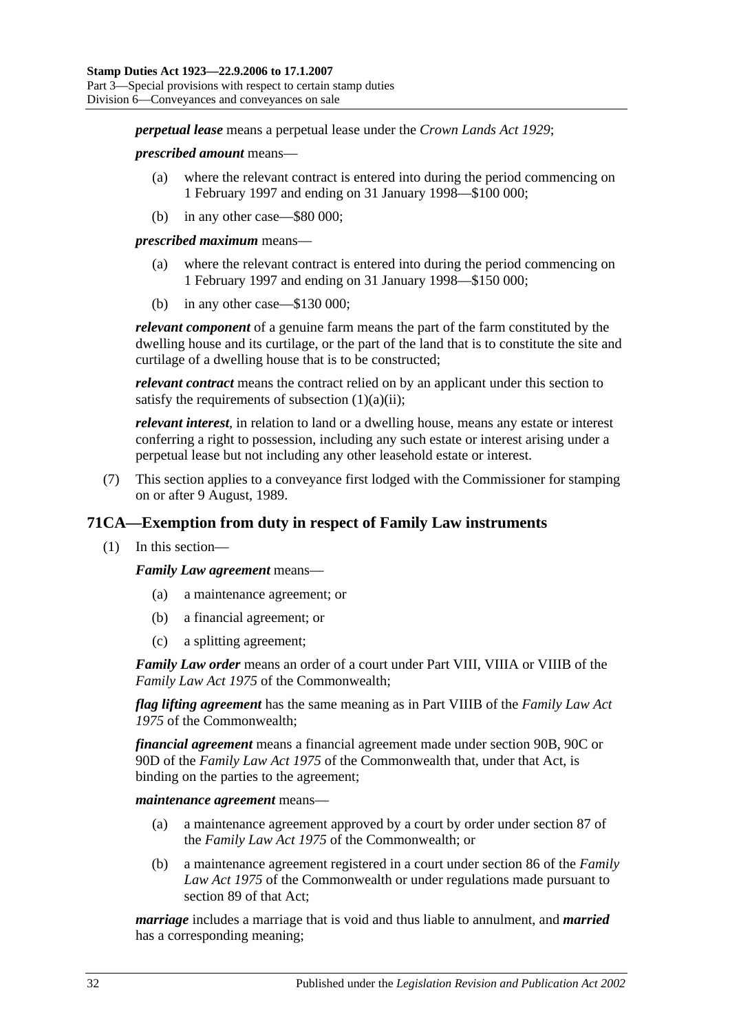*perpetual lease* means a perpetual lease under the *[Crown Lands Act](http://www.legislation.sa.gov.au/index.aspx?action=legref&type=act&legtitle=Crown%20Lands%20Act%201929) 1929*;

#### *prescribed amount* means—

- (a) where the relevant contract is entered into during the period commencing on 1 February 1997 and ending on 31 January 1998—\$100 000;
- (b) in any other case—\$80 000;

*prescribed maximum* means—

- (a) where the relevant contract is entered into during the period commencing on 1 February 1997 and ending on 31 January 1998—\$150 000;
- (b) in any other case—\$130 000;

*relevant component* of a genuine farm means the part of the farm constituted by the dwelling house and its curtilage, or the part of the land that is to constitute the site and curtilage of a dwelling house that is to be constructed;

*relevant contract* means the contract relied on by an applicant under this section to satisfy the requirements of [subsection](#page-45-1)  $(1)(a)(ii)$ ;

*relevant interest*, in relation to land or a dwelling house, means any estate or interest conferring a right to possession, including any such estate or interest arising under a perpetual lease but not including any other leasehold estate or interest.

(7) This section applies to a conveyance first lodged with the Commissioner for stamping on or after 9 August, 1989.

# **71CA—Exemption from duty in respect of Family Law instruments**

(1) In this section—

*Family Law agreement* means—

- (a) a maintenance agreement; or
- (b) a financial agreement; or
- (c) a splitting agreement;

*Family Law order* means an order of a court under Part VIII, VIIIA or VIIIB of the *Family Law Act 1975* of the Commonwealth;

*flag lifting agreement* has the same meaning as in Part VIIIB of the *Family Law Act 1975* of the Commonwealth;

*financial agreement* means a financial agreement made under section 90B, 90C or 90D of the *Family Law Act 1975* of the Commonwealth that, under that Act, is binding on the parties to the agreement;

*maintenance agreement* means—

- (a) a maintenance agreement approved by a court by order under section 87 of the *Family Law Act 1975* of the Commonwealth; or
- (b) a maintenance agreement registered in a court under section 86 of the *Family Law Act 1975* of the Commonwealth or under regulations made pursuant to section 89 of that Act;

*marriage* includes a marriage that is void and thus liable to annulment, and *married* has a corresponding meaning;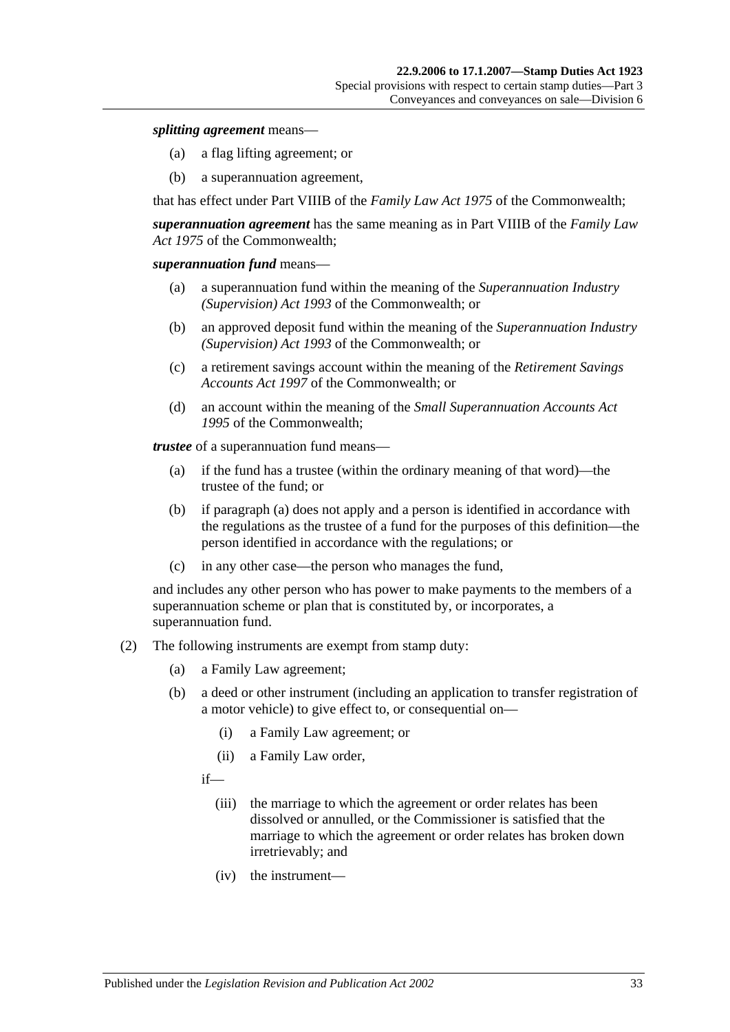#### *splitting agreement* means—

- (a) a flag lifting agreement; or
- (b) a superannuation agreement,

that has effect under Part VIIIB of the *Family Law Act 1975* of the Commonwealth;

*superannuation agreement* has the same meaning as in Part VIIIB of the *Family Law Act 1975* of the Commonwealth;

#### *superannuation fund* means—

- (a) a superannuation fund within the meaning of the *Superannuation Industry (Supervision) Act 1993* of the Commonwealth; or
- (b) an approved deposit fund within the meaning of the *Superannuation Industry (Supervision) Act 1993* of the Commonwealth; or
- (c) a retirement savings account within the meaning of the *Retirement Savings Accounts Act 1997* of the Commonwealth; or
- (d) an account within the meaning of the *Small Superannuation Accounts Act 1995* of the Commonwealth;

<span id="page-50-0"></span>*trustee* of a superannuation fund means—

- (a) if the fund has a trustee (within the ordinary meaning of that word)—the trustee of the fund; or
- (b) if [paragraph](#page-50-0) (a) does not apply and a person is identified in accordance with the regulations as the trustee of a fund for the purposes of this definition—the person identified in accordance with the regulations; or
- (c) in any other case—the person who manages the fund,

and includes any other person who has power to make payments to the members of a superannuation scheme or plan that is constituted by, or incorporates, a superannuation fund.

- (2) The following instruments are exempt from stamp duty:
	- (a) a Family Law agreement;
	- (b) a deed or other instrument (including an application to transfer registration of a motor vehicle) to give effect to, or consequential on—
		- (i) a Family Law agreement; or
		- (ii) a Family Law order,
		- if—
			- (iii) the marriage to which the agreement or order relates has been dissolved or annulled, or the Commissioner is satisfied that the marriage to which the agreement or order relates has broken down irretrievably; and
			- (iv) the instrument—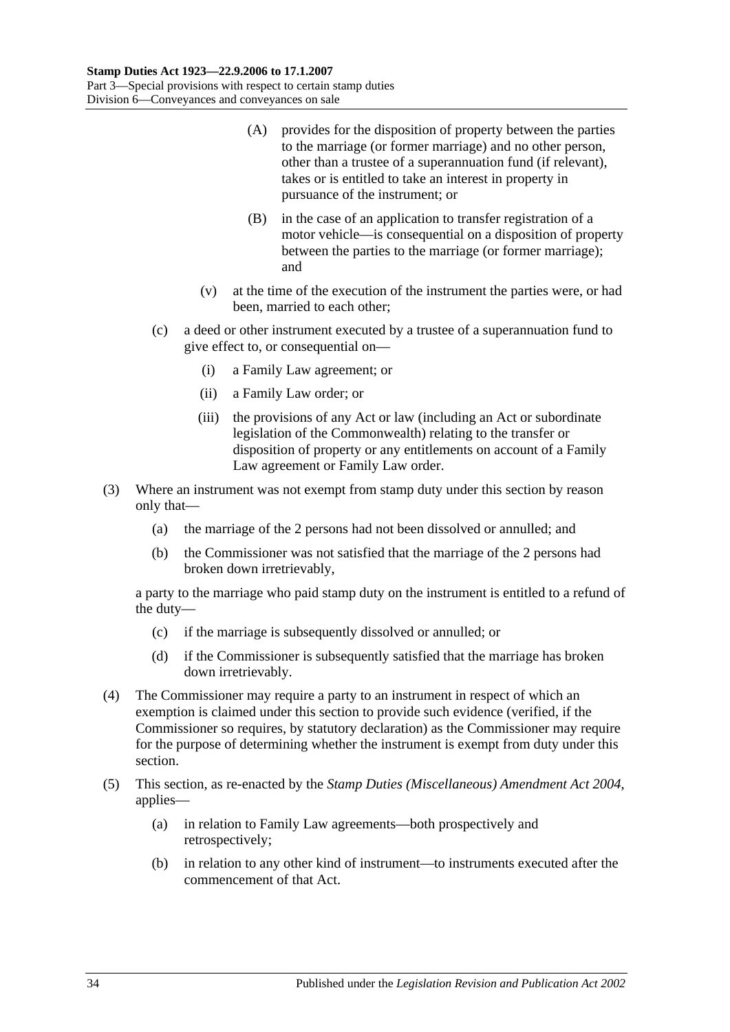- (A) provides for the disposition of property between the parties to the marriage (or former marriage) and no other person, other than a trustee of a superannuation fund (if relevant), takes or is entitled to take an interest in property in pursuance of the instrument; or
- (B) in the case of an application to transfer registration of a motor vehicle—is consequential on a disposition of property between the parties to the marriage (or former marriage); and
- (v) at the time of the execution of the instrument the parties were, or had been, married to each other;
- (c) a deed or other instrument executed by a trustee of a superannuation fund to give effect to, or consequential on—
	- (i) a Family Law agreement; or
	- (ii) a Family Law order; or
	- (iii) the provisions of any Act or law (including an Act or subordinate legislation of the Commonwealth) relating to the transfer or disposition of property or any entitlements on account of a Family Law agreement or Family Law order.
- (3) Where an instrument was not exempt from stamp duty under this section by reason only that—
	- (a) the marriage of the 2 persons had not been dissolved or annulled; and
	- (b) the Commissioner was not satisfied that the marriage of the 2 persons had broken down irretrievably,

a party to the marriage who paid stamp duty on the instrument is entitled to a refund of the duty—

- (c) if the marriage is subsequently dissolved or annulled; or
- (d) if the Commissioner is subsequently satisfied that the marriage has broken down irretrievably.
- (4) The Commissioner may require a party to an instrument in respect of which an exemption is claimed under this section to provide such evidence (verified, if the Commissioner so requires, by statutory declaration) as the Commissioner may require for the purpose of determining whether the instrument is exempt from duty under this section.
- (5) This section, as re-enacted by the *[Stamp Duties \(Miscellaneous\) Amendment Act 2004](http://www.legislation.sa.gov.au/index.aspx?action=legref&type=act&legtitle=Stamp%20Duties%20(Miscellaneous)%20Amendment%20Act%202004)*, applies—
	- (a) in relation to Family Law agreements—both prospectively and retrospectively;
	- (b) in relation to any other kind of instrument—to instruments executed after the commencement of that Act.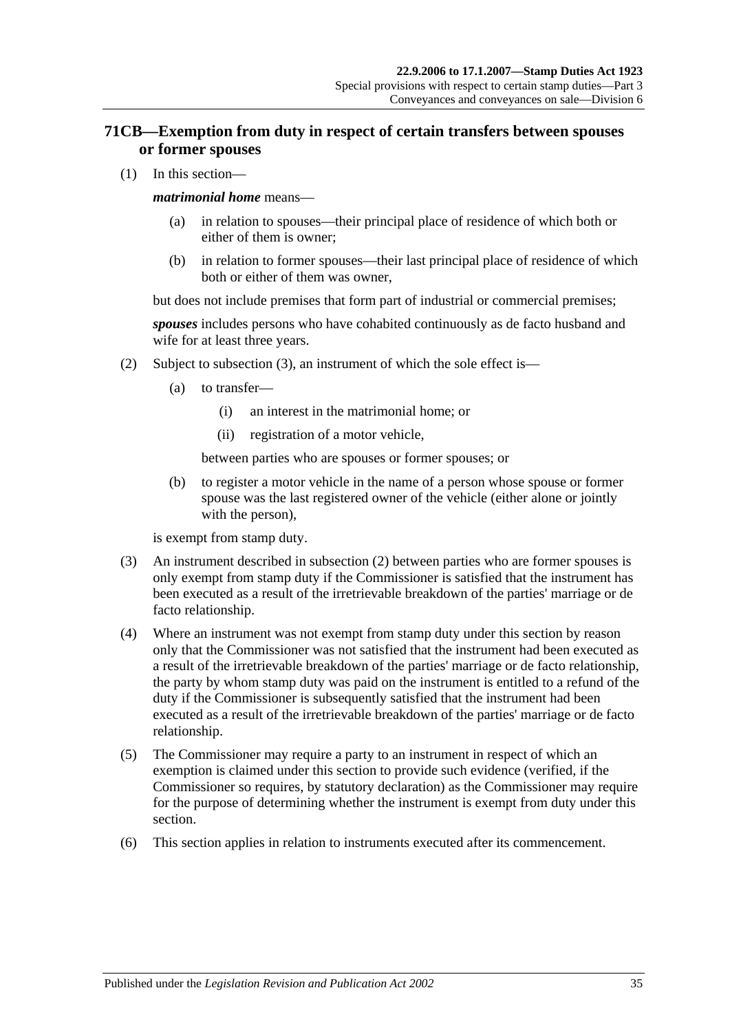# **71CB—Exemption from duty in respect of certain transfers between spouses or former spouses**

(1) In this section—

### *matrimonial home* means—

- (a) in relation to spouses—their principal place of residence of which both or either of them is owner;
- (b) in relation to former spouses—their last principal place of residence of which both or either of them was owner,

but does not include premises that form part of industrial or commercial premises;

*spouses* includes persons who have cohabited continuously as de facto husband and wife for at least three years.

- (2) Subject to [subsection](#page-52-0) (3), an instrument of which the sole effect is—
	- (a) to transfer—
		- (i) an interest in the matrimonial home; or
		- (ii) registration of a motor vehicle,

between parties who are spouses or former spouses; or

(b) to register a motor vehicle in the name of a person whose spouse or former spouse was the last registered owner of the vehicle (either alone or jointly with the person),

is exempt from stamp duty.

- <span id="page-52-0"></span>(3) An instrument described in subsection (2) between parties who are former spouses is only exempt from stamp duty if the Commissioner is satisfied that the instrument has been executed as a result of the irretrievable breakdown of the parties' marriage or de facto relationship.
- (4) Where an instrument was not exempt from stamp duty under this section by reason only that the Commissioner was not satisfied that the instrument had been executed as a result of the irretrievable breakdown of the parties' marriage or de facto relationship, the party by whom stamp duty was paid on the instrument is entitled to a refund of the duty if the Commissioner is subsequently satisfied that the instrument had been executed as a result of the irretrievable breakdown of the parties' marriage or de facto relationship.
- (5) The Commissioner may require a party to an instrument in respect of which an exemption is claimed under this section to provide such evidence (verified, if the Commissioner so requires, by statutory declaration) as the Commissioner may require for the purpose of determining whether the instrument is exempt from duty under this section.
- (6) This section applies in relation to instruments executed after its commencement.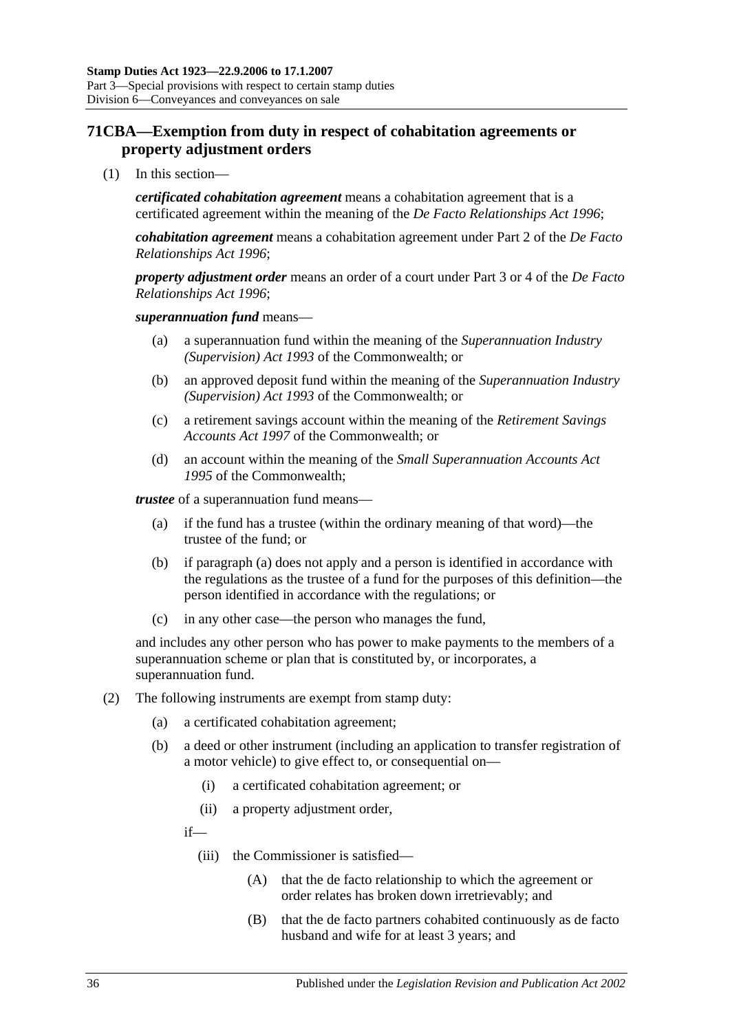# **71CBA—Exemption from duty in respect of cohabitation agreements or property adjustment orders**

(1) In this section—

*certificated cohabitation agreement* means a cohabitation agreement that is a certificated agreement within the meaning of the *[De Facto Relationships Act](http://www.legislation.sa.gov.au/index.aspx?action=legref&type=act&legtitle=De%20Facto%20Relationships%20Act%201996) 1996*;

*cohabitation agreement* means a cohabitation agreement under Part 2 of the *[De Facto](http://www.legislation.sa.gov.au/index.aspx?action=legref&type=act&legtitle=De%20Facto%20Relationships%20Act%201996)  [Relationships Act](http://www.legislation.sa.gov.au/index.aspx?action=legref&type=act&legtitle=De%20Facto%20Relationships%20Act%201996) 1996*;

*property adjustment order* means an order of a court under Part 3 or 4 of the *[De Facto](http://www.legislation.sa.gov.au/index.aspx?action=legref&type=act&legtitle=De%20Facto%20Relationships%20Act%201996)  [Relationships Act](http://www.legislation.sa.gov.au/index.aspx?action=legref&type=act&legtitle=De%20Facto%20Relationships%20Act%201996) 1996*;

### *superannuation fund* means—

- (a) a superannuation fund within the meaning of the *Superannuation Industry (Supervision) Act 1993* of the Commonwealth; or
- (b) an approved deposit fund within the meaning of the *Superannuation Industry (Supervision) Act 1993* of the Commonwealth; or
- (c) a retirement savings account within the meaning of the *Retirement Savings Accounts Act 1997* of the Commonwealth; or
- (d) an account within the meaning of the *Small Superannuation Accounts Act 1995* of the Commonwealth;

<span id="page-53-0"></span>*trustee* of a superannuation fund means—

- (a) if the fund has a trustee (within the ordinary meaning of that word)—the trustee of the fund; or
- (b) if [paragraph](#page-53-0) (a) does not apply and a person is identified in accordance with the regulations as the trustee of a fund for the purposes of this definition—the person identified in accordance with the regulations; or
- (c) in any other case—the person who manages the fund,

and includes any other person who has power to make payments to the members of a superannuation scheme or plan that is constituted by, or incorporates, a superannuation fund.

- (2) The following instruments are exempt from stamp duty:
	- (a) a certificated cohabitation agreement;
	- (b) a deed or other instrument (including an application to transfer registration of a motor vehicle) to give effect to, or consequential on—
		- (i) a certificated cohabitation agreement; or
		- (ii) a property adjustment order,

if—

- (iii) the Commissioner is satisfied—
	- (A) that the de facto relationship to which the agreement or order relates has broken down irretrievably; and
	- (B) that the de facto partners cohabited continuously as de facto husband and wife for at least 3 years; and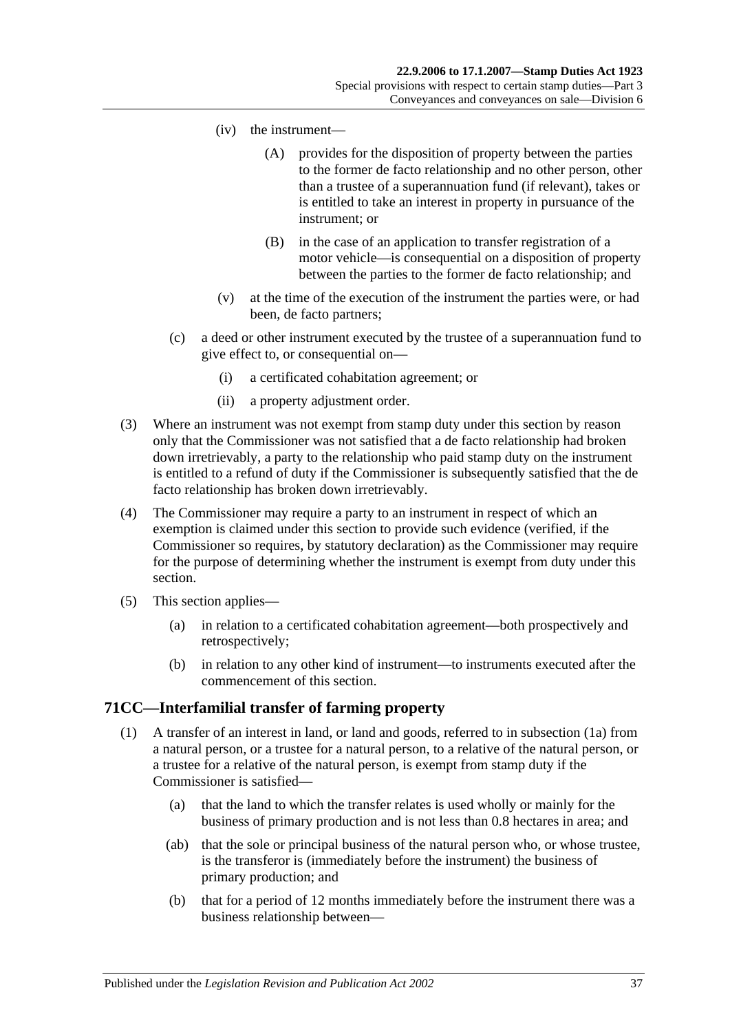- (iv) the instrument—
	- (A) provides for the disposition of property between the parties to the former de facto relationship and no other person, other than a trustee of a superannuation fund (if relevant), takes or is entitled to take an interest in property in pursuance of the instrument; or
	- (B) in the case of an application to transfer registration of a motor vehicle—is consequential on a disposition of property between the parties to the former de facto relationship; and
- (v) at the time of the execution of the instrument the parties were, or had been, de facto partners;
- (c) a deed or other instrument executed by the trustee of a superannuation fund to give effect to, or consequential on—
	- (i) a certificated cohabitation agreement; or
	- (ii) a property adjustment order.
- (3) Where an instrument was not exempt from stamp duty under this section by reason only that the Commissioner was not satisfied that a de facto relationship had broken down irretrievably, a party to the relationship who paid stamp duty on the instrument is entitled to a refund of duty if the Commissioner is subsequently satisfied that the de facto relationship has broken down irretrievably.
- (4) The Commissioner may require a party to an instrument in respect of which an exemption is claimed under this section to provide such evidence (verified, if the Commissioner so requires, by statutory declaration) as the Commissioner may require for the purpose of determining whether the instrument is exempt from duty under this section.
- (5) This section applies—
	- (a) in relation to a certificated cohabitation agreement—both prospectively and retrospectively;
	- (b) in relation to any other kind of instrument—to instruments executed after the commencement of this section.

## <span id="page-54-0"></span>**71CC—Interfamilial transfer of farming property**

- <span id="page-54-1"></span>(1) A transfer of an interest in land, or land and goods, referred to in [subsection](#page-55-0) (1a) from a natural person, or a trustee for a natural person, to a relative of the natural person, or a trustee for a relative of the natural person, is exempt from stamp duty if the Commissioner is satisfied—
	- (a) that the land to which the transfer relates is used wholly or mainly for the business of primary production and is not less than 0.8 hectares in area; and
	- (ab) that the sole or principal business of the natural person who, or whose trustee, is the transferor is (immediately before the instrument) the business of primary production; and
	- (b) that for a period of 12 months immediately before the instrument there was a business relationship between—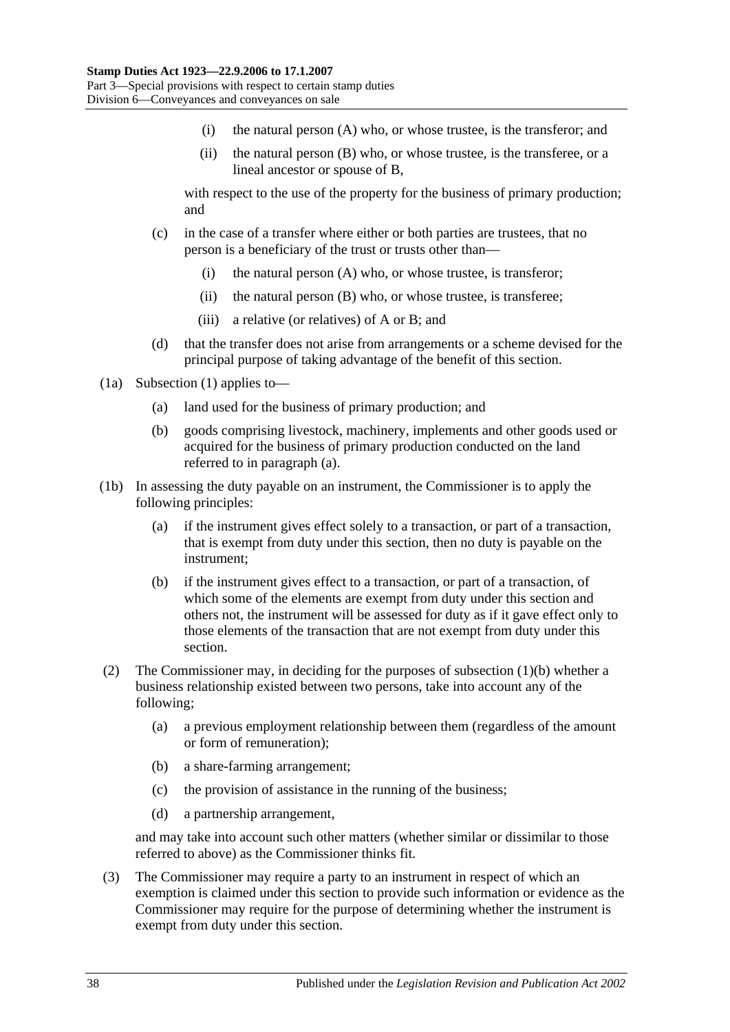- (i) the natural person (A) who, or whose trustee, is the transferor; and
- (ii) the natural person (B) who, or whose trustee, is the transferee, or a lineal ancestor or spouse of B,

with respect to the use of the property for the business of primary production; and

- (c) in the case of a transfer where either or both parties are trustees, that no person is a beneficiary of the trust or trusts other than—
	- (i) the natural person (A) who, or whose trustee, is transferor;
	- (ii) the natural person (B) who, or whose trustee, is transferee;
	- (iii) a relative (or relatives) of A or B; and
- (d) that the transfer does not arise from arrangements or a scheme devised for the principal purpose of taking advantage of the benefit of this section.
- <span id="page-55-1"></span><span id="page-55-0"></span>(1a) [Subsection](#page-54-0) (1) applies to—
	- (a) land used for the business of primary production; and
	- (b) goods comprising livestock, machinery, implements and other goods used or acquired for the business of primary production conducted on the land referred to in [paragraph](#page-55-1) (a).
- (1b) In assessing the duty payable on an instrument, the Commissioner is to apply the following principles:
	- (a) if the instrument gives effect solely to a transaction, or part of a transaction, that is exempt from duty under this section, then no duty is payable on the instrument;
	- (b) if the instrument gives effect to a transaction, or part of a transaction, of which some of the elements are exempt from duty under this section and others not, the instrument will be assessed for duty as if it gave effect only to those elements of the transaction that are not exempt from duty under this section.
- (2) The Commissioner may, in deciding for the purposes of [subsection](#page-54-1) (1)(b) whether a business relationship existed between two persons, take into account any of the following;
	- (a) a previous employment relationship between them (regardless of the amount or form of remuneration);
	- (b) a share-farming arrangement;
	- (c) the provision of assistance in the running of the business;
	- (d) a partnership arrangement,

and may take into account such other matters (whether similar or dissimilar to those referred to above) as the Commissioner thinks fit.

(3) The Commissioner may require a party to an instrument in respect of which an exemption is claimed under this section to provide such information or evidence as the Commissioner may require for the purpose of determining whether the instrument is exempt from duty under this section.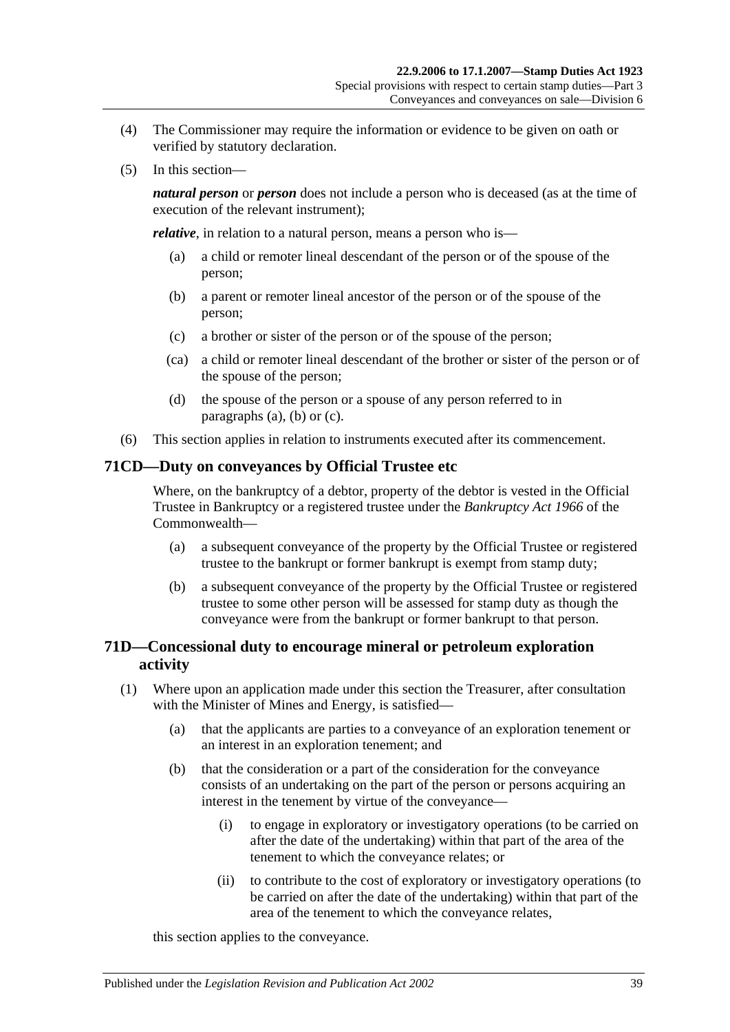- (4) The Commissioner may require the information or evidence to be given on oath or verified by statutory declaration.
- (5) In this section—

*natural person* or *person* does not include a person who is deceased (as at the time of execution of the relevant instrument);

<span id="page-56-0"></span>*relative*, in relation to a natural person, means a person who is—

- (a) a child or remoter lineal descendant of the person or of the spouse of the person;
- <span id="page-56-1"></span>(b) a parent or remoter lineal ancestor of the person or of the spouse of the person;
- <span id="page-56-2"></span>(c) a brother or sister of the person or of the spouse of the person;
- (ca) a child or remoter lineal descendant of the brother or sister of the person or of the spouse of the person;
- (d) the spouse of the person or a spouse of any person referred to in [paragraphs](#page-56-0) (a), [\(b\)](#page-56-1) or [\(c\).](#page-56-2)
- (6) This section applies in relation to instruments executed after its commencement.

### **71CD—Duty on conveyances by Official Trustee etc**

Where, on the bankruptcy of a debtor, property of the debtor is vested in the Official Trustee in Bankruptcy or a registered trustee under the *Bankruptcy Act 1966* of the Commonwealth—

- (a) a subsequent conveyance of the property by the Official Trustee or registered trustee to the bankrupt or former bankrupt is exempt from stamp duty;
- (b) a subsequent conveyance of the property by the Official Trustee or registered trustee to some other person will be assessed for stamp duty as though the conveyance were from the bankrupt or former bankrupt to that person.

## **71D—Concessional duty to encourage mineral or petroleum exploration activity**

- <span id="page-56-3"></span>(1) Where upon an application made under this section the Treasurer, after consultation with the Minister of Mines and Energy, is satisfied—
	- (a) that the applicants are parties to a conveyance of an exploration tenement or an interest in an exploration tenement; and
	- (b) that the consideration or a part of the consideration for the conveyance consists of an undertaking on the part of the person or persons acquiring an interest in the tenement by virtue of the conveyance—
		- (i) to engage in exploratory or investigatory operations (to be carried on after the date of the undertaking) within that part of the area of the tenement to which the conveyance relates; or
		- (ii) to contribute to the cost of exploratory or investigatory operations (to be carried on after the date of the undertaking) within that part of the area of the tenement to which the conveyance relates,

this section applies to the conveyance.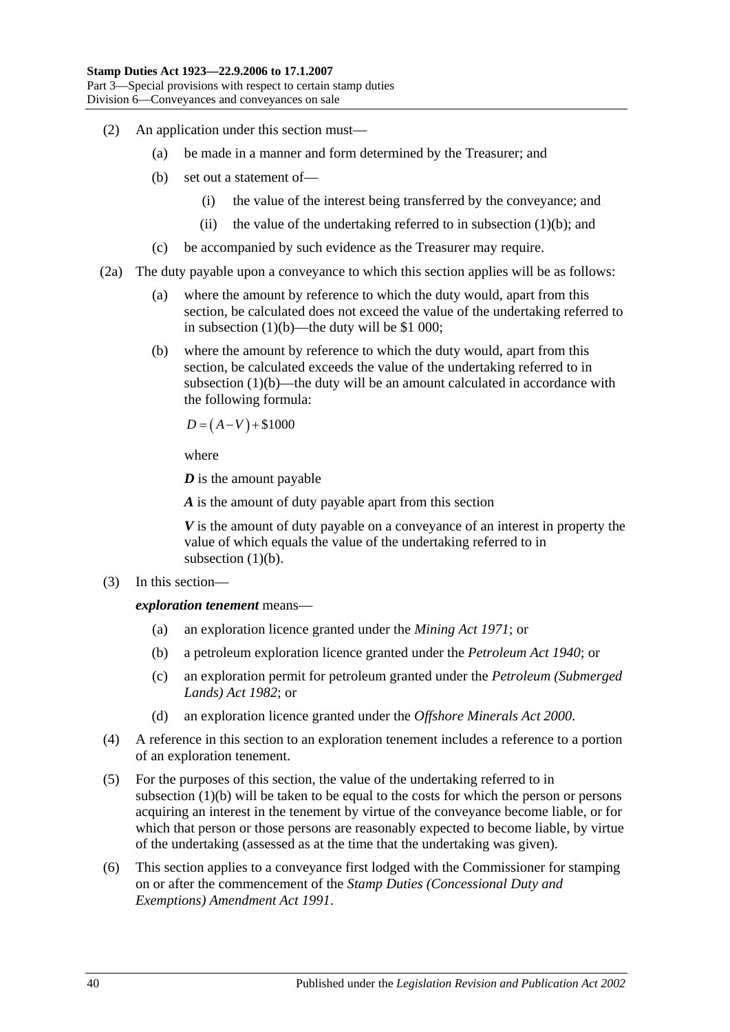- (2) An application under this section must—
	- (a) be made in a manner and form determined by the Treasurer; and
	- (b) set out a statement of—
		- (i) the value of the interest being transferred by the conveyance; and
		- (ii) the value of the undertaking referred to in [subsection](#page-56-3)  $(1)(b)$ ; and
	- (c) be accompanied by such evidence as the Treasurer may require.
- (2a) The duty payable upon a conveyance to which this section applies will be as follows:
	- (a) where the amount by reference to which the duty would, apart from this section, be calculated does not exceed the value of the undertaking referred to in [subsection](#page-56-3)  $(1)(b)$ —the duty will be \$1 000;
	- (b) where the amount by reference to which the duty would, apart from this section, be calculated exceeds the value of the undertaking referred to in [subsection](#page-56-3) (1)(b)—the duty will be an amount calculated in accordance with the following formula:

$$
D = (A - V) + $1000
$$

where

*D* is the amount payable

*A* is the amount of duty payable apart from this section

*V* is the amount of duty payable on a conveyance of an interest in property the value of which equals the value of the undertaking referred to in [subsection](#page-56-3)  $(1)(b)$ .

(3) In this section—

*exploration tenement* means—

- (a) an exploration licence granted under the *[Mining Act](http://www.legislation.sa.gov.au/index.aspx?action=legref&type=act&legtitle=Mining%20Act%201971) 1971*; or
- (b) a petroleum exploration licence granted under the *[Petroleum Act](http://www.legislation.sa.gov.au/index.aspx?action=legref&type=act&legtitle=Petroleum%20Act%201940) 1940*; or
- (c) an exploration permit for petroleum granted under the *[Petroleum \(Submerged](http://www.legislation.sa.gov.au/index.aspx?action=legref&type=act&legtitle=Petroleum%20(Submerged%20Lands)%20Act%201982)  [Lands\) Act](http://www.legislation.sa.gov.au/index.aspx?action=legref&type=act&legtitle=Petroleum%20(Submerged%20Lands)%20Act%201982) 1982*; or
- (d) an exploration licence granted under the *[Offshore Minerals Act](http://www.legislation.sa.gov.au/index.aspx?action=legref&type=act&legtitle=Offshore%20Minerals%20Act%202000) 2000*.
- (4) A reference in this section to an exploration tenement includes a reference to a portion of an exploration tenement.
- (5) For the purposes of this section, the value of the undertaking referred to in [subsection](#page-56-3) (1)(b) will be taken to be equal to the costs for which the person or persons acquiring an interest in the tenement by virtue of the conveyance become liable, or for which that person or those persons are reasonably expected to become liable, by virtue of the undertaking (assessed as at the time that the undertaking was given).
- (6) This section applies to a conveyance first lodged with the Commissioner for stamping on or after the commencement of the *[Stamp Duties \(Concessional Duty and](http://www.legislation.sa.gov.au/index.aspx?action=legref&type=act&legtitle=Stamp%20Duties%20(Concessional%20Duty%20and%20Exemptions)%20Amendment%20Act%201991)  [Exemptions\) Amendment Act](http://www.legislation.sa.gov.au/index.aspx?action=legref&type=act&legtitle=Stamp%20Duties%20(Concessional%20Duty%20and%20Exemptions)%20Amendment%20Act%201991) 1991*.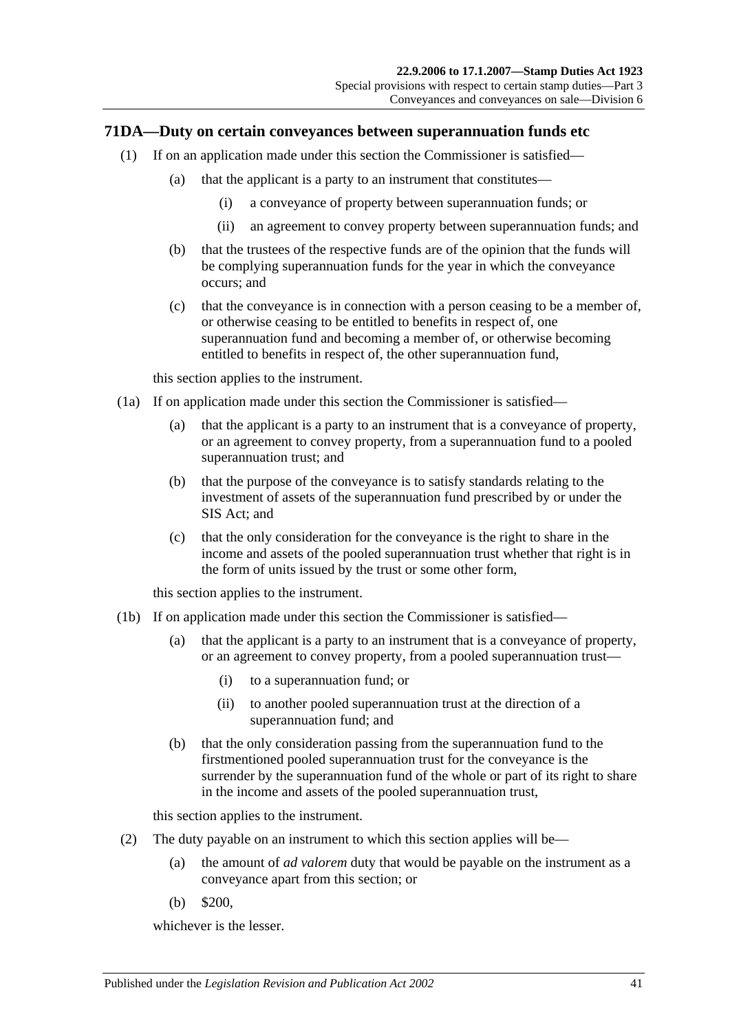### <span id="page-58-0"></span>**71DA—Duty on certain conveyances between superannuation funds etc**

- (1) If on an application made under this section the Commissioner is satisfied—
	- (a) that the applicant is a party to an instrument that constitutes—
		- (i) a conveyance of property between superannuation funds; or
		- (ii) an agreement to convey property between superannuation funds; and
	- (b) that the trustees of the respective funds are of the opinion that the funds will be complying superannuation funds for the year in which the conveyance occurs; and
	- (c) that the conveyance is in connection with a person ceasing to be a member of, or otherwise ceasing to be entitled to benefits in respect of, one superannuation fund and becoming a member of, or otherwise becoming entitled to benefits in respect of, the other superannuation fund,

this section applies to the instrument.

- <span id="page-58-1"></span>(1a) If on application made under this section the Commissioner is satisfied—
	- (a) that the applicant is a party to an instrument that is a conveyance of property, or an agreement to convey property, from a superannuation fund to a pooled superannuation trust; and
	- (b) that the purpose of the conveyance is to satisfy standards relating to the investment of assets of the superannuation fund prescribed by or under the SIS Act; and
	- (c) that the only consideration for the conveyance is the right to share in the income and assets of the pooled superannuation trust whether that right is in the form of units issued by the trust or some other form,

this section applies to the instrument.

- <span id="page-58-2"></span>(1b) If on application made under this section the Commissioner is satisfied—
	- (a) that the applicant is a party to an instrument that is a conveyance of property, or an agreement to convey property, from a pooled superannuation trust—
		- (i) to a superannuation fund; or
		- (ii) to another pooled superannuation trust at the direction of a superannuation fund; and
	- (b) that the only consideration passing from the superannuation fund to the firstmentioned pooled superannuation trust for the conveyance is the surrender by the superannuation fund of the whole or part of its right to share in the income and assets of the pooled superannuation trust,

this section applies to the instrument.

- (2) The duty payable on an instrument to which this section applies will be—
	- (a) the amount of *ad valorem* duty that would be payable on the instrument as a conveyance apart from this section; or
	- (b) \$200,

whichever is the lesser.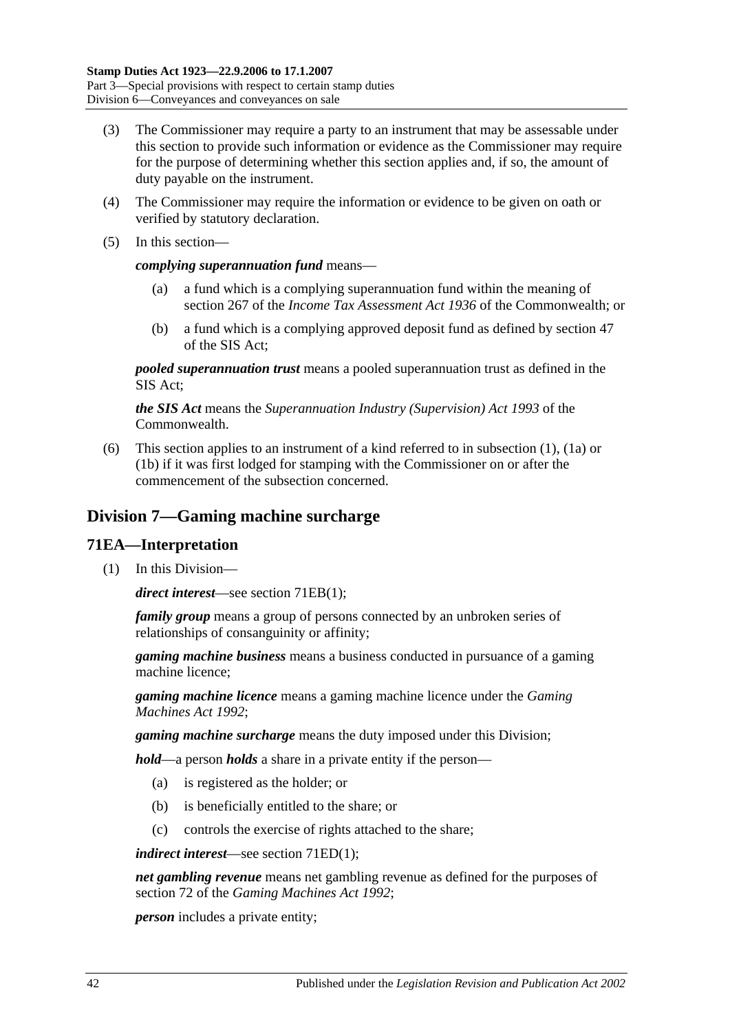- (3) The Commissioner may require a party to an instrument that may be assessable under this section to provide such information or evidence as the Commissioner may require for the purpose of determining whether this section applies and, if so, the amount of duty payable on the instrument.
- (4) The Commissioner may require the information or evidence to be given on oath or verified by statutory declaration.
- (5) In this section—

### *complying superannuation fund* means—

- (a) a fund which is a complying superannuation fund within the meaning of section 267 of the *Income Tax Assessment Act 1936* of the Commonwealth; or
- (b) a fund which is a complying approved deposit fund as defined by section 47 of the SIS Act;

*pooled superannuation trust* means a pooled superannuation trust as defined in the SIS Act;

*the SIS Act* means the *Superannuation Industry (Supervision) Act 1993* of the Commonwealth.

(6) This section applies to an instrument of a kind referred to in [subsection](#page-58-0) (1), [\(1a\)](#page-58-1) or [\(1b\)](#page-58-2) if it was first lodged for stamping with the Commissioner on or after the commencement of the subsection concerned.

# **Division 7—Gaming machine surcharge**

### **71EA—Interpretation**

(1) In this Division—

*direct interest*—see section [71EB\(1\);](#page-60-0)

*family group* means a group of persons connected by an unbroken series of relationships of consanguinity or affinity;

*gaming machine business* means a business conducted in pursuance of a gaming machine licence;

*gaming machine licence* means a gaming machine licence under the *[Gaming](http://www.legislation.sa.gov.au/index.aspx?action=legref&type=act&legtitle=Gaming%20Machines%20Act%201992)  [Machines Act](http://www.legislation.sa.gov.au/index.aspx?action=legref&type=act&legtitle=Gaming%20Machines%20Act%201992) 1992*;

*gaming machine surcharge* means the duty imposed under this Division;

*hold*—a person *holds* a share in a private entity if the person—

- (a) is registered as the holder; or
- (b) is beneficially entitled to the share; or
- (c) controls the exercise of rights attached to the share;

*indirect interest*—see section [71ED\(1\);](#page-61-0)

*net gambling revenue* means net gambling revenue as defined for the purposes of section 72 of the *[Gaming Machines Act](http://www.legislation.sa.gov.au/index.aspx?action=legref&type=act&legtitle=Gaming%20Machines%20Act%201992) 1992*;

*person* includes a private entity;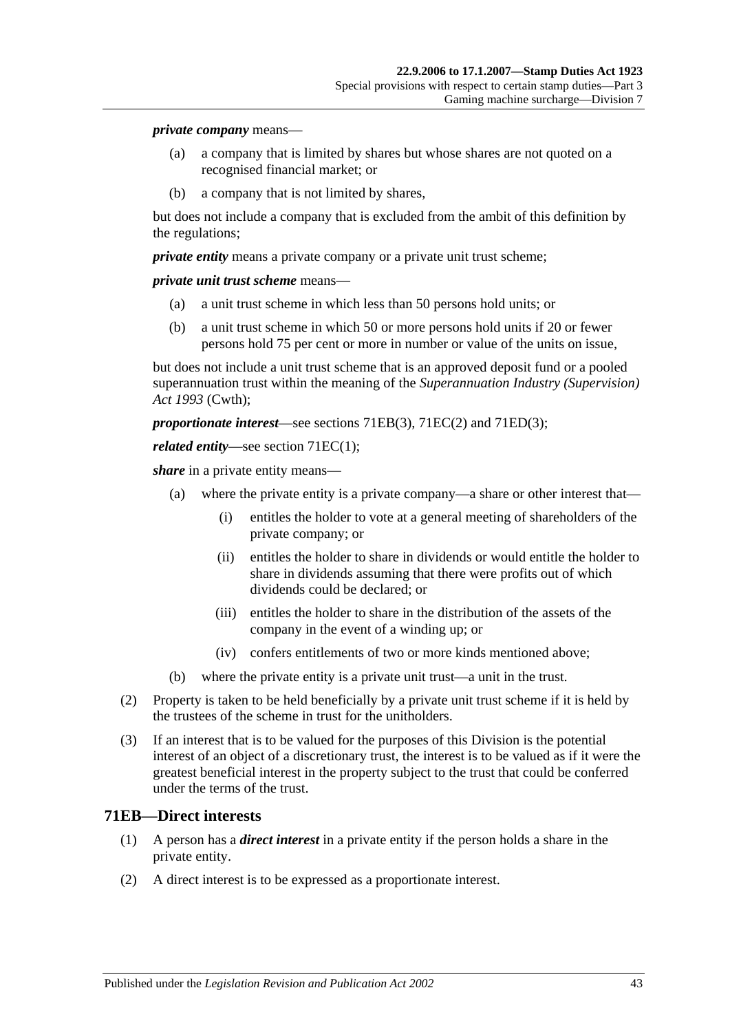#### *private company* means—

- (a) a company that is limited by shares but whose shares are not quoted on a recognised financial market; or
- (b) a company that is not limited by shares,

but does not include a company that is excluded from the ambit of this definition by the regulations;

*private entity* means a private company or a private unit trust scheme;

*private unit trust scheme* means—

- (a) a unit trust scheme in which less than 50 persons hold units; or
- (b) a unit trust scheme in which 50 or more persons hold units if 20 or fewer persons hold 75 per cent or more in number or value of the units on issue,

but does not include a unit trust scheme that is an approved deposit fund or a pooled superannuation trust within the meaning of the *Superannuation Industry (Supervision) Act 1993* (Cwth);

*proportionate interest*—see sections [71EB\(3\),](#page-61-1) [71EC\(2\)](#page-61-2) and [71ED\(3\);](#page-61-3)

#### *related entity*—see section [71EC\(1\);](#page-61-4)

*share* in a private entity means—

- (a) where the private entity is a private company—a share or other interest that—
	- (i) entitles the holder to vote at a general meeting of shareholders of the private company; or
	- (ii) entitles the holder to share in dividends or would entitle the holder to share in dividends assuming that there were profits out of which dividends could be declared; or
	- (iii) entitles the holder to share in the distribution of the assets of the company in the event of a winding up; or
	- (iv) confers entitlements of two or more kinds mentioned above;
- (b) where the private entity is a private unit trust—a unit in the trust.
- (2) Property is taken to be held beneficially by a private unit trust scheme if it is held by the trustees of the scheme in trust for the unitholders.
- (3) If an interest that is to be valued for the purposes of this Division is the potential interest of an object of a discretionary trust, the interest is to be valued as if it were the greatest beneficial interest in the property subject to the trust that could be conferred under the terms of the trust.

### <span id="page-60-0"></span>**71EB—Direct interests**

- (1) A person has a *direct interest* in a private entity if the person holds a share in the private entity.
- (2) A direct interest is to be expressed as a proportionate interest.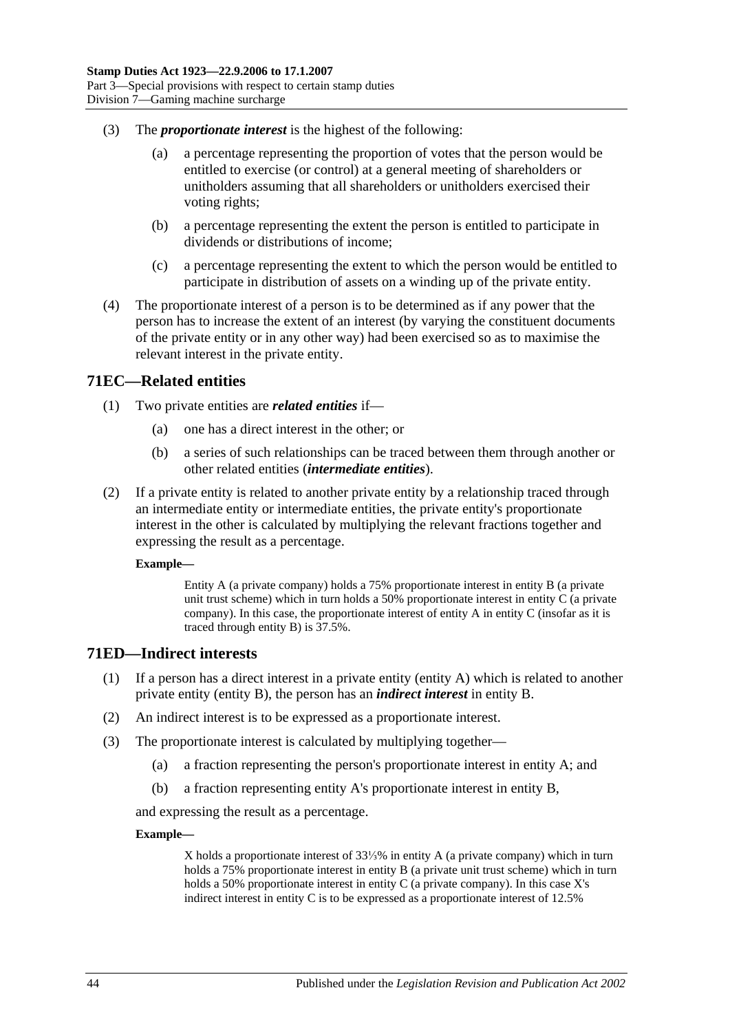- <span id="page-61-1"></span>(3) The *proportionate interest* is the highest of the following:
	- (a) a percentage representing the proportion of votes that the person would be entitled to exercise (or control) at a general meeting of shareholders or unitholders assuming that all shareholders or unitholders exercised their voting rights;
	- (b) a percentage representing the extent the person is entitled to participate in dividends or distributions of income;
	- (c) a percentage representing the extent to which the person would be entitled to participate in distribution of assets on a winding up of the private entity.
- (4) The proportionate interest of a person is to be determined as if any power that the person has to increase the extent of an interest (by varying the constituent documents of the private entity or in any other way) had been exercised so as to maximise the relevant interest in the private entity.

### <span id="page-61-4"></span>**71EC—Related entities**

- (1) Two private entities are *related entities* if—
	- (a) one has a direct interest in the other; or
	- (b) a series of such relationships can be traced between them through another or other related entities (*intermediate entities*).
- <span id="page-61-2"></span>(2) If a private entity is related to another private entity by a relationship traced through an intermediate entity or intermediate entities, the private entity's proportionate interest in the other is calculated by multiplying the relevant fractions together and expressing the result as a percentage.

#### **Example—**

Entity A (a private company) holds a 75% proportionate interest in entity B (a private unit trust scheme) which in turn holds a 50% proportionate interest in entity C (a private company). In this case, the proportionate interest of entity A in entity C (insofar as it is traced through entity B) is 37.5%.

### <span id="page-61-0"></span>**71ED—Indirect interests**

- (1) If a person has a direct interest in a private entity (entity A) which is related to another private entity (entity B), the person has an *indirect interest* in entity B.
- (2) An indirect interest is to be expressed as a proportionate interest.
- <span id="page-61-3"></span>(3) The proportionate interest is calculated by multiplying together—
	- (a) a fraction representing the person's proportionate interest in entity A; and
	- (b) a fraction representing entity A's proportionate interest in entity B,

and expressing the result as a percentage.

#### **Example—**

X holds a proportionate interest of 33⅓% in entity A (a private company) which in turn holds a 75% proportionate interest in entity B (a private unit trust scheme) which in turn holds a 50% proportionate interest in entity C (a private company). In this case X's indirect interest in entity C is to be expressed as a proportionate interest of 12.5%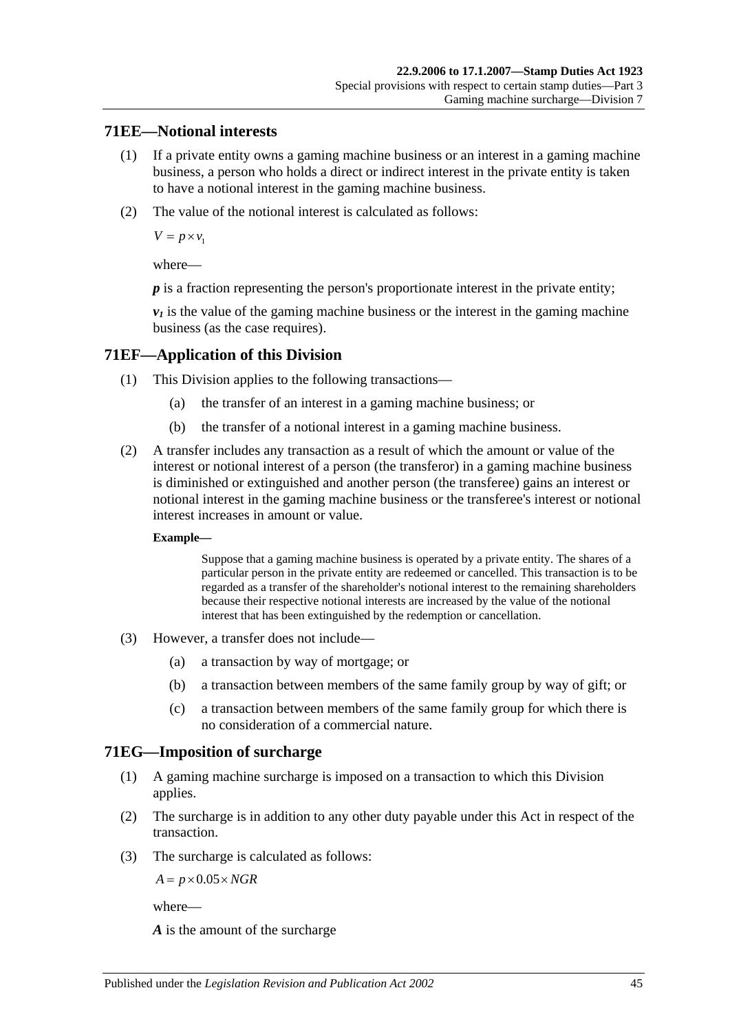## **71EE—Notional interests**

- (1) If a private entity owns a gaming machine business or an interest in a gaming machine business, a person who holds a direct or indirect interest in the private entity is taken to have a notional interest in the gaming machine business.
- (2) The value of the notional interest is calculated as follows:

 $V = p \times v_1$ 

where—

*p* is a fraction representing the person's proportionate interest in the private entity;

 $v_1$  is the value of the gaming machine business or the interest in the gaming machine business (as the case requires).

## **71EF—Application of this Division**

- (1) This Division applies to the following transactions—
	- (a) the transfer of an interest in a gaming machine business; or
	- (b) the transfer of a notional interest in a gaming machine business.
- (2) A transfer includes any transaction as a result of which the amount or value of the interest or notional interest of a person (the transferor) in a gaming machine business is diminished or extinguished and another person (the transferee) gains an interest or notional interest in the gaming machine business or the transferee's interest or notional interest increases in amount or value.

#### **Example—**

Suppose that a gaming machine business is operated by a private entity. The shares of a particular person in the private entity are redeemed or cancelled. This transaction is to be regarded as a transfer of the shareholder's notional interest to the remaining shareholders because their respective notional interests are increased by the value of the notional interest that has been extinguished by the redemption or cancellation.

- (3) However, a transfer does not include—
	- (a) a transaction by way of mortgage; or
	- (b) a transaction between members of the same family group by way of gift; or
	- (c) a transaction between members of the same family group for which there is no consideration of a commercial nature.

## **71EG—Imposition of surcharge**

- (1) A gaming machine surcharge is imposed on a transaction to which this Division applies.
- (2) The surcharge is in addition to any other duty payable under this Act in respect of the transaction.
- (3) The surcharge is calculated as follows:

 $A = p \times 0.05 \times NGR$ 

where—

*A* is the amount of the surcharge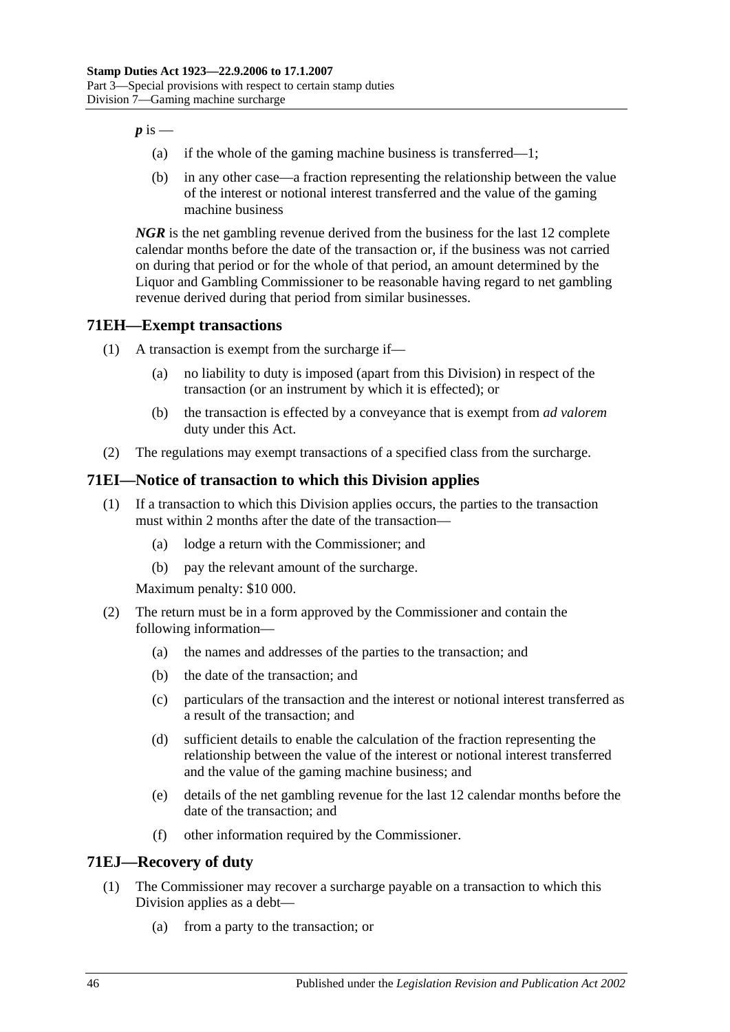$p$  is  $-$ 

- (a) if the whole of the gaming machine business is transferred—1;
- (b) in any other case—a fraction representing the relationship between the value of the interest or notional interest transferred and the value of the gaming machine business

*NGR* is the net gambling revenue derived from the business for the last 12 complete calendar months before the date of the transaction or, if the business was not carried on during that period or for the whole of that period, an amount determined by the Liquor and Gambling Commissioner to be reasonable having regard to net gambling revenue derived during that period from similar businesses.

# **71EH—Exempt transactions**

- (1) A transaction is exempt from the surcharge if—
	- (a) no liability to duty is imposed (apart from this Division) in respect of the transaction (or an instrument by which it is effected); or
	- (b) the transaction is effected by a conveyance that is exempt from *ad valorem* duty under this Act.
- (2) The regulations may exempt transactions of a specified class from the surcharge.

# **71EI—Notice of transaction to which this Division applies**

- (1) If a transaction to which this Division applies occurs, the parties to the transaction must within 2 months after the date of the transaction—
	- (a) lodge a return with the Commissioner; and
	- (b) pay the relevant amount of the surcharge.

Maximum penalty: \$10 000.

- (2) The return must be in a form approved by the Commissioner and contain the following information—
	- (a) the names and addresses of the parties to the transaction; and
	- (b) the date of the transaction; and
	- (c) particulars of the transaction and the interest or notional interest transferred as a result of the transaction; and
	- (d) sufficient details to enable the calculation of the fraction representing the relationship between the value of the interest or notional interest transferred and the value of the gaming machine business; and
	- (e) details of the net gambling revenue for the last 12 calendar months before the date of the transaction; and
	- (f) other information required by the Commissioner.

## **71EJ—Recovery of duty**

- (1) The Commissioner may recover a surcharge payable on a transaction to which this Division applies as a debt—
	- (a) from a party to the transaction; or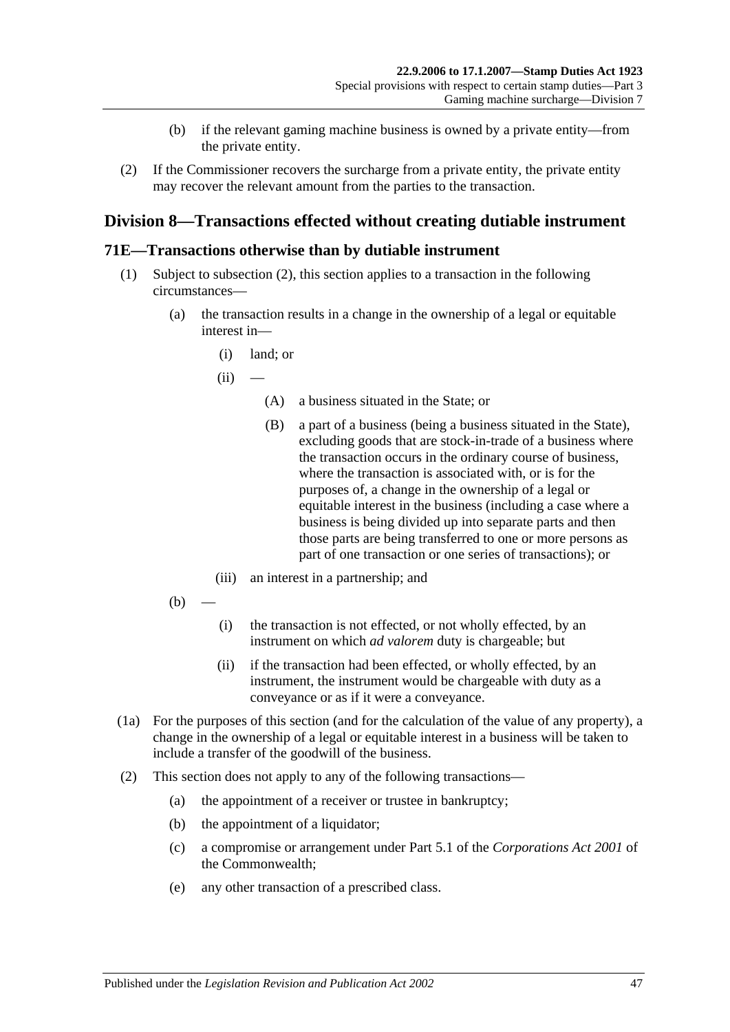- (b) if the relevant gaming machine business is owned by a private entity—from the private entity.
- (2) If the Commissioner recovers the surcharge from a private entity, the private entity may recover the relevant amount from the parties to the transaction.

# **Division 8—Transactions effected without creating dutiable instrument**

### <span id="page-64-0"></span>**71E—Transactions otherwise than by dutiable instrument**

- (1) Subject to [subsection](#page-64-1) (2), this section applies to a transaction in the following circumstances—
	- (a) the transaction results in a change in the ownership of a legal or equitable interest in—
		- (i) land; or
		- $(ii)$ 
			- (A) a business situated in the State; or
			- (B) a part of a business (being a business situated in the State), excluding goods that are stock-in-trade of a business where the transaction occurs in the ordinary course of business, where the transaction is associated with, or is for the purposes of, a change in the ownership of a legal or equitable interest in the business (including a case where a business is being divided up into separate parts and then those parts are being transferred to one or more persons as part of one transaction or one series of transactions); or
		- (iii) an interest in a partnership; and
	- $(b)$
- (i) the transaction is not effected, or not wholly effected, by an instrument on which *ad valorem* duty is chargeable; but
- (ii) if the transaction had been effected, or wholly effected, by an instrument, the instrument would be chargeable with duty as a conveyance or as if it were a conveyance.
- (1a) For the purposes of this section (and for the calculation of the value of any property), a change in the ownership of a legal or equitable interest in a business will be taken to include a transfer of the goodwill of the business.
- <span id="page-64-1"></span>(2) This section does not apply to any of the following transactions—
	- (a) the appointment of a receiver or trustee in bankruptcy;
	- (b) the appointment of a liquidator;
	- (c) a compromise or arrangement under Part 5.1 of the *Corporations Act 2001* of the Commonwealth;
	- (e) any other transaction of a prescribed class.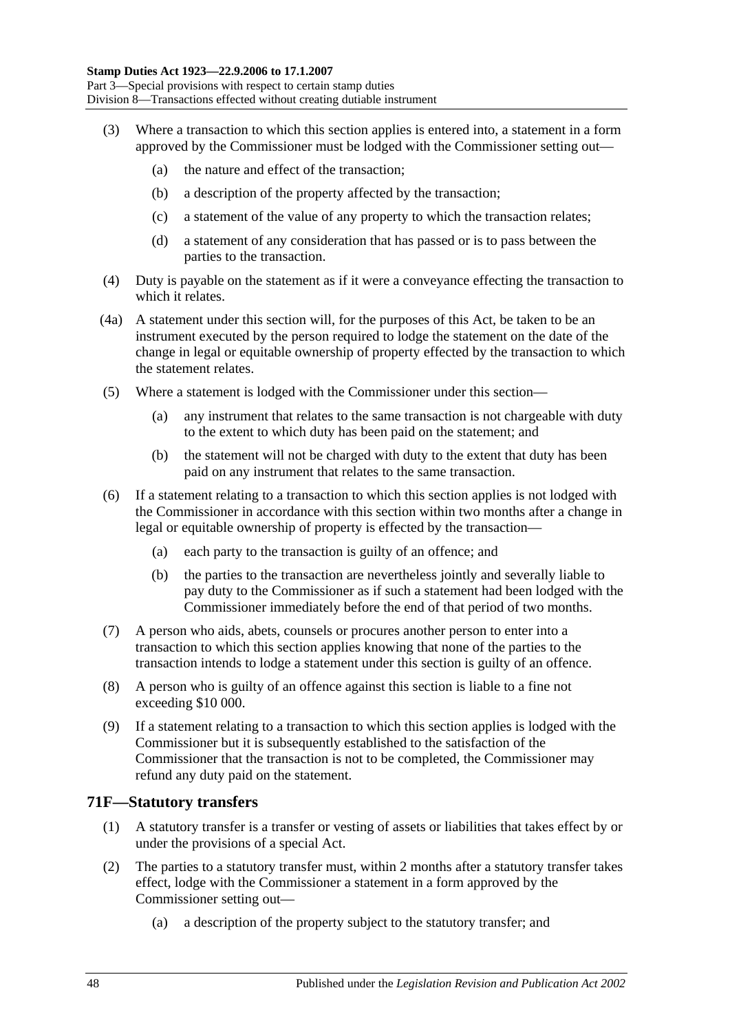- (3) Where a transaction to which this section applies is entered into, a statement in a form approved by the Commissioner must be lodged with the Commissioner setting out—
	- (a) the nature and effect of the transaction;
	- (b) a description of the property affected by the transaction;
	- (c) a statement of the value of any property to which the transaction relates;
	- (d) a statement of any consideration that has passed or is to pass between the parties to the transaction.
- (4) Duty is payable on the statement as if it were a conveyance effecting the transaction to which it relates.
- (4a) A statement under this section will, for the purposes of this Act, be taken to be an instrument executed by the person required to lodge the statement on the date of the change in legal or equitable ownership of property effected by the transaction to which the statement relates.
- (5) Where a statement is lodged with the Commissioner under this section—
	- (a) any instrument that relates to the same transaction is not chargeable with duty to the extent to which duty has been paid on the statement; and
	- (b) the statement will not be charged with duty to the extent that duty has been paid on any instrument that relates to the same transaction.
- (6) If a statement relating to a transaction to which this section applies is not lodged with the Commissioner in accordance with this section within two months after a change in legal or equitable ownership of property is effected by the transaction—
	- (a) each party to the transaction is guilty of an offence; and
	- (b) the parties to the transaction are nevertheless jointly and severally liable to pay duty to the Commissioner as if such a statement had been lodged with the Commissioner immediately before the end of that period of two months.
- (7) A person who aids, abets, counsels or procures another person to enter into a transaction to which this section applies knowing that none of the parties to the transaction intends to lodge a statement under this section is guilty of an offence.
- (8) A person who is guilty of an offence against this section is liable to a fine not exceeding \$10 000.
- (9) If a statement relating to a transaction to which this section applies is lodged with the Commissioner but it is subsequently established to the satisfaction of the Commissioner that the transaction is not to be completed, the Commissioner may refund any duty paid on the statement.

### **71F—Statutory transfers**

- (1) A statutory transfer is a transfer or vesting of assets or liabilities that takes effect by or under the provisions of a special Act.
- (2) The parties to a statutory transfer must, within 2 months after a statutory transfer takes effect, lodge with the Commissioner a statement in a form approved by the Commissioner setting out—
	- (a) a description of the property subject to the statutory transfer; and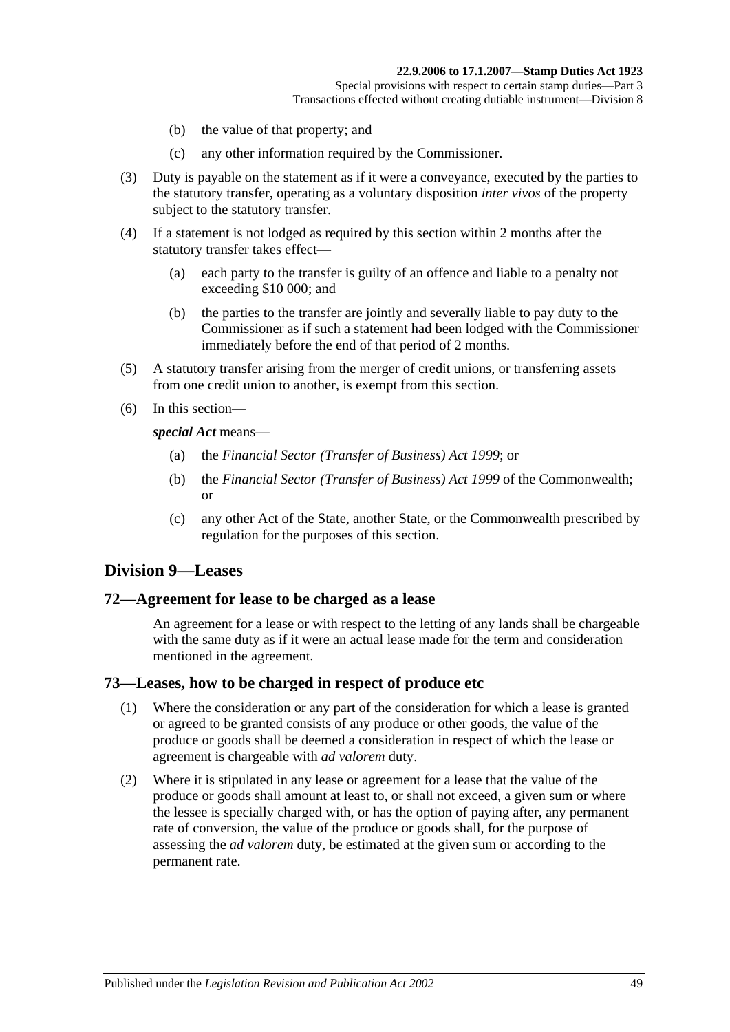- (b) the value of that property; and
- (c) any other information required by the Commissioner.
- (3) Duty is payable on the statement as if it were a conveyance, executed by the parties to the statutory transfer, operating as a voluntary disposition *inter vivos* of the property subject to the statutory transfer.
- (4) If a statement is not lodged as required by this section within 2 months after the statutory transfer takes effect—
	- (a) each party to the transfer is guilty of an offence and liable to a penalty not exceeding \$10 000; and
	- (b) the parties to the transfer are jointly and severally liable to pay duty to the Commissioner as if such a statement had been lodged with the Commissioner immediately before the end of that period of 2 months.
- (5) A statutory transfer arising from the merger of credit unions, or transferring assets from one credit union to another, is exempt from this section.
- (6) In this section—

*special Act* means—

- (a) the *[Financial Sector \(Transfer of Business\) Act](http://www.legislation.sa.gov.au/index.aspx?action=legref&type=act&legtitle=Financial%20Sector%20(Transfer%20of%20Business)%20Act%201999) 1999*; or
- (b) the *Financial Sector (Transfer of Business) Act 1999* of the Commonwealth; or
- (c) any other Act of the State, another State, or the Commonwealth prescribed by regulation for the purposes of this section.

## **Division 9—Leases**

### **72—Agreement for lease to be charged as a lease**

An agreement for a lease or with respect to the letting of any lands shall be chargeable with the same duty as if it were an actual lease made for the term and consideration mentioned in the agreement.

### **73—Leases, how to be charged in respect of produce etc**

- (1) Where the consideration or any part of the consideration for which a lease is granted or agreed to be granted consists of any produce or other goods, the value of the produce or goods shall be deemed a consideration in respect of which the lease or agreement is chargeable with *ad valorem* duty.
- (2) Where it is stipulated in any lease or agreement for a lease that the value of the produce or goods shall amount at least to, or shall not exceed, a given sum or where the lessee is specially charged with, or has the option of paying after, any permanent rate of conversion, the value of the produce or goods shall, for the purpose of assessing the *ad valorem* duty, be estimated at the given sum or according to the permanent rate.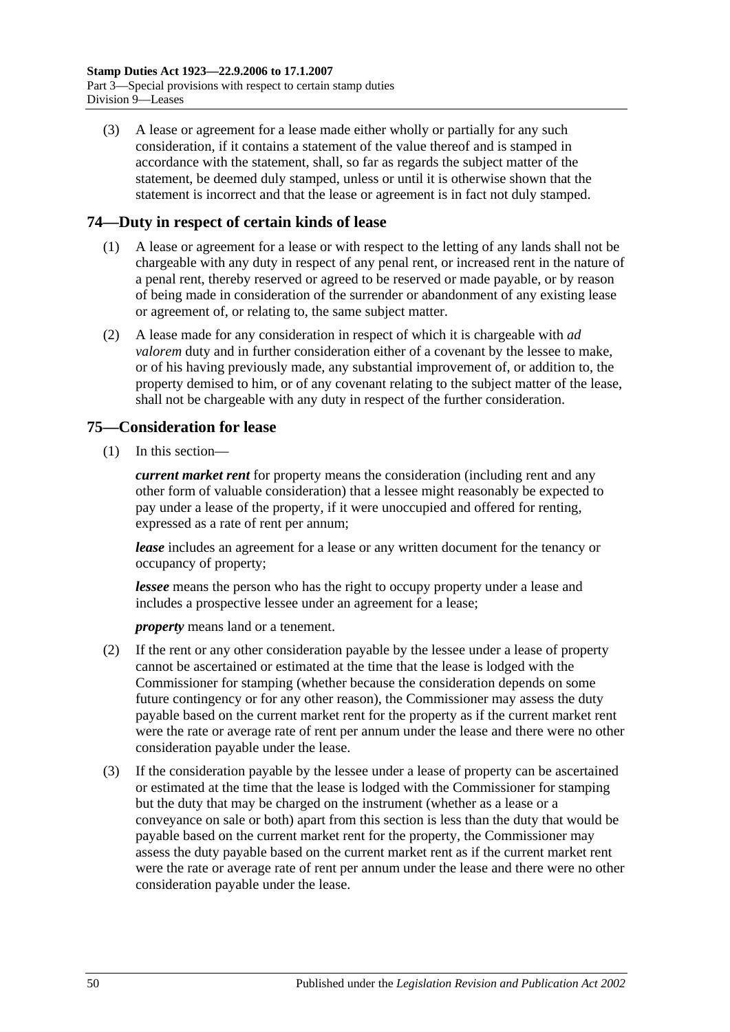(3) A lease or agreement for a lease made either wholly or partially for any such consideration, if it contains a statement of the value thereof and is stamped in accordance with the statement, shall, so far as regards the subject matter of the statement, be deemed duly stamped, unless or until it is otherwise shown that the statement is incorrect and that the lease or agreement is in fact not duly stamped.

# **74—Duty in respect of certain kinds of lease**

- (1) A lease or agreement for a lease or with respect to the letting of any lands shall not be chargeable with any duty in respect of any penal rent, or increased rent in the nature of a penal rent, thereby reserved or agreed to be reserved or made payable, or by reason of being made in consideration of the surrender or abandonment of any existing lease or agreement of, or relating to, the same subject matter.
- (2) A lease made for any consideration in respect of which it is chargeable with *ad valorem* duty and in further consideration either of a covenant by the lessee to make, or of his having previously made, any substantial improvement of, or addition to, the property demised to him, or of any covenant relating to the subject matter of the lease, shall not be chargeable with any duty in respect of the further consideration.

# **75—Consideration for lease**

(1) In this section—

*current market rent* for property means the consideration (including rent and any other form of valuable consideration) that a lessee might reasonably be expected to pay under a lease of the property, if it were unoccupied and offered for renting, expressed as a rate of rent per annum;

*lease* includes an agreement for a lease or any written document for the tenancy or occupancy of property;

*lessee* means the person who has the right to occupy property under a lease and includes a prospective lessee under an agreement for a lease;

*property* means land or a tenement.

- (2) If the rent or any other consideration payable by the lessee under a lease of property cannot be ascertained or estimated at the time that the lease is lodged with the Commissioner for stamping (whether because the consideration depends on some future contingency or for any other reason), the Commissioner may assess the duty payable based on the current market rent for the property as if the current market rent were the rate or average rate of rent per annum under the lease and there were no other consideration payable under the lease.
- (3) If the consideration payable by the lessee under a lease of property can be ascertained or estimated at the time that the lease is lodged with the Commissioner for stamping but the duty that may be charged on the instrument (whether as a lease or a conveyance on sale or both) apart from this section is less than the duty that would be payable based on the current market rent for the property, the Commissioner may assess the duty payable based on the current market rent as if the current market rent were the rate or average rate of rent per annum under the lease and there were no other consideration payable under the lease.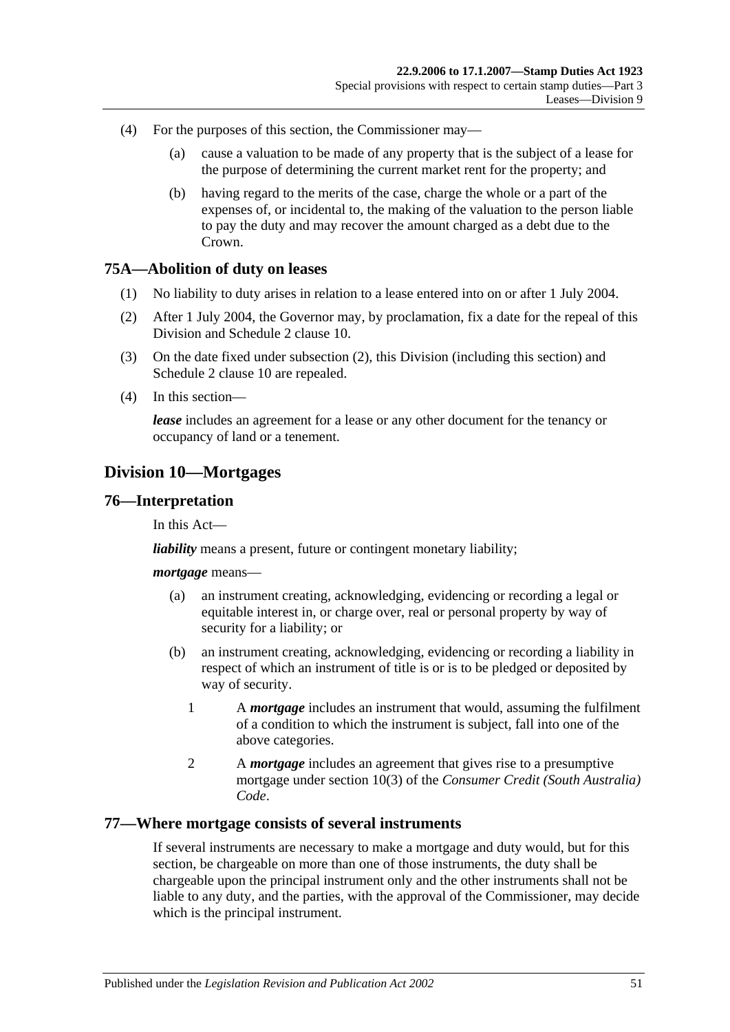- (4) For the purposes of this section, the Commissioner may—
	- (a) cause a valuation to be made of any property that is the subject of a lease for the purpose of determining the current market rent for the property; and
	- (b) having regard to the merits of the case, charge the whole or a part of the expenses of, or incidental to, the making of the valuation to the person liable to pay the duty and may recover the amount charged as a debt due to the Crown.

### **75A—Abolition of duty on leases**

- (1) No liability to duty arises in relation to a lease entered into on or after 1 July 2004.
- <span id="page-68-0"></span>(2) After 1 July 2004, the Governor may, by proclamation, fix a date for the repeal of this Division and Schedule 2 clause 10.
- (3) On the date fixed under [subsection](#page-68-0) (2), this Division (including this section) and Schedule 2 clause 10 are repealed.
- (4) In this section—

*lease* includes an agreement for a lease or any other document for the tenancy or occupancy of land or a tenement.

# **Division 10—Mortgages**

### **76—Interpretation**

In this Act—

*liability* means a present, future or contingent monetary liability;

#### *mortgage* means—

- (a) an instrument creating, acknowledging, evidencing or recording a legal or equitable interest in, or charge over, real or personal property by way of security for a liability; or
- (b) an instrument creating, acknowledging, evidencing or recording a liability in respect of which an instrument of title is or is to be pledged or deposited by way of security.
	- 1 A *mortgage* includes an instrument that would, assuming the fulfilment of a condition to which the instrument is subject, fall into one of the above categories.
	- 2 A *mortgage* includes an agreement that gives rise to a presumptive mortgage under section 10(3) of the *Consumer Credit (South Australia) Code*.

### **77—Where mortgage consists of several instruments**

If several instruments are necessary to make a mortgage and duty would, but for this section, be chargeable on more than one of those instruments, the duty shall be chargeable upon the principal instrument only and the other instruments shall not be liable to any duty, and the parties, with the approval of the Commissioner, may decide which is the principal instrument.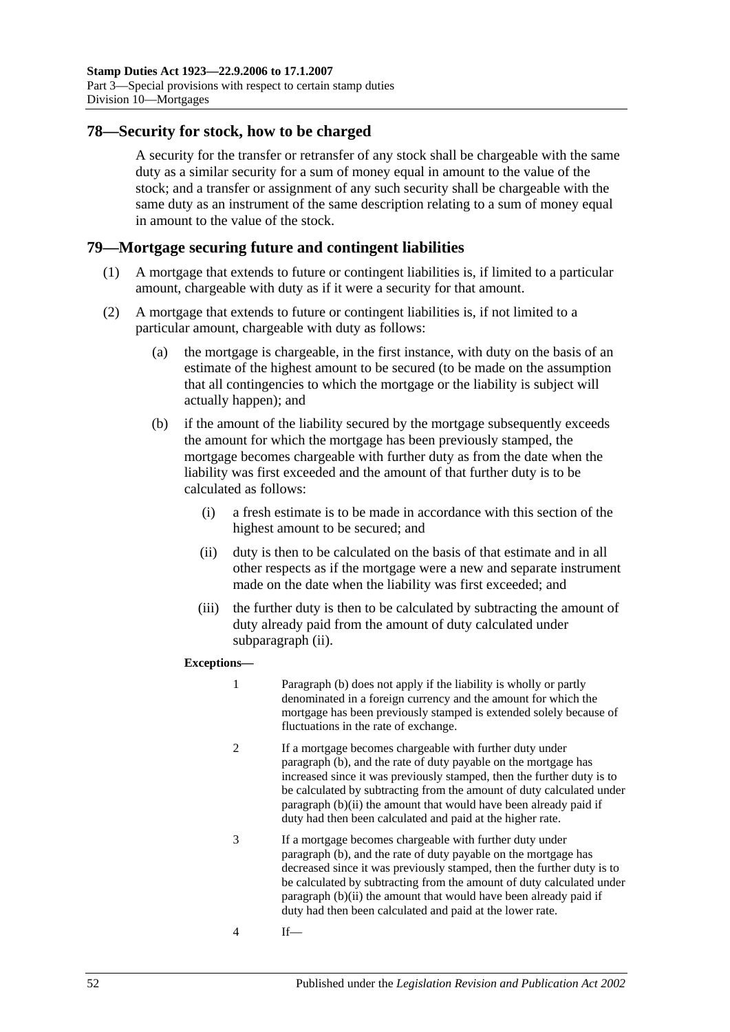## **78—Security for stock, how to be charged**

A security for the transfer or retransfer of any stock shall be chargeable with the same duty as a similar security for a sum of money equal in amount to the value of the stock; and a transfer or assignment of any such security shall be chargeable with the same duty as an instrument of the same description relating to a sum of money equal in amount to the value of the stock.

### **79—Mortgage securing future and contingent liabilities**

- (1) A mortgage that extends to future or contingent liabilities is, if limited to a particular amount, chargeable with duty as if it were a security for that amount.
- <span id="page-69-2"></span><span id="page-69-1"></span>(2) A mortgage that extends to future or contingent liabilities is, if not limited to a particular amount, chargeable with duty as follows:
	- (a) the mortgage is chargeable, in the first instance, with duty on the basis of an estimate of the highest amount to be secured (to be made on the assumption that all contingencies to which the mortgage or the liability is subject will actually happen); and
	- (b) if the amount of the liability secured by the mortgage subsequently exceeds the amount for which the mortgage has been previously stamped, the mortgage becomes chargeable with further duty as from the date when the liability was first exceeded and the amount of that further duty is to be calculated as follows:
		- (i) a fresh estimate is to be made in accordance with this section of the highest amount to be secured; and
		- (ii) duty is then to be calculated on the basis of that estimate and in all other respects as if the mortgage were a new and separate instrument made on the date when the liability was first exceeded; and
		- (iii) the further duty is then to be calculated by subtracting the amount of duty already paid from the amount of duty calculated under [subparagraph](#page-69-0) (ii).

#### <span id="page-69-0"></span>**Exceptions—**

- 1 [Paragraph](#page-69-1) (b) does not apply if the liability is wholly or partly denominated in a foreign currency and the amount for which the mortgage has been previously stamped is extended solely because of fluctuations in the rate of exchange.
- 2 If a mortgage becomes chargeable with further duty under [paragraph](#page-69-1) (b), and the rate of duty payable on the mortgage has increased since it was previously stamped, then the further duty is to be calculated by subtracting from the amount of duty calculated under [paragraph](#page-69-0) (b)(ii) the amount that would have been already paid if duty had then been calculated and paid at the higher rate.
- 3 If a mortgage becomes chargeable with further duty under [paragraph](#page-69-1) (b), and the rate of duty payable on the mortgage has decreased since it was previously stamped, then the further duty is to be calculated by subtracting from the amount of duty calculated under [paragraph](#page-69-0) (b)(ii) the amount that would have been already paid if duty had then been calculated and paid at the lower rate.
- 4 If—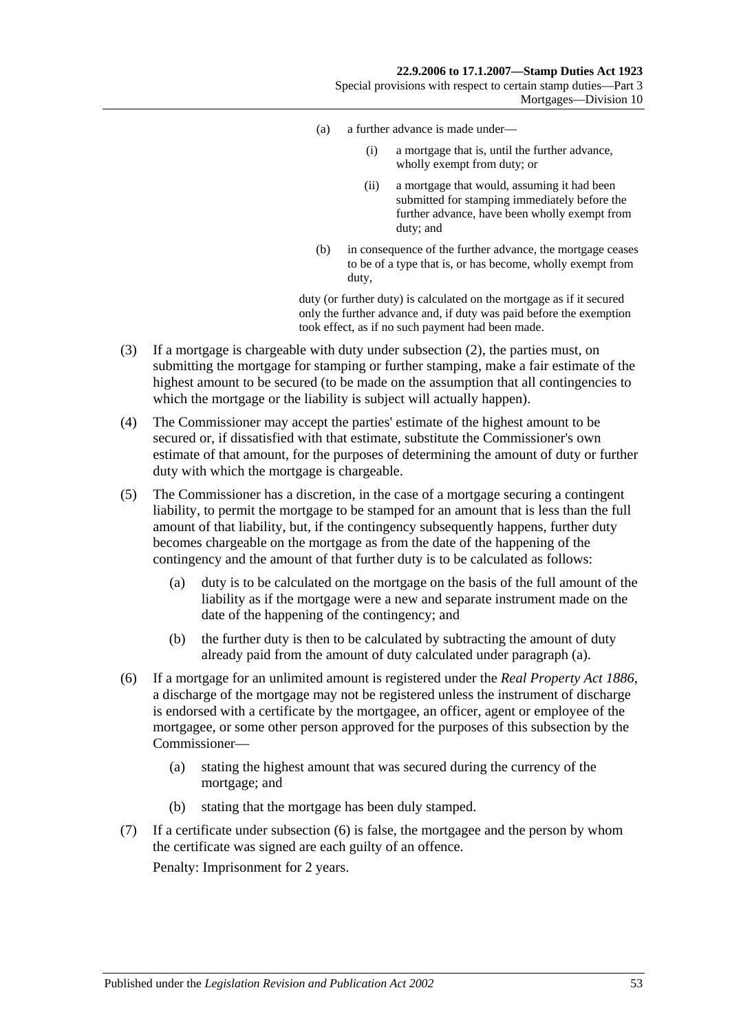- (a) a further advance is made under—
	- (i) a mortgage that is, until the further advance, wholly exempt from duty; or
	- (ii) a mortgage that would, assuming it had been submitted for stamping immediately before the further advance, have been wholly exempt from duty; and
- (b) in consequence of the further advance, the mortgage ceases to be of a type that is, or has become, wholly exempt from duty,

duty (or further duty) is calculated on the mortgage as if it secured only the further advance and, if duty was paid before the exemption took effect, as if no such payment had been made.

- (3) If a mortgage is chargeable with duty under [subsection](#page-69-2) (2), the parties must, on submitting the mortgage for stamping or further stamping, make a fair estimate of the highest amount to be secured (to be made on the assumption that all contingencies to which the mortgage or the liability is subject will actually happen).
- (4) The Commissioner may accept the parties' estimate of the highest amount to be secured or, if dissatisfied with that estimate, substitute the Commissioner's own estimate of that amount, for the purposes of determining the amount of duty or further duty with which the mortgage is chargeable.
- <span id="page-70-0"></span>(5) The Commissioner has a discretion, in the case of a mortgage securing a contingent liability, to permit the mortgage to be stamped for an amount that is less than the full amount of that liability, but, if the contingency subsequently happens, further duty becomes chargeable on the mortgage as from the date of the happening of the contingency and the amount of that further duty is to be calculated as follows:
	- (a) duty is to be calculated on the mortgage on the basis of the full amount of the liability as if the mortgage were a new and separate instrument made on the date of the happening of the contingency; and
	- (b) the further duty is then to be calculated by subtracting the amount of duty already paid from the amount of duty calculated under [paragraph](#page-70-0) (a).
- <span id="page-70-1"></span>(6) If a mortgage for an unlimited amount is registered under the *[Real Property Act](http://www.legislation.sa.gov.au/index.aspx?action=legref&type=act&legtitle=Real%20Property%20Act%201886) 1886*, a discharge of the mortgage may not be registered unless the instrument of discharge is endorsed with a certificate by the mortgagee, an officer, agent or employee of the mortgagee, or some other person approved for the purposes of this subsection by the Commissioner—
	- (a) stating the highest amount that was secured during the currency of the mortgage; and
	- (b) stating that the mortgage has been duly stamped.
- (7) If a certificate under [subsection](#page-70-1) (6) is false, the mortgagee and the person by whom the certificate was signed are each guilty of an offence.

Penalty: Imprisonment for 2 years.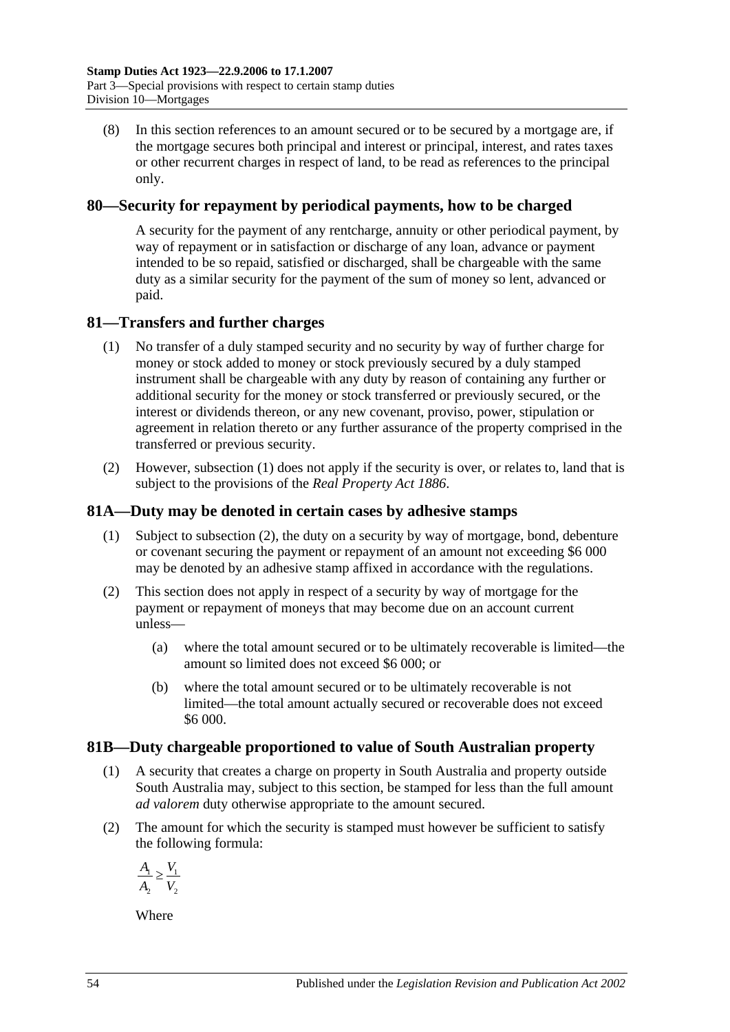(8) In this section references to an amount secured or to be secured by a mortgage are, if the mortgage secures both principal and interest or principal, interest, and rates taxes or other recurrent charges in respect of land, to be read as references to the principal only.

## **80—Security for repayment by periodical payments, how to be charged**

A security for the payment of any rentcharge, annuity or other periodical payment, by way of repayment or in satisfaction or discharge of any loan, advance or payment intended to be so repaid, satisfied or discharged, shall be chargeable with the same duty as a similar security for the payment of the sum of money so lent, advanced or paid.

# <span id="page-71-0"></span>**81—Transfers and further charges**

- (1) No transfer of a duly stamped security and no security by way of further charge for money or stock added to money or stock previously secured by a duly stamped instrument shall be chargeable with any duty by reason of containing any further or additional security for the money or stock transferred or previously secured, or the interest or dividends thereon, or any new covenant, proviso, power, stipulation or agreement in relation thereto or any further assurance of the property comprised in the transferred or previous security.
- (2) However, [subsection](#page-71-0) (1) does not apply if the security is over, or relates to, land that is subject to the provisions of the *[Real Property Act](http://www.legislation.sa.gov.au/index.aspx?action=legref&type=act&legtitle=Real%20Property%20Act%201886) 1886*.

# **81A—Duty may be denoted in certain cases by adhesive stamps**

- (1) Subject to [subsection](#page-71-1) (2), the duty on a security by way of mortgage, bond, debenture or covenant securing the payment or repayment of an amount not exceeding \$6 000 may be denoted by an adhesive stamp affixed in accordance with the regulations.
- <span id="page-71-1"></span>(2) This section does not apply in respect of a security by way of mortgage for the payment or repayment of moneys that may become due on an account current unless—
	- (a) where the total amount secured or to be ultimately recoverable is limited—the amount so limited does not exceed \$6 000; or
	- (b) where the total amount secured or to be ultimately recoverable is not limited—the total amount actually secured or recoverable does not exceed \$6 000.

## **81B—Duty chargeable proportioned to value of South Australian property**

- (1) A security that creates a charge on property in South Australia and property outside South Australia may, subject to this section, be stamped for less than the full amount *ad valorem* duty otherwise appropriate to the amount secured.
- (2) The amount for which the security is stamped must however be sufficient to satisfy the following formula:

$$
\frac{A_1}{A_2} \ge \frac{V_1}{V_2}
$$

Where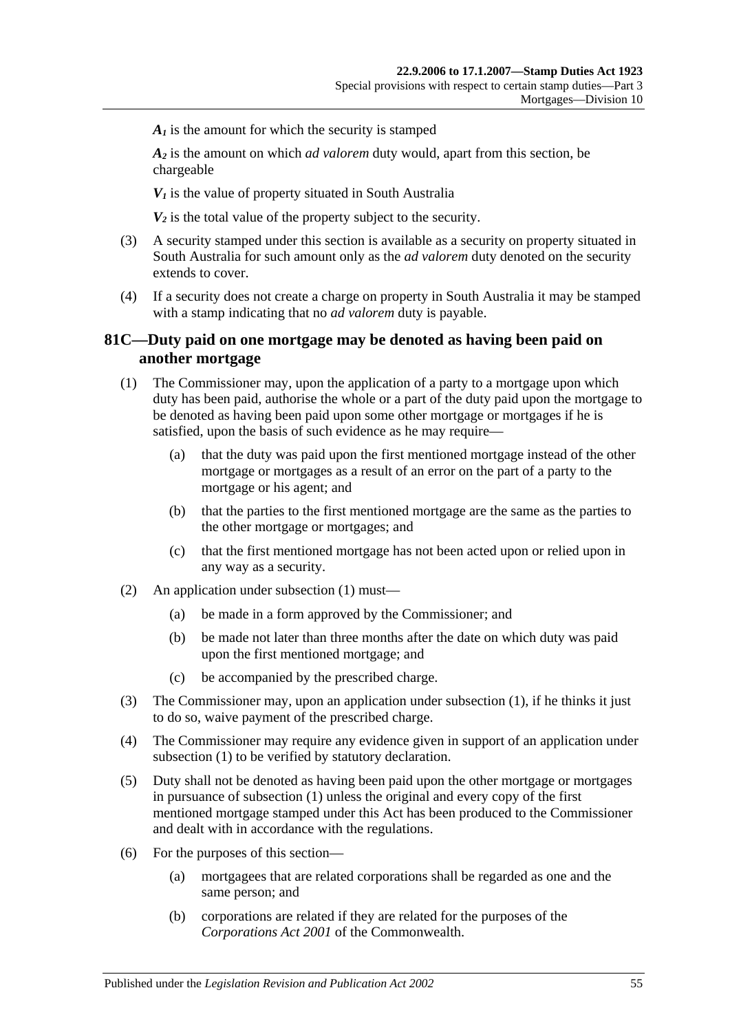$A<sub>i</sub>$  is the amount for which the security is stamped

*A2* is the amount on which *ad valorem* duty would, apart from this section, be chargeable

 $V_1$  is the value of property situated in South Australia

 $V_2$  is the total value of the property subject to the security.

- (3) A security stamped under this section is available as a security on property situated in South Australia for such amount only as the *ad valorem* duty denoted on the security extends to cover.
- (4) If a security does not create a charge on property in South Australia it may be stamped with a stamp indicating that no *ad valorem* duty is payable.

## **81C—Duty paid on one mortgage may be denoted as having been paid on another mortgage**

- <span id="page-72-0"></span>(1) The Commissioner may, upon the application of a party to a mortgage upon which duty has been paid, authorise the whole or a part of the duty paid upon the mortgage to be denoted as having been paid upon some other mortgage or mortgages if he is satisfied, upon the basis of such evidence as he may require—
	- (a) that the duty was paid upon the first mentioned mortgage instead of the other mortgage or mortgages as a result of an error on the part of a party to the mortgage or his agent; and
	- (b) that the parties to the first mentioned mortgage are the same as the parties to the other mortgage or mortgages; and
	- (c) that the first mentioned mortgage has not been acted upon or relied upon in any way as a security.
- (2) An application under [subsection](#page-72-0) (1) must—
	- (a) be made in a form approved by the Commissioner; and
	- (b) be made not later than three months after the date on which duty was paid upon the first mentioned mortgage; and
	- (c) be accompanied by the prescribed charge.
- (3) The Commissioner may, upon an application under [subsection](#page-72-0) (1), if he thinks it just to do so, waive payment of the prescribed charge.
- (4) The Commissioner may require any evidence given in support of an application under [subsection](#page-72-0) (1) to be verified by statutory declaration.
- (5) Duty shall not be denoted as having been paid upon the other mortgage or mortgages in pursuance of [subsection](#page-72-0) (1) unless the original and every copy of the first mentioned mortgage stamped under this Act has been produced to the Commissioner and dealt with in accordance with the regulations.
- (6) For the purposes of this section—
	- (a) mortgagees that are related corporations shall be regarded as one and the same person; and
	- (b) corporations are related if they are related for the purposes of the *Corporations Act 2001* of the Commonwealth.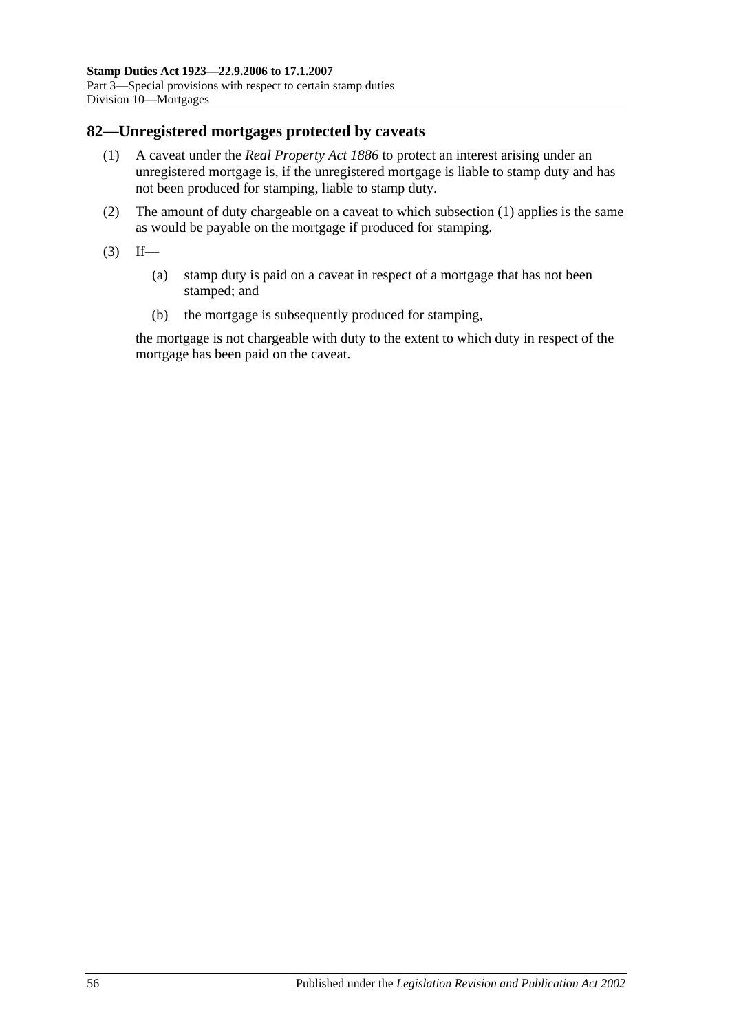#### <span id="page-73-0"></span>**82—Unregistered mortgages protected by caveats**

- (1) A caveat under the *[Real Property Act](http://www.legislation.sa.gov.au/index.aspx?action=legref&type=act&legtitle=Real%20Property%20Act%201886) 1886* to protect an interest arising under an unregistered mortgage is, if the unregistered mortgage is liable to stamp duty and has not been produced for stamping, liable to stamp duty.
- (2) The amount of duty chargeable on a caveat to which [subsection](#page-73-0) (1) applies is the same as would be payable on the mortgage if produced for stamping.
- $(3)$  If—
	- (a) stamp duty is paid on a caveat in respect of a mortgage that has not been stamped; and
	- (b) the mortgage is subsequently produced for stamping,

the mortgage is not chargeable with duty to the extent to which duty in respect of the mortgage has been paid on the caveat.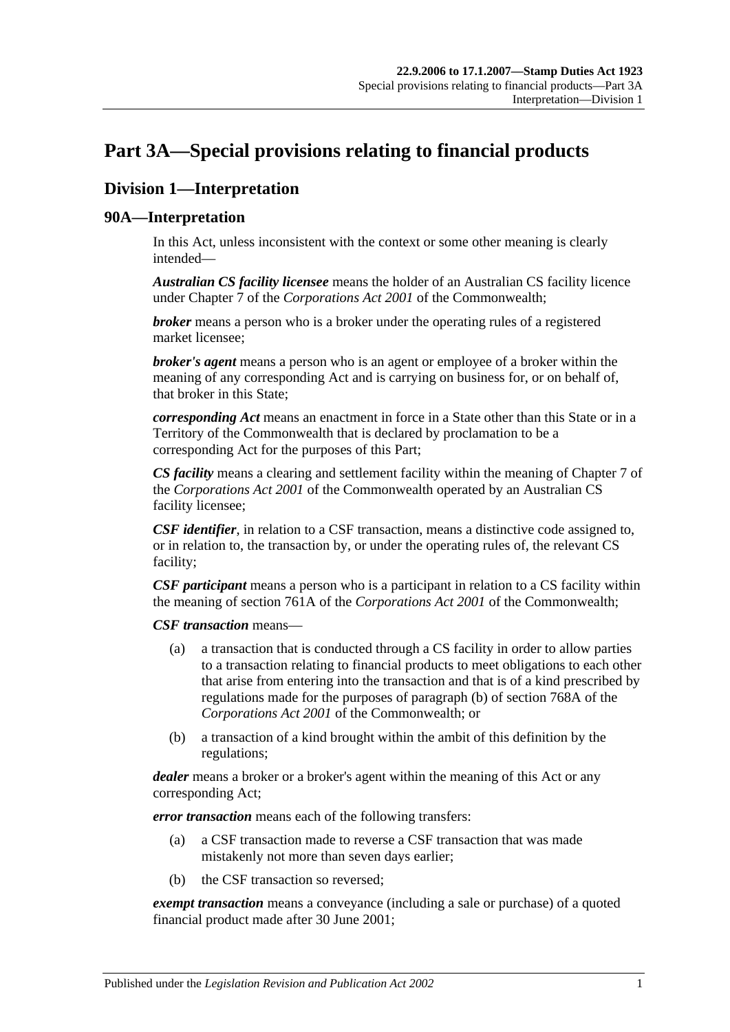# <span id="page-74-0"></span>**Part 3A—Special provisions relating to financial products**

# **Division 1—Interpretation**

## **90A—Interpretation**

In this Act, unless inconsistent with the context or some other meaning is clearly intended—

*Australian CS facility licensee* means the holder of an Australian CS facility licence under Chapter 7 of the *Corporations Act 2001* of the Commonwealth;

*broker* means a person who is a broker under the operating rules of a registered market licensee;

*broker's agent* means a person who is an agent or employee of a broker within the meaning of any corresponding Act and is carrying on business for, or on behalf of, that broker in this State;

*corresponding Act* means an enactment in force in a State other than this State or in a Territory of the Commonwealth that is declared by proclamation to be a corresponding Act for the purposes of this Part;

*CS facility* means a clearing and settlement facility within the meaning of Chapter 7 of the *Corporations Act 2001* of the Commonwealth operated by an Australian CS facility licensee;

*CSF identifier*, in relation to a CSF transaction, means a distinctive code assigned to, or in relation to, the transaction by, or under the operating rules of, the relevant CS facility;

*CSF participant* means a person who is a participant in relation to a CS facility within the meaning of section 761A of the *Corporations Act 2001* of the Commonwealth;

*CSF transaction* means—

- (a) a transaction that is conducted through a CS facility in order to allow parties to a transaction relating to financial products to meet obligations to each other that arise from entering into the transaction and that is of a kind prescribed by regulations made for the purposes of paragraph (b) of section 768A of the *Corporations Act 2001* of the Commonwealth; or
- (b) a transaction of a kind brought within the ambit of this definition by the regulations;

*dealer* means a broker or a broker's agent within the meaning of this Act or any corresponding Act;

*error transaction* means each of the following transfers:

- (a) a CSF transaction made to reverse a CSF transaction that was made mistakenly not more than seven days earlier;
- (b) the CSF transaction so reversed;

*exempt transaction* means a conveyance (including a sale or purchase) of a quoted financial product made after 30 June 2001;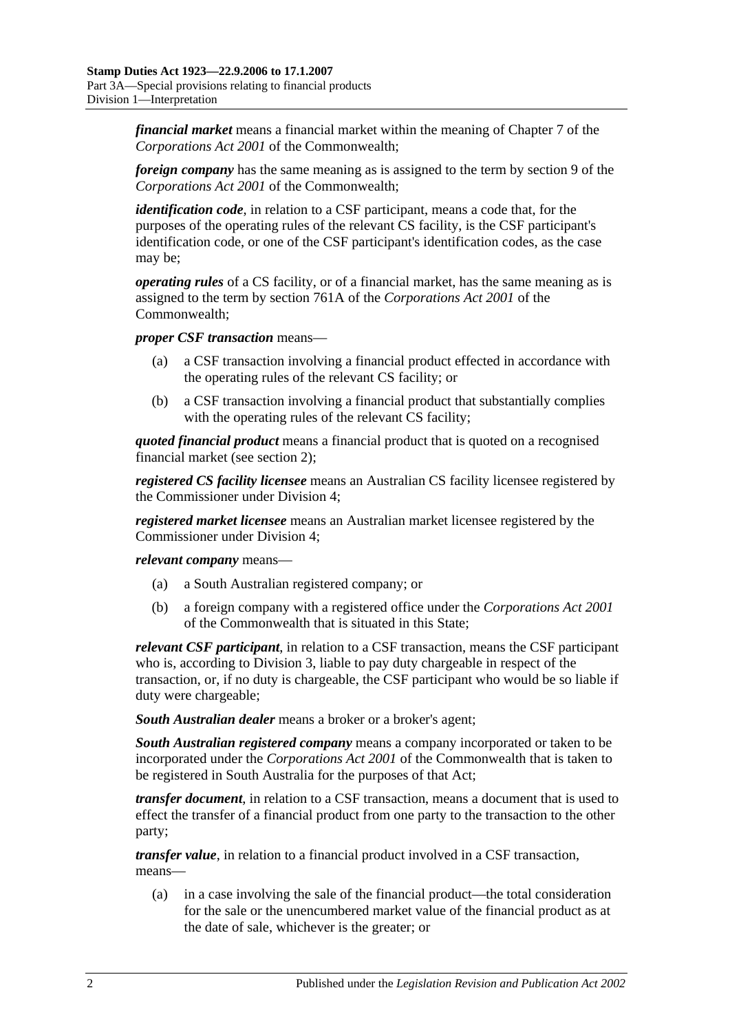*financial market* means a financial market within the meaning of Chapter 7 of the *Corporations Act 2001* of the Commonwealth;

*foreign company* has the same meaning as is assigned to the term by section 9 of the *Corporations Act 2001* of the Commonwealth;

*identification code*, in relation to a CSF participant, means a code that, for the purposes of the operating rules of the relevant CS facility, is the CSF participant's identification code, or one of the CSF participant's identification codes, as the case may be;

*operating rules* of a CS facility, or of a financial market, has the same meaning as is assigned to the term by section 761A of the *Corporations Act 2001* of the Commonwealth;

*proper CSF transaction* means—

- (a) a CSF transaction involving a financial product effected in accordance with the operating rules of the relevant CS facility; or
- (b) a CSF transaction involving a financial product that substantially complies with the operating rules of the relevant CS facility;

*quoted financial product* means a financial product that is quoted on a recognised financial market (see [section](#page-6-0) 2);

*registered CS facility licensee* means an Australian CS facility licensee registered by the Commissioner under [Division 4;](#page-84-0)

*registered market licensee* means an Australian market licensee registered by the Commissioner under [Division 4;](#page-84-0)

*relevant company* means—

- (a) a South Australian registered company; or
- (b) a foreign company with a registered office under the *Corporations Act 2001* of the Commonwealth that is situated in this State;

*relevant CSF participant*, in relation to a CSF transaction, means the CSF participant who is, according to [Division 3,](#page-81-0) liable to pay duty chargeable in respect of the transaction, or, if no duty is chargeable, the CSF participant who would be so liable if duty were chargeable;

*South Australian dealer* means a broker or a broker's agent;

*South Australian registered company* means a company incorporated or taken to be incorporated under the *Corporations Act 2001* of the Commonwealth that is taken to be registered in South Australia for the purposes of that Act;

*transfer document*, in relation to a CSF transaction, means a document that is used to effect the transfer of a financial product from one party to the transaction to the other party;

*transfer value*, in relation to a financial product involved in a CSF transaction, means—

(a) in a case involving the sale of the financial product—the total consideration for the sale or the unencumbered market value of the financial product as at the date of sale, whichever is the greater; or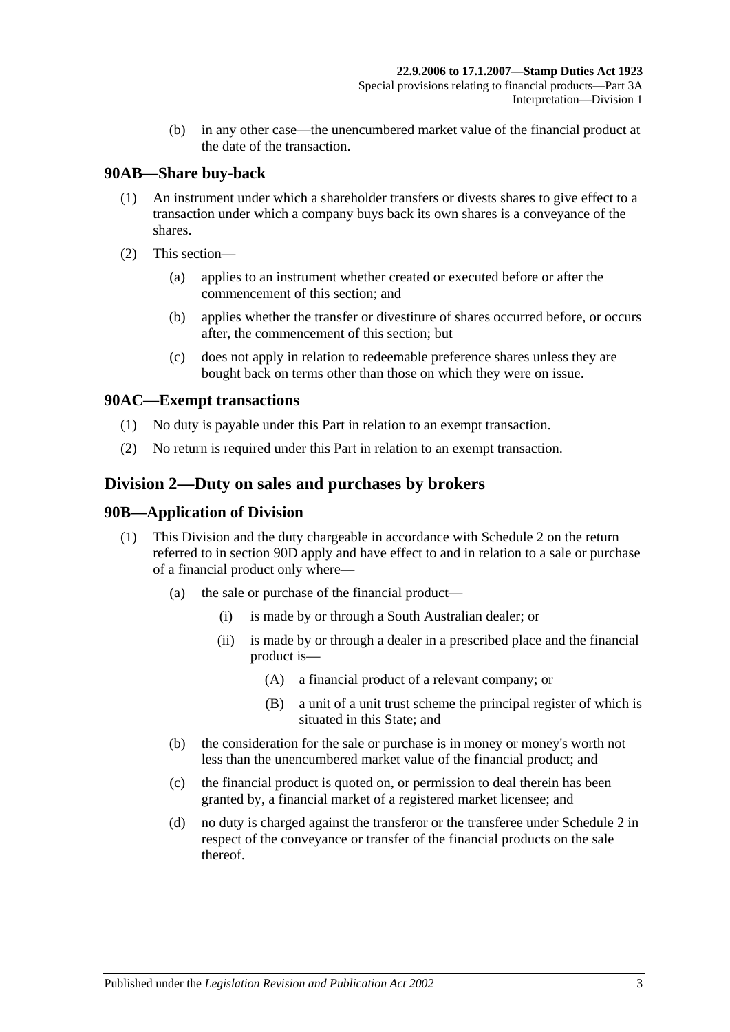(b) in any other case—the unencumbered market value of the financial product at the date of the transaction.

## **90AB—Share buy-back**

- (1) An instrument under which a shareholder transfers or divests shares to give effect to a transaction under which a company buys back its own shares is a conveyance of the shares.
- (2) This section—
	- (a) applies to an instrument whether created or executed before or after the commencement of this section; and
	- (b) applies whether the transfer or divestiture of shares occurred before, or occurs after, the commencement of this section; but
	- (c) does not apply in relation to redeemable preference shares unless they are bought back on terms other than those on which they were on issue.

## **90AC—Exempt transactions**

- (1) No duty is payable under this Part in relation to an exempt transaction.
- (2) No return is required under this Part in relation to an exempt transaction.

## <span id="page-76-0"></span>**Division 2—Duty on sales and purchases by brokers**

## **90B—Application of Division**

- (1) This Division and the duty chargeable in accordance with [Schedule 2](#page-102-0) on the return referred to in [section](#page-78-0) 90D apply and have effect to and in relation to a sale or purchase of a financial product only where—
	- (a) the sale or purchase of the financial product—
		- (i) is made by or through a South Australian dealer; or
		- (ii) is made by or through a dealer in a prescribed place and the financial product is—
			- (A) a financial product of a relevant company; or
			- (B) a unit of a unit trust scheme the principal register of which is situated in this State; and
	- (b) the consideration for the sale or purchase is in money or money's worth not less than the unencumbered market value of the financial product; and
	- (c) the financial product is quoted on, or permission to deal therein has been granted by, a financial market of a registered market licensee; and
	- (d) no duty is charged against the transferor or the transferee under [Schedule 2](#page-102-0) in respect of the conveyance or transfer of the financial products on the sale thereof.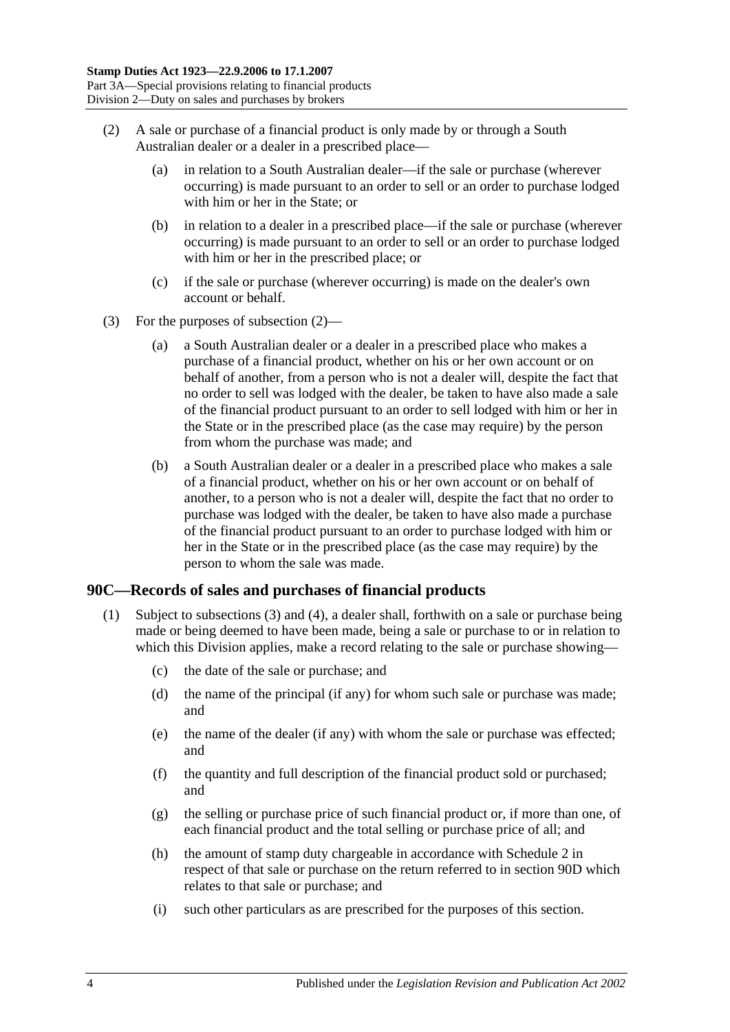- <span id="page-77-0"></span>(2) A sale or purchase of a financial product is only made by or through a South Australian dealer or a dealer in a prescribed place—
	- (a) in relation to a South Australian dealer—if the sale or purchase (wherever occurring) is made pursuant to an order to sell or an order to purchase lodged with him or her in the State; or
	- (b) in relation to a dealer in a prescribed place—if the sale or purchase (wherever occurring) is made pursuant to an order to sell or an order to purchase lodged with him or her in the prescribed place; or
	- (c) if the sale or purchase (wherever occurring) is made on the dealer's own account or behalf.
- (3) For the purposes of [subsection](#page-77-0) (2)—
	- (a) a South Australian dealer or a dealer in a prescribed place who makes a purchase of a financial product, whether on his or her own account or on behalf of another, from a person who is not a dealer will, despite the fact that no order to sell was lodged with the dealer, be taken to have also made a sale of the financial product pursuant to an order to sell lodged with him or her in the State or in the prescribed place (as the case may require) by the person from whom the purchase was made; and
	- (b) a South Australian dealer or a dealer in a prescribed place who makes a sale of a financial product, whether on his or her own account or on behalf of another, to a person who is not a dealer will, despite the fact that no order to purchase was lodged with the dealer, be taken to have also made a purchase of the financial product pursuant to an order to purchase lodged with him or her in the State or in the prescribed place (as the case may require) by the person to whom the sale was made.

## <span id="page-77-2"></span><span id="page-77-1"></span>**90C—Records of sales and purchases of financial products**

- (1) Subject to [subsections](#page-78-1) (3) and [\(4\),](#page-78-2) a dealer shall, forthwith on a sale or purchase being made or being deemed to have been made, being a sale or purchase to or in relation to which this Division applies, make a record relating to the sale or purchase showing—
	- (c) the date of the sale or purchase; and
	- (d) the name of the principal (if any) for whom such sale or purchase was made; and
	- (e) the name of the dealer (if any) with whom the sale or purchase was effected; and
	- (f) the quantity and full description of the financial product sold or purchased; and
	- (g) the selling or purchase price of such financial product or, if more than one, of each financial product and the total selling or purchase price of all; and
	- (h) the amount of stamp duty chargeable in accordance with [Schedule 2](#page-102-0) in respect of that sale or purchase on the return referred to in [section](#page-78-0) 90D which relates to that sale or purchase; and
	- (i) such other particulars as are prescribed for the purposes of this section.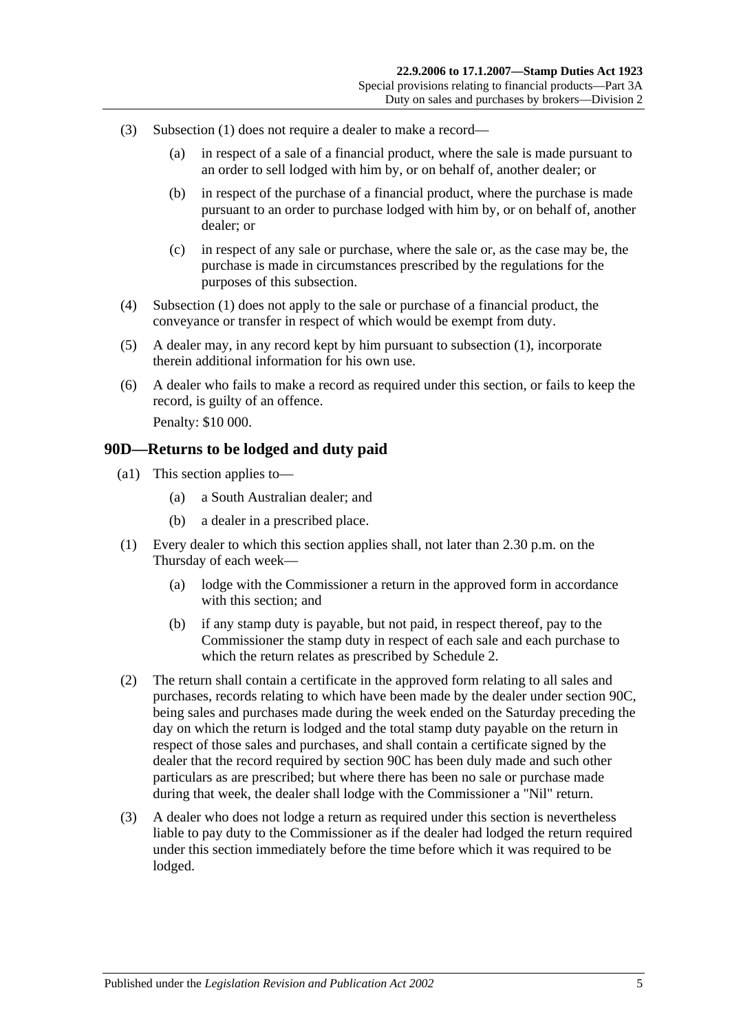- <span id="page-78-1"></span>(3) [Subsection](#page-77-1) (1) does not require a dealer to make a record—
	- (a) in respect of a sale of a financial product, where the sale is made pursuant to an order to sell lodged with him by, or on behalf of, another dealer; or
	- (b) in respect of the purchase of a financial product, where the purchase is made pursuant to an order to purchase lodged with him by, or on behalf of, another dealer; or
	- (c) in respect of any sale or purchase, where the sale or, as the case may be, the purchase is made in circumstances prescribed by the regulations for the purposes of this subsection.
- <span id="page-78-2"></span>(4) [Subsection](#page-77-1) (1) does not apply to the sale or purchase of a financial product, the conveyance or transfer in respect of which would be exempt from duty.
- (5) A dealer may, in any record kept by him pursuant to [subsection](#page-77-1) (1), incorporate therein additional information for his own use.
- (6) A dealer who fails to make a record as required under this section, or fails to keep the record, is guilty of an offence. Penalty: \$10 000.

#### <span id="page-78-0"></span>**90D—Returns to be lodged and duty paid**

- (a1) This section applies to—
	- (a) a South Australian dealer; and
	- (b) a dealer in a prescribed place.
- (1) Every dealer to which this section applies shall, not later than 2.30 p.m. on the Thursday of each week—
	- (a) lodge with the Commissioner a return in the approved form in accordance with this section; and
	- (b) if any stamp duty is payable, but not paid, in respect thereof, pay to the Commissioner the stamp duty in respect of each sale and each purchase to which the return relates as prescribed by [Schedule 2.](#page-102-0)
- (2) The return shall contain a certificate in the approved form relating to all sales and purchases, records relating to which have been made by the dealer under [section](#page-77-2) 90C, being sales and purchases made during the week ended on the Saturday preceding the day on which the return is lodged and the total stamp duty payable on the return in respect of those sales and purchases, and shall contain a certificate signed by the dealer that the record required by [section](#page-77-2) 90C has been duly made and such other particulars as are prescribed; but where there has been no sale or purchase made during that week, the dealer shall lodge with the Commissioner a "Nil" return.
- (3) A dealer who does not lodge a return as required under this section is nevertheless liable to pay duty to the Commissioner as if the dealer had lodged the return required under this section immediately before the time before which it was required to be lodged.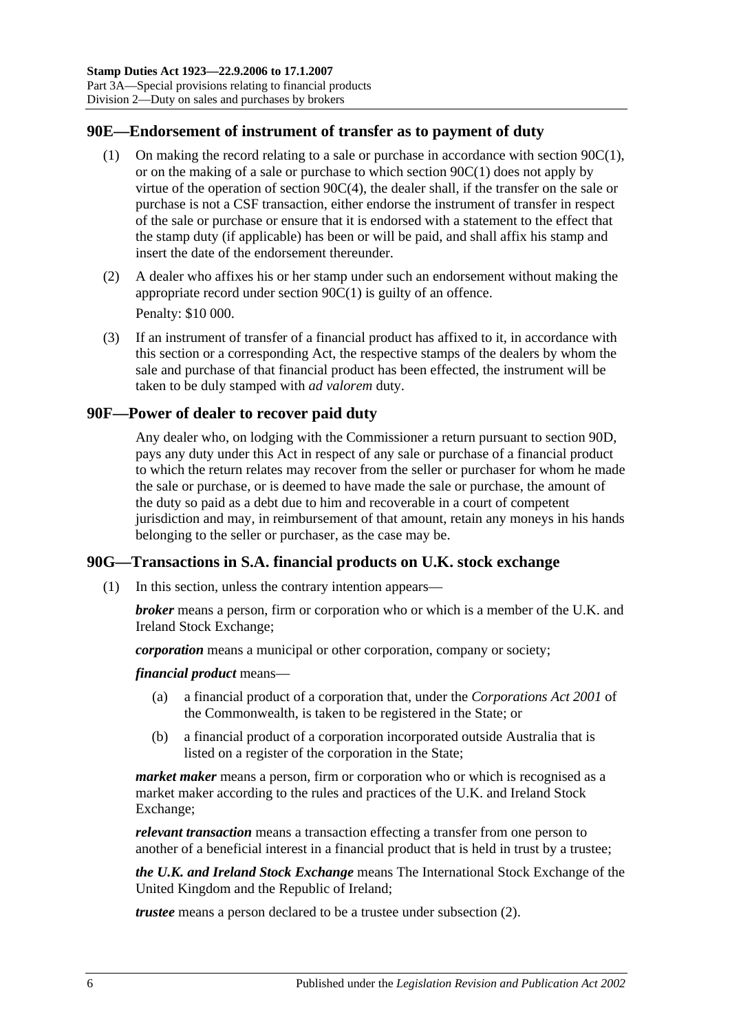## **90E—Endorsement of instrument of transfer as to payment of duty**

- (1) On making the record relating to a sale or purchase in accordance with [section](#page-77-1) 90C(1), or on the making of a sale or purchase to which [section](#page-77-1) 90C(1) does not apply by virtue of the operation of section [90C\(4\),](#page-78-2) the dealer shall, if the transfer on the sale or purchase is not a CSF transaction, either endorse the instrument of transfer in respect of the sale or purchase or ensure that it is endorsed with a statement to the effect that the stamp duty (if applicable) has been or will be paid, and shall affix his stamp and insert the date of the endorsement thereunder.
- (2) A dealer who affixes his or her stamp under such an endorsement without making the appropriate record under [section](#page-77-1) 90C(1) is guilty of an offence. Penalty: \$10 000.
- <span id="page-79-0"></span>(3) If an instrument of transfer of a financial product has affixed to it, in accordance with this section or a corresponding Act, the respective stamps of the dealers by whom the sale and purchase of that financial product has been effected, the instrument will be taken to be duly stamped with *ad valorem* duty.

## **90F—Power of dealer to recover paid duty**

Any dealer who, on lodging with the Commissioner a return pursuant to [section](#page-78-0) 90D, pays any duty under this Act in respect of any sale or purchase of a financial product to which the return relates may recover from the seller or purchaser for whom he made the sale or purchase, or is deemed to have made the sale or purchase, the amount of the duty so paid as a debt due to him and recoverable in a court of competent jurisdiction and may, in reimbursement of that amount, retain any moneys in his hands belonging to the seller or purchaser, as the case may be.

## **90G—Transactions in S.A. financial products on U.K. stock exchange**

(1) In this section, unless the contrary intention appears—

*broker* means a person, firm or corporation who or which is a member of the U.K. and Ireland Stock Exchange;

*corporation* means a municipal or other corporation, company or society;

*financial product* means—

- (a) a financial product of a corporation that, under the *Corporations Act 2001* of the Commonwealth, is taken to be registered in the State; or
- (b) a financial product of a corporation incorporated outside Australia that is listed on a register of the corporation in the State;

*market maker* means a person, firm or corporation who or which is recognised as a market maker according to the rules and practices of the U.K. and Ireland Stock Exchange;

*relevant transaction* means a transaction effecting a transfer from one person to another of a beneficial interest in a financial product that is held in trust by a trustee;

*the U.K. and Ireland Stock Exchange* means The International Stock Exchange of the United Kingdom and the Republic of Ireland;

*trustee* means a person declared to be a trustee under [subsection](#page-80-0) (2).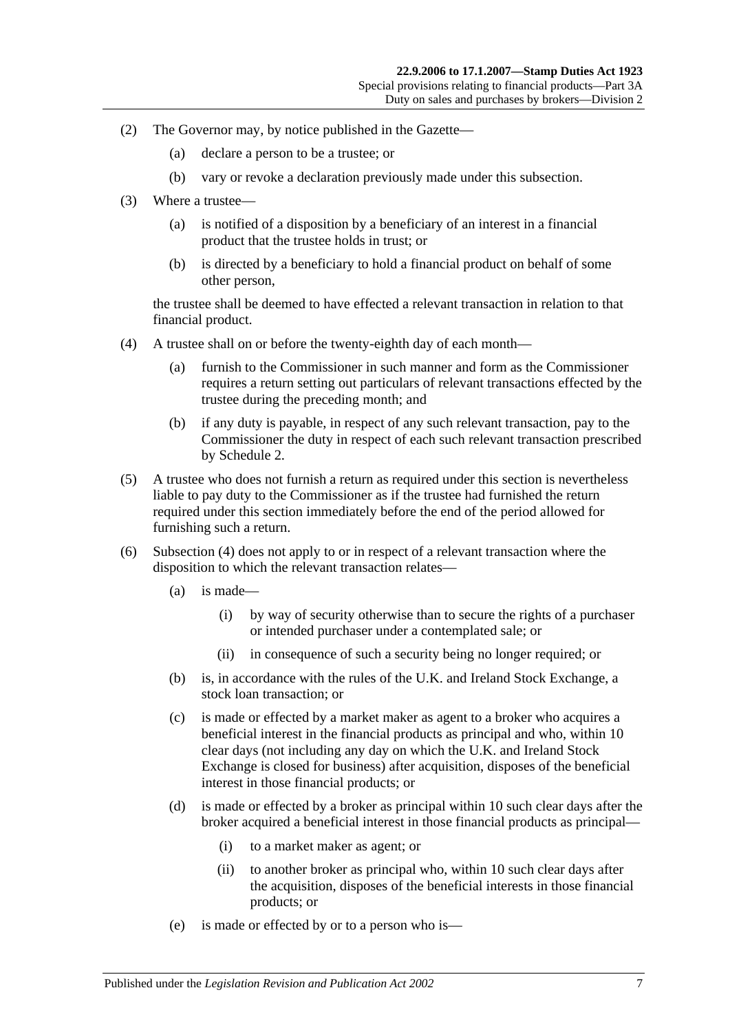- <span id="page-80-0"></span>(2) The Governor may, by notice published in the Gazette—
	- (a) declare a person to be a trustee; or
	- (b) vary or revoke a declaration previously made under this subsection.
- (3) Where a trustee—
	- (a) is notified of a disposition by a beneficiary of an interest in a financial product that the trustee holds in trust; or
	- (b) is directed by a beneficiary to hold a financial product on behalf of some other person,

the trustee shall be deemed to have effected a relevant transaction in relation to that financial product.

- <span id="page-80-1"></span>(4) A trustee shall on or before the twenty-eighth day of each month—
	- (a) furnish to the Commissioner in such manner and form as the Commissioner requires a return setting out particulars of relevant transactions effected by the trustee during the preceding month; and
	- (b) if any duty is payable, in respect of any such relevant transaction, pay to the Commissioner the duty in respect of each such relevant transaction prescribed by [Schedule 2.](#page-102-0)
- (5) A trustee who does not furnish a return as required under this section is nevertheless liable to pay duty to the Commissioner as if the trustee had furnished the return required under this section immediately before the end of the period allowed for furnishing such a return.
- (6) [Subsection](#page-80-1) (4) does not apply to or in respect of a relevant transaction where the disposition to which the relevant transaction relates—
	- (a) is made—
		- (i) by way of security otherwise than to secure the rights of a purchaser or intended purchaser under a contemplated sale; or
		- (ii) in consequence of such a security being no longer required; or
	- (b) is, in accordance with the rules of the U.K. and Ireland Stock Exchange, a stock loan transaction; or
	- (c) is made or effected by a market maker as agent to a broker who acquires a beneficial interest in the financial products as principal and who, within 10 clear days (not including any day on which the U.K. and Ireland Stock Exchange is closed for business) after acquisition, disposes of the beneficial interest in those financial products; or
	- (d) is made or effected by a broker as principal within 10 such clear days after the broker acquired a beneficial interest in those financial products as principal—
		- (i) to a market maker as agent; or
		- (ii) to another broker as principal who, within 10 such clear days after the acquisition, disposes of the beneficial interests in those financial products; or
	- (e) is made or effected by or to a person who is—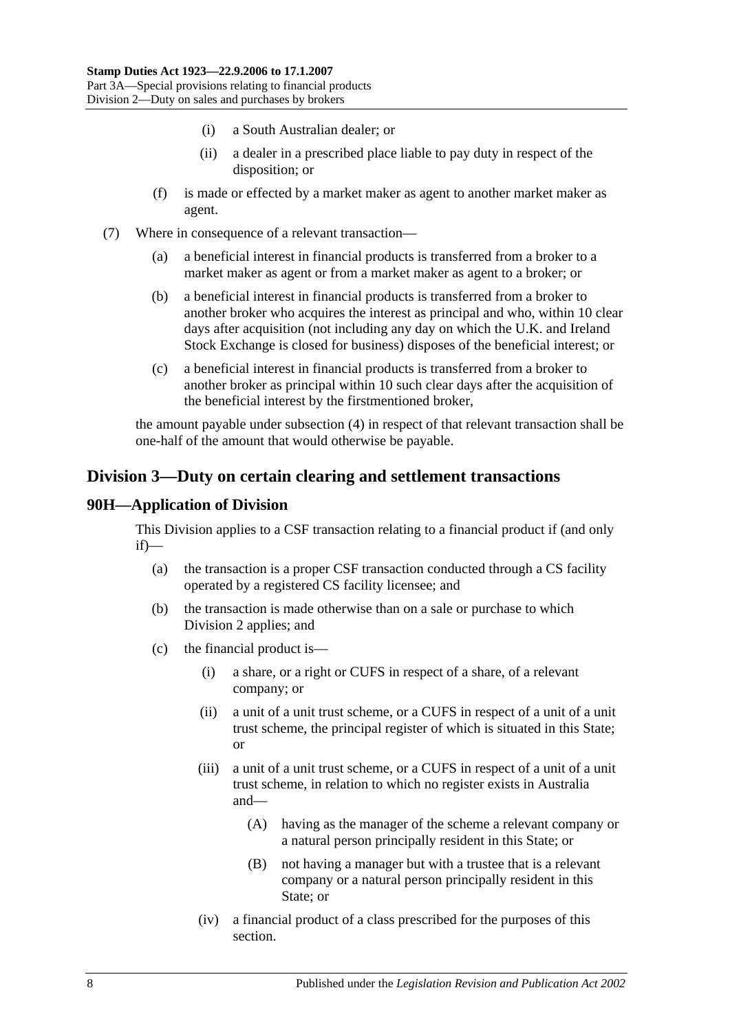- (i) a South Australian dealer; or
- (ii) a dealer in a prescribed place liable to pay duty in respect of the disposition; or
- (f) is made or effected by a market maker as agent to another market maker as agent.
- (7) Where in consequence of a relevant transaction—
	- (a) a beneficial interest in financial products is transferred from a broker to a market maker as agent or from a market maker as agent to a broker; or
	- (b) a beneficial interest in financial products is transferred from a broker to another broker who acquires the interest as principal and who, within 10 clear days after acquisition (not including any day on which the U.K. and Ireland Stock Exchange is closed for business) disposes of the beneficial interest; or
	- (c) a beneficial interest in financial products is transferred from a broker to another broker as principal within 10 such clear days after the acquisition of the beneficial interest by the firstmentioned broker,

the amount payable under [subsection](#page-80-1) (4) in respect of that relevant transaction shall be one-half of the amount that would otherwise be payable.

## <span id="page-81-0"></span>**Division 3—Duty on certain clearing and settlement transactions**

## **90H—Application of Division**

This Division applies to a CSF transaction relating to a financial product if (and only if)—

- (a) the transaction is a proper CSF transaction conducted through a CS facility operated by a registered CS facility licensee; and
- (b) the transaction is made otherwise than on a sale or purchase to which [Division 2](#page-76-0) applies; and
- (c) the financial product is—
	- (i) a share, or a right or CUFS in respect of a share, of a relevant company; or
	- (ii) a unit of a unit trust scheme, or a CUFS in respect of a unit of a unit trust scheme, the principal register of which is situated in this State; or
	- (iii) a unit of a unit trust scheme, or a CUFS in respect of a unit of a unit trust scheme, in relation to which no register exists in Australia and—
		- (A) having as the manager of the scheme a relevant company or a natural person principally resident in this State; or
		- (B) not having a manager but with a trustee that is a relevant company or a natural person principally resident in this State; or
	- (iv) a financial product of a class prescribed for the purposes of this section.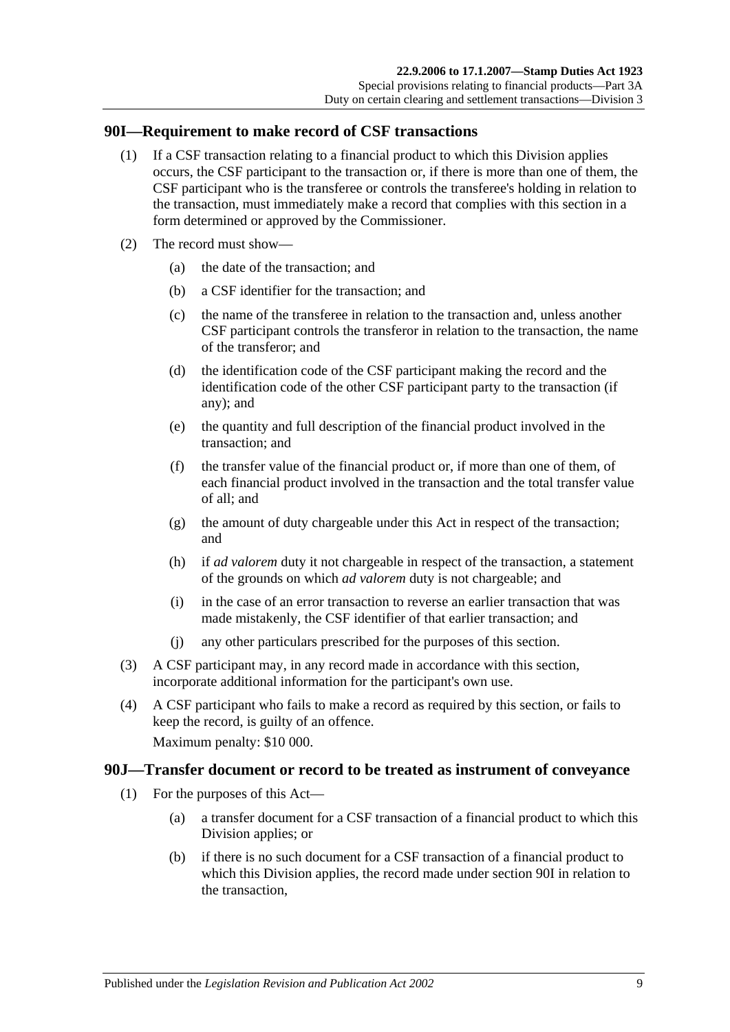#### <span id="page-82-0"></span>**90I—Requirement to make record of CSF transactions**

- (1) If a CSF transaction relating to a financial product to which this Division applies occurs, the CSF participant to the transaction or, if there is more than one of them, the CSF participant who is the transferee or controls the transferee's holding in relation to the transaction, must immediately make a record that complies with this section in a form determined or approved by the Commissioner.
- (2) The record must show—
	- (a) the date of the transaction; and
	- (b) a CSF identifier for the transaction; and
	- (c) the name of the transferee in relation to the transaction and, unless another CSF participant controls the transferor in relation to the transaction, the name of the transferor; and
	- (d) the identification code of the CSF participant making the record and the identification code of the other CSF participant party to the transaction (if any); and
	- (e) the quantity and full description of the financial product involved in the transaction; and
	- (f) the transfer value of the financial product or, if more than one of them, of each financial product involved in the transaction and the total transfer value of all; and
	- (g) the amount of duty chargeable under this Act in respect of the transaction; and
	- (h) if *ad valorem* duty it not chargeable in respect of the transaction, a statement of the grounds on which *ad valorem* duty is not chargeable; and
	- (i) in the case of an error transaction to reverse an earlier transaction that was made mistakenly, the CSF identifier of that earlier transaction; and
	- (j) any other particulars prescribed for the purposes of this section.
- (3) A CSF participant may, in any record made in accordance with this section, incorporate additional information for the participant's own use.
- (4) A CSF participant who fails to make a record as required by this section, or fails to keep the record, is guilty of an offence.

Maximum penalty: \$10 000.

#### <span id="page-82-1"></span>**90J—Transfer document or record to be treated as instrument of conveyance**

- (1) For the purposes of this Act—
	- (a) a transfer document for a CSF transaction of a financial product to which this Division applies; or
	- (b) if there is no such document for a CSF transaction of a financial product to which this Division applies, the record made under [section](#page-82-0) 90I in relation to the transaction,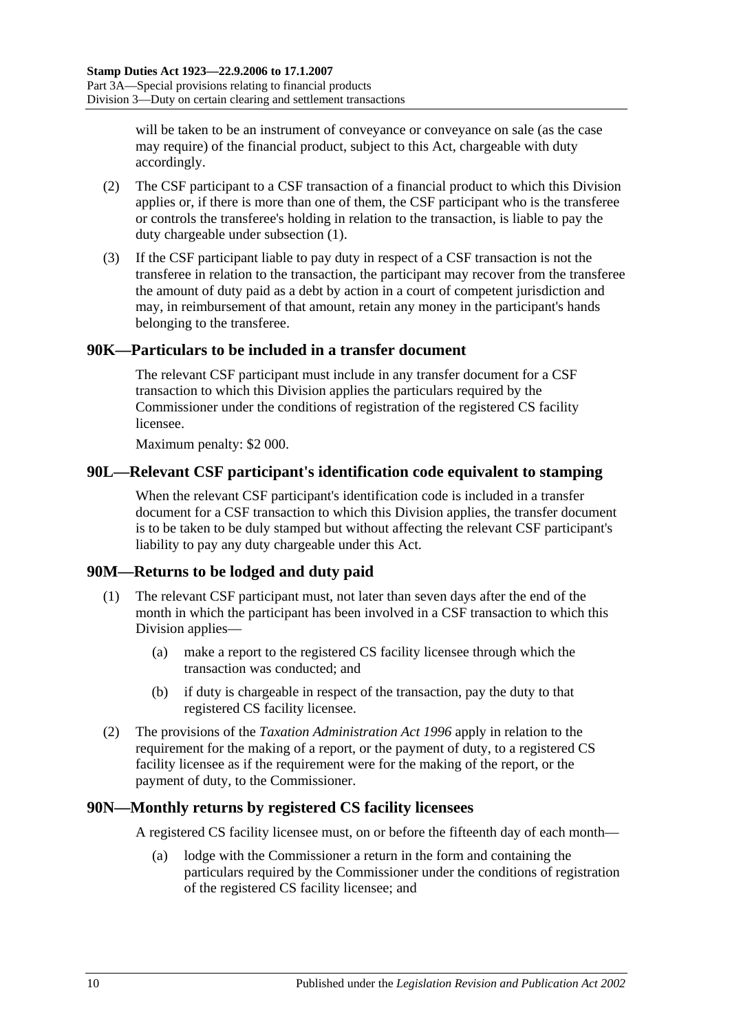will be taken to be an instrument of conveyance or conveyance on sale (as the case may require) of the financial product, subject to this Act, chargeable with duty accordingly.

- (2) The CSF participant to a CSF transaction of a financial product to which this Division applies or, if there is more than one of them, the CSF participant who is the transferee or controls the transferee's holding in relation to the transaction, is liable to pay the duty chargeable under [subsection](#page-82-1) (1).
- (3) If the CSF participant liable to pay duty in respect of a CSF transaction is not the transferee in relation to the transaction, the participant may recover from the transferee the amount of duty paid as a debt by action in a court of competent jurisdiction and may, in reimbursement of that amount, retain any money in the participant's hands belonging to the transferee.

## **90K—Particulars to be included in a transfer document**

The relevant CSF participant must include in any transfer document for a CSF transaction to which this Division applies the particulars required by the Commissioner under the conditions of registration of the registered CS facility licensee.

Maximum penalty: \$2 000.

## **90L—Relevant CSF participant's identification code equivalent to stamping**

When the relevant CSF participant's identification code is included in a transfer document for a CSF transaction to which this Division applies, the transfer document is to be taken to be duly stamped but without affecting the relevant CSF participant's liability to pay any duty chargeable under this Act.

## **90M—Returns to be lodged and duty paid**

- (1) The relevant CSF participant must, not later than seven days after the end of the month in which the participant has been involved in a CSF transaction to which this Division applies—
	- (a) make a report to the registered CS facility licensee through which the transaction was conducted; and
	- (b) if duty is chargeable in respect of the transaction, pay the duty to that registered CS facility licensee.
- (2) The provisions of the *[Taxation Administration Act](http://www.legislation.sa.gov.au/index.aspx?action=legref&type=act&legtitle=Taxation%20Administration%20Act%201996) 1996* apply in relation to the requirement for the making of a report, or the payment of duty, to a registered CS facility licensee as if the requirement were for the making of the report, or the payment of duty, to the Commissioner.

#### **90N—Monthly returns by registered CS facility licensees**

A registered CS facility licensee must, on or before the fifteenth day of each month—

(a) lodge with the Commissioner a return in the form and containing the particulars required by the Commissioner under the conditions of registration of the registered CS facility licensee; and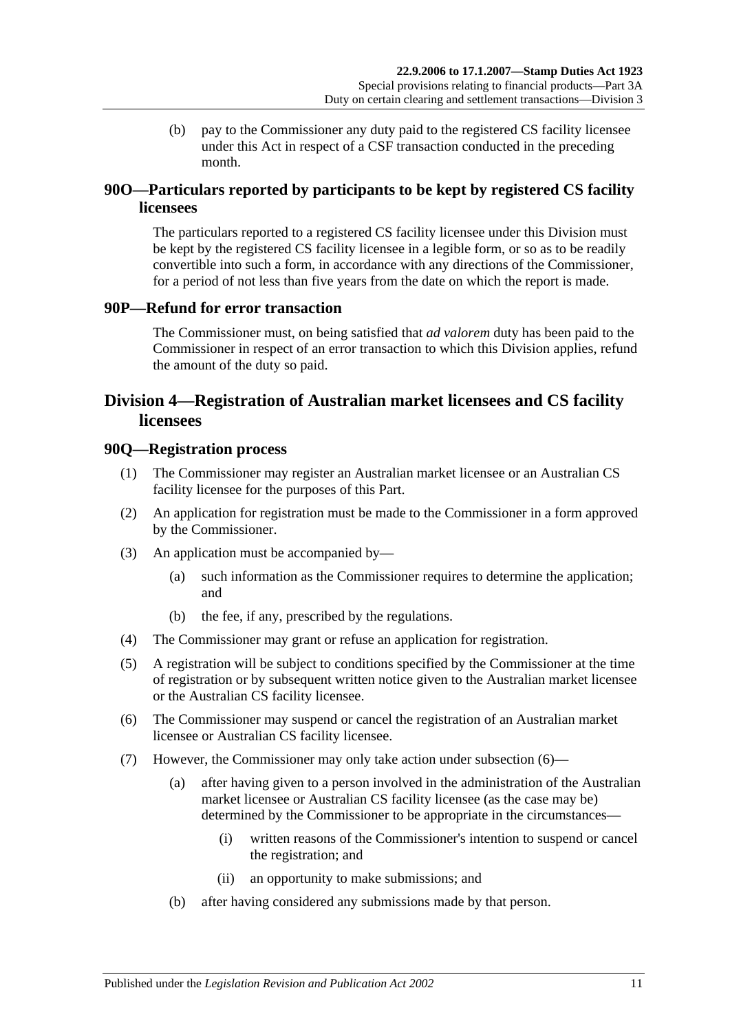(b) pay to the Commissioner any duty paid to the registered CS facility licensee under this Act in respect of a CSF transaction conducted in the preceding month.

## **90O—Particulars reported by participants to be kept by registered CS facility licensees**

The particulars reported to a registered CS facility licensee under this Division must be kept by the registered CS facility licensee in a legible form, or so as to be readily convertible into such a form, in accordance with any directions of the Commissioner, for a period of not less than five years from the date on which the report is made.

## **90P—Refund for error transaction**

The Commissioner must, on being satisfied that *ad valorem* duty has been paid to the Commissioner in respect of an error transaction to which this Division applies, refund the amount of the duty so paid.

## <span id="page-84-0"></span>**Division 4—Registration of Australian market licensees and CS facility licensees**

#### **90Q—Registration process**

- (1) The Commissioner may register an Australian market licensee or an Australian CS facility licensee for the purposes of this Part.
- (2) An application for registration must be made to the Commissioner in a form approved by the Commissioner.
- (3) An application must be accompanied by—
	- (a) such information as the Commissioner requires to determine the application; and
	- (b) the fee, if any, prescribed by the regulations.
- (4) The Commissioner may grant or refuse an application for registration.
- (5) A registration will be subject to conditions specified by the Commissioner at the time of registration or by subsequent written notice given to the Australian market licensee or the Australian CS facility licensee.
- <span id="page-84-1"></span>(6) The Commissioner may suspend or cancel the registration of an Australian market licensee or Australian CS facility licensee.
- <span id="page-84-2"></span>(7) However, the Commissioner may only take action under [subsection](#page-84-1) (6)—
	- (a) after having given to a person involved in the administration of the Australian market licensee or Australian CS facility licensee (as the case may be) determined by the Commissioner to be appropriate in the circumstances—
		- (i) written reasons of the Commissioner's intention to suspend or cancel the registration; and
		- (ii) an opportunity to make submissions; and
	- (b) after having considered any submissions made by that person.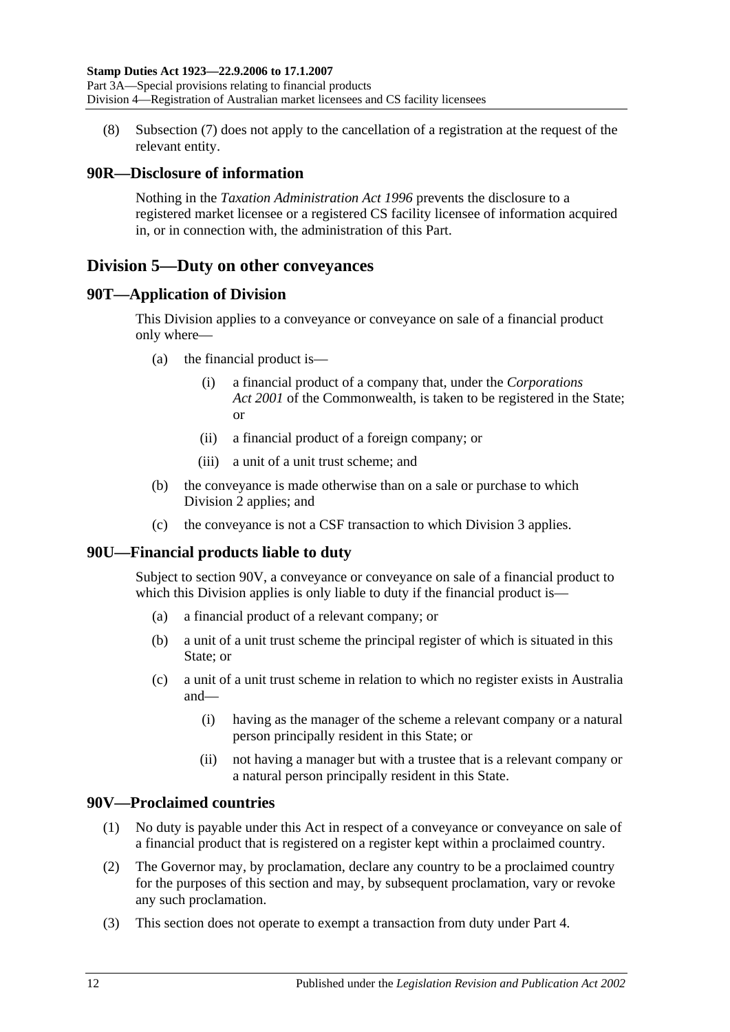(8) [Subsection](#page-84-2) (7) does not apply to the cancellation of a registration at the request of the relevant entity.

## **90R—Disclosure of information**

Nothing in the *[Taxation Administration Act](http://www.legislation.sa.gov.au/index.aspx?action=legref&type=act&legtitle=Taxation%20Administration%20Act%201996) 1996* prevents the disclosure to a registered market licensee or a registered CS facility licensee of information acquired in, or in connection with, the administration of this Part.

## <span id="page-85-1"></span>**Division 5—Duty on other conveyances**

## **90T—Application of Division**

This Division applies to a conveyance or conveyance on sale of a financial product only where—

- (a) the financial product is—
	- (i) a financial product of a company that, under the *Corporations Act 2001* of the Commonwealth, is taken to be registered in the State; or
	- (ii) a financial product of a foreign company; or
	- (iii) a unit of a unit trust scheme; and
- (b) the conveyance is made otherwise than on a sale or purchase to which [Division 2](#page-76-0) applies; and
- (c) the conveyance is not a CSF transaction to which [Division 3](#page-81-0) applies.

## **90U—Financial products liable to duty**

Subject to [section](#page-85-0) 90V, a conveyance or conveyance on sale of a financial product to which this Division applies is only liable to duty if the financial product is—

- (a) a financial product of a relevant company; or
- (b) a unit of a unit trust scheme the principal register of which is situated in this State; or
- (c) a unit of a unit trust scheme in relation to which no register exists in Australia and—
	- (i) having as the manager of the scheme a relevant company or a natural person principally resident in this State; or
	- (ii) not having a manager but with a trustee that is a relevant company or a natural person principally resident in this State.

## <span id="page-85-0"></span>**90V—Proclaimed countries**

- (1) No duty is payable under this Act in respect of a conveyance or conveyance on sale of a financial product that is registered on a register kept within a proclaimed country.
- (2) The Governor may, by proclamation, declare any country to be a proclaimed country for the purposes of this section and may, by subsequent proclamation, vary or revoke any such proclamation.
- (3) This section does not operate to exempt a transaction from duty under [Part 4.](#page-86-0)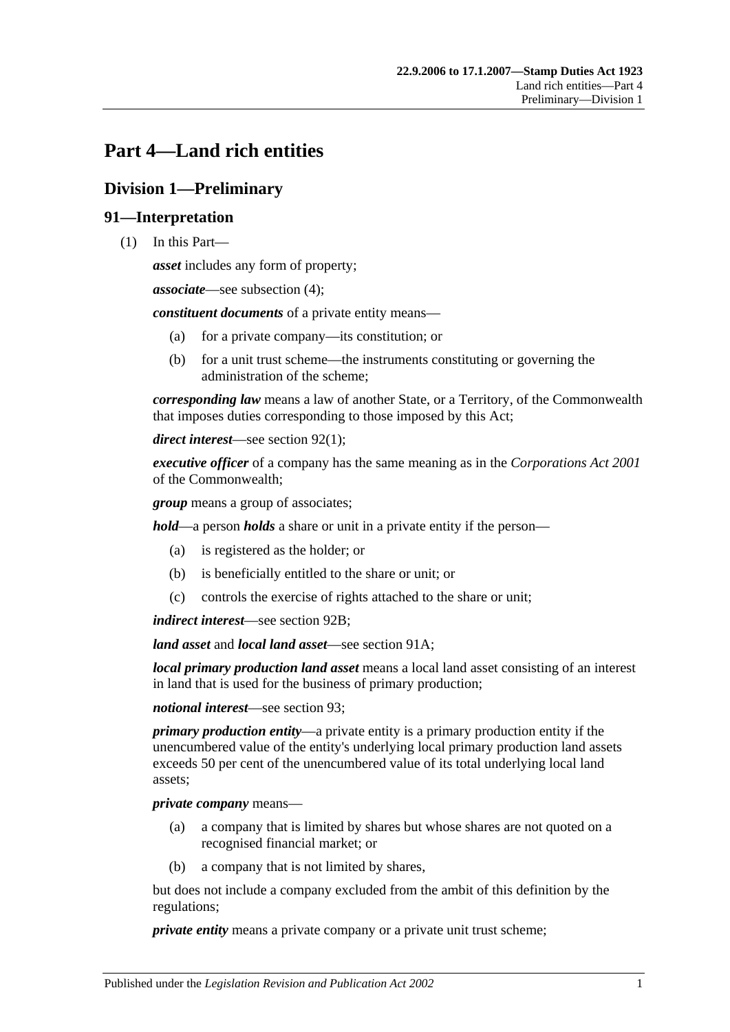# <span id="page-86-0"></span>**Part 4—Land rich entities**

# **Division 1—Preliminary**

## **91—Interpretation**

(1) In this Part—

*asset* includes any form of property;

*associate*—see [subsection](#page-88-0) (4);

*constituent documents* of a private entity means—

- (a) for a private company—its constitution; or
- (b) for a unit trust scheme—the instruments constituting or governing the administration of the scheme;

*corresponding law* means a law of another State, or a Territory, of the Commonwealth that imposes duties corresponding to those imposed by this Act;

*direct interest*—see [section](#page-88-1) 92(1);

*executive officer* of a company has the same meaning as in the *Corporations Act 2001* of the Commonwealth;

*group* means a group of associates;

*hold*—a person *holds* a share or unit in a private entity if the person—

- (a) is registered as the holder; or
- (b) is beneficially entitled to the share or unit; or
- (c) controls the exercise of rights attached to the share or unit;

*indirect interest*—see [section](#page-89-0) 92B;

*land asset* and *local land asset*—see [section](#page-88-2) 91A;

*local primary production land asset* means a local land asset consisting of an interest in land that is used for the business of primary production;

*notional interest*—see [section](#page-90-0) 93;

*primary production entity*—a private entity is a primary production entity if the unencumbered value of the entity's underlying local primary production land assets exceeds 50 per cent of the unencumbered value of its total underlying local land assets;

*private company* means—

- (a) a company that is limited by shares but whose shares are not quoted on a recognised financial market; or
- (b) a company that is not limited by shares,

but does not include a company excluded from the ambit of this definition by the regulations;

*private entity* means a private company or a private unit trust scheme;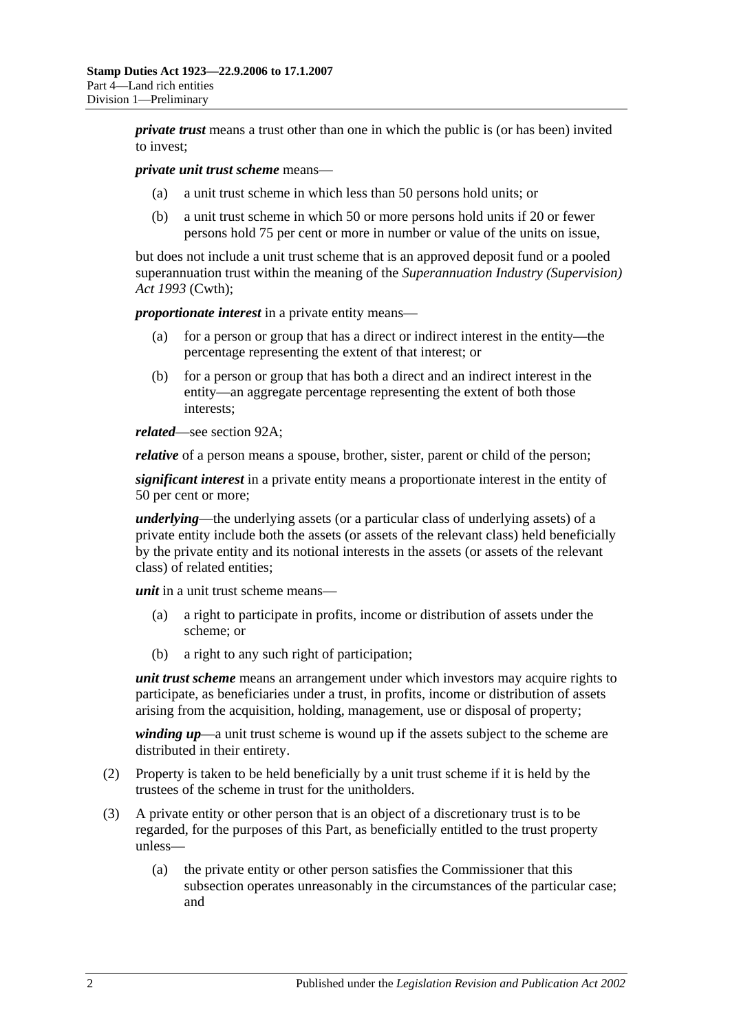*private trust* means a trust other than one in which the public is (or has been) invited to invest;

#### *private unit trust scheme* means—

- (a) a unit trust scheme in which less than 50 persons hold units; or
- (b) a unit trust scheme in which 50 or more persons hold units if 20 or fewer persons hold 75 per cent or more in number or value of the units on issue,

but does not include a unit trust scheme that is an approved deposit fund or a pooled superannuation trust within the meaning of the *Superannuation Industry (Supervision) Act 1993* (Cwth);

*proportionate interest* in a private entity means—

- (a) for a person or group that has a direct or indirect interest in the entity—the percentage representing the extent of that interest; or
- (b) for a person or group that has both a direct and an indirect interest in the entity—an aggregate percentage representing the extent of both those interests;

*related*—see [section](#page-89-1) 92A;

*relative* of a person means a spouse, brother, sister, parent or child of the person;

*significant interest* in a private entity means a proportionate interest in the entity of 50 per cent or more;

*underlying*—the underlying assets (or a particular class of underlying assets) of a private entity include both the assets (or assets of the relevant class) held beneficially by the private entity and its notional interests in the assets (or assets of the relevant class) of related entities;

*unit* in a unit trust scheme means—

- (a) a right to participate in profits, income or distribution of assets under the scheme; or
- (b) a right to any such right of participation;

*unit trust scheme* means an arrangement under which investors may acquire rights to participate, as beneficiaries under a trust, in profits, income or distribution of assets arising from the acquisition, holding, management, use or disposal of property;

*winding up*—a unit trust scheme is wound up if the assets subject to the scheme are distributed in their entirety.

- (2) Property is taken to be held beneficially by a unit trust scheme if it is held by the trustees of the scheme in trust for the unitholders.
- (3) A private entity or other person that is an object of a discretionary trust is to be regarded, for the purposes of this Part, as beneficially entitled to the trust property unless—
	- (a) the private entity or other person satisfies the Commissioner that this subsection operates unreasonably in the circumstances of the particular case; and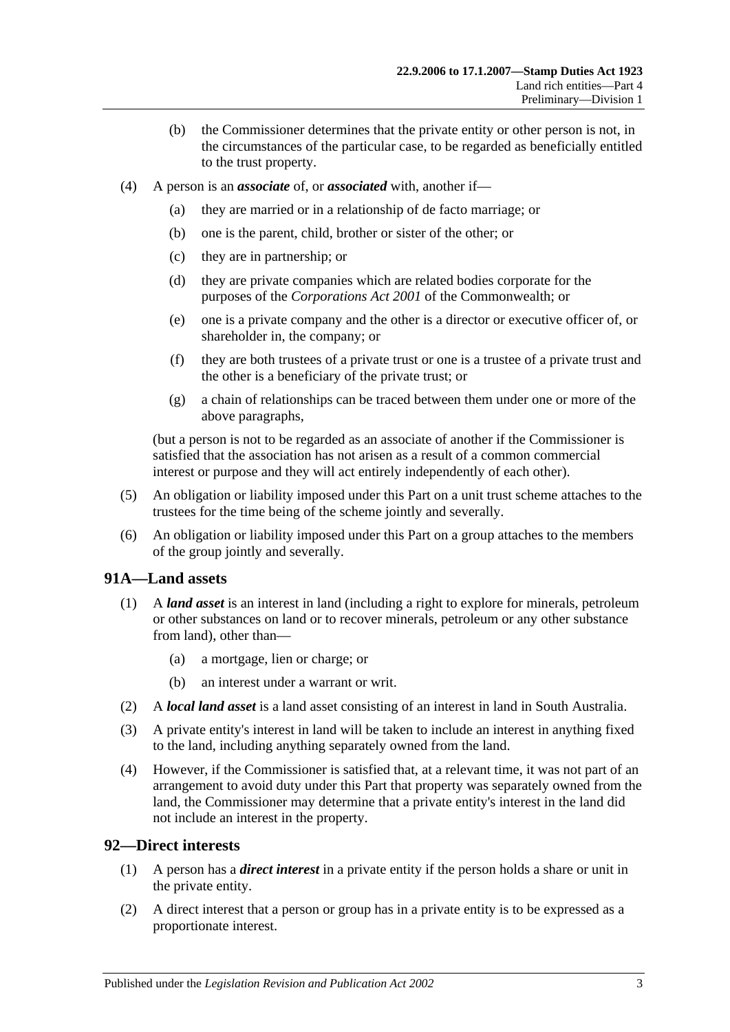- (b) the Commissioner determines that the private entity or other person is not, in the circumstances of the particular case, to be regarded as beneficially entitled to the trust property.
- <span id="page-88-0"></span>(4) A person is an *associate* of, or *associated* with, another if—
	- (a) they are married or in a relationship of de facto marriage; or
	- (b) one is the parent, child, brother or sister of the other; or
	- (c) they are in partnership; or
	- (d) they are private companies which are related bodies corporate for the purposes of the *Corporations Act 2001* of the Commonwealth; or
	- (e) one is a private company and the other is a director or executive officer of, or shareholder in, the company; or
	- (f) they are both trustees of a private trust or one is a trustee of a private trust and the other is a beneficiary of the private trust; or
	- (g) a chain of relationships can be traced between them under one or more of the above paragraphs,

(but a person is not to be regarded as an associate of another if the Commissioner is satisfied that the association has not arisen as a result of a common commercial interest or purpose and they will act entirely independently of each other).

- (5) An obligation or liability imposed under this Part on a unit trust scheme attaches to the trustees for the time being of the scheme jointly and severally.
- (6) An obligation or liability imposed under this Part on a group attaches to the members of the group jointly and severally.

#### <span id="page-88-2"></span>**91A—Land assets**

- (1) A *land asset* is an interest in land (including a right to explore for minerals, petroleum or other substances on land or to recover minerals, petroleum or any other substance from land), other than—
	- (a) a mortgage, lien or charge; or
	- (b) an interest under a warrant or writ.
- (2) A *local land asset* is a land asset consisting of an interest in land in South Australia.
- (3) A private entity's interest in land will be taken to include an interest in anything fixed to the land, including anything separately owned from the land.
- (4) However, if the Commissioner is satisfied that, at a relevant time, it was not part of an arrangement to avoid duty under this Part that property was separately owned from the land, the Commissioner may determine that a private entity's interest in the land did not include an interest in the property.

#### <span id="page-88-1"></span>**92—Direct interests**

- (1) A person has a *direct interest* in a private entity if the person holds a share or unit in the private entity.
- (2) A direct interest that a person or group has in a private entity is to be expressed as a proportionate interest.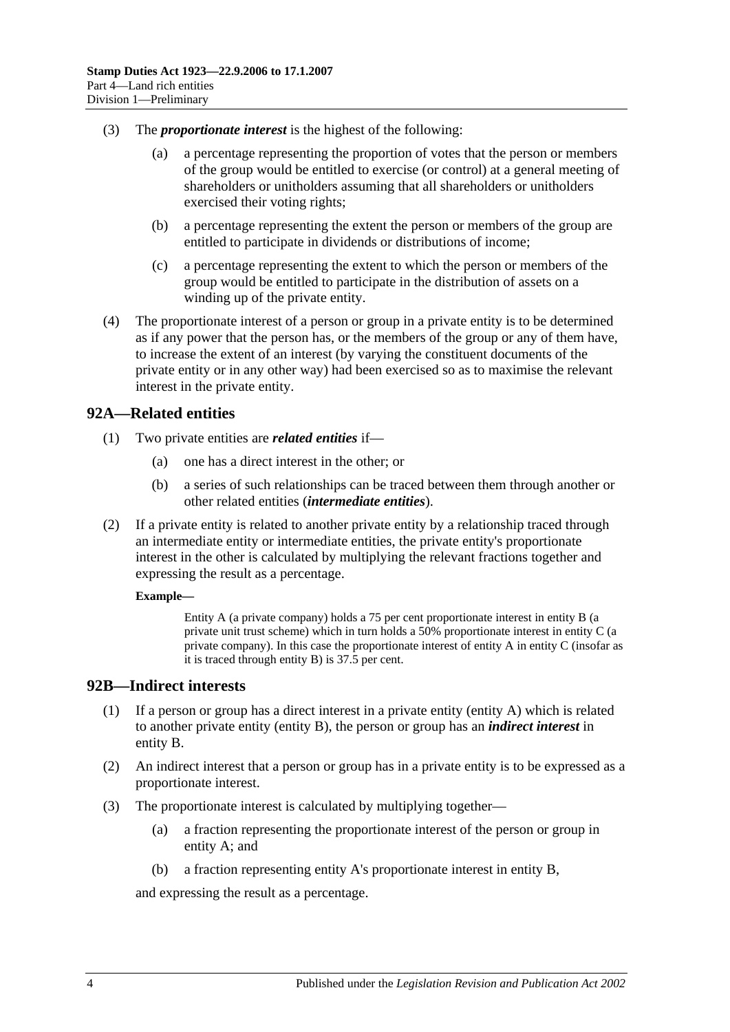- (3) The *proportionate interest* is the highest of the following:
	- (a) a percentage representing the proportion of votes that the person or members of the group would be entitled to exercise (or control) at a general meeting of shareholders or unitholders assuming that all shareholders or unitholders exercised their voting rights;
	- (b) a percentage representing the extent the person or members of the group are entitled to participate in dividends or distributions of income;
	- (c) a percentage representing the extent to which the person or members of the group would be entitled to participate in the distribution of assets on a winding up of the private entity.
- (4) The proportionate interest of a person or group in a private entity is to be determined as if any power that the person has, or the members of the group or any of them have, to increase the extent of an interest (by varying the constituent documents of the private entity or in any other way) had been exercised so as to maximise the relevant interest in the private entity.

## <span id="page-89-1"></span>**92A—Related entities**

- (1) Two private entities are *related entities* if—
	- (a) one has a direct interest in the other; or
	- (b) a series of such relationships can be traced between them through another or other related entities (*intermediate entities*).
- (2) If a private entity is related to another private entity by a relationship traced through an intermediate entity or intermediate entities, the private entity's proportionate interest in the other is calculated by multiplying the relevant fractions together and expressing the result as a percentage.

#### **Example—**

Entity A (a private company) holds a 75 per cent proportionate interest in entity B (a private unit trust scheme) which in turn holds a 50% proportionate interest in entity C (a private company). In this case the proportionate interest of entity A in entity C (insofar as it is traced through entity B) is 37.5 per cent.

#### <span id="page-89-0"></span>**92B—Indirect interests**

- (1) If a person or group has a direct interest in a private entity (entity A) which is related to another private entity (entity B), the person or group has an *indirect interest* in entity B.
- (2) An indirect interest that a person or group has in a private entity is to be expressed as a proportionate interest.
- (3) The proportionate interest is calculated by multiplying together—
	- (a) a fraction representing the proportionate interest of the person or group in entity A; and
	- (b) a fraction representing entity A's proportionate interest in entity B,

and expressing the result as a percentage.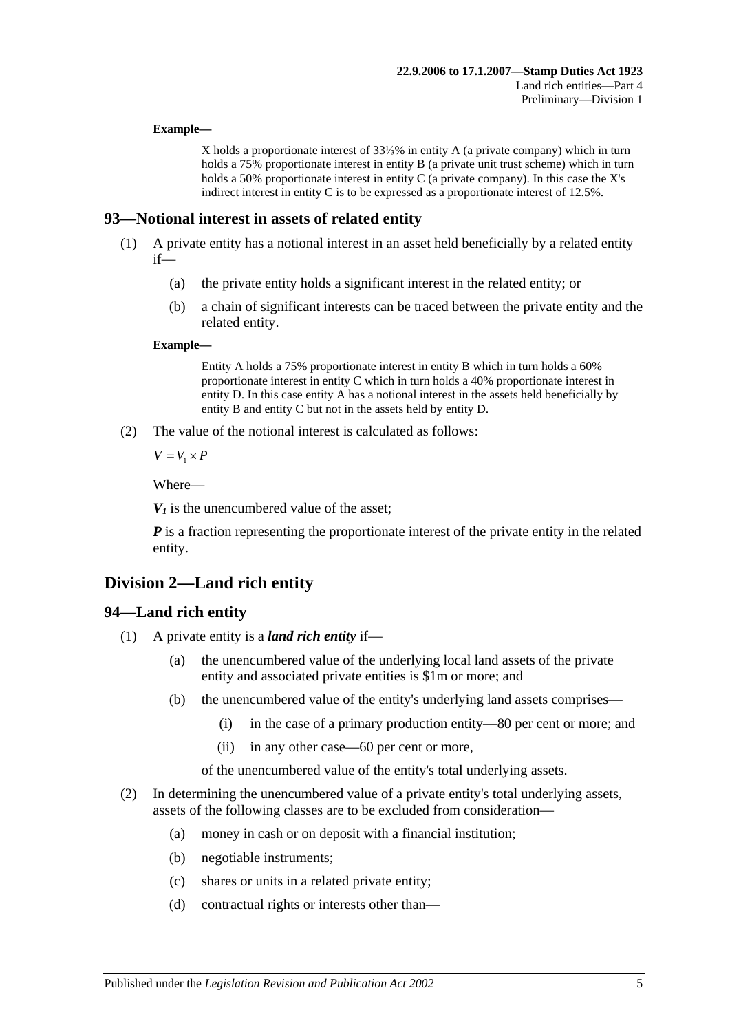#### **Example—**

X holds a proportionate interest of 33⅓% in entity A (a private company) which in turn holds a 75% proportionate interest in entity B (a private unit trust scheme) which in turn holds a 50% proportionate interest in entity C (a private company). In this case the X's indirect interest in entity C is to be expressed as a proportionate interest of 12.5%.

#### <span id="page-90-0"></span>**93—Notional interest in assets of related entity**

- (1) A private entity has a notional interest in an asset held beneficially by a related entity if—
	- (a) the private entity holds a significant interest in the related entity; or
	- (b) a chain of significant interests can be traced between the private entity and the related entity.

#### **Example—**

Entity A holds a 75% proportionate interest in entity B which in turn holds a 60% proportionate interest in entity C which in turn holds a 40% proportionate interest in entity D. In this case entity A has a notional interest in the assets held beneficially by entity B and entity C but not in the assets held by entity D.

(2) The value of the notional interest is calculated as follows:

 $V = V_1 \times P$ 

Where—

 $V_1$  is the unencumbered value of the asset;

*P* is a fraction representing the proportionate interest of the private entity in the related entity.

## **Division 2—Land rich entity**

#### <span id="page-90-1"></span>**94—Land rich entity**

- (1) A private entity is a *land rich entity* if—
	- (a) the unencumbered value of the underlying local land assets of the private entity and associated private entities is \$1m or more; and
	- (b) the unencumbered value of the entity's underlying land assets comprises—
		- (i) in the case of a primary production entity—80 per cent or more; and
		- (ii) in any other case—60 per cent or more,
		- of the unencumbered value of the entity's total underlying assets.
- (2) In determining the unencumbered value of a private entity's total underlying assets, assets of the following classes are to be excluded from consideration—
	- (a) money in cash or on deposit with a financial institution;
	- (b) negotiable instruments;
	- (c) shares or units in a related private entity;
	- (d) contractual rights or interests other than—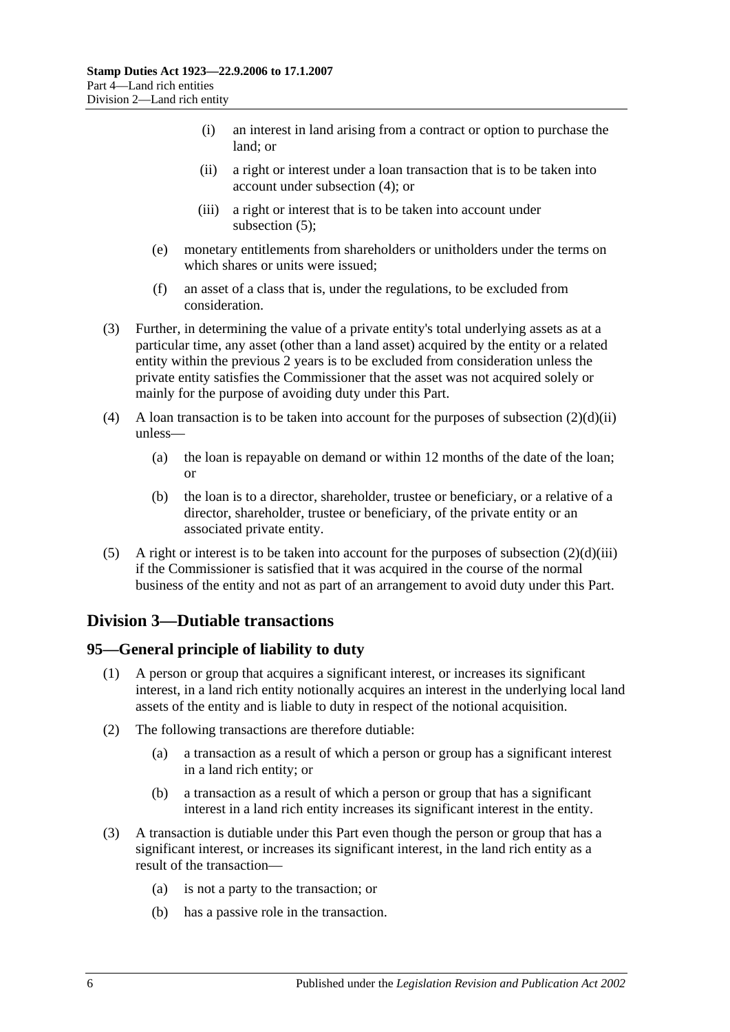- (i) an interest in land arising from a contract or option to purchase the land; or
- (ii) a right or interest under a loan transaction that is to be taken into account under [subsection](#page-91-0) (4); or
- (iii) a right or interest that is to be taken into account under [subsection](#page-91-1) (5);
- <span id="page-91-3"></span><span id="page-91-2"></span>(e) monetary entitlements from shareholders or unitholders under the terms on which shares or units were issued;
- (f) an asset of a class that is, under the regulations, to be excluded from consideration.
- (3) Further, in determining the value of a private entity's total underlying assets as at a particular time, any asset (other than a land asset) acquired by the entity or a related entity within the previous 2 years is to be excluded from consideration unless the private entity satisfies the Commissioner that the asset was not acquired solely or mainly for the purpose of avoiding duty under this Part.
- <span id="page-91-0"></span>(4) A loan transaction is to be taken into account for the purposes of [subsection](#page-91-2)  $(2)(d)(ii)$ unless—
	- (a) the loan is repayable on demand or within 12 months of the date of the loan; or
	- (b) the loan is to a director, shareholder, trustee or beneficiary, or a relative of a director, shareholder, trustee or beneficiary, of the private entity or an associated private entity.
- <span id="page-91-1"></span>(5) A right or interest is to be taken into account for the purposes of [subsection](#page-91-3)  $(2)(d)(iii)$ if the Commissioner is satisfied that it was acquired in the course of the normal business of the entity and not as part of an arrangement to avoid duty under this Part.

# **Division 3—Dutiable transactions**

## **95—General principle of liability to duty**

- (1) A person or group that acquires a significant interest, or increases its significant interest, in a land rich entity notionally acquires an interest in the underlying local land assets of the entity and is liable to duty in respect of the notional acquisition.
- (2) The following transactions are therefore dutiable:
	- (a) a transaction as a result of which a person or group has a significant interest in a land rich entity; or
	- (b) a transaction as a result of which a person or group that has a significant interest in a land rich entity increases its significant interest in the entity.
- (3) A transaction is dutiable under this Part even though the person or group that has a significant interest, or increases its significant interest, in the land rich entity as a result of the transaction—
	- (a) is not a party to the transaction; or
	- (b) has a passive role in the transaction.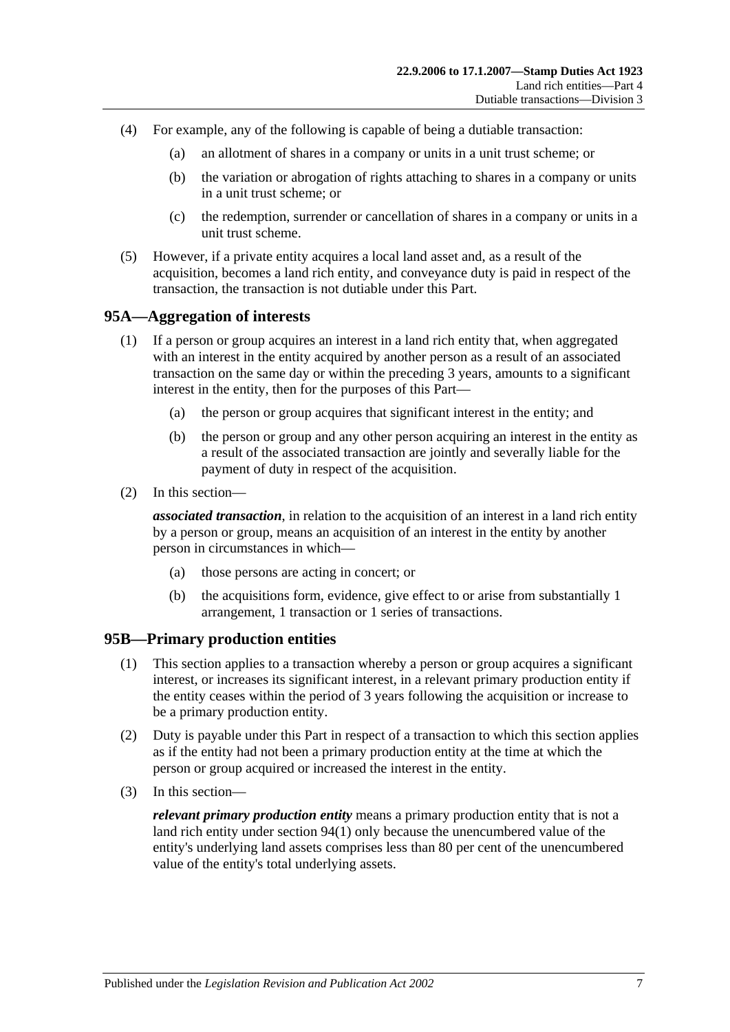- (4) For example, any of the following is capable of being a dutiable transaction:
	- (a) an allotment of shares in a company or units in a unit trust scheme; or
	- (b) the variation or abrogation of rights attaching to shares in a company or units in a unit trust scheme; or
	- (c) the redemption, surrender or cancellation of shares in a company or units in a unit trust scheme.
- (5) However, if a private entity acquires a local land asset and, as a result of the acquisition, becomes a land rich entity, and conveyance duty is paid in respect of the transaction, the transaction is not dutiable under this Part.

## **95A—Aggregation of interests**

- (1) If a person or group acquires an interest in a land rich entity that, when aggregated with an interest in the entity acquired by another person as a result of an associated transaction on the same day or within the preceding 3 years, amounts to a significant interest in the entity, then for the purposes of this Part—
	- (a) the person or group acquires that significant interest in the entity; and
	- (b) the person or group and any other person acquiring an interest in the entity as a result of the associated transaction are jointly and severally liable for the payment of duty in respect of the acquisition.
- (2) In this section—

*associated transaction*, in relation to the acquisition of an interest in a land rich entity by a person or group, means an acquisition of an interest in the entity by another person in circumstances in which—

- (a) those persons are acting in concert; or
- (b) the acquisitions form, evidence, give effect to or arise from substantially 1 arrangement, 1 transaction or 1 series of transactions.

## <span id="page-92-0"></span>**95B—Primary production entities**

- (1) This section applies to a transaction whereby a person or group acquires a significant interest, or increases its significant interest, in a relevant primary production entity if the entity ceases within the period of 3 years following the acquisition or increase to be a primary production entity.
- (2) Duty is payable under this Part in respect of a transaction to which this section applies as if the entity had not been a primary production entity at the time at which the person or group acquired or increased the interest in the entity.
- (3) In this section—

*relevant primary production entity* means a primary production entity that is not a land rich entity under [section](#page-90-1) 94(1) only because the unencumbered value of the entity's underlying land assets comprises less than 80 per cent of the unencumbered value of the entity's total underlying assets.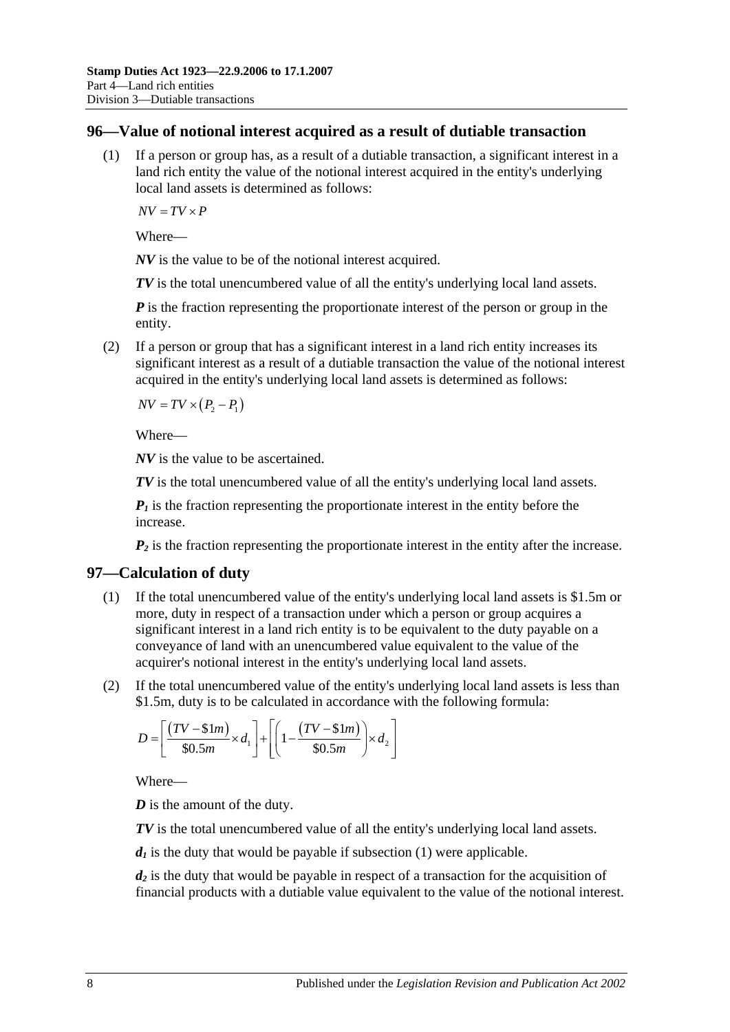#### **96—Value of notional interest acquired as a result of dutiable transaction**

(1) If a person or group has, as a result of a dutiable transaction, a significant interest in a land rich entity the value of the notional interest acquired in the entity's underlying local land assets is determined as follows:

 $\overline{AV} = \overline{TV} \times \overline{P}$ 

Where—

*NV* is the value to be of the notional interest acquired.

*TV* is the total unencumbered value of all the entity's underlying local land assets.

*P* is the fraction representing the proportionate interest of the person or group in the entity.

(2) If a person or group that has a significant interest in a land rich entity increases its significant interest as a result of a dutiable transaction the value of the notional interest acquired in the entity's underlying local land assets is determined as follows:

 $\overline{NV} = \overline{TV} \times (P_2 - P_1)$ 

Where—

*NV* is the value to be ascertained.

*TV* is the total unencumbered value of all the entity's underlying local land assets.

 *is the fraction representing the proportionate interest in the entity before the* increase.

 $P_2$  is the fraction representing the proportionate interest in the entity after the increase.

#### <span id="page-93-0"></span>**97—Calculation of duty**

- (1) If the total unencumbered value of the entity's underlying local land assets is \$1.5m or more, duty in respect of a transaction under which a person or group acquires a significant interest in a land rich entity is to be equivalent to the duty payable on a conveyance of land with an unencumbered value equivalent to the value of the acquirer's notional interest in the entity's underlying local land assets.
- (2) If the total unencumbered value of the entity's underlying local land assets is less than \$1.5m, duty is to be calculated in accordance with the following formula:

$$
D = \left[ \frac{(TV - \text{$\$}1m)}{\text{$\$}0.5m} \times d_1 \right] + \left[ \left( 1 - \frac{(TV - \text{$\$}1m)}{\text{$\$}0.5m} \right) \times d_2 \right]
$$

Where—

*D* is the amount of the duty.

*TV* is the total unencumbered value of all the entity's underlying local land assets.

 $d_1$  is the duty that would be payable if [subsection](#page-93-0) (1) were applicable.

*d2* is the duty that would be payable in respect of a transaction for the acquisition of financial products with a dutiable value equivalent to the value of the notional interest.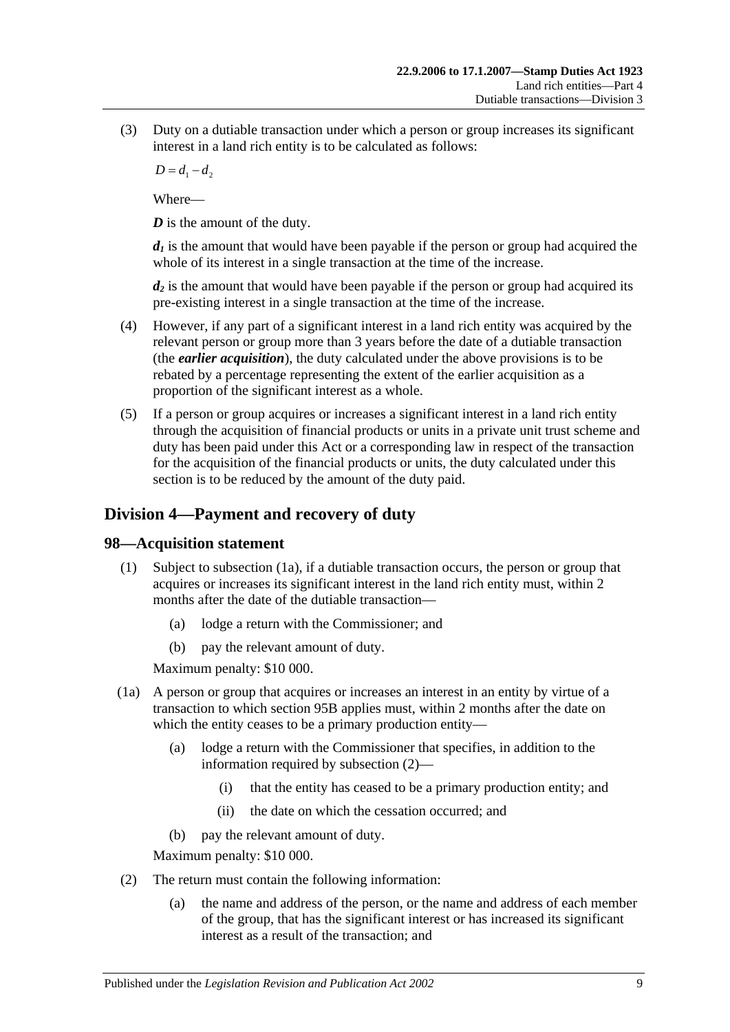(3) Duty on a dutiable transaction under which a person or group increases its significant interest in a land rich entity is to be calculated as follows:

 $D = d_1 - d_2$ 

Where—

*D* is the amount of the duty.

 $d_l$  is the amount that would have been payable if the person or group had acquired the whole of its interest in a single transaction at the time of the increase.

*d<sub>2</sub>* is the amount that would have been payable if the person or group had acquired its pre-existing interest in a single transaction at the time of the increase.

- (4) However, if any part of a significant interest in a land rich entity was acquired by the relevant person or group more than 3 years before the date of a dutiable transaction (the *earlier acquisition*), the duty calculated under the above provisions is to be rebated by a percentage representing the extent of the earlier acquisition as a proportion of the significant interest as a whole.
- (5) If a person or group acquires or increases a significant interest in a land rich entity through the acquisition of financial products or units in a private unit trust scheme and duty has been paid under this Act or a corresponding law in respect of the transaction for the acquisition of the financial products or units, the duty calculated under this section is to be reduced by the amount of the duty paid.

# **Division 4—Payment and recovery of duty**

## **98—Acquisition statement**

- (1) Subject to [subsection](#page-94-0) (1a), if a dutiable transaction occurs, the person or group that acquires or increases its significant interest in the land rich entity must, within 2 months after the date of the dutiable transaction—
	- (a) lodge a return with the Commissioner; and
	- (b) pay the relevant amount of duty.

Maximum penalty: \$10 000.

- <span id="page-94-0"></span>(1a) A person or group that acquires or increases an interest in an entity by virtue of a transaction to which [section](#page-92-0) 95B applies must, within 2 months after the date on which the entity ceases to be a primary production entity—
	- (a) lodge a return with the Commissioner that specifies, in addition to the information required by [subsection](#page-94-1) (2)—
		- (i) that the entity has ceased to be a primary production entity; and
		- (ii) the date on which the cessation occurred; and
	- (b) pay the relevant amount of duty.

Maximum penalty: \$10 000.

- <span id="page-94-1"></span>(2) The return must contain the following information:
	- (a) the name and address of the person, or the name and address of each member of the group, that has the significant interest or has increased its significant interest as a result of the transaction; and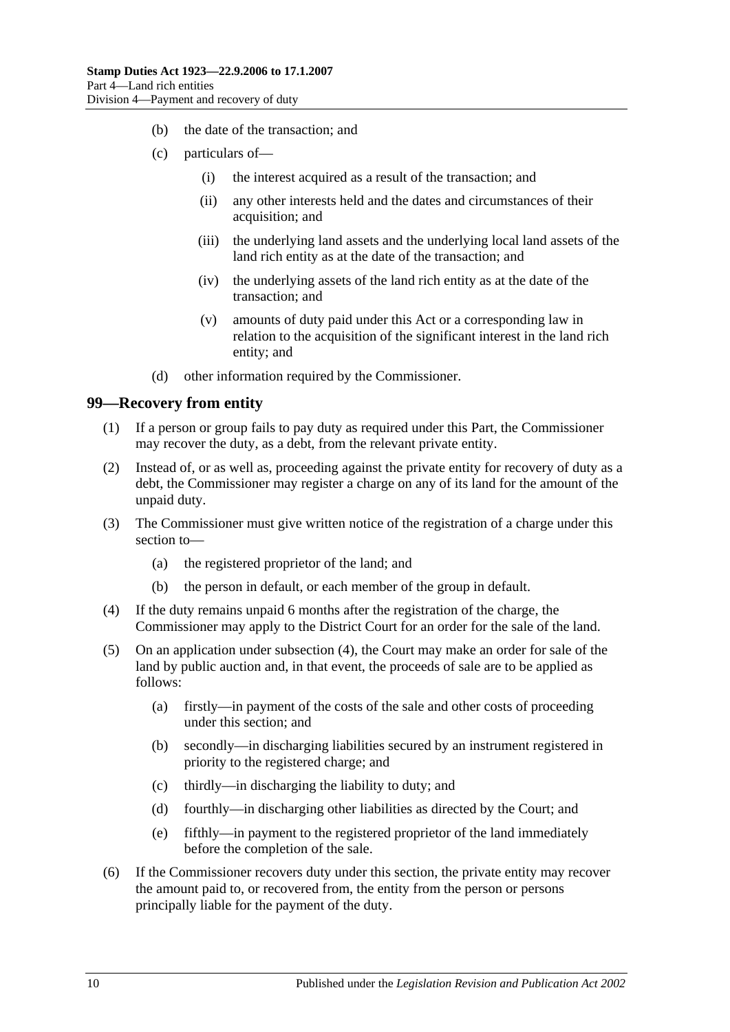- (b) the date of the transaction; and
- (c) particulars of—
	- (i) the interest acquired as a result of the transaction; and
	- (ii) any other interests held and the dates and circumstances of their acquisition; and
	- (iii) the underlying land assets and the underlying local land assets of the land rich entity as at the date of the transaction; and
	- (iv) the underlying assets of the land rich entity as at the date of the transaction; and
	- (v) amounts of duty paid under this Act or a corresponding law in relation to the acquisition of the significant interest in the land rich entity; and
- (d) other information required by the Commissioner.

#### **99—Recovery from entity**

- (1) If a person or group fails to pay duty as required under this Part, the Commissioner may recover the duty, as a debt, from the relevant private entity.
- (2) Instead of, or as well as, proceeding against the private entity for recovery of duty as a debt, the Commissioner may register a charge on any of its land for the amount of the unpaid duty.
- (3) The Commissioner must give written notice of the registration of a charge under this section to—
	- (a) the registered proprietor of the land; and
	- (b) the person in default, or each member of the group in default.
- <span id="page-95-0"></span>(4) If the duty remains unpaid 6 months after the registration of the charge, the Commissioner may apply to the District Court for an order for the sale of the land.
- (5) On an application under [subsection](#page-95-0) (4), the Court may make an order for sale of the land by public auction and, in that event, the proceeds of sale are to be applied as follows:
	- (a) firstly—in payment of the costs of the sale and other costs of proceeding under this section; and
	- (b) secondly—in discharging liabilities secured by an instrument registered in priority to the registered charge; and
	- (c) thirdly—in discharging the liability to duty; and
	- (d) fourthly—in discharging other liabilities as directed by the Court; and
	- (e) fifthly—in payment to the registered proprietor of the land immediately before the completion of the sale.
- (6) If the Commissioner recovers duty under this section, the private entity may recover the amount paid to, or recovered from, the entity from the person or persons principally liable for the payment of the duty.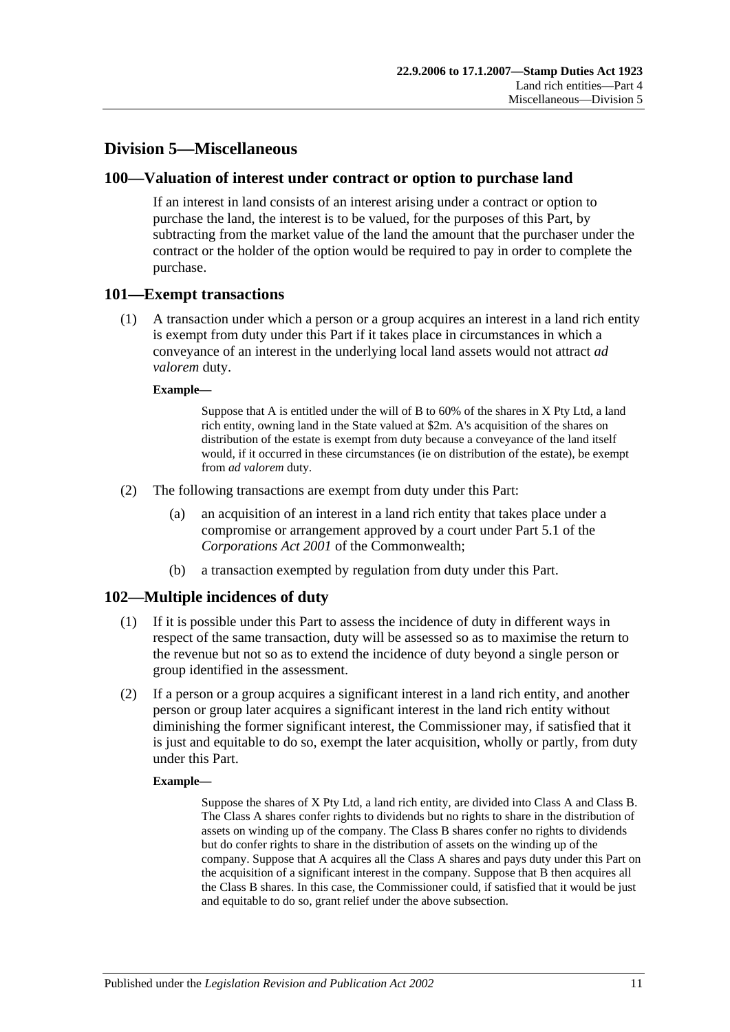## **Division 5—Miscellaneous**

#### **100—Valuation of interest under contract or option to purchase land**

If an interest in land consists of an interest arising under a contract or option to purchase the land, the interest is to be valued, for the purposes of this Part, by subtracting from the market value of the land the amount that the purchaser under the contract or the holder of the option would be required to pay in order to complete the purchase.

#### **101—Exempt transactions**

(1) A transaction under which a person or a group acquires an interest in a land rich entity is exempt from duty under this Part if it takes place in circumstances in which a conveyance of an interest in the underlying local land assets would not attract *ad valorem* duty.

#### **Example—**

Suppose that A is entitled under the will of B to 60% of the shares in X Pty Ltd, a land rich entity, owning land in the State valued at \$2m. A's acquisition of the shares on distribution of the estate is exempt from duty because a conveyance of the land itself would, if it occurred in these circumstances (ie on distribution of the estate), be exempt from *ad valorem* duty.

- (2) The following transactions are exempt from duty under this Part:
	- (a) an acquisition of an interest in a land rich entity that takes place under a compromise or arrangement approved by a court under Part 5.1 of the *Corporations Act 2001* of the Commonwealth;
	- (b) a transaction exempted by regulation from duty under this Part.

## **102—Multiple incidences of duty**

- (1) If it is possible under this Part to assess the incidence of duty in different ways in respect of the same transaction, duty will be assessed so as to maximise the return to the revenue but not so as to extend the incidence of duty beyond a single person or group identified in the assessment.
- (2) If a person or a group acquires a significant interest in a land rich entity, and another person or group later acquires a significant interest in the land rich entity without diminishing the former significant interest, the Commissioner may, if satisfied that it is just and equitable to do so, exempt the later acquisition, wholly or partly, from duty under this Part.

#### **Example—**

Suppose the shares of X Pty Ltd, a land rich entity, are divided into Class A and Class B. The Class A shares confer rights to dividends but no rights to share in the distribution of assets on winding up of the company. The Class B shares confer no rights to dividends but do confer rights to share in the distribution of assets on the winding up of the company. Suppose that A acquires all the Class A shares and pays duty under this Part on the acquisition of a significant interest in the company. Suppose that B then acquires all the Class B shares. In this case, the Commissioner could, if satisfied that it would be just and equitable to do so, grant relief under the above subsection.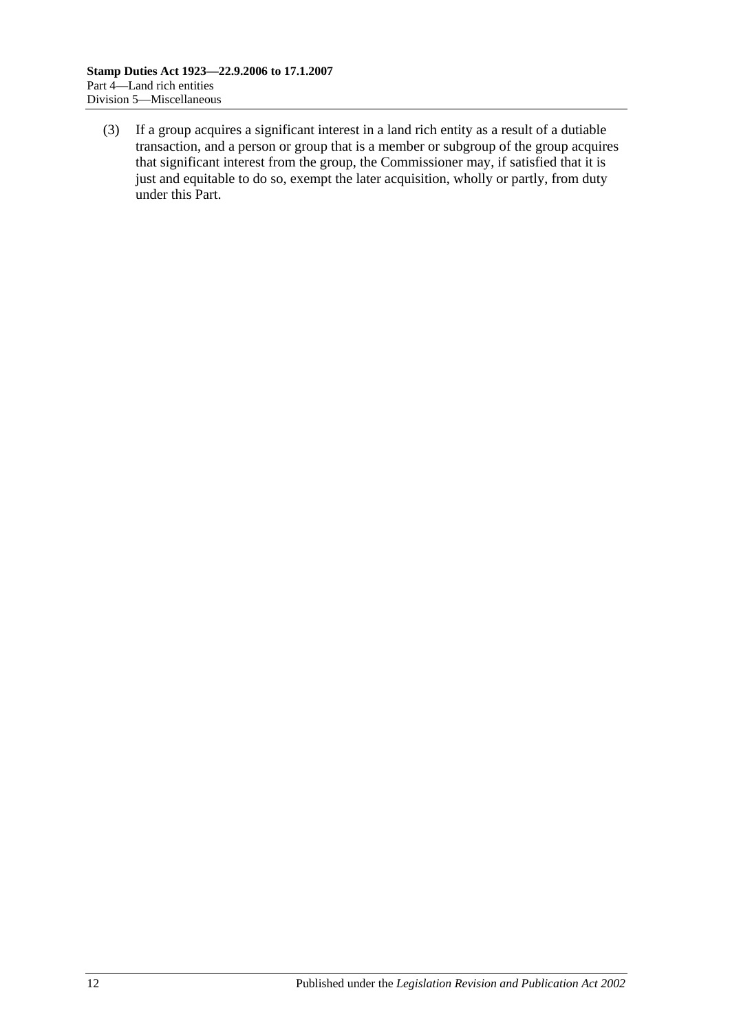(3) If a group acquires a significant interest in a land rich entity as a result of a dutiable transaction, and a person or group that is a member or subgroup of the group acquires that significant interest from the group, the Commissioner may, if satisfied that it is just and equitable to do so, exempt the later acquisition, wholly or partly, from duty under this Part.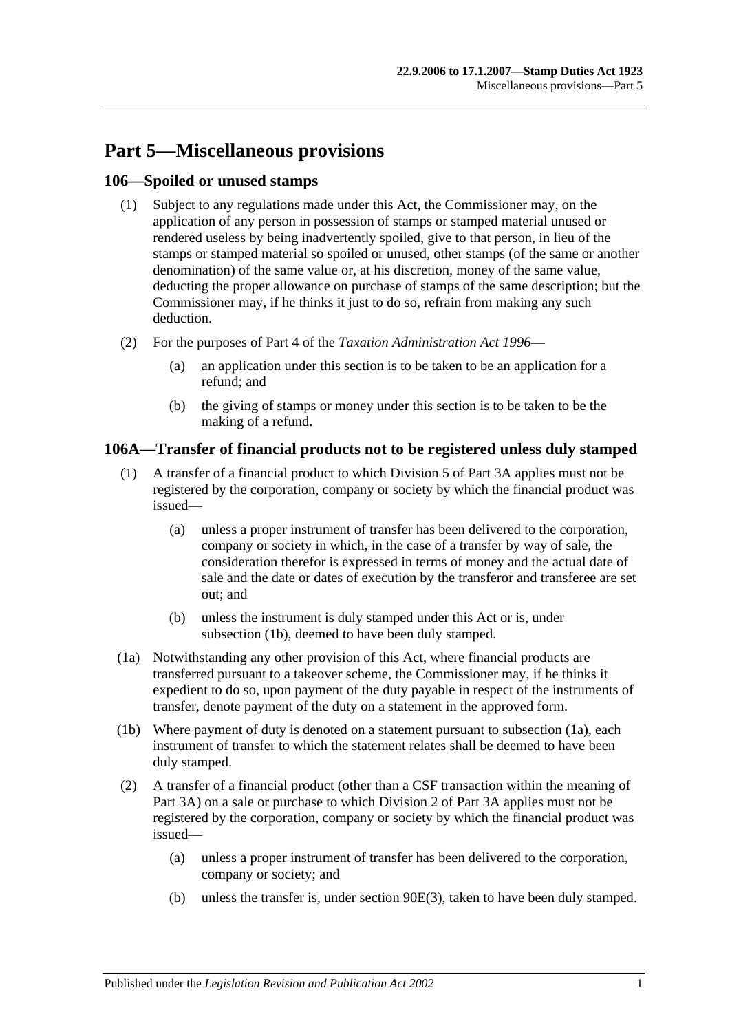# **Part 5—Miscellaneous provisions**

## **106—Spoiled or unused stamps**

- (1) Subject to any regulations made under this Act, the Commissioner may, on the application of any person in possession of stamps or stamped material unused or rendered useless by being inadvertently spoiled, give to that person, in lieu of the stamps or stamped material so spoiled or unused, other stamps (of the same or another denomination) of the same value or, at his discretion, money of the same value, deducting the proper allowance on purchase of stamps of the same description; but the Commissioner may, if he thinks it just to do so, refrain from making any such deduction.
- (2) For the purposes of Part 4 of the *[Taxation Administration Act](http://www.legislation.sa.gov.au/index.aspx?action=legref&type=act&legtitle=Taxation%20Administration%20Act%201996) 1996*
	- (a) an application under this section is to be taken to be an application for a refund; and
	- (b) the giving of stamps or money under this section is to be taken to be the making of a refund.

## **106A—Transfer of financial products not to be registered unless duly stamped**

- (1) A transfer of a financial product to which [Division 5](#page-85-1) of [Part 3A](#page-74-0) applies must not be registered by the corporation, company or society by which the financial product was issued—
	- (a) unless a proper instrument of transfer has been delivered to the corporation, company or society in which, in the case of a transfer by way of sale, the consideration therefor is expressed in terms of money and the actual date of sale and the date or dates of execution by the transferor and transferee are set out; and
	- (b) unless the instrument is duly stamped under this Act or is, under [subsection](#page-98-0) (1b), deemed to have been duly stamped.
- <span id="page-98-1"></span>(1a) Notwithstanding any other provision of this Act, where financial products are transferred pursuant to a takeover scheme, the Commissioner may, if he thinks it expedient to do so, upon payment of the duty payable in respect of the instruments of transfer, denote payment of the duty on a statement in the approved form.
- <span id="page-98-0"></span>(1b) Where payment of duty is denoted on a statement pursuant to [subsection](#page-98-1) (1a), each instrument of transfer to which the statement relates shall be deemed to have been duly stamped.
- (2) A transfer of a financial product (other than a CSF transaction within the meaning of [Part 3A\)](#page-74-0) on a sale or purchase to which [Division 2](#page-76-0) of [Part 3A](#page-74-0) applies must not be registered by the corporation, company or society by which the financial product was issued—
	- (a) unless a proper instrument of transfer has been delivered to the corporation, company or society; and
	- (b) unless the transfer is, under [section](#page-79-0) 90E(3), taken to have been duly stamped.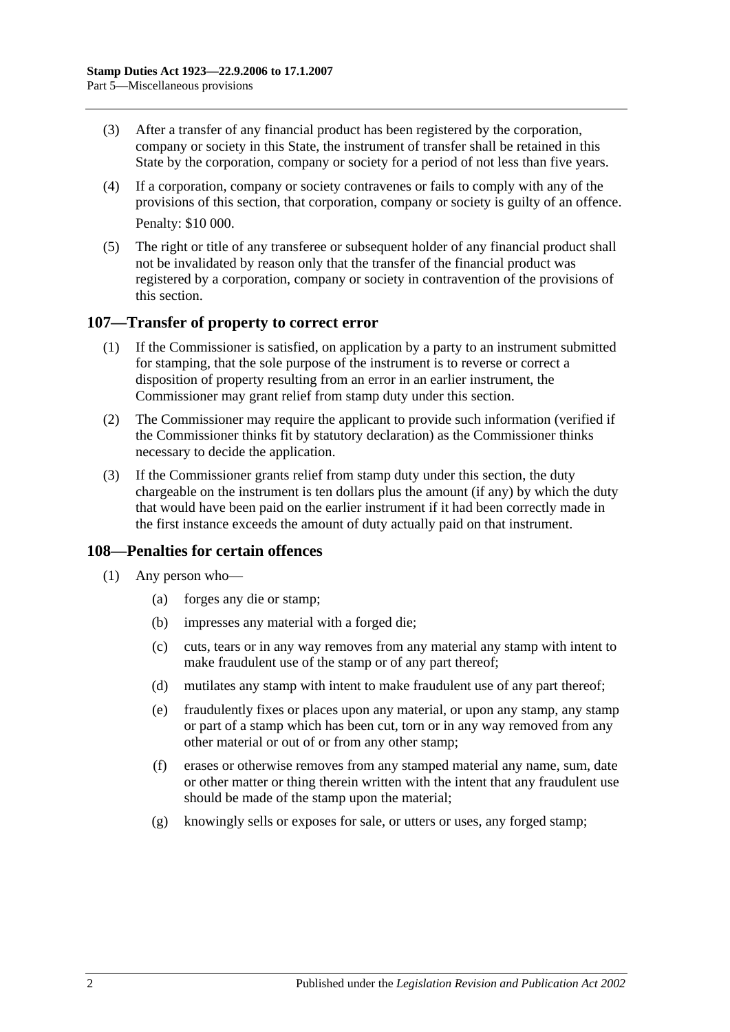- (3) After a transfer of any financial product has been registered by the corporation, company or society in this State, the instrument of transfer shall be retained in this State by the corporation, company or society for a period of not less than five years.
- (4) If a corporation, company or society contravenes or fails to comply with any of the provisions of this section, that corporation, company or society is guilty of an offence. Penalty: \$10 000.
- (5) The right or title of any transferee or subsequent holder of any financial product shall not be invalidated by reason only that the transfer of the financial product was registered by a corporation, company or society in contravention of the provisions of this section.

#### **107—Transfer of property to correct error**

- (1) If the Commissioner is satisfied, on application by a party to an instrument submitted for stamping, that the sole purpose of the instrument is to reverse or correct a disposition of property resulting from an error in an earlier instrument, the Commissioner may grant relief from stamp duty under this section.
- (2) The Commissioner may require the applicant to provide such information (verified if the Commissioner thinks fit by statutory declaration) as the Commissioner thinks necessary to decide the application.
- (3) If the Commissioner grants relief from stamp duty under this section, the duty chargeable on the instrument is ten dollars plus the amount (if any) by which the duty that would have been paid on the earlier instrument if it had been correctly made in the first instance exceeds the amount of duty actually paid on that instrument.

## **108—Penalties for certain offences**

- <span id="page-99-0"></span>(1) Any person who—
	- (a) forges any die or stamp;
	- (b) impresses any material with a forged die;
	- (c) cuts, tears or in any way removes from any material any stamp with intent to make fraudulent use of the stamp or of any part thereof;
	- (d) mutilates any stamp with intent to make fraudulent use of any part thereof;
	- (e) fraudulently fixes or places upon any material, or upon any stamp, any stamp or part of a stamp which has been cut, torn or in any way removed from any other material or out of or from any other stamp;
	- (f) erases or otherwise removes from any stamped material any name, sum, date or other matter or thing therein written with the intent that any fraudulent use should be made of the stamp upon the material;
	- (g) knowingly sells or exposes for sale, or utters or uses, any forged stamp;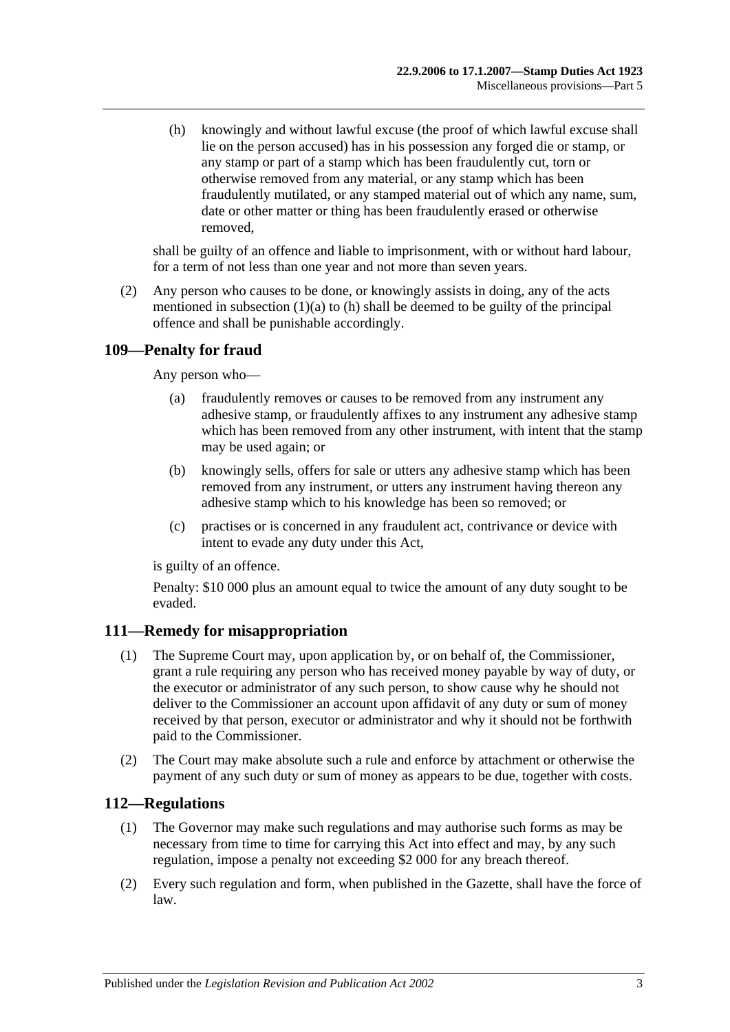<span id="page-100-0"></span>(h) knowingly and without lawful excuse (the proof of which lawful excuse shall lie on the person accused) has in his possession any forged die or stamp, or any stamp or part of a stamp which has been fraudulently cut, torn or otherwise removed from any material, or any stamp which has been fraudulently mutilated, or any stamped material out of which any name, sum, date or other matter or thing has been fraudulently erased or otherwise removed,

shall be guilty of an offence and liable to imprisonment, with or without hard labour, for a term of not less than one year and not more than seven years.

(2) Any person who causes to be done, or knowingly assists in doing, any of the acts mentioned in [subsection](#page-99-0)  $(1)(a)$  to  $(h)$  shall be deemed to be guilty of the principal offence and shall be punishable accordingly.

## **109—Penalty for fraud**

Any person who—

- (a) fraudulently removes or causes to be removed from any instrument any adhesive stamp, or fraudulently affixes to any instrument any adhesive stamp which has been removed from any other instrument, with intent that the stamp may be used again; or
- (b) knowingly sells, offers for sale or utters any adhesive stamp which has been removed from any instrument, or utters any instrument having thereon any adhesive stamp which to his knowledge has been so removed; or
- (c) practises or is concerned in any fraudulent act, contrivance or device with intent to evade any duty under this Act,

is guilty of an offence.

Penalty: \$10 000 plus an amount equal to twice the amount of any duty sought to be evaded.

## **111—Remedy for misappropriation**

- (1) The Supreme Court may, upon application by, or on behalf of, the Commissioner, grant a rule requiring any person who has received money payable by way of duty, or the executor or administrator of any such person, to show cause why he should not deliver to the Commissioner an account upon affidavit of any duty or sum of money received by that person, executor or administrator and why it should not be forthwith paid to the Commissioner.
- (2) The Court may make absolute such a rule and enforce by attachment or otherwise the payment of any such duty or sum of money as appears to be due, together with costs.

## **112—Regulations**

- (1) The Governor may make such regulations and may authorise such forms as may be necessary from time to time for carrying this Act into effect and may, by any such regulation, impose a penalty not exceeding \$2 000 for any breach thereof.
- (2) Every such regulation and form, when published in the Gazette, shall have the force of law.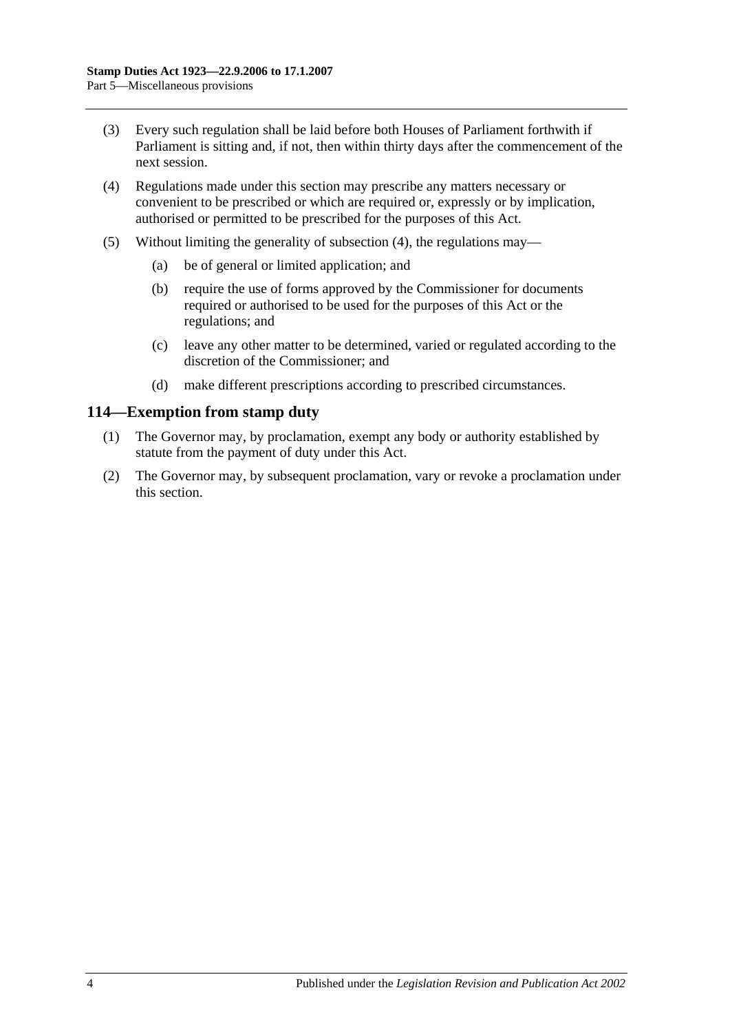- (3) Every such regulation shall be laid before both Houses of Parliament forthwith if Parliament is sitting and, if not, then within thirty days after the commencement of the next session.
- <span id="page-101-0"></span>(4) Regulations made under this section may prescribe any matters necessary or convenient to be prescribed or which are required or, expressly or by implication, authorised or permitted to be prescribed for the purposes of this Act.
- (5) Without limiting the generality of [subsection](#page-101-0) (4), the regulations may—
	- (a) be of general or limited application; and
	- (b) require the use of forms approved by the Commissioner for documents required or authorised to be used for the purposes of this Act or the regulations; and
	- (c) leave any other matter to be determined, varied or regulated according to the discretion of the Commissioner; and
	- (d) make different prescriptions according to prescribed circumstances.

#### **114—Exemption from stamp duty**

- (1) The Governor may, by proclamation, exempt any body or authority established by statute from the payment of duty under this Act.
- (2) The Governor may, by subsequent proclamation, vary or revoke a proclamation under this section.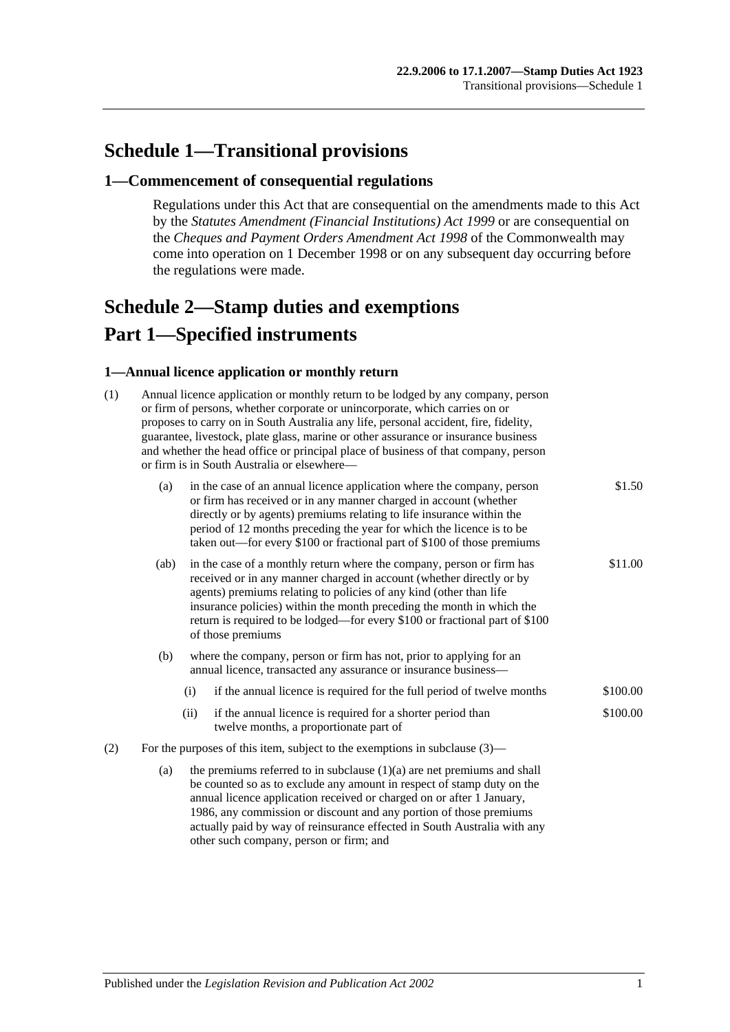# **Schedule 1—Transitional provisions**

#### **1—Commencement of consequential regulations**

Regulations under this Act that are consequential on the amendments made to this Act by the *[Statutes Amendment \(Financial Institutions\) Act](http://www.legislation.sa.gov.au/index.aspx?action=legref&type=act&legtitle=Statutes%20Amendment%20(Financial%20Institutions)%20Act%201999) 1999* or are consequential on the *Cheques and Payment Orders Amendment Act 1998* of the Commonwealth may come into operation on 1 December 1998 or on any subsequent day occurring before the regulations were made.

# <span id="page-102-0"></span>**Schedule 2—Stamp duties and exemptions Part 1—Specified instruments**

#### **1—Annual licence application or monthly return**

| (1) | Annual licence application or monthly return to be lodged by any company, person<br>or firm of persons, whether corporate or unincorporate, which carries on or<br>proposes to carry on in South Australia any life, personal accident, fire, fidelity,<br>guarantee, livestock, plate glass, marine or other assurance or insurance business<br>and whether the head office or principal place of business of that company, person<br>or firm is in South Australia or elsewhere- |                                                                                                                                                                                                                                                                                                                                                                                                  |                                                                                                       |          |  |  |
|-----|------------------------------------------------------------------------------------------------------------------------------------------------------------------------------------------------------------------------------------------------------------------------------------------------------------------------------------------------------------------------------------------------------------------------------------------------------------------------------------|--------------------------------------------------------------------------------------------------------------------------------------------------------------------------------------------------------------------------------------------------------------------------------------------------------------------------------------------------------------------------------------------------|-------------------------------------------------------------------------------------------------------|----------|--|--|
|     | (a)                                                                                                                                                                                                                                                                                                                                                                                                                                                                                | in the case of an annual licence application where the company, person<br>or firm has received or in any manner charged in account (whether<br>directly or by agents) premiums relating to life insurance within the<br>period of 12 months preceding the year for which the licence is to be<br>taken out—for every \$100 or fractional part of \$100 of those premiums                         | \$1.50                                                                                                |          |  |  |
|     | (ab)                                                                                                                                                                                                                                                                                                                                                                                                                                                                               | in the case of a monthly return where the company, person or firm has<br>received or in any manner charged in account (whether directly or by<br>agents) premiums relating to policies of any kind (other than life<br>insurance policies) within the month preceding the month in which the<br>return is required to be lodged—for every \$100 or fractional part of \$100<br>of those premiums |                                                                                                       |          |  |  |
|     | (b)                                                                                                                                                                                                                                                                                                                                                                                                                                                                                | where the company, person or firm has not, prior to applying for an<br>annual licence, transacted any assurance or insurance business-                                                                                                                                                                                                                                                           |                                                                                                       |          |  |  |
|     |                                                                                                                                                                                                                                                                                                                                                                                                                                                                                    | (i)                                                                                                                                                                                                                                                                                                                                                                                              | if the annual licence is required for the full period of twelve months                                | \$100.00 |  |  |
|     |                                                                                                                                                                                                                                                                                                                                                                                                                                                                                    | (ii)                                                                                                                                                                                                                                                                                                                                                                                             | if the annual licence is required for a shorter period than<br>twelve months, a proportionate part of | \$100.00 |  |  |
| (2) | For the purposes of this item, subject to the exemptions in subclause $(3)$ —                                                                                                                                                                                                                                                                                                                                                                                                      |                                                                                                                                                                                                                                                                                                                                                                                                  |                                                                                                       |          |  |  |
|     | (a)                                                                                                                                                                                                                                                                                                                                                                                                                                                                                | the premiums referred to in subclause $(1)(a)$ are net premiums and shall<br>be counted so as to exclude any amount in respect of stamp duty on the<br>annual licence application received or charged on or after 1 January,<br>1986, any commission or discount and any portion of those premiums<br>actually paid by way of reinsurance effected in South Australia with any                   |                                                                                                       |          |  |  |

other such company, person or firm; and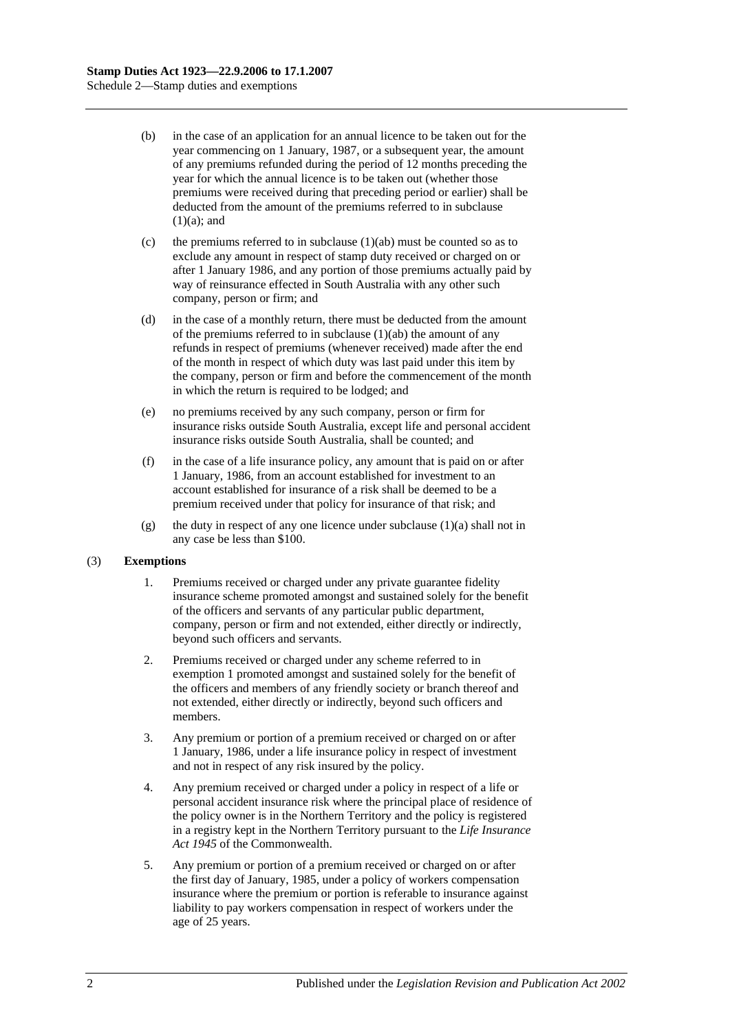- (b) in the case of an application for an annual licence to be taken out for the year commencing on 1 January, 1987, or a subsequent year, the amount of any premiums refunded during the period of 12 months preceding the year for which the annual licence is to be taken out (whether those premiums were received during that preceding period or earlier) shall be deducted from the amount of the premiums referred to in subclause  $(1)(a)$ ; and
- (c) the premiums referred to in subclause  $(1)(ab)$  must be counted so as to exclude any amount in respect of stamp duty received or charged on or after 1 January 1986, and any portion of those premiums actually paid by way of reinsurance effected in South Australia with any other such company, person or firm; and
- (d) in the case of a monthly return, there must be deducted from the amount of the premiums referred to in subclause  $(1)(ab)$  the amount of any refunds in respect of premiums (whenever received) made after the end of the month in respect of which duty was last paid under this item by the company, person or firm and before the commencement of the month in which the return is required to be lodged; and
- (e) no premiums received by any such company, person or firm for insurance risks outside South Australia, except life and personal accident insurance risks outside South Australia, shall be counted; and
- (f) in the case of a life insurance policy, any amount that is paid on or after 1 January, 1986, from an account established for investment to an account established for insurance of a risk shall be deemed to be a premium received under that policy for insurance of that risk; and
- (g) the duty in respect of any one licence under subclause  $(1)(a)$  shall not in any case be less than \$100.

#### (3) **Exemptions**

- 1. Premiums received or charged under any private guarantee fidelity insurance scheme promoted amongst and sustained solely for the benefit of the officers and servants of any particular public department, company, person or firm and not extended, either directly or indirectly, beyond such officers and servants.
- 2. Premiums received or charged under any scheme referred to in exemption 1 promoted amongst and sustained solely for the benefit of the officers and members of any friendly society or branch thereof and not extended, either directly or indirectly, beyond such officers and members.
- 3. Any premium or portion of a premium received or charged on or after 1 January, 1986, under a life insurance policy in respect of investment and not in respect of any risk insured by the policy.
- 4. Any premium received or charged under a policy in respect of a life or personal accident insurance risk where the principal place of residence of the policy owner is in the Northern Territory and the policy is registered in a registry kept in the Northern Territory pursuant to the *Life Insurance Act 1945* of the Commonwealth.
- 5. Any premium or portion of a premium received or charged on or after the first day of January, 1985, under a policy of workers compensation insurance where the premium or portion is referable to insurance against liability to pay workers compensation in respect of workers under the age of 25 years.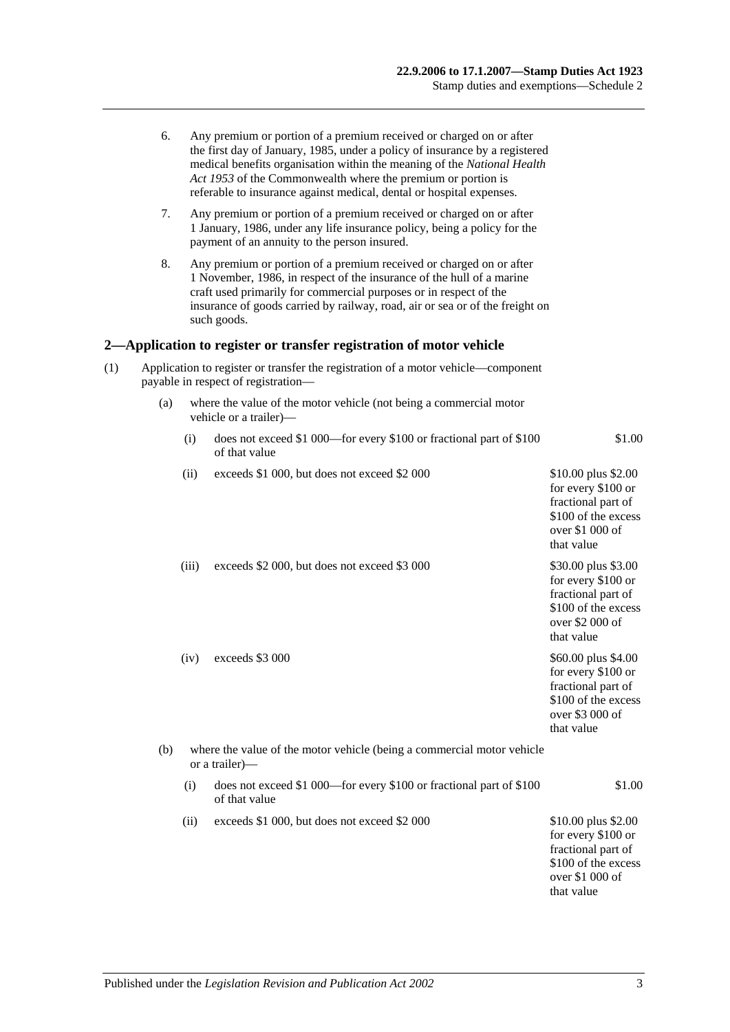|     | 6.                                                                                                                       |                                                                                              | Any premium or portion of a premium received or charged on or after<br>the first day of January, 1985, under a policy of insurance by a registered<br>medical benefits organisation within the meaning of the National Health<br>Act 1953 of the Commonwealth where the premium or portion is<br>referable to insurance against medical, dental or hospital expenses. |                                                                                                                         |  |  |  |
|-----|--------------------------------------------------------------------------------------------------------------------------|----------------------------------------------------------------------------------------------|-----------------------------------------------------------------------------------------------------------------------------------------------------------------------------------------------------------------------------------------------------------------------------------------------------------------------------------------------------------------------|-------------------------------------------------------------------------------------------------------------------------|--|--|--|
|     | 7.                                                                                                                       |                                                                                              | Any premium or portion of a premium received or charged on or after<br>1 January, 1986, under any life insurance policy, being a policy for the<br>payment of an annuity to the person insured.                                                                                                                                                                       |                                                                                                                         |  |  |  |
|     | 8.                                                                                                                       |                                                                                              | Any premium or portion of a premium received or charged on or after<br>1 November, 1986, in respect of the insurance of the hull of a marine<br>craft used primarily for commercial purposes or in respect of the<br>insurance of goods carried by railway, road, air or sea or of the freight on<br>such goods.                                                      |                                                                                                                         |  |  |  |
|     |                                                                                                                          |                                                                                              | 2—Application to register or transfer registration of motor vehicle                                                                                                                                                                                                                                                                                                   |                                                                                                                         |  |  |  |
| (1) | Application to register or transfer the registration of a motor vehicle—component<br>payable in respect of registration- |                                                                                              |                                                                                                                                                                                                                                                                                                                                                                       |                                                                                                                         |  |  |  |
|     | (a)                                                                                                                      | where the value of the motor vehicle (not being a commercial motor<br>vehicle or a trailer)— |                                                                                                                                                                                                                                                                                                                                                                       |                                                                                                                         |  |  |  |
|     |                                                                                                                          | (i)                                                                                          | does not exceed \$1 000—for every \$100 or fractional part of \$100<br>of that value                                                                                                                                                                                                                                                                                  | \$1.00                                                                                                                  |  |  |  |
|     |                                                                                                                          | (ii)                                                                                         | exceeds \$1 000, but does not exceed \$2 000                                                                                                                                                                                                                                                                                                                          | \$10.00 plus \$2.00<br>for every \$100 or<br>fractional part of<br>\$100 of the excess<br>over \$1 000 of<br>that value |  |  |  |
|     |                                                                                                                          | (iii)                                                                                        | exceeds \$2 000, but does not exceed \$3 000                                                                                                                                                                                                                                                                                                                          | \$30.00 plus \$3.00<br>for every \$100 or<br>fractional part of<br>\$100 of the excess<br>over \$2 000 of<br>that value |  |  |  |
|     |                                                                                                                          | (iv)                                                                                         | exceeds \$3 000                                                                                                                                                                                                                                                                                                                                                       | \$60.00 plus \$4.00<br>for every \$100 or<br>fractional part of<br>\$100 of the excess<br>over \$3 000 of<br>that value |  |  |  |
|     | (b)                                                                                                                      |                                                                                              | where the value of the motor vehicle (being a commercial motor vehicle<br>or a trailer)—                                                                                                                                                                                                                                                                              |                                                                                                                         |  |  |  |
|     |                                                                                                                          | (i)                                                                                          | does not exceed \$1 000—for every \$100 or fractional part of \$100<br>of that value                                                                                                                                                                                                                                                                                  | \$1.00                                                                                                                  |  |  |  |
|     |                                                                                                                          | (ii)                                                                                         | exceeds \$1 000, but does not exceed \$2 000                                                                                                                                                                                                                                                                                                                          | \$10.00 plus \$2.00<br>for every \$100 or<br>fractional part of<br>\$100 of the excess<br>over \$1 000 of<br>that value |  |  |  |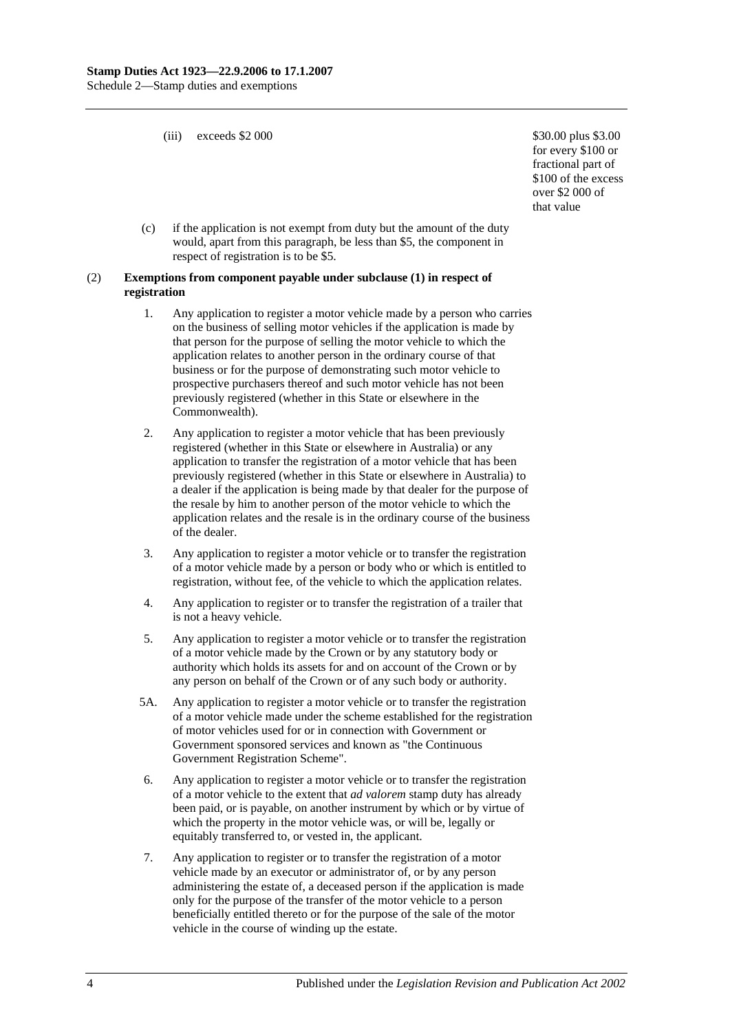(iii) exceeds  $$2\,000$   $$30.00 \, \text{plus } $3.00$ 

for every \$100 or fractional part of \$100 of the excess over \$2 000 of that value

(c) if the application is not exempt from duty but the amount of the duty would, apart from this paragraph, be less than \$5, the component in respect of registration is to be \$5.

#### (2) **Exemptions from component payable under subclause (1) in respect of registration**

- 1. Any application to register a motor vehicle made by a person who carries on the business of selling motor vehicles if the application is made by that person for the purpose of selling the motor vehicle to which the application relates to another person in the ordinary course of that business or for the purpose of demonstrating such motor vehicle to prospective purchasers thereof and such motor vehicle has not been previously registered (whether in this State or elsewhere in the Commonwealth).
- 2. Any application to register a motor vehicle that has been previously registered (whether in this State or elsewhere in Australia) or any application to transfer the registration of a motor vehicle that has been previously registered (whether in this State or elsewhere in Australia) to a dealer if the application is being made by that dealer for the purpose of the resale by him to another person of the motor vehicle to which the application relates and the resale is in the ordinary course of the business of the dealer.
- 3. Any application to register a motor vehicle or to transfer the registration of a motor vehicle made by a person or body who or which is entitled to registration, without fee, of the vehicle to which the application relates.
- 4. Any application to register or to transfer the registration of a trailer that is not a heavy vehicle.
- 5. Any application to register a motor vehicle or to transfer the registration of a motor vehicle made by the Crown or by any statutory body or authority which holds its assets for and on account of the Crown or by any person on behalf of the Crown or of any such body or authority.
- 5A. Any application to register a motor vehicle or to transfer the registration of a motor vehicle made under the scheme established for the registration of motor vehicles used for or in connection with Government or Government sponsored services and known as "the Continuous Government Registration Scheme".
- 6. Any application to register a motor vehicle or to transfer the registration of a motor vehicle to the extent that *ad valorem* stamp duty has already been paid, or is payable, on another instrument by which or by virtue of which the property in the motor vehicle was, or will be, legally or equitably transferred to, or vested in, the applicant.
- 7. Any application to register or to transfer the registration of a motor vehicle made by an executor or administrator of, or by any person administering the estate of, a deceased person if the application is made only for the purpose of the transfer of the motor vehicle to a person beneficially entitled thereto or for the purpose of the sale of the motor vehicle in the course of winding up the estate.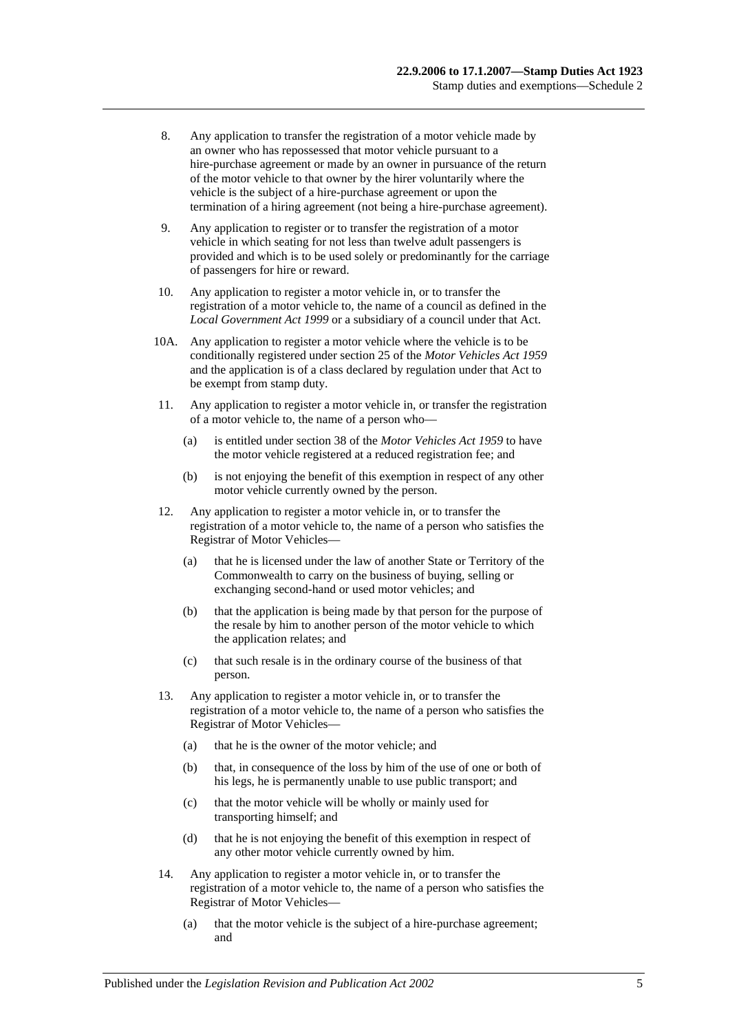- 8. Any application to transfer the registration of a motor vehicle made by an owner who has repossessed that motor vehicle pursuant to a hire-purchase agreement or made by an owner in pursuance of the return of the motor vehicle to that owner by the hirer voluntarily where the vehicle is the subject of a hire-purchase agreement or upon the termination of a hiring agreement (not being a hire-purchase agreement).
- 9. Any application to register or to transfer the registration of a motor vehicle in which seating for not less than twelve adult passengers is provided and which is to be used solely or predominantly for the carriage of passengers for hire or reward.
- 10. Any application to register a motor vehicle in, or to transfer the registration of a motor vehicle to, the name of a council as defined in the *[Local Government Act](http://www.legislation.sa.gov.au/index.aspx?action=legref&type=act&legtitle=Local%20Government%20Act%201999) 1999* or a subsidiary of a council under that Act.
- 10A. Any application to register a motor vehicle where the vehicle is to be conditionally registered under section 25 of the *[Motor Vehicles Act](http://www.legislation.sa.gov.au/index.aspx?action=legref&type=act&legtitle=Motor%20Vehicles%20Act%201959) 1959* and the application is of a class declared by regulation under that Act to be exempt from stamp duty.
- 11. Any application to register a motor vehicle in, or transfer the registration of a motor vehicle to, the name of a person who—
	- (a) is entitled under section 38 of the *[Motor Vehicles Act](http://www.legislation.sa.gov.au/index.aspx?action=legref&type=act&legtitle=Motor%20Vehicles%20Act%201959) 1959* to have the motor vehicle registered at a reduced registration fee; and
	- (b) is not enjoying the benefit of this exemption in respect of any other motor vehicle currently owned by the person.
- 12. Any application to register a motor vehicle in, or to transfer the registration of a motor vehicle to, the name of a person who satisfies the Registrar of Motor Vehicles—
	- (a) that he is licensed under the law of another State or Territory of the Commonwealth to carry on the business of buying, selling or exchanging second-hand or used motor vehicles; and
	- (b) that the application is being made by that person for the purpose of the resale by him to another person of the motor vehicle to which the application relates; and
	- (c) that such resale is in the ordinary course of the business of that person.
- 13. Any application to register a motor vehicle in, or to transfer the registration of a motor vehicle to, the name of a person who satisfies the Registrar of Motor Vehicles—
	- (a) that he is the owner of the motor vehicle; and
	- (b) that, in consequence of the loss by him of the use of one or both of his legs, he is permanently unable to use public transport; and
	- (c) that the motor vehicle will be wholly or mainly used for transporting himself; and
	- (d) that he is not enjoying the benefit of this exemption in respect of any other motor vehicle currently owned by him.
- 14. Any application to register a motor vehicle in, or to transfer the registration of a motor vehicle to, the name of a person who satisfies the Registrar of Motor Vehicles—
	- (a) that the motor vehicle is the subject of a hire-purchase agreement; and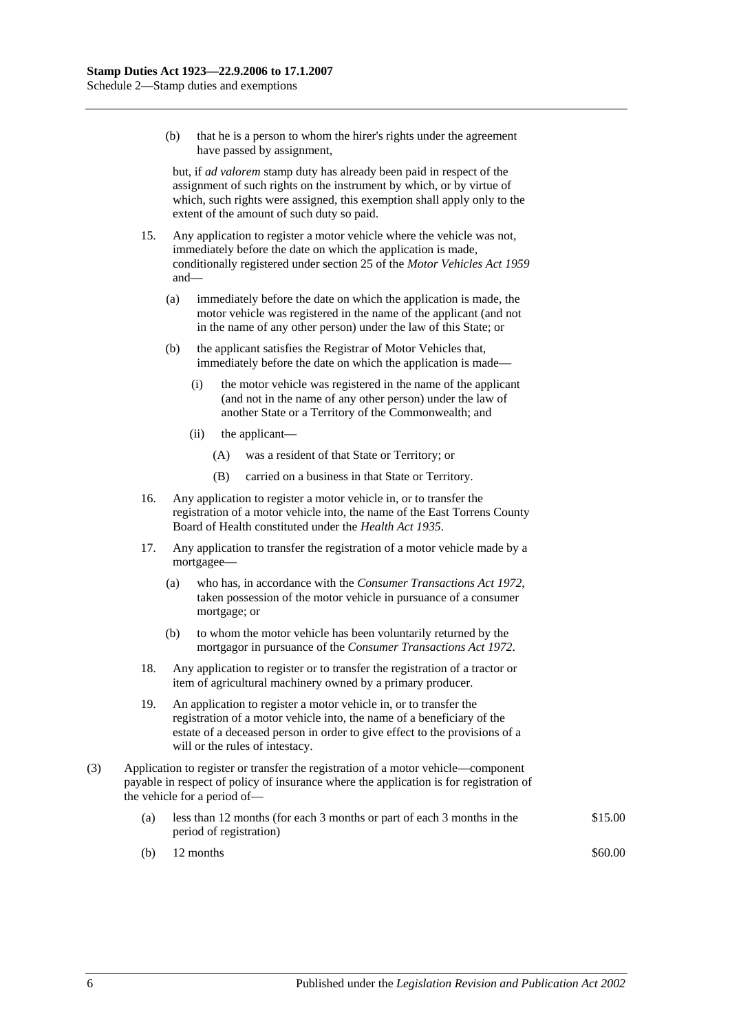(b) that he is a person to whom the hirer's rights under the agreement have passed by assignment,

but, if *ad valorem* stamp duty has already been paid in respect of the assignment of such rights on the instrument by which, or by virtue of which, such rights were assigned, this exemption shall apply only to the extent of the amount of such duty so paid.

- 15. Any application to register a motor vehicle where the vehicle was not, immediately before the date on which the application is made, conditionally registered under section 25 of the *[Motor Vehicles](http://www.legislation.sa.gov.au/index.aspx?action=legref&type=act&legtitle=Motor%20Vehicles%20Act%201959) Act 1959* and—
	- (a) immediately before the date on which the application is made, the motor vehicle was registered in the name of the applicant (and not in the name of any other person) under the law of this State; or
	- (b) the applicant satisfies the Registrar of Motor Vehicles that, immediately before the date on which the application is made—
		- (i) the motor vehicle was registered in the name of the applicant (and not in the name of any other person) under the law of another State or a Territory of the Commonwealth; and
		- (ii) the applicant—
			- (A) was a resident of that State or Territory; or
			- (B) carried on a business in that State or Territory.
- 16. Any application to register a motor vehicle in, or to transfer the registration of a motor vehicle into, the name of the East Torrens County Board of Health constituted under the *[Health Act](http://www.legislation.sa.gov.au/index.aspx?action=legref&type=act&legtitle=Health%20Act%201935) 1935*.
- 17. Any application to transfer the registration of a motor vehicle made by a mortgagee—
	- (a) who has, in accordance with the *[Consumer Transactions Act](http://www.legislation.sa.gov.au/index.aspx?action=legref&type=act&legtitle=Consumer%20Transactions%20Act%201972) 1972*, taken possession of the motor vehicle in pursuance of a consumer mortgage; or
	- (b) to whom the motor vehicle has been voluntarily returned by the mortgagor in pursuance of the *[Consumer Transactions Act](http://www.legislation.sa.gov.au/index.aspx?action=legref&type=act&legtitle=Consumer%20Transactions%20Act%201972) 1972*.
- 18. Any application to register or to transfer the registration of a tractor or item of agricultural machinery owned by a primary producer.
- 19. An application to register a motor vehicle in, or to transfer the registration of a motor vehicle into, the name of a beneficiary of the estate of a deceased person in order to give effect to the provisions of a will or the rules of intestacy.
- (3) Application to register or transfer the registration of a motor vehicle—component payable in respect of policy of insurance where the application is for registration of the vehicle for a period of—
	- (a) less than 12 months (for each 3 months or part of each 3 months in the period of registration) \$15.00
	- (b)  $12 \text{ months}$  \$60.00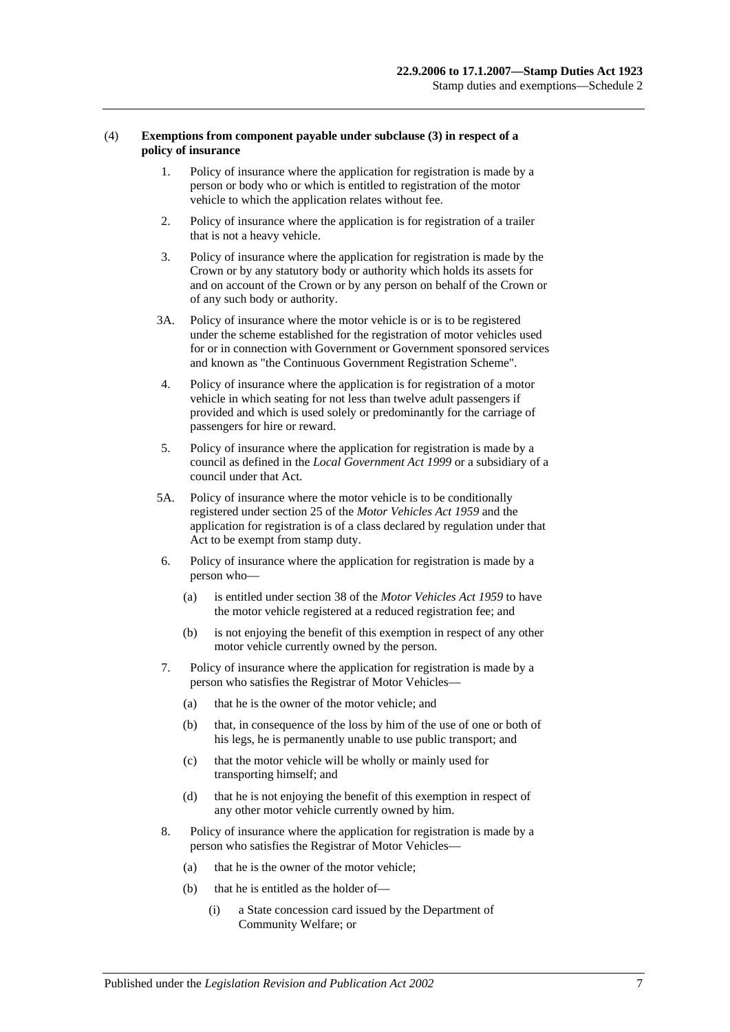## (4) **Exemptions from component payable under subclause (3) in respect of a policy of insurance**

- 1. Policy of insurance where the application for registration is made by a person or body who or which is entitled to registration of the motor vehicle to which the application relates without fee.
- 2. Policy of insurance where the application is for registration of a trailer that is not a heavy vehicle.
- 3. Policy of insurance where the application for registration is made by the Crown or by any statutory body or authority which holds its assets for and on account of the Crown or by any person on behalf of the Crown or of any such body or authority.
- 3A. Policy of insurance where the motor vehicle is or is to be registered under the scheme established for the registration of motor vehicles used for or in connection with Government or Government sponsored services and known as "the Continuous Government Registration Scheme".
- 4. Policy of insurance where the application is for registration of a motor vehicle in which seating for not less than twelve adult passengers if provided and which is used solely or predominantly for the carriage of passengers for hire or reward.
- 5. Policy of insurance where the application for registration is made by a council as defined in the *[Local Government Act](http://www.legislation.sa.gov.au/index.aspx?action=legref&type=act&legtitle=Local%20Government%20Act%201999) 1999* or a subsidiary of a council under that Act.
- 5A. Policy of insurance where the motor vehicle is to be conditionally registered under section 25 of the *[Motor Vehicles Act](http://www.legislation.sa.gov.au/index.aspx?action=legref&type=act&legtitle=Motor%20Vehicles%20Act%201959) 1959* and the application for registration is of a class declared by regulation under that Act to be exempt from stamp duty.
- 6. Policy of insurance where the application for registration is made by a person who—
	- (a) is entitled under section 38 of the *[Motor Vehicles Act](http://www.legislation.sa.gov.au/index.aspx?action=legref&type=act&legtitle=Motor%20Vehicles%20Act%201959) 1959* to have the motor vehicle registered at a reduced registration fee; and
	- (b) is not enjoying the benefit of this exemption in respect of any other motor vehicle currently owned by the person.
- 7. Policy of insurance where the application for registration is made by a person who satisfies the Registrar of Motor Vehicles—
	- (a) that he is the owner of the motor vehicle; and
	- (b) that, in consequence of the loss by him of the use of one or both of his legs, he is permanently unable to use public transport; and
	- (c) that the motor vehicle will be wholly or mainly used for transporting himself; and
	- (d) that he is not enjoying the benefit of this exemption in respect of any other motor vehicle currently owned by him.
- 8. Policy of insurance where the application for registration is made by a person who satisfies the Registrar of Motor Vehicles—
	- (a) that he is the owner of the motor vehicle;
	- (b) that he is entitled as the holder of—
		- (i) a State concession card issued by the Department of Community Welfare; or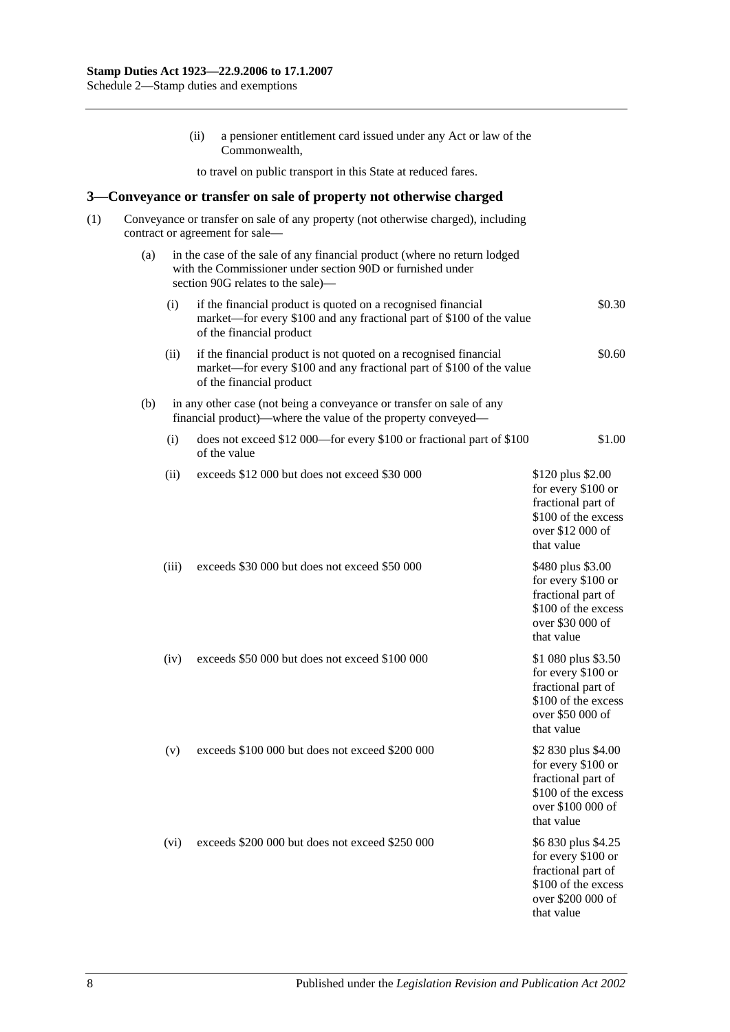(ii) a pensioner entitlement card issued under any Act or law of the Commonwealth, to travel on public transport in this State at reduced fares. **3—Conveyance or transfer on sale of property not otherwise charged** (1) Conveyance or transfer on sale of any property (not otherwise charged), including contract or agreement for sale— (a) in the case of the sale of any financial product (where no return lodged with the Commissioner under [section](#page-78-0) 90D or furnished under [section](#page-79-0) 90G relates to the sale)— (i) if the financial product is quoted on a recognised financial market—for every \$100 and any fractional part of \$100 of the value of the financial product \$0.30 (ii) if the financial product is not quoted on a recognised financial market—for every \$100 and any fractional part of \$100 of the value of the financial product \$0.60 (b) in any other case (not being a conveyance or transfer on sale of any financial product)—where the value of the property conveyed— (i) does not exceed \$12 000—for every \$100 or fractional part of \$100 of the value \$1.00 (ii) exceeds  $$12,000$  but does not exceed  $$30,000$  \$120 plus \$2.00 for every \$100 or fractional part of \$100 of the excess over \$12 000 of that value (iii) exceeds \$30 000 but does not exceed \$50 000 \$480 plus \$3.00 for every \$100 or fractional part of \$100 of the excess over \$30 000 of that value (iv) exceeds \$50 000 but does not exceed \$100 000 \$1 080 plus \$3.50 for every \$100 or fractional part of \$100 of the excess over \$50 000 of that value (v) exceeds \$100 000 but does not exceed \$200 000 \$2 830 plus \$4.00 for every \$100 or fractional part of \$100 of the excess over \$100 000 of that value (vi) exceeds  $$200,000$  but does not exceed  $$250,000$  \$6 830 plus \$4.25 for every \$100 or fractional part of \$100 of the excess over \$200 000 of that value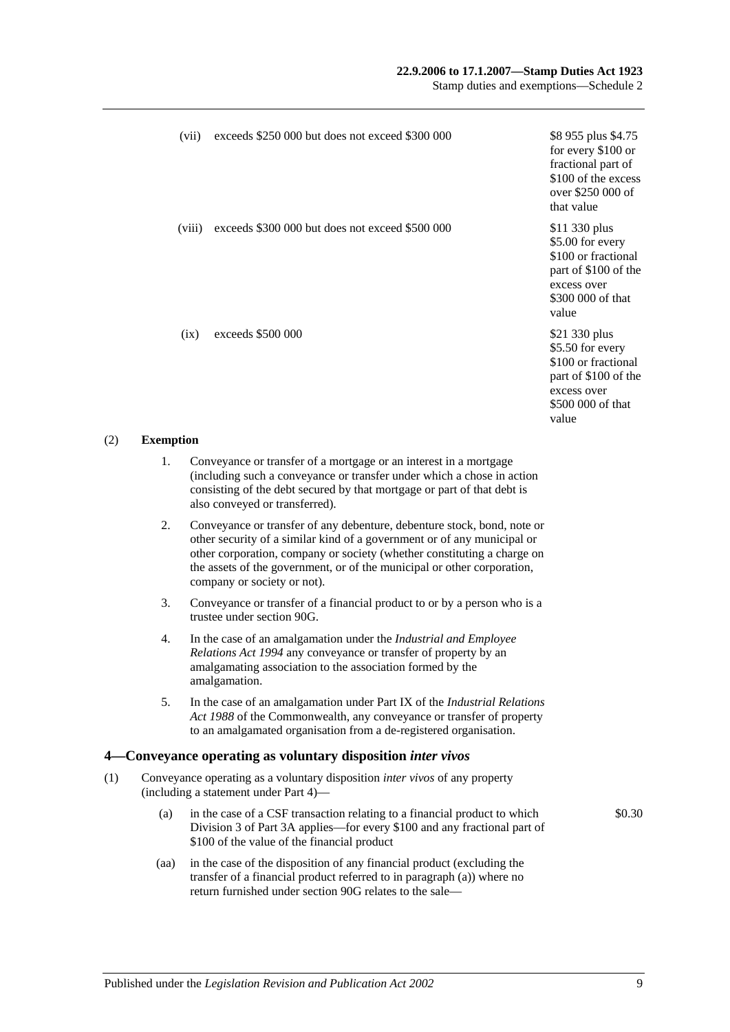## **22.9.2006 to 17.1.2007—Stamp Duties Act 1923**

Stamp duties and exemptions—Schedule 2

| (vii)  | exceeds \$250 000 but does not exceed \$300 000 | \$8 955 plus \$4.75<br>for every \$100 or<br>fractional part of<br>\$100 of the excess<br>over \$250 000 of<br>that value     |
|--------|-------------------------------------------------|-------------------------------------------------------------------------------------------------------------------------------|
| (viii) | exceeds \$300 000 but does not exceed \$500 000 | \$11 330 plus<br>\$5.00 for every<br>\$100 or fractional<br>part of \$100 of the<br>excess over<br>\$300 000 of that<br>value |
| (ix)   | exceeds $$500,000$                              | \$21 330 plus<br>\$5.50 for every<br>\$100 or fractional<br>part of \$100 of the<br>excess over<br>\$500 000 of that<br>value |

## (2) **Exemption**

- 1. Conveyance or transfer of a mortgage or an interest in a mortgage (including such a conveyance or transfer under which a chose in action consisting of the debt secured by that mortgage or part of that debt is also conveyed or transferred).
- 2. Conveyance or transfer of any debenture, debenture stock, bond, note or other security of a similar kind of a government or of any municipal or other corporation, company or society (whether constituting a charge on the assets of the government, or of the municipal or other corporation, company or society or not).
- 3. Conveyance or transfer of a financial product to or by a person who is a trustee unde[r section](#page-79-0) 90G.
- 4. In the case of an amalgamation under the *[Industrial and Employee](http://www.legislation.sa.gov.au/index.aspx?action=legref&type=act&legtitle=Industrial%20and%20Employee%20Relations%20Act%201994)  [Relations Act](http://www.legislation.sa.gov.au/index.aspx?action=legref&type=act&legtitle=Industrial%20and%20Employee%20Relations%20Act%201994) 1994* any conveyance or transfer of property by an amalgamating association to the association formed by the amalgamation.
- 5. In the case of an amalgamation under Part IX of the *Industrial Relations Act 1988* of the Commonwealth, any conveyance or transfer of property to an amalgamated organisation from a de-registered organisation.

## **4—Conveyance operating as voluntary disposition** *inter vivos*

- (1) Conveyance operating as a voluntary disposition *inter vivos* of any property (including a statement under [Part 4\)](#page-86-0)—
	- (a) in the case of a CSF transaction relating to a financial product to which [Division 3](#page-81-0) of [Part 3A](#page-74-0) applies—for every \$100 and any fractional part of \$100 of the value of the financial product
	- (aa) in the case of the disposition of any financial product (excluding the transfer of a financial product referred to in paragraph (a)) where no return furnished under [section](#page-79-0) 90G relates to the sale—

\$0.30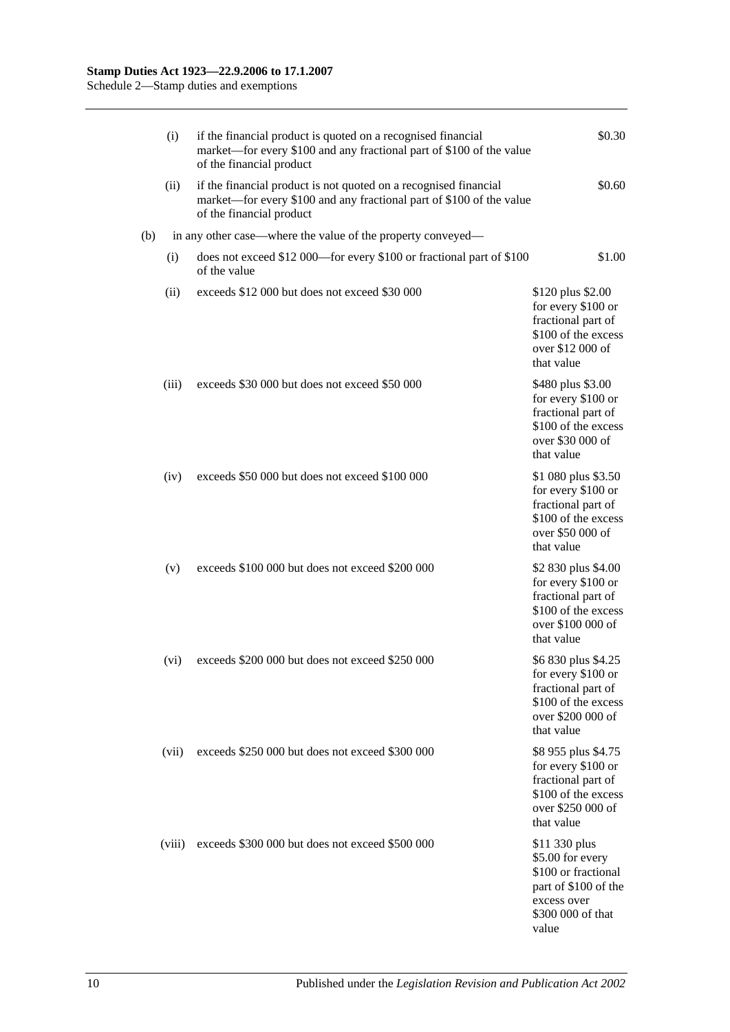|     | (i)    | if the financial product is quoted on a recognised financial<br>market—for every \$100 and any fractional part of \$100 of the value<br>of the financial product     | \$0.30                                                                                                                        |
|-----|--------|----------------------------------------------------------------------------------------------------------------------------------------------------------------------|-------------------------------------------------------------------------------------------------------------------------------|
|     | (ii)   | if the financial product is not quoted on a recognised financial<br>market—for every \$100 and any fractional part of \$100 of the value<br>of the financial product | \$0.60                                                                                                                        |
| (b) |        | in any other case—where the value of the property conveyed—                                                                                                          |                                                                                                                               |
|     | (i)    | does not exceed \$12 000—for every \$100 or fractional part of \$100<br>of the value                                                                                 | \$1.00                                                                                                                        |
|     | (ii)   | exceeds \$12 000 but does not exceed \$30 000                                                                                                                        | \$120 plus \$2.00<br>for every \$100 or<br>fractional part of<br>\$100 of the excess<br>over \$12 000 of<br>that value        |
|     | (iii)  | exceeds \$30 000 but does not exceed \$50 000                                                                                                                        | \$480 plus \$3.00<br>for every \$100 or<br>fractional part of<br>\$100 of the excess<br>over \$30 000 of<br>that value        |
|     | (iv)   | exceeds \$50 000 but does not exceed \$100 000                                                                                                                       | \$1 080 plus \$3.50<br>for every \$100 or<br>fractional part of<br>\$100 of the excess<br>over \$50 000 of<br>that value      |
|     | (v)    | exceeds \$100 000 but does not exceed \$200 000                                                                                                                      | \$2 830 plus \$4.00<br>for every \$100 or<br>fractional part of<br>\$100 of the excess<br>over \$100 000 of<br>that value     |
|     | (vi)   | exceeds \$200 000 but does not exceed \$250 000                                                                                                                      | \$6 830 plus \$4.25<br>for every \$100 or<br>fractional part of<br>\$100 of the excess<br>over \$200 000 of<br>that value     |
|     | (vii)  | exceeds \$250 000 but does not exceed \$300 000                                                                                                                      | \$8 955 plus \$4.75<br>for every \$100 or<br>fractional part of<br>\$100 of the excess<br>over \$250 000 of<br>that value     |
|     | (viii) | exceeds \$300 000 but does not exceed \$500 000                                                                                                                      | \$11 330 plus<br>\$5.00 for every<br>\$100 or fractional<br>part of \$100 of the<br>excess over<br>\$300 000 of that<br>value |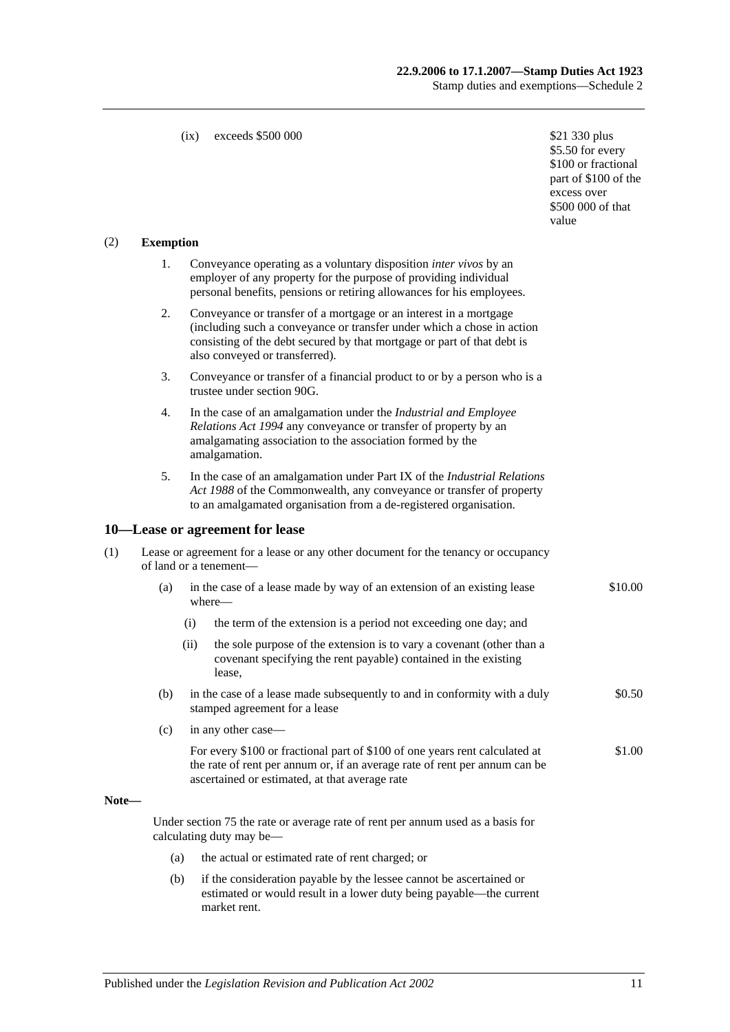#### (ix) exceeds  $$500,000$  \$21 330 plus

\$5.50 for every \$100 or fractional part of \$100 of the excess over \$500 000 of that value

## (2) **Exemption**

- 1. Conveyance operating as a voluntary disposition *inter vivos* by an employer of any property for the purpose of providing individual personal benefits, pensions or retiring allowances for his employees.
- 2. Conveyance or transfer of a mortgage or an interest in a mortgage (including such a conveyance or transfer under which a chose in action consisting of the debt secured by that mortgage or part of that debt is also conveyed or transferred).
- 3. Conveyance or transfer of a financial product to or by a person who is a trustee unde[r section](#page-79-0) 90G.
- 4. In the case of an amalgamation under the *[Industrial and Employee](http://www.legislation.sa.gov.au/index.aspx?action=legref&type=act&legtitle=Industrial%20and%20Employee%20Relations%20Act%201994)  [Relations Act](http://www.legislation.sa.gov.au/index.aspx?action=legref&type=act&legtitle=Industrial%20and%20Employee%20Relations%20Act%201994) 1994* any conveyance or transfer of property by an amalgamating association to the association formed by the amalgamation.
- 5. In the case of an amalgamation under Part IX of the *Industrial Relations Act 1988* of the Commonwealth, any conveyance or transfer of property to an amalgamated organisation from a de-registered organisation.

#### **10—Lease or agreement for lease**

| (1) | Lease or agreement for a lease or any other document for the tenancy or occupancy |
|-----|-----------------------------------------------------------------------------------|
|     | of land or a tenement—                                                            |

- (a) in the case of a lease made by way of an extension of an existing lease where— \$10.00
	- (i) the term of the extension is a period not exceeding one day; and
	- (ii) the sole purpose of the extension is to vary a covenant (other than a covenant specifying the rent payable) contained in the existing lease,
- (b) in the case of a lease made subsequently to and in conformity with a duly stamped agreement for a lease \$0.50
- (c) in any other case—
	- For every \$100 or fractional part of \$100 of one years rent calculated at the rate of rent per annum or, if an average rate of rent per annum can be ascertained or estimated, at that average rate \$1.00

#### **Note—**

Under [section](#page-67-0) 75 the rate or average rate of rent per annum used as a basis for calculating duty may be—

- (a) the actual or estimated rate of rent charged; or
- (b) if the consideration payable by the lessee cannot be ascertained or estimated or would result in a lower duty being payable—the current market rent.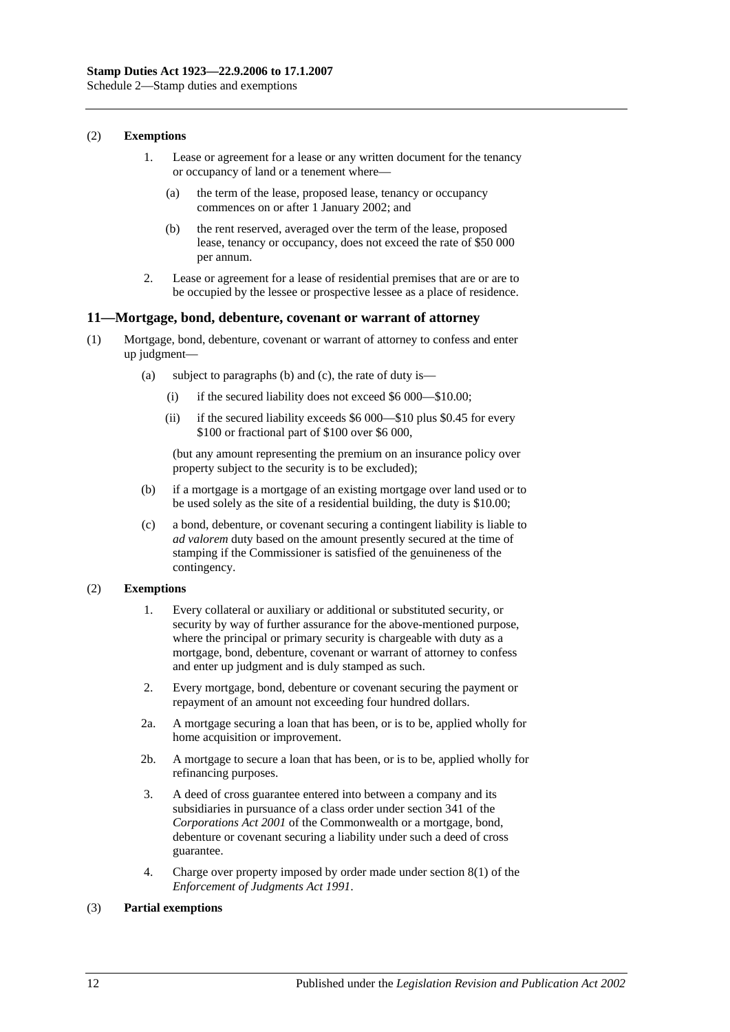## (2) **Exemptions**

- 1. Lease or agreement for a lease or any written document for the tenancy or occupancy of land or a tenement where—
	- (a) the term of the lease, proposed lease, tenancy or occupancy commences on or after 1 January 2002; and
	- (b) the rent reserved, averaged over the term of the lease, proposed lease, tenancy or occupancy, does not exceed the rate of \$50 000 per annum.
- 2. Lease or agreement for a lease of residential premises that are or are to be occupied by the lessee or prospective lessee as a place of residence.

## **11—Mortgage, bond, debenture, covenant or warrant of attorney**

- (1) Mortgage, bond, debenture, covenant or warrant of attorney to confess and enter up judgment—
	- (a) subject to paragraphs (b) and (c), the rate of duty is—
		- (i) if the secured liability does not exceed \$6 000—\$10.00;
		- (ii) if the secured liability exceeds \$6 000—\$10 plus \$0.45 for every \$100 or fractional part of \$100 over \$6 000,

(but any amount representing the premium on an insurance policy over property subject to the security is to be excluded);

- (b) if a mortgage is a mortgage of an existing mortgage over land used or to be used solely as the site of a residential building, the duty is \$10.00;
- (c) a bond, debenture, or covenant securing a contingent liability is liable to *ad valorem* duty based on the amount presently secured at the time of stamping if the Commissioner is satisfied of the genuineness of the contingency.

## (2) **Exemptions**

- 1. Every collateral or auxiliary or additional or substituted security, or security by way of further assurance for the above-mentioned purpose, where the principal or primary security is chargeable with duty as a mortgage, bond, debenture, covenant or warrant of attorney to confess and enter up judgment and is duly stamped as such.
- 2. Every mortgage, bond, debenture or covenant securing the payment or repayment of an amount not exceeding four hundred dollars.
- 2a. A mortgage securing a loan that has been, or is to be, applied wholly for home acquisition or improvement.
- 2b. A mortgage to secure a loan that has been, or is to be, applied wholly for refinancing purposes.
- 3. A deed of cross guarantee entered into between a company and its subsidiaries in pursuance of a class order under section 341 of the *Corporations Act 2001* of the Commonwealth or a mortgage, bond, debenture or covenant securing a liability under such a deed of cross guarantee.
- 4. Charge over property imposed by order made under section 8(1) of the *[Enforcement of Judgments Act](http://www.legislation.sa.gov.au/index.aspx?action=legref&type=act&legtitle=Enforcement%20of%20Judgments%20Act%201991) 1991*.

## (3) **Partial exemptions**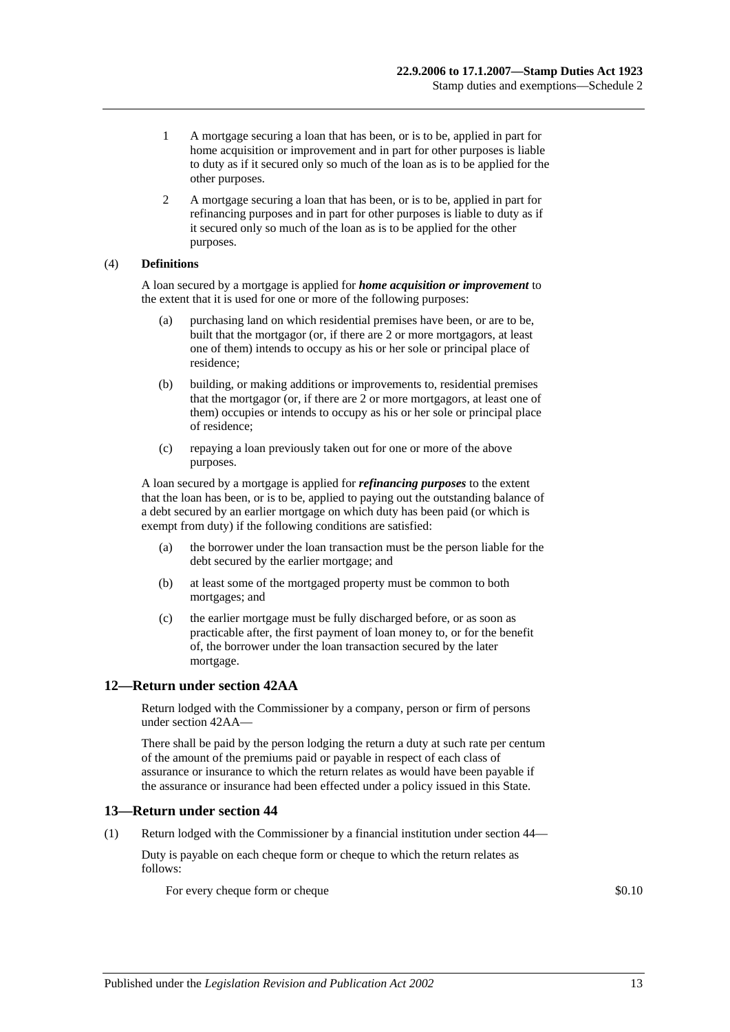- 1 A mortgage securing a loan that has been, or is to be, applied in part for home acquisition or improvement and in part for other purposes is liable to duty as if it secured only so much of the loan as is to be applied for the other purposes.
- 2 A mortgage securing a loan that has been, or is to be, applied in part for refinancing purposes and in part for other purposes is liable to duty as if it secured only so much of the loan as is to be applied for the other purposes.

## (4) **Definitions**

A loan secured by a mortgage is applied for *home acquisition or improvement* to the extent that it is used for one or more of the following purposes:

- (a) purchasing land on which residential premises have been, or are to be, built that the mortgagor (or, if there are 2 or more mortgagors, at least one of them) intends to occupy as his or her sole or principal place of residence;
- (b) building, or making additions or improvements to, residential premises that the mortgagor (or, if there are 2 or more mortgagors, at least one of them) occupies or intends to occupy as his or her sole or principal place of residence;
- (c) repaying a loan previously taken out for one or more of the above purposes.

A loan secured by a mortgage is applied for *refinancing purposes* to the extent that the loan has been, or is to be, applied to paying out the outstanding balance of a debt secured by an earlier mortgage on which duty has been paid (or which is exempt from duty) if the following conditions are satisfied:

- (a) the borrower under the loan transaction must be the person liable for the debt secured by the earlier mortgage; and
- (b) at least some of the mortgaged property must be common to both mortgages; and
- (c) the earlier mortgage must be fully discharged before, or as soon as practicable after, the first payment of loan money to, or for the benefit of, the borrower under the loan transaction secured by the later mortgage.

## **12—Return under section 42AA**

Return lodged with the Commissioner by a company, person or firm of persons unde[r section](#page-28-0) 42AA—

There shall be paid by the person lodging the return a duty at such rate per centum of the amount of the premiums paid or payable in respect of each class of assurance or insurance to which the return relates as would have been payable if the assurance or insurance had been effected under a policy issued in this State.

## **13—Return under section 44**

(1) Return lodged with the Commissioner by a financial institution under [section](#page-34-0) 44—

Duty is payable on each cheque form or cheque to which the return relates as follows:

For every cheque form or cheque  $\$0.10$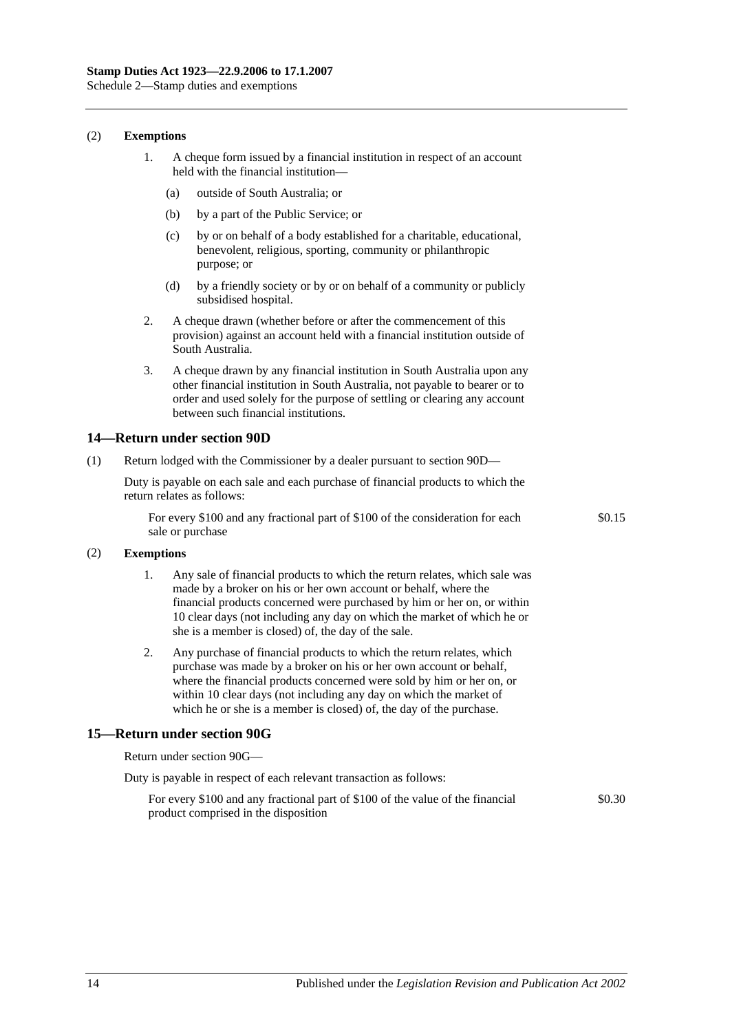Schedule 2—Stamp duties and exemptions

#### (2) **Exemptions**

- 1. A cheque form issued by a financial institution in respect of an account held with the financial institution—
	- (a) outside of South Australia; or
	- (b) by a part of the Public Service; or
	- (c) by or on behalf of a body established for a charitable, educational, benevolent, religious, sporting, community or philanthropic purpose; or
	- (d) by a friendly society or by or on behalf of a community or publicly subsidised hospital.
- 2. A cheque drawn (whether before or after the commencement of this provision) against an account held with a financial institution outside of South Australia.
- 3. A cheque drawn by any financial institution in South Australia upon any other financial institution in South Australia, not payable to bearer or to order and used solely for the purpose of settling or clearing any account between such financial institutions.

## **14—Return under section 90D**

(1) Return lodged with the Commissioner by a dealer pursuant to [section](#page-78-0) 90D—

Duty is payable on each sale and each purchase of financial products to which the return relates as follows:

For every \$100 and any fractional part of \$100 of the consideration for each sale or purchase

\$0.15

#### (2) **Exemptions**

- 1. Any sale of financial products to which the return relates, which sale was made by a broker on his or her own account or behalf, where the financial products concerned were purchased by him or her on, or within 10 clear days (not including any day on which the market of which he or she is a member is closed) of, the day of the sale.
- 2. Any purchase of financial products to which the return relates, which purchase was made by a broker on his or her own account or behalf, where the financial products concerned were sold by him or her on, or within 10 clear days (not including any day on which the market of which he or she is a member is closed) of, the day of the purchase.

## **15—Return under section 90G**

Return under [section](#page-79-0) 90G—

|  |  |  |  |  |  | Duty is payable in respect of each relevant transaction as follows: |  |  |
|--|--|--|--|--|--|---------------------------------------------------------------------|--|--|
|--|--|--|--|--|--|---------------------------------------------------------------------|--|--|

For every \$100 and any fractional part of \$100 of the value of the financial product comprised in the disposition \$0.30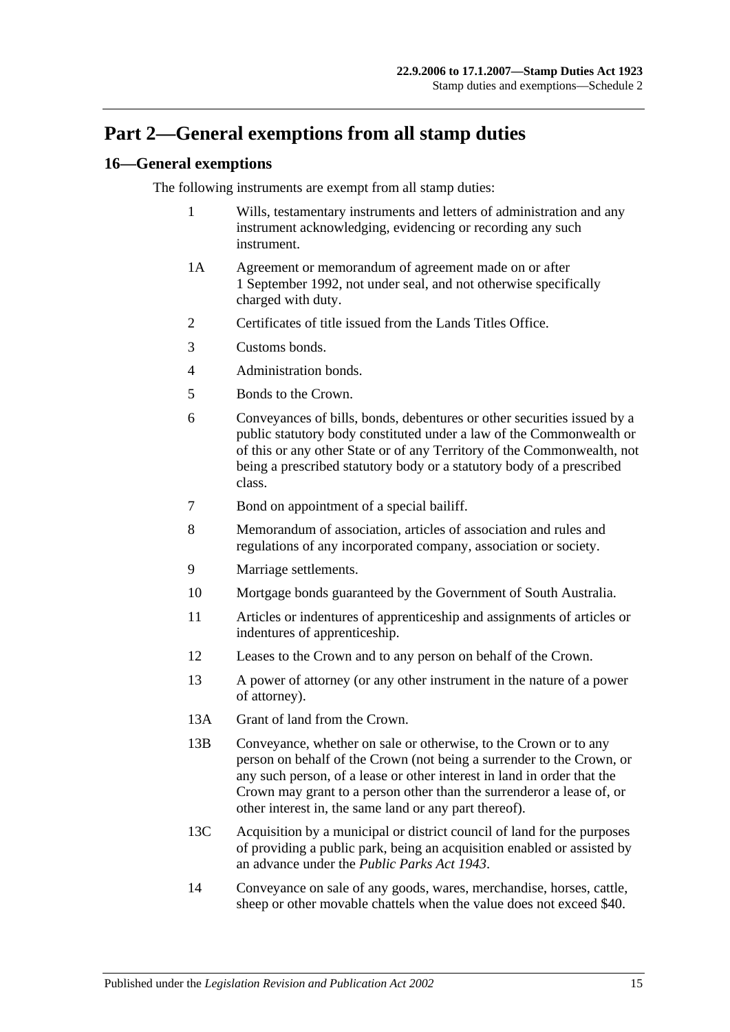# **Part 2—General exemptions from all stamp duties**

## **16—General exemptions**

The following instruments are exempt from all stamp duties:

- 1 Wills, testamentary instruments and letters of administration and any instrument acknowledging, evidencing or recording any such instrument.
- 1A Agreement or memorandum of agreement made on or after 1 September 1992, not under seal, and not otherwise specifically charged with duty.
- 2 Certificates of title issued from the Lands Titles Office.
- 3 Customs bonds.
- 4 Administration bonds.
- 5 Bonds to the Crown.
- 6 Conveyances of bills, bonds, debentures or other securities issued by a public statutory body constituted under a law of the Commonwealth or of this or any other State or of any Territory of the Commonwealth, not being a prescribed statutory body or a statutory body of a prescribed class.
- 7 Bond on appointment of a special bailiff.
- 8 Memorandum of association, articles of association and rules and regulations of any incorporated company, association or society.
- 9 Marriage settlements.
- 10 Mortgage bonds guaranteed by the Government of South Australia.
- 11 Articles or indentures of apprenticeship and assignments of articles or indentures of apprenticeship.
- 12 Leases to the Crown and to any person on behalf of the Crown.
- 13 A power of attorney (or any other instrument in the nature of a power of attorney).
- 13A Grant of land from the Crown.
- 13B Conveyance, whether on sale or otherwise, to the Crown or to any person on behalf of the Crown (not being a surrender to the Crown, or any such person, of a lease or other interest in land in order that the Crown may grant to a person other than the surrenderor a lease of, or other interest in, the same land or any part thereof).
- 13C Acquisition by a municipal or district council of land for the purposes of providing a public park, being an acquisition enabled or assisted by an advance under the *[Public Parks Act](http://www.legislation.sa.gov.au/index.aspx?action=legref&type=act&legtitle=Public%20Parks%20Act%201943) 1943*.
- 14 Conveyance on sale of any goods, wares, merchandise, horses, cattle, sheep or other movable chattels when the value does not exceed \$40.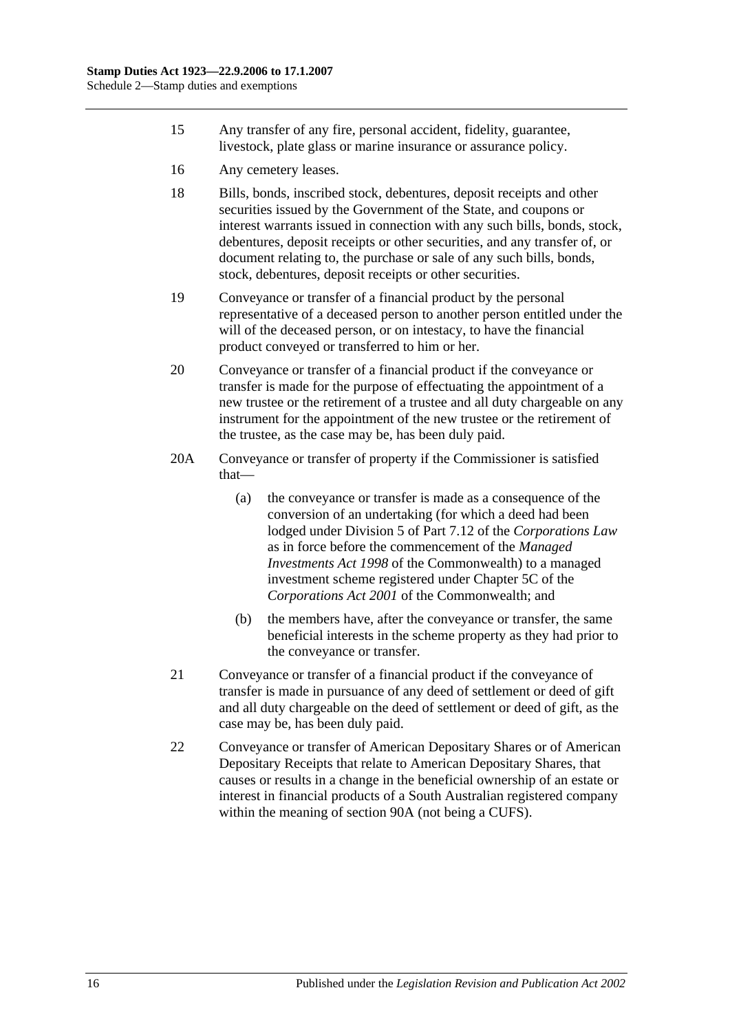- 15 Any transfer of any fire, personal accident, fidelity, guarantee, livestock, plate glass or marine insurance or assurance policy.
- 16 Any cemetery leases.
- 18 Bills, bonds, inscribed stock, debentures, deposit receipts and other securities issued by the Government of the State, and coupons or interest warrants issued in connection with any such bills, bonds, stock, debentures, deposit receipts or other securities, and any transfer of, or document relating to, the purchase or sale of any such bills, bonds, stock, debentures, deposit receipts or other securities.
- 19 Conveyance or transfer of a financial product by the personal representative of a deceased person to another person entitled under the will of the deceased person, or on intestacy, to have the financial product conveyed or transferred to him or her.
- 20 Conveyance or transfer of a financial product if the conveyance or transfer is made for the purpose of effectuating the appointment of a new trustee or the retirement of a trustee and all duty chargeable on any instrument for the appointment of the new trustee or the retirement of the trustee, as the case may be, has been duly paid.
- 20A Conveyance or transfer of property if the Commissioner is satisfied that—
	- (a) the conveyance or transfer is made as a consequence of the conversion of an undertaking (for which a deed had been lodged under Division 5 of Part 7.12 of the *Corporations Law* as in force before the commencement of the *Managed Investments Act 1998* of the Commonwealth) to a managed investment scheme registered under Chapter 5C of the *Corporations Act 2001* of the Commonwealth; and
	- (b) the members have, after the conveyance or transfer, the same beneficial interests in the scheme property as they had prior to the conveyance or transfer.
- 21 Conveyance or transfer of a financial product if the conveyance of transfer is made in pursuance of any deed of settlement or deed of gift and all duty chargeable on the deed of settlement or deed of gift, as the case may be, has been duly paid.
- 22 Conveyance or transfer of American Depositary Shares or of American Depositary Receipts that relate to American Depositary Shares, that causes or results in a change in the beneficial ownership of an estate or interest in financial products of a South Australian registered company within the meaning of [section](#page-74-1) 90A (not being a CUFS).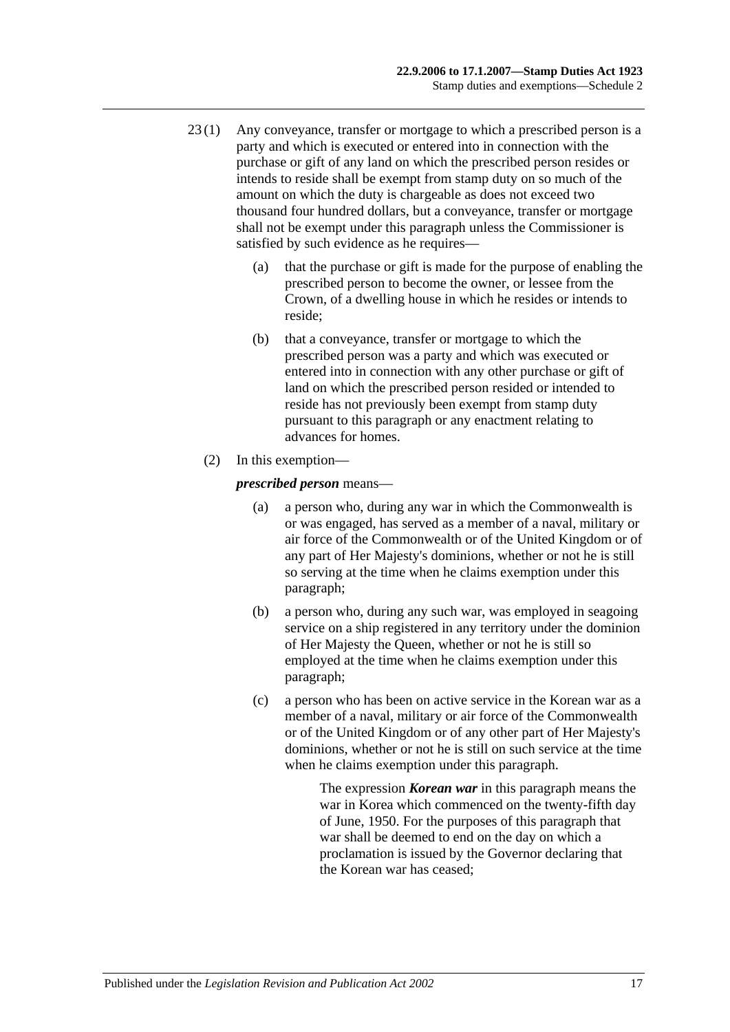- 23 (1) Any conveyance, transfer or mortgage to which a prescribed person is a party and which is executed or entered into in connection with the purchase or gift of any land on which the prescribed person resides or intends to reside shall be exempt from stamp duty on so much of the amount on which the duty is chargeable as does not exceed two thousand four hundred dollars, but a conveyance, transfer or mortgage shall not be exempt under this paragraph unless the Commissioner is satisfied by such evidence as he requires—
	- (a) that the purchase or gift is made for the purpose of enabling the prescribed person to become the owner, or lessee from the Crown, of a dwelling house in which he resides or intends to reside;
	- (b) that a conveyance, transfer or mortgage to which the prescribed person was a party and which was executed or entered into in connection with any other purchase or gift of land on which the prescribed person resided or intended to reside has not previously been exempt from stamp duty pursuant to this paragraph or any enactment relating to advances for homes.
	- (2) In this exemption—

<span id="page-118-0"></span>*prescribed person* means—

- (a) a person who, during any war in which the Commonwealth is or was engaged, has served as a member of a naval, military or air force of the Commonwealth or of the United Kingdom or of any part of Her Majesty's dominions, whether or not he is still so serving at the time when he claims exemption under this paragraph;
- <span id="page-118-1"></span>(b) a person who, during any such war, was employed in seagoing service on a ship registered in any territory under the dominion of Her Majesty the Queen, whether or not he is still so employed at the time when he claims exemption under this paragraph;
- <span id="page-118-2"></span>(c) a person who has been on active service in the Korean war as a member of a naval, military or air force of the Commonwealth or of the United Kingdom or of any other part of Her Majesty's dominions, whether or not he is still on such service at the time when he claims exemption under this paragraph.

The expression *Korean war* in this paragraph means the war in Korea which commenced on the twenty-fifth day of June, 1950. For the purposes of this paragraph that war shall be deemed to end on the day on which a proclamation is issued by the Governor declaring that the Korean war has ceased;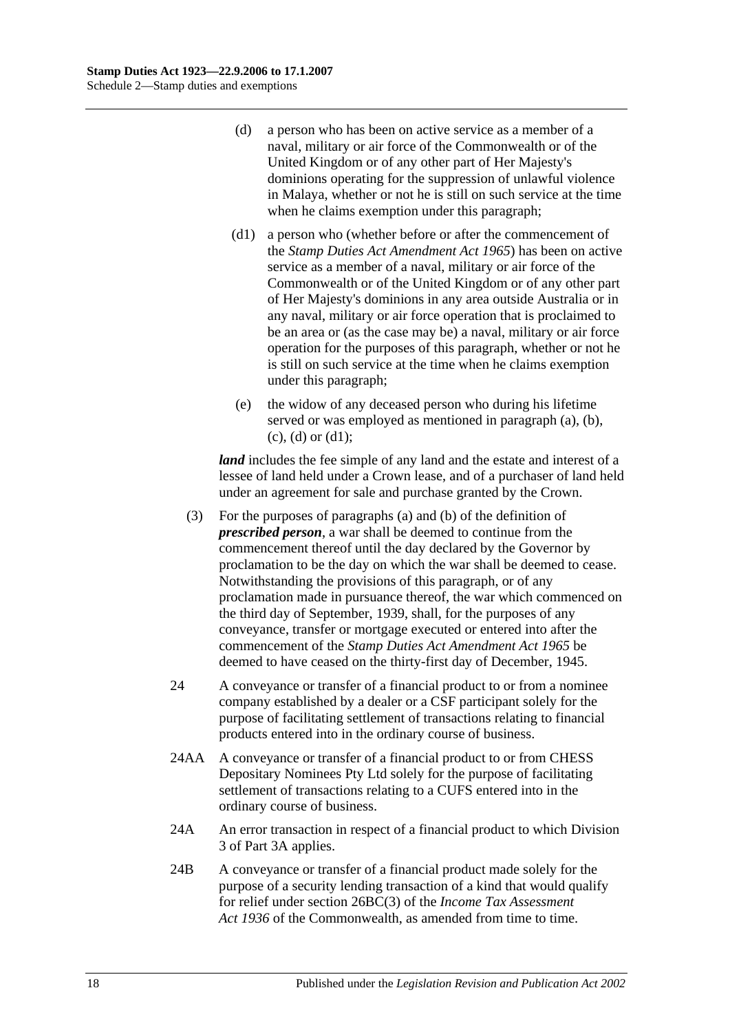- <span id="page-119-0"></span>(d) a person who has been on active service as a member of a naval, military or air force of the Commonwealth or of the United Kingdom or of any other part of Her Majesty's dominions operating for the suppression of unlawful violence in Malaya, whether or not he is still on such service at the time when he claims exemption under this paragraph;
- <span id="page-119-1"></span>(d1) a person who (whether before or after the commencement of the *[Stamp Duties Act Amendment Act](http://www.legislation.sa.gov.au/index.aspx?action=legref&type=act&legtitle=Stamp%20Duties%20Act%20Amendment%20Act%201965) 1965*) has been on active service as a member of a naval, military or air force of the Commonwealth or of the United Kingdom or of any other part of Her Majesty's dominions in any area outside Australia or in any naval, military or air force operation that is proclaimed to be an area or (as the case may be) a naval, military or air force operation for the purposes of this paragraph, whether or not he is still on such service at the time when he claims exemption under this paragraph;
- (e) the widow of any deceased person who during his lifetime served or was employed as mentioned in [paragraph](#page-118-0) (a), [\(b\),](#page-118-1)  $(c)$ ,  $(d)$  or  $(d1)$ ;

*land* includes the fee simple of any land and the estate and interest of a lessee of land held under a Crown lease, and of a purchaser of land held under an agreement for sale and purchase granted by the Crown.

- (3) For the purposes of [paragraphs](#page-118-0) (a) and [\(b\)](#page-118-1) of the definition of *prescribed person*, a war shall be deemed to continue from the commencement thereof until the day declared by the Governor by proclamation to be the day on which the war shall be deemed to cease. Notwithstanding the provisions of this paragraph, or of any proclamation made in pursuance thereof, the war which commenced on the third day of September, 1939, shall, for the purposes of any conveyance, transfer or mortgage executed or entered into after the commencement of the *[Stamp Duties Act Amendment Act](http://www.legislation.sa.gov.au/index.aspx?action=legref&type=act&legtitle=Stamp%20Duties%20Act%20Amendment%20Act%201965) 1965* be deemed to have ceased on the thirty-first day of December, 1945.
- 24 A conveyance or transfer of a financial product to or from a nominee company established by a dealer or a CSF participant solely for the purpose of facilitating settlement of transactions relating to financial products entered into in the ordinary course of business.
- 24AA A conveyance or transfer of a financial product to or from CHESS Depositary Nominees Pty Ltd solely for the purpose of facilitating settlement of transactions relating to a CUFS entered into in the ordinary course of business.
- 24A An error transaction in respect of a financial product to which [Division](#page-81-0)  [3](#page-81-0) of [Part 3A](#page-74-0) applies.
- 24B A conveyance or transfer of a financial product made solely for the purpose of a security lending transaction of a kind that would qualify for relief under section 26BC(3) of the *Income Tax Assessment Act 1936* of the Commonwealth, as amended from time to time.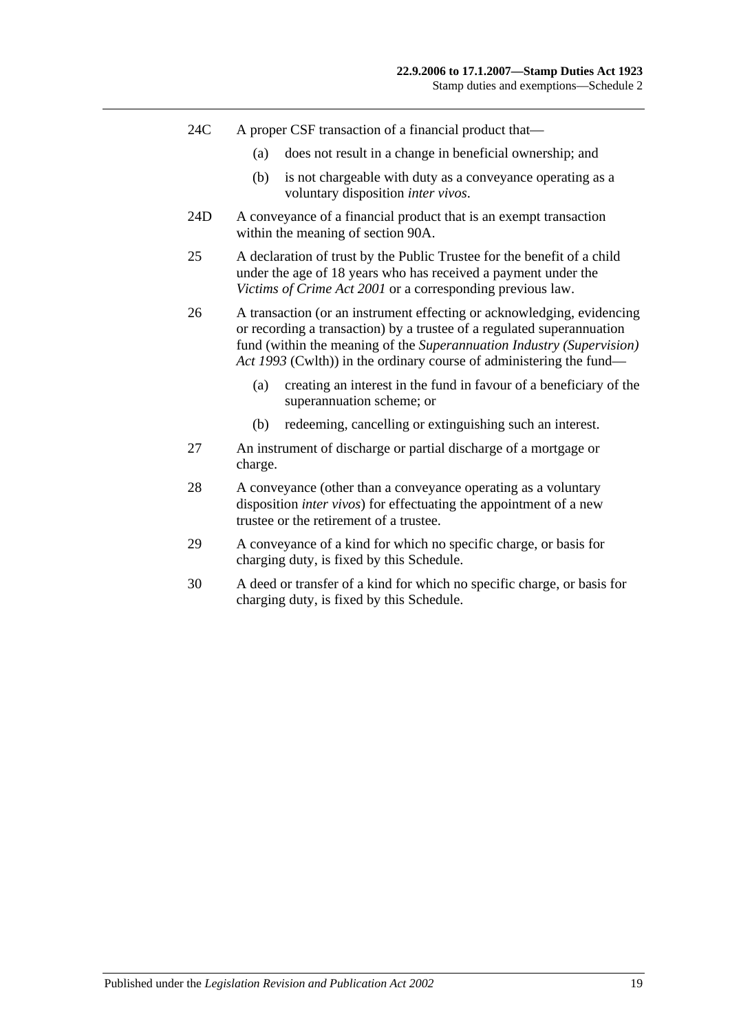- 24C A proper CSF transaction of a financial product that—
	- (a) does not result in a change in beneficial ownership; and
	- (b) is not chargeable with duty as a conveyance operating as a voluntary disposition *inter vivos*.
- 24D A conveyance of a financial product that is an exempt transaction within the meaning of [section](#page-74-1) 90A.
- 25 A declaration of trust by the Public Trustee for the benefit of a child under the age of 18 years who has received a payment under the *[Victims of Crime Act](http://www.legislation.sa.gov.au/index.aspx?action=legref&type=act&legtitle=Victims%20of%20Crime%20Act%202001) 2001* or a corresponding previous law.
- 26 A transaction (or an instrument effecting or acknowledging, evidencing or recording a transaction) by a trustee of a regulated superannuation fund (within the meaning of the *Superannuation Industry (Supervision) Act 1993* (Cwlth)) in the ordinary course of administering the fund—
	- (a) creating an interest in the fund in favour of a beneficiary of the superannuation scheme; or
	- (b) redeeming, cancelling or extinguishing such an interest.
- 27 An instrument of discharge or partial discharge of a mortgage or charge.
- 28 A conveyance (other than a conveyance operating as a voluntary disposition *inter vivos*) for effectuating the appointment of a new trustee or the retirement of a trustee.
- 29 A conveyance of a kind for which no specific charge, or basis for charging duty, is fixed by this Schedule.
- 30 A deed or transfer of a kind for which no specific charge, or basis for charging duty, is fixed by this Schedule.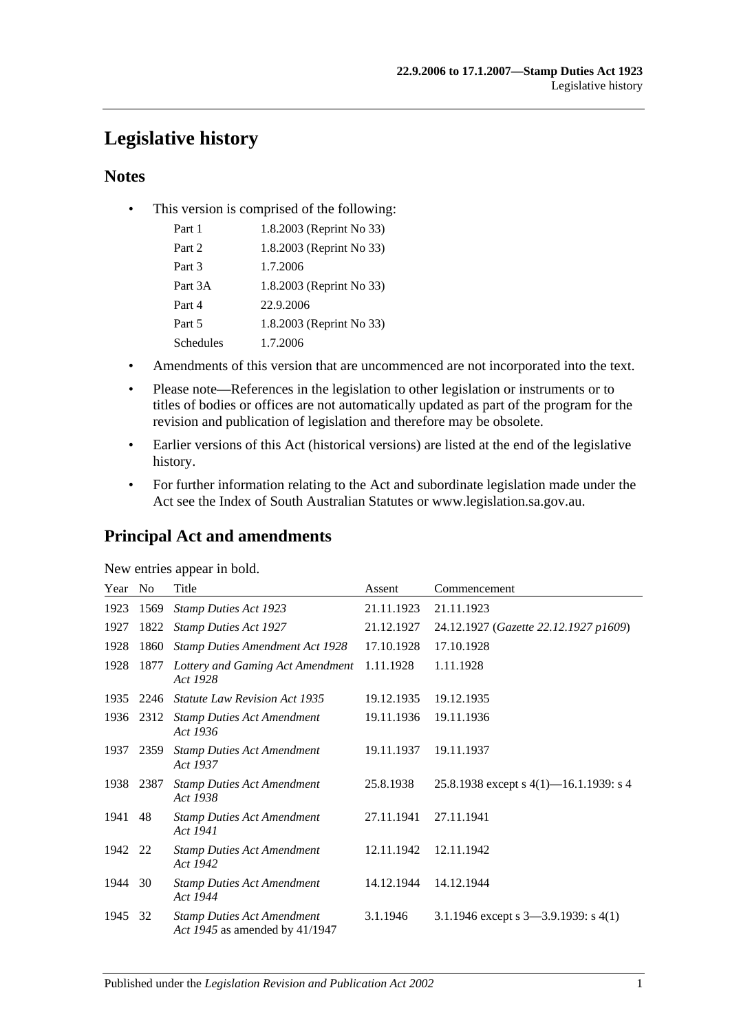# **Legislative history**

## **Notes**

• This version is comprised of the following:

| Part 1           | 1.8.2003 (Reprint No 33) |
|------------------|--------------------------|
| Part 2           | 1.8.2003 (Reprint No 33) |
| Part 3           | 1.7.2006                 |
| Part 3A          | 1.8.2003 (Reprint No 33) |
| Part 4           | 22.9.2006                |
| Part 5           | 1.8.2003 (Reprint No 33) |
| <b>Schedules</b> | 1.7.2006                 |

- Amendments of this version that are uncommenced are not incorporated into the text.
- Please note—References in the legislation to other legislation or instruments or to titles of bodies or offices are not automatically updated as part of the program for the revision and publication of legislation and therefore may be obsolete.
- Earlier versions of this Act (historical versions) are listed at the end of the legislative history.
- For further information relating to the Act and subordinate legislation made under the Act see the Index of South Australian Statutes or www.legislation.sa.gov.au.

## **Principal Act and amendments**

| New entries appear in bold. |
|-----------------------------|
|-----------------------------|

| Year | No   | Title                                                               | Assent     | Commencement                              |
|------|------|---------------------------------------------------------------------|------------|-------------------------------------------|
| 1923 | 1569 | <b>Stamp Duties Act 1923</b>                                        | 21.11.1923 | 21.11.1923                                |
| 1927 | 1822 | <b>Stamp Duties Act 1927</b>                                        | 21.12.1927 | 24.12.1927 (Gazette 22.12.1927 p1609)     |
| 1928 | 1860 | <b>Stamp Duties Amendment Act 1928</b>                              | 17.10.1928 | 17.10.1928                                |
| 1928 | 1877 | Lottery and Gaming Act Amendment<br>Act 1928                        | 1.11.1928  | 1.11.1928                                 |
| 1935 | 2246 | <b>Statute Law Revision Act 1935</b>                                | 19.12.1935 | 19.12.1935                                |
| 1936 | 2312 | <b>Stamp Duties Act Amendment</b><br>Act 1936                       | 19.11.1936 | 19.11.1936                                |
| 1937 | 2359 | <b>Stamp Duties Act Amendment</b><br>Act 1937                       | 19.11.1937 | 19.11.1937                                |
| 1938 | 2387 | <b>Stamp Duties Act Amendment</b><br>Act 1938                       | 25.8.1938  | 25.8.1938 except s $4(1)$ —16.1.1939: s 4 |
| 1941 | 48   | <b>Stamp Duties Act Amendment</b><br>Act 1941                       | 27.11.1941 | 27.11.1941                                |
| 1942 | 22   | <b>Stamp Duties Act Amendment</b><br>Act 1942                       | 12.11.1942 | 12.11.1942                                |
| 1944 | 30   | <b>Stamp Duties Act Amendment</b><br>Act 1944                       | 14.12.1944 | 14.12.1944                                |
| 1945 | 32   | <b>Stamp Duties Act Amendment</b><br>Act 1945 as amended by 41/1947 | 3.1.1946   | 3.1.1946 except s $3-3.9.1939$ : s $4(1)$ |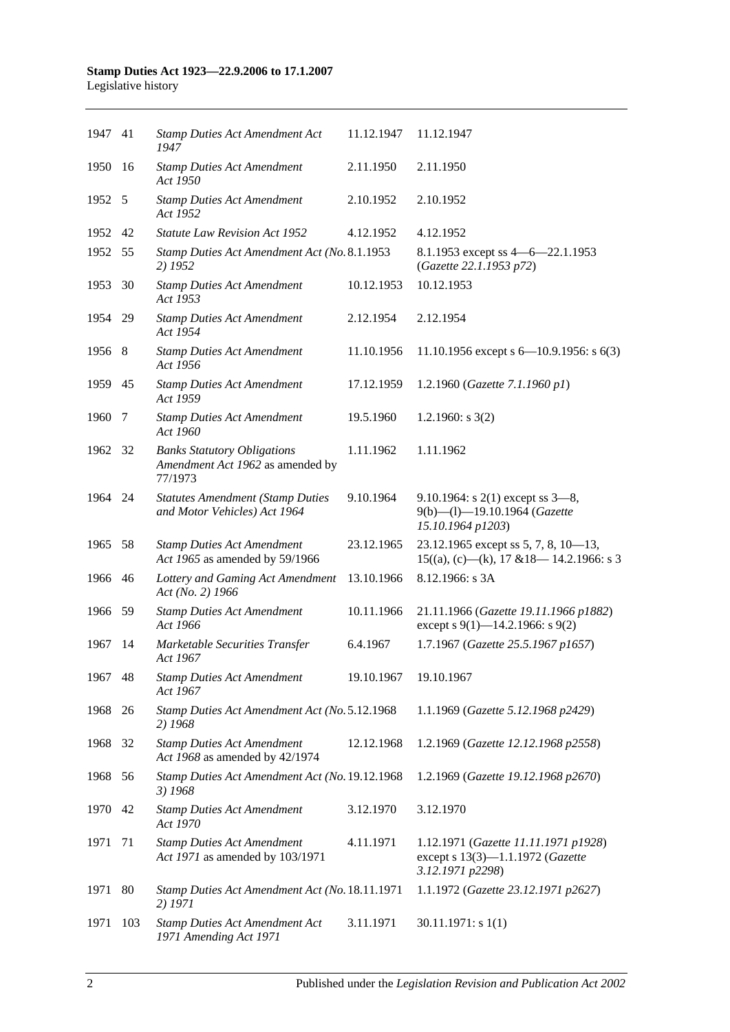| 1947 41 |     | <b>Stamp Duties Act Amendment Act</b><br>1947                                     | 11.12.1947 | 11.12.1947                                                                                   |
|---------|-----|-----------------------------------------------------------------------------------|------------|----------------------------------------------------------------------------------------------|
| 1950    | -16 | <b>Stamp Duties Act Amendment</b><br>Act 1950                                     | 2.11.1950  | 2.11.1950                                                                                    |
| 1952 5  |     | <b>Stamp Duties Act Amendment</b><br>Act 1952                                     | 2.10.1952  | 2.10.1952                                                                                    |
| 1952 42 |     | <b>Statute Law Revision Act 1952</b>                                              | 4.12.1952  | 4.12.1952                                                                                    |
| 1952 55 |     | Stamp Duties Act Amendment Act (No. 8.1.1953<br>2) 1952                           |            | 8.1.1953 except ss 4 - 6 - 22.1.1953<br>(Gazette 22.1.1953 p72)                              |
| 1953    | 30  | <b>Stamp Duties Act Amendment</b><br>Act 1953                                     | 10.12.1953 | 10.12.1953                                                                                   |
| 1954 29 |     | <b>Stamp Duties Act Amendment</b><br>Act 1954                                     | 2.12.1954  | 2.12.1954                                                                                    |
| 1956 8  |     | <b>Stamp Duties Act Amendment</b><br>Act 1956                                     | 11.10.1956 | 11.10.1956 except s $6-10.9.1956$ : s $6(3)$                                                 |
| 1959 45 |     | <b>Stamp Duties Act Amendment</b><br>Act 1959                                     | 17.12.1959 | 1.2.1960 (Gazette 7.1.1960 p1)                                                               |
| 1960    | 7   | <b>Stamp Duties Act Amendment</b><br>Act 1960                                     | 19.5.1960  | 1.2.1960: $s$ 3(2)                                                                           |
| 1962 32 |     | <b>Banks Statutory Obligations</b><br>Amendment Act 1962 as amended by<br>77/1973 | 1.11.1962  | 1.11.1962                                                                                    |
| 1964 24 |     | <b>Statutes Amendment (Stamp Duties</b><br>and Motor Vehicles) Act 1964           | 9.10.1964  | 9.10.1964: s $2(1)$ except ss $3-8$ ,<br>9(b)-(l)-19.10.1964 (Gazette<br>15.10.1964 p1203)   |
| 1965 58 |     | <b>Stamp Duties Act Amendment</b><br>Act 1965 as amended by 59/1966               | 23.12.1965 | 23.12.1965 except ss 5, 7, 8, $10-13$ ,<br>$15((a), (c)$ —(k), 17 & 18—14.2.1966: s 3        |
| 1966 46 |     | Lottery and Gaming Act Amendment<br>Act (No. 2) 1966                              | 13.10.1966 | 8.12.1966: s 3A                                                                              |
| 1966 59 |     | <b>Stamp Duties Act Amendment</b><br>Act 1966                                     | 10.11.1966 | 21.11.1966 (Gazette 19.11.1966 p1882)<br>except s $9(1)$ —14.2.1966: s $9(2)$                |
| 1967    | -14 | Marketable Securities Transfer<br>Act 1967                                        | 6.4.1967   | 1.7.1967 (Gazette 25.5.1967 p1657)                                                           |
| 1967 48 |     | <b>Stamp Duties Act Amendment</b><br>Act 1967                                     | 19.10.1967 | 19.10.1967                                                                                   |
| 1968    | 26  | Stamp Duties Act Amendment Act (No. 5.12.1968<br>2) 1968                          |            | 1.1.1969 (Gazette 5.12.1968 p2429)                                                           |
| 1968    | 32  | <b>Stamp Duties Act Amendment</b><br>Act 1968 as amended by 42/1974               | 12.12.1968 | 1.2.1969 (Gazette 12.12.1968 p2558)                                                          |
| 1968    | 56  | Stamp Duties Act Amendment Act (No. 19.12.1968<br>3) 1968                         |            | 1.2.1969 (Gazette 19.12.1968 p2670)                                                          |
| 1970    | 42  | <b>Stamp Duties Act Amendment</b><br>Act 1970                                     | 3.12.1970  | 3.12.1970                                                                                    |
| 1971    | 71  | <b>Stamp Duties Act Amendment</b><br>Act 1971 as amended by 103/1971              | 4.11.1971  | 1.12.1971 (Gazette 11.11.1971 p1928)<br>except s 13(3)-1.1.1972 (Gazette<br>3.12.1971 p2298) |
| 1971    | 80  | Stamp Duties Act Amendment Act (No. 18.11.1971<br>2) 1971                         |            | 1.1.1972 (Gazette 23.12.1971 p2627)                                                          |
| 1971    | 103 | <b>Stamp Duties Act Amendment Act</b><br>1971 Amending Act 1971                   | 3.11.1971  | $30.11.1971$ : s 1(1)                                                                        |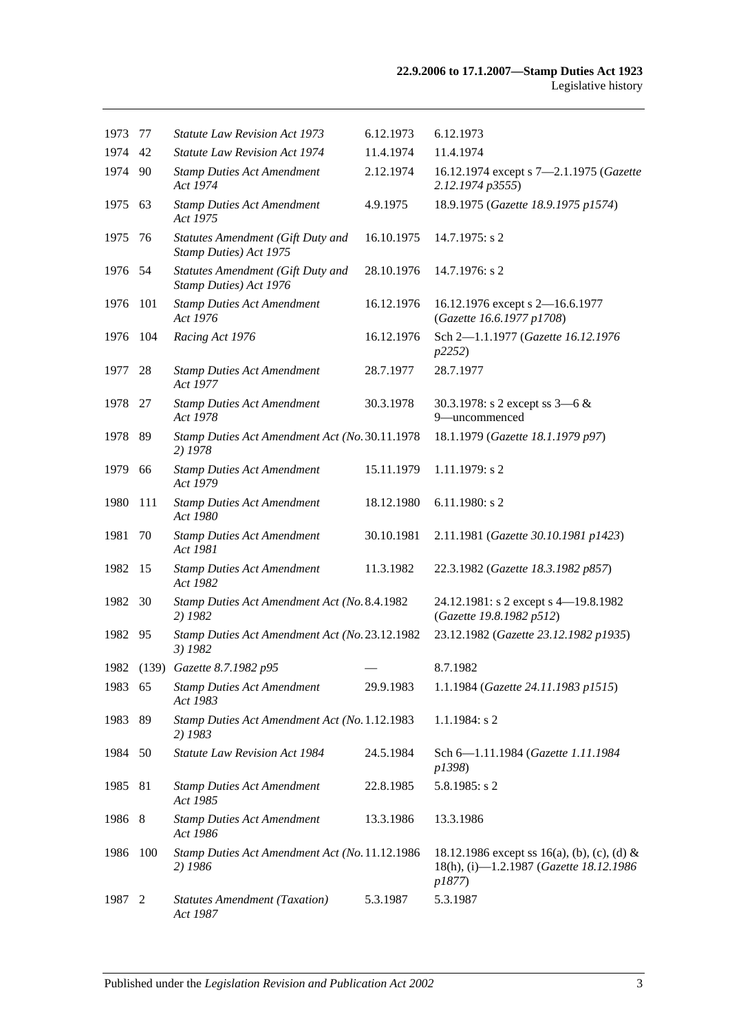| 1973    | 77  | <b>Statute Law Revision Act 1973</b>                        | 6.12.1973  | 6.12.1973                                                                                        |
|---------|-----|-------------------------------------------------------------|------------|--------------------------------------------------------------------------------------------------|
| 1974    | 42  | <b>Statute Law Revision Act 1974</b>                        | 11.4.1974  | 11.4.1974                                                                                        |
| 1974 90 |     | <b>Stamp Duties Act Amendment</b><br>Act 1974               | 2.12.1974  | 16.12.1974 except s 7-2.1.1975 (Gazette<br>2.12.1974 p3555)                                      |
| 1975 63 |     | <b>Stamp Duties Act Amendment</b><br>Act 1975               | 4.9.1975   | 18.9.1975 (Gazette 18.9.1975 p1574)                                                              |
| 1975    | 76  | Statutes Amendment (Gift Duty and<br>Stamp Duties) Act 1975 | 16.10.1975 | $14.7.1975$ : s 2                                                                                |
| 1976 54 |     | Statutes Amendment (Gift Duty and<br>Stamp Duties) Act 1976 | 28.10.1976 | 14.7.1976: s 2                                                                                   |
| 1976    | 101 | <b>Stamp Duties Act Amendment</b><br>Act 1976               | 16.12.1976 | 16.12.1976 except s 2-16.6.1977<br>(Gazette 16.6.1977 p1708)                                     |
| 1976    | 104 | Racing Act 1976                                             | 16.12.1976 | Sch 2-1.1.1977 (Gazette 16.12.1976<br>p2252)                                                     |
| 1977    | 28  | <b>Stamp Duties Act Amendment</b><br>Act 1977               | 28.7.1977  | 28.7.1977                                                                                        |
| 1978 27 |     | <b>Stamp Duties Act Amendment</b><br>Act 1978               | 30.3.1978  | 30.3.1978: s 2 except ss $3-6 &$<br>9-uncommenced                                                |
| 1978 89 |     | Stamp Duties Act Amendment Act (No. 30.11.1978)<br>2) 1978  |            | 18.1.1979 (Gazette 18.1.1979 p97)                                                                |
| 1979    | 66  | <b>Stamp Duties Act Amendment</b><br>Act 1979               | 15.11.1979 | 1.11.1979: s 2                                                                                   |
| 1980    | 111 | <b>Stamp Duties Act Amendment</b><br>Act 1980               | 18.12.1980 | $6.11.1980$ : s 2                                                                                |
| 1981    | 70  | <b>Stamp Duties Act Amendment</b><br>Act 1981               | 30.10.1981 | 2.11.1981 (Gazette 30.10.1981 p1423)                                                             |
| 1982    | -15 | <b>Stamp Duties Act Amendment</b><br>Act 1982               | 11.3.1982  | 22.3.1982 (Gazette 18.3.1982 p857)                                                               |
| 1982    | 30  | Stamp Duties Act Amendment Act (No. 8.4.1982<br>2) 1982     |            | 24.12.1981: s 2 except s 4-19.8.1982<br>(Gazette 19.8.1982 p512)                                 |
| 1982    | 95  | Stamp Duties Act Amendment Act (No. 23.12.1982<br>3) 1982   |            | 23.12.1982 (Gazette 23.12.1982 p1935)                                                            |
|         |     | 1982 (139) Gazette 8.7.1982 p95                             |            | 8.7.1982                                                                                         |
| 1983 65 |     | <b>Stamp Duties Act Amendment</b><br>Act 1983               | 29.9.1983  | 1.1.1984 (Gazette 24.11.1983 p1515)                                                              |
| 1983    | 89  | Stamp Duties Act Amendment Act (No. 1.12.1983<br>2) 1983    |            | 1.1.1984: s 2                                                                                    |
| 1984    | 50  | Statute Law Revision Act 1984                               | 24.5.1984  | Sch 6-1.11.1984 (Gazette 1.11.1984<br>p1398)                                                     |
| 1985    | 81  | <b>Stamp Duties Act Amendment</b><br>Act 1985               | 22.8.1985  | $5.8.1985$ : s 2                                                                                 |
| 1986    | 8   | <b>Stamp Duties Act Amendment</b><br>Act 1986               | 13.3.1986  | 13.3.1986                                                                                        |
| 1986    | 100 | Stamp Duties Act Amendment Act (No. 11.12.1986<br>2) 1986   |            | 18.12.1986 except ss 16(a), (b), (c), (d) &<br>18(h), (i)-1.2.1987 (Gazette 18.12.1986<br>p1877) |
| 1987    | 2   | <b>Statutes Amendment (Taxation)</b><br>Act 1987            | 5.3.1987   | 5.3.1987                                                                                         |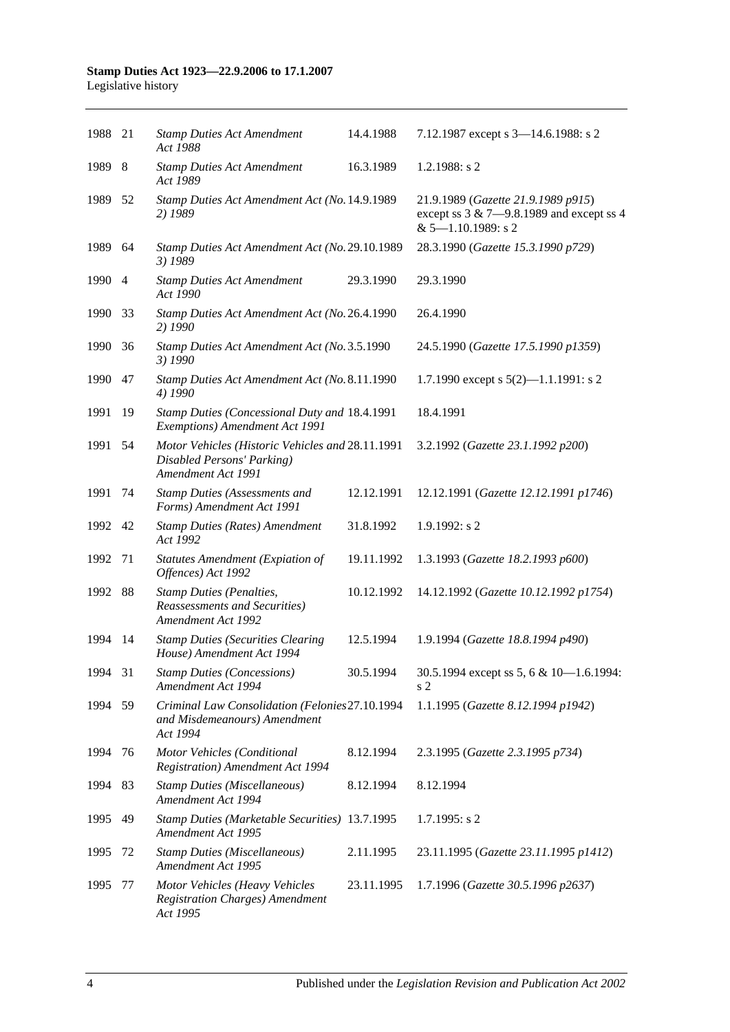| 1988 21 |     | <b>Stamp Duties Act Amendment</b><br>Act 1988                                                        | 14.4.1988  | 7.12.1987 except s 3-14.6.1988: s 2                                                                           |
|---------|-----|------------------------------------------------------------------------------------------------------|------------|---------------------------------------------------------------------------------------------------------------|
| 1989 8  |     | <b>Stamp Duties Act Amendment</b><br>Act 1989                                                        | 16.3.1989  | $1.2.1988$ : s 2                                                                                              |
| 1989 52 |     | Stamp Duties Act Amendment Act (No. 14.9.1989<br>2) 1989                                             |            | 21.9.1989 (Gazette 21.9.1989 p915)<br>except ss $3 & 7 - 9.8.1989$ and except ss 4<br>$& 5 - 1.10.1989$ : s 2 |
| 1989    | 64  | Stamp Duties Act Amendment Act (No. 29.10.1989<br>3) 1989                                            |            | 28.3.1990 (Gazette 15.3.1990 p729)                                                                            |
| 1990 4  |     | <b>Stamp Duties Act Amendment</b><br>Act 1990                                                        | 29.3.1990  | 29.3.1990                                                                                                     |
| 1990    | 33  | Stamp Duties Act Amendment Act (No. 26.4.1990<br>2) 1990                                             |            | 26.4.1990                                                                                                     |
| 1990    | 36  | Stamp Duties Act Amendment Act (No. 3.5.1990<br>3) 1990                                              |            | 24.5.1990 (Gazette 17.5.1990 p1359)                                                                           |
| 1990    | 47  | Stamp Duties Act Amendment Act (No. 8.11.1990<br>4) 1990                                             |            | 1.7.1990 except s $5(2)$ —1.1.1991: s 2                                                                       |
| 1991    | 19  | Stamp Duties (Concessional Duty and 18.4.1991<br>Exemptions) Amendment Act 1991                      |            | 18.4.1991                                                                                                     |
| 1991    | 54  | Motor Vehicles (Historic Vehicles and 28.11.1991<br>Disabled Persons' Parking)<br>Amendment Act 1991 |            | 3.2.1992 (Gazette 23.1.1992 p200)                                                                             |
| 1991    | 74  | <b>Stamp Duties (Assessments and</b><br>Forms) Amendment Act 1991                                    | 12.12.1991 | 12.12.1991 (Gazette 12.12.1991 p1746)                                                                         |
| 1992 42 |     | <b>Stamp Duties (Rates) Amendment</b><br>Act 1992                                                    | 31.8.1992  | $1.9.1992$ : s 2                                                                                              |
| 1992    | 71  | <b>Statutes Amendment (Expiation of</b><br>Offences) Act 1992                                        | 19.11.1992 | 1.3.1993 (Gazette 18.2.1993 p600)                                                                             |
| 1992    | 88  | <b>Stamp Duties (Penalties,</b><br><b>Reassessments and Securities</b> )<br>Amendment Act 1992       | 10.12.1992 | 14.12.1992 (Gazette 10.12.1992 p1754)                                                                         |
| 1994    | 14  | <b>Stamp Duties (Securities Clearing</b><br>House) Amendment Act 1994                                | 12.5.1994  | 1.9.1994 (Gazette 18.8.1994 p490)                                                                             |
| 1994 31 |     | <b>Stamp Duties (Concessions)</b><br>Amendment Act 1994                                              | 30.5.1994  | 30.5.1994 except ss 5, 6 & 10-1.6.1994:<br>s 2                                                                |
| 1994 59 |     | Criminal Law Consolidation (Felonies27.10.1994<br>and Misdemeanours) Amendment<br>Act 1994           |            | 1.1.1995 (Gazette 8.12.1994 p1942)                                                                            |
| 1994    | 76  | Motor Vehicles (Conditional<br><b>Registration</b> ) Amendment Act 1994                              | 8.12.1994  | 2.3.1995 (Gazette 2.3.1995 p734)                                                                              |
| 1994    | -83 | <b>Stamp Duties (Miscellaneous)</b><br>Amendment Act 1994                                            | 8.12.1994  | 8.12.1994                                                                                                     |
| 1995    | 49  | Stamp Duties (Marketable Securities) 13.7.1995<br>Amendment Act 1995                                 |            | $1.7.1995$ : s 2                                                                                              |
| 1995    | 72  | <b>Stamp Duties (Miscellaneous)</b><br>Amendment Act 1995                                            | 2.11.1995  | 23.11.1995 (Gazette 23.11.1995 p1412)                                                                         |
| 1995    | 77  | Motor Vehicles (Heavy Vehicles<br><b>Registration Charges)</b> Amendment<br>Act 1995                 | 23.11.1995 | 1.7.1996 (Gazette 30.5.1996 p2637)                                                                            |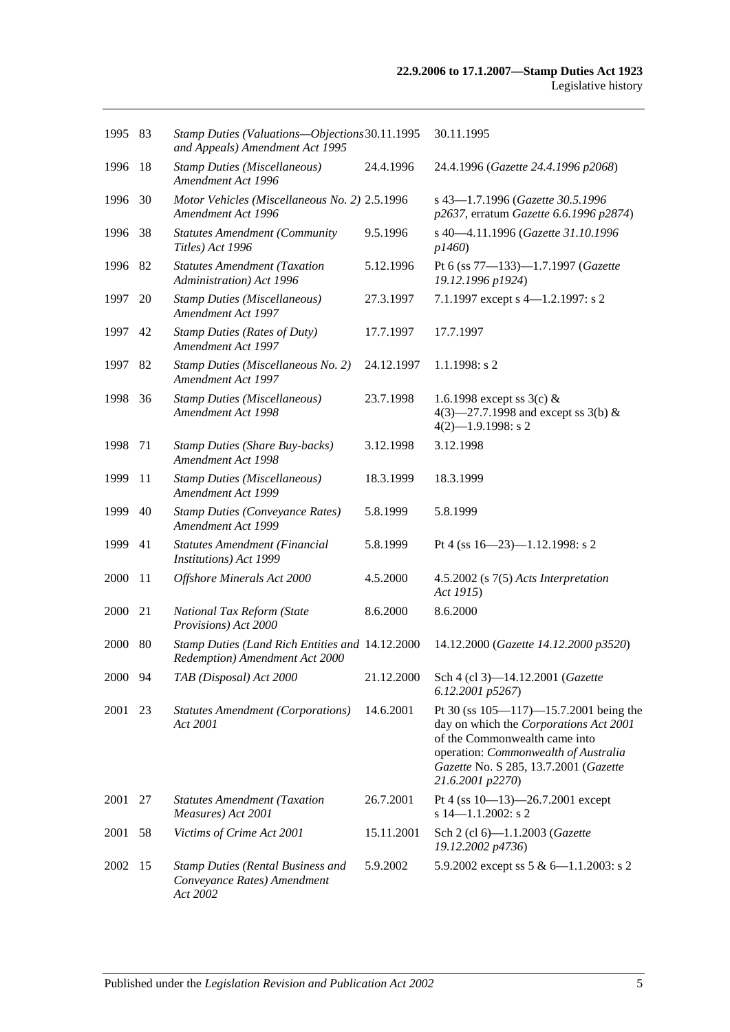| 1995 83 |     | Stamp Duties (Valuations-Objections 30.11.1995<br>and Appeals) Amendment Act 1995   |            | 30.11.1995                                                                                                                                                                                                                   |
|---------|-----|-------------------------------------------------------------------------------------|------------|------------------------------------------------------------------------------------------------------------------------------------------------------------------------------------------------------------------------------|
| 1996    | 18  | <b>Stamp Duties (Miscellaneous)</b><br>Amendment Act 1996                           | 24.4.1996  | 24.4.1996 (Gazette 24.4.1996 p2068)                                                                                                                                                                                          |
| 1996    | 30  | Motor Vehicles (Miscellaneous No. 2) 2.5.1996<br>Amendment Act 1996                 |            | s 43-1.7.1996 (Gazette 30.5.1996<br>p2637, erratum Gazette 6.6.1996 p2874)                                                                                                                                                   |
| 1996    | 38  | <b>Statutes Amendment (Community</b><br>Titles) Act 1996                            | 9.5.1996   | s 40-4.11.1996 (Gazette 31.10.1996<br>p1460                                                                                                                                                                                  |
| 1996 82 |     | <b>Statutes Amendment (Taxation</b><br>Administration) Act 1996                     | 5.12.1996  | Pt 6 (ss 77-133)-1.7.1997 (Gazette<br>19.12.1996 p1924)                                                                                                                                                                      |
| 1997    | 20  | <b>Stamp Duties (Miscellaneous)</b><br>Amendment Act 1997                           | 27.3.1997  | 7.1.1997 except s 4-1.2.1997: s 2                                                                                                                                                                                            |
| 1997    | 42  | <b>Stamp Duties (Rates of Duty)</b><br>Amendment Act 1997                           | 17.7.1997  | 17.7.1997                                                                                                                                                                                                                    |
| 1997    | 82  | Stamp Duties (Miscellaneous No. 2)<br>Amendment Act 1997                            | 24.12.1997 | $1.1.1998$ : s 2                                                                                                                                                                                                             |
| 1998    | 36  | <b>Stamp Duties (Miscellaneous)</b><br>Amendment Act 1998                           | 23.7.1998  | 1.6.1998 except ss $3(c)$ &<br>4(3)–27.7.1998 and except ss 3(b) &<br>$4(2)$ -1.9.1998: s 2                                                                                                                                  |
| 1998    | 71  | <b>Stamp Duties (Share Buy-backs)</b><br>Amendment Act 1998                         | 3.12.1998  | 3.12.1998                                                                                                                                                                                                                    |
| 1999    | 11  | <b>Stamp Duties (Miscellaneous)</b><br>Amendment Act 1999                           | 18.3.1999  | 18.3.1999                                                                                                                                                                                                                    |
| 1999    | 40  | <b>Stamp Duties (Conveyance Rates)</b><br>Amendment Act 1999                        | 5.8.1999   | 5.8.1999                                                                                                                                                                                                                     |
| 1999    | 41  | Statutes Amendment (Financial<br>Institutions) Act 1999                             | 5.8.1999   | Pt 4 (ss $16 - 23$ )-1.12.1998: s 2                                                                                                                                                                                          |
| 2000    | -11 | Offshore Minerals Act 2000                                                          | 4.5.2000   | $4.5.2002$ (s $7(5)$ Acts Interpretation<br>Act 1915)                                                                                                                                                                        |
| 2000    | 21  | National Tax Reform (State<br>Provisions) Act 2000                                  | 8.6.2000   | 8.6.2000                                                                                                                                                                                                                     |
| 2000    | -80 | Stamp Duties (Land Rich Entities and 14.12.2000)<br>Redemption) Amendment Act 2000  |            | 14.12.2000 (Gazette 14.12.2000 p3520)                                                                                                                                                                                        |
| 2000 94 |     | TAB (Disposal) Act 2000                                                             | 21.12.2000 | Sch 4 (cl 3)-14.12.2001 (Gazette<br>6.12.2001 p5267)                                                                                                                                                                         |
| 2001    | 23  | <b>Statutes Amendment (Corporations)</b><br>Act 2001                                | 14.6.2001  | Pt 30 (ss $105 - 117$ ) -15.7.2001 being the<br>day on which the Corporations Act 2001<br>of the Commonwealth came into<br>operation: Commonwealth of Australia<br>Gazette No. S 285, 13.7.2001 (Gazette<br>21.6.2001 p2270) |
| 2001    | 27  | <b>Statutes Amendment (Taxation</b><br>Measures) Act 2001                           | 26.7.2001  | Pt 4 (ss 10-13)-26.7.2001 except<br>$s$ 14-1.1.2002: s 2                                                                                                                                                                     |
| 2001    | 58  | Victims of Crime Act 2001                                                           | 15.11.2001 | Sch 2 (cl 6)-1.1.2003 (Gazette<br>19.12.2002 p4736)                                                                                                                                                                          |
| 2002    | 15  | <b>Stamp Duties (Rental Business and</b><br>Conveyance Rates) Amendment<br>Act 2002 | 5.9.2002   | 5.9.2002 except ss 5 & 6-1.1.2003: s 2                                                                                                                                                                                       |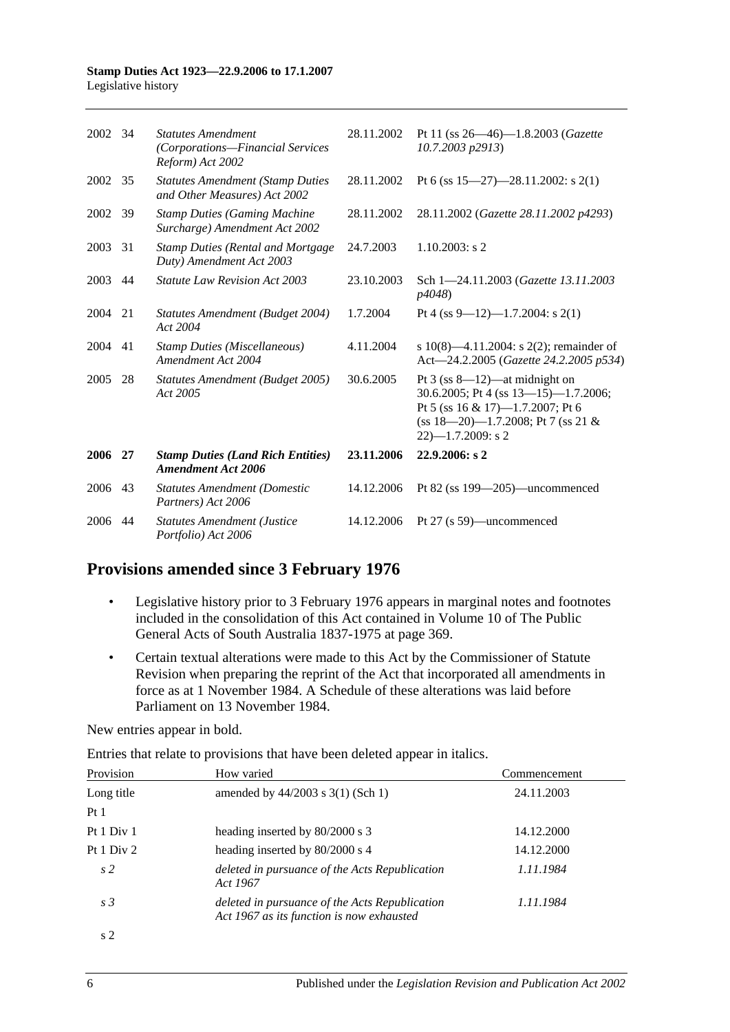| 2002 34 |    | <b>Statutes Amendment</b><br>(Corporations-Financial Services<br>Reform) Act 2002 | 28.11.2002 | Pt 11 (ss $26 - 46$ )-1.8.2003 (Gazette<br>10.7.2003 p2913)                                                                                                                          |
|---------|----|-----------------------------------------------------------------------------------|------------|--------------------------------------------------------------------------------------------------------------------------------------------------------------------------------------|
| 2002 35 |    | <b>Statutes Amendment (Stamp Duties)</b><br>and Other Measures) Act 2002          | 28.11.2002 | Pt 6 (ss $15-27$ )-28.11.2002: s 2(1)                                                                                                                                                |
| 2002    | 39 | <b>Stamp Duties (Gaming Machine</b><br>Surcharge) Amendment Act 2002              | 28.11.2002 | 28.11.2002 (Gazette 28.11.2002 p4293)                                                                                                                                                |
| 2003    | 31 | <b>Stamp Duties (Rental and Mortgage)</b><br>Duty) Amendment Act 2003             | 24.7.2003  | $1.10.2003$ : s 2                                                                                                                                                                    |
| 2003    | 44 | <b>Statute Law Revision Act 2003</b>                                              | 23.10.2003 | Sch 1-24.11.2003 (Gazette 13.11.2003)<br><i>p4048</i> )                                                                                                                              |
| 2004    | 21 | Statutes Amendment (Budget 2004)<br>Act 2004                                      | 1.7.2004   | Pt 4 (ss 9–12)–1.7.2004: s 2(1)                                                                                                                                                      |
| 2004    | 41 | <b>Stamp Duties (Miscellaneous)</b><br>Amendment Act 2004                         | 4.11.2004  | s 10(8)—4.11.2004: s 2(2); remainder of<br>Act-24.2.2005 (Gazette 24.2.2005 p534)                                                                                                    |
| 2005    | 28 | Statutes Amendment (Budget 2005)<br>Act 2005                                      | 30.6.2005  | Pt $3$ (ss 8—12)—at midnight on<br>30.6.2005; Pt 4 (ss $13-15$ )-1.7.2006;<br>Pt 5 (ss 16 & 17)-1.7.2007; Pt 6<br>$(ss 18-20) - 1.7.2008$ ; Pt 7 $(ss 21 \&$<br>$22$ )-1.7.2009: s 2 |
| 2006    | 27 | <b>Stamp Duties (Land Rich Entities)</b><br>Amendment Act 2006                    | 23.11.2006 | 22.9.2006: s2                                                                                                                                                                        |
| 2006    | 43 | <b>Statutes Amendment (Domestic</b><br>Partners) Act 2006                         | 14.12.2006 | Pt $82$ (ss $199-205$ )—uncommenced                                                                                                                                                  |
| 2006    | 44 | <b>Statutes Amendment (Justice</b><br>Portfolio) Act 2006                         | 14.12.2006 | Pt 27 (s 59)—uncommenced                                                                                                                                                             |

## **Provisions amended since 3 February 1976**

- Legislative history prior to 3 February 1976 appears in marginal notes and footnotes included in the consolidation of this Act contained in Volume 10 of The Public General Acts of South Australia 1837-1975 at page 369.
- Certain textual alterations were made to this Act by the Commissioner of Statute Revision when preparing the reprint of the Act that incorporated all amendments in force as at 1 November 1984. A Schedule of these alterations was laid before Parliament on 13 November 1984.

New entries appear in bold.

Entries that relate to provisions that have been deleted appear in italics.

| Provision      | How varied                                                                                  | Commencement |
|----------------|---------------------------------------------------------------------------------------------|--------------|
| Long title     | amended by $44/2003$ s $3(1)$ (Sch 1)                                                       | 24.11.2003   |
| Pt1            |                                                                                             |              |
| Pt 1 Div 1     | heading inserted by 80/2000 s 3                                                             | 14.12.2000   |
| Pt 1 Div 2     | heading inserted by 80/2000 s 4                                                             | 14.12.2000   |
| s <sub>2</sub> | deleted in pursuance of the Acts Republication<br>Act 1967                                  | 1.11.1984    |
| s <sub>3</sub> | deleted in pursuance of the Acts Republication<br>Act 1967 as its function is now exhausted | 1.11.1984    |
| s 2            |                                                                                             |              |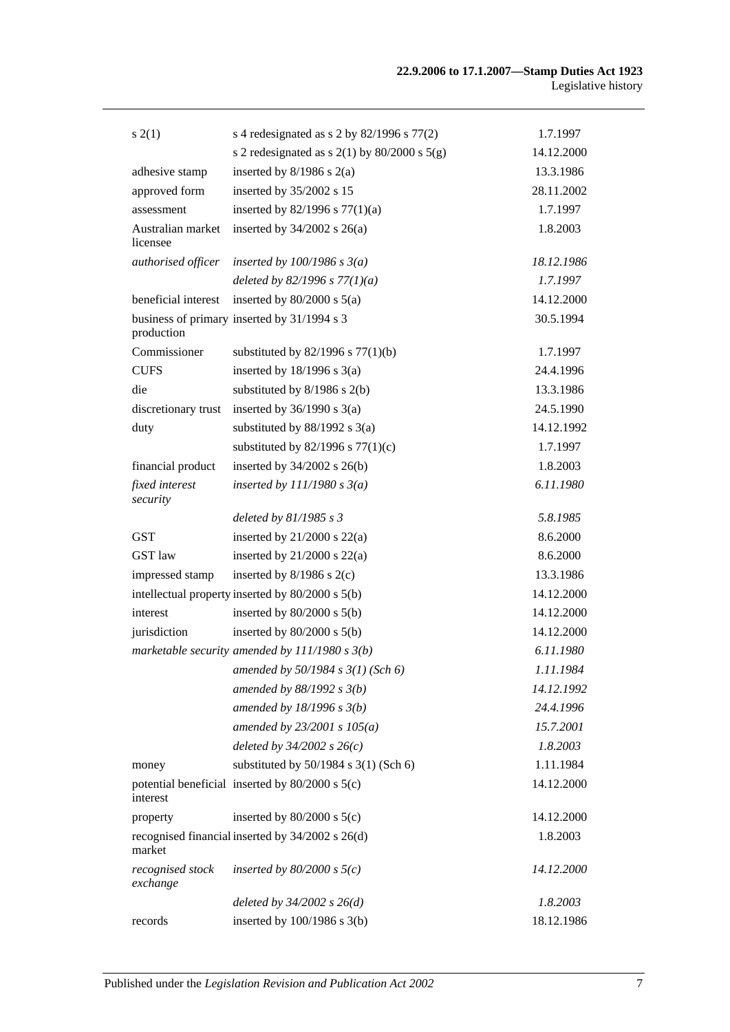| s(2(1))                       | s 4 redesignated as s 2 by $82/1996$ s $77(2)$     | 1.7.1997   |
|-------------------------------|----------------------------------------------------|------------|
|                               | s 2 redesignated as s $2(1)$ by $80/2000$ s $5(g)$ | 14.12.2000 |
| adhesive stamp                | inserted by $8/1986$ s $2(a)$                      | 13.3.1986  |
| approved form                 | inserted by 35/2002 s 15                           | 28.11.2002 |
| assessment                    | inserted by $82/1996$ s $77(1)(a)$                 | 1.7.1997   |
| Australian market<br>licensee | inserted by $34/2002$ s $26(a)$                    | 1.8.2003   |
| authorised officer            | inserted by $100/1986$ s $3(a)$                    | 18.12.1986 |
|                               | deleted by 82/1996 s $77(1)(a)$                    | 1.7.1997   |
| beneficial interest           | inserted by $80/2000$ s $5(a)$                     | 14.12.2000 |
| production                    | business of primary inserted by 31/1994 s 3        | 30.5.1994  |
| Commissioner                  | substituted by $82/1996$ s $77(1)(b)$              | 1.7.1997   |
| <b>CUFS</b>                   | inserted by $18/1996$ s $3(a)$                     | 24.4.1996  |
| die                           | substituted by $8/1986$ s $2(b)$                   | 13.3.1986  |
| discretionary trust           | inserted by $36/1990$ s $3(a)$                     | 24.5.1990  |
| duty                          | substituted by $88/1992$ s 3(a)                    | 14.12.1992 |
|                               | substituted by $82/1996$ s $77(1)(c)$              | 1.7.1997   |
| financial product             | inserted by $34/2002$ s $26(b)$                    | 1.8.2003   |
| fixed interest<br>security    | inserted by $111/1980 s 3(a)$                      | 6.11.1980  |
|                               | deleted by $81/1985 s 3$                           | 5.8.1985   |
| <b>GST</b>                    | inserted by $21/2000$ s $22(a)$                    | 8.6.2000   |
| GST law                       | inserted by $21/2000$ s $22(a)$                    | 8.6.2000   |
| impressed stamp               | inserted by $8/1986$ s $2(c)$                      | 13.3.1986  |
|                               | intellectual property inserted by 80/2000 s 5(b)   | 14.12.2000 |
| interest                      | inserted by $80/2000$ s $5(b)$                     | 14.12.2000 |
| jurisdiction                  | inserted by $80/2000$ s $5(b)$                     | 14.12.2000 |
|                               | marketable security amended by $111/1980 s 3(b)$   | 6.11.1980  |
|                               | amended by 50/1984 s 3(1) (Sch 6)                  | 1.11.1984  |
|                               | amended by $88/1992 s 3(b)$                        | 14.12.1992 |
|                               | amended by $18/1996 s 3(b)$                        | 24.4.1996  |
|                               | amended by $23/2001 s 105(a)$                      | 15.7.2001  |
|                               | deleted by $34/2002$ s $26(c)$                     | 1.8.2003   |
| money                         | substituted by $50/1984$ s $3(1)$ (Sch 6)          | 1.11.1984  |
| interest                      | potential beneficial inserted by 80/2000 s 5(c)    | 14.12.2000 |
| property                      | inserted by $80/2000$ s $5(c)$                     | 14.12.2000 |
| market                        | recognised financial inserted by 34/2002 s 26(d)   | 1.8.2003   |
| recognised stock<br>exchange  | inserted by $80/2000$ s $5(c)$                     | 14.12.2000 |
|                               | deleted by $34/2002$ s $26(d)$                     | 1.8.2003   |
| records                       | inserted by $100/1986$ s $3(b)$                    | 18.12.1986 |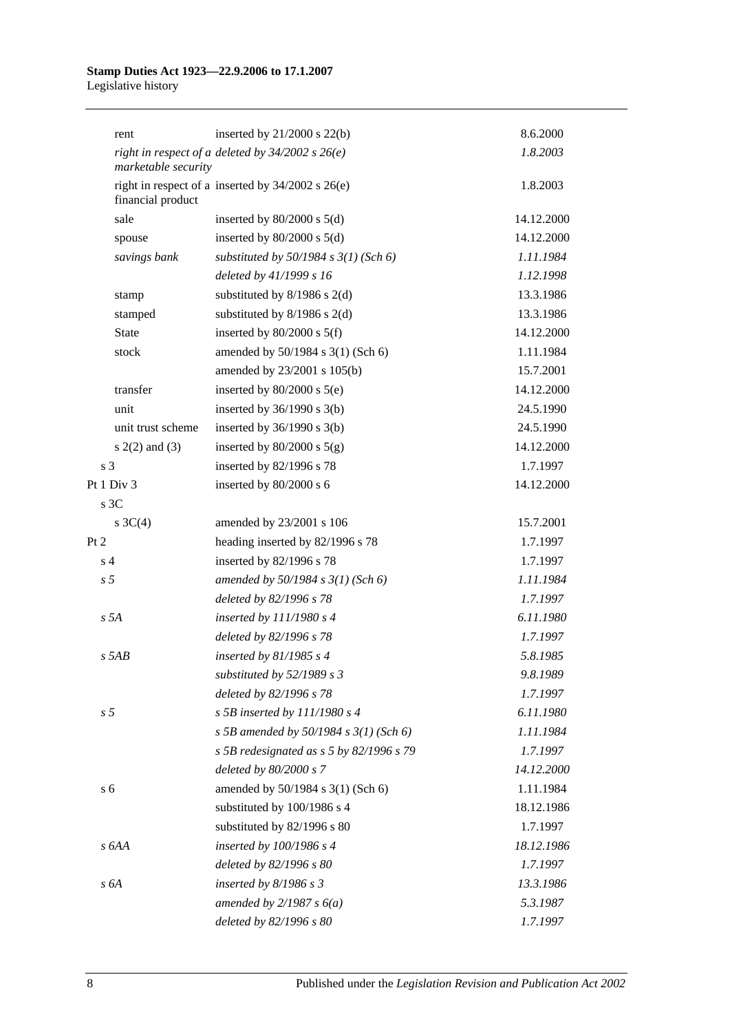|                | rent                | inserted by $21/2000$ s $22(b)$                      | 8.6.2000   |
|----------------|---------------------|------------------------------------------------------|------------|
|                | marketable security | right in respect of a deleted by $34/2002$ s $26(e)$ | 1.8.2003   |
|                | financial product   | right in respect of a inserted by 34/2002 s 26(e)    | 1.8.2003   |
|                | sale                | inserted by $80/2000$ s $5(d)$                       | 14.12.2000 |
|                | spouse              | inserted by $80/2000$ s $5(d)$                       | 14.12.2000 |
|                | savings bank        | substituted by $50/1984$ s $3(1)$ (Sch 6)            | 1.11.1984  |
|                |                     | deleted by 41/1999 s 16                              | 1.12.1998  |
|                | stamp               | substituted by $8/1986$ s $2(d)$                     | 13.3.1986  |
|                | stamped             | substituted by $8/1986$ s $2(d)$                     | 13.3.1986  |
|                | <b>State</b>        | inserted by $80/2000$ s $5(f)$                       | 14.12.2000 |
|                | stock               | amended by 50/1984 s 3(1) (Sch 6)                    | 1.11.1984  |
|                |                     | amended by 23/2001 s 105(b)                          | 15.7.2001  |
|                | transfer            | inserted by $80/2000$ s $5(e)$                       | 14.12.2000 |
|                | unit                | inserted by $36/1990$ s $3(b)$                       | 24.5.1990  |
|                | unit trust scheme   | inserted by $36/1990$ s $3(b)$                       | 24.5.1990  |
|                | $s(2(2)$ and $(3)$  | inserted by $80/2000$ s $5(g)$                       | 14.12.2000 |
| s <sub>3</sub> |                     | inserted by 82/1996 s 78                             | 1.7.1997   |
|                | Pt 1 Div 3          | inserted by 80/2000 s 6                              | 14.12.2000 |
|                | s <sub>3C</sub>     |                                                      |            |
|                | s $3C(4)$           | amended by 23/2001 s 106                             | 15.7.2001  |
| Pt 2           |                     | heading inserted by 82/1996 s 78                     | 1.7.1997   |
| s <sub>4</sub> |                     | inserted by 82/1996 s 78                             | 1.7.1997   |
| s <sub>5</sub> |                     | amended by $50/1984$ s $3(1)$ (Sch 6)                | 1.11.1984  |
|                |                     | deleted by 82/1996 s 78                              | 1.7.1997   |
|                | s 5A                | inserted by 111/1980 s 4                             | 6.11.1980  |
|                |                     | deleted by 82/1996 s 78                              | 1.7.1997   |
|                | $s$ 5AB             | inserted by $81/1985$ s 4                            | 5.8.1985   |
|                |                     | substituted by $52/1989 s 3$                         | 9.8.1989   |
|                |                     | deleted by 82/1996 s 78                              | 1.7.1997   |
| s <sub>5</sub> |                     | s 5B inserted by $111/1980$ s 4                      | 6.11.1980  |
|                |                     | s 5B amended by 50/1984 s $3(1)$ (Sch 6)             | 1.11.1984  |
|                |                     | s 5B redesignated as $s$ 5 by 82/1996 s 79           | 1.7.1997   |
|                |                     | deleted by 80/2000 s 7                               | 14.12.2000 |
| s <sub>6</sub> |                     | amended by 50/1984 s 3(1) (Sch 6)                    | 1.11.1984  |
|                |                     | substituted by 100/1986 s 4                          | 18.12.1986 |
|                |                     | substituted by 82/1996 s 80                          | 1.7.1997   |
|                | s 6AA               | inserted by 100/1986 s 4                             | 18.12.1986 |
|                |                     | deleted by 82/1996 s 80                              | 1.7.1997   |
|                | s 6A                | inserted by $8/1986$ s 3                             | 13.3.1986  |
|                |                     | amended by $2/1987 s 6(a)$                           | 5.3.1987   |
|                |                     | deleted by 82/1996 s 80                              | 1.7.1997   |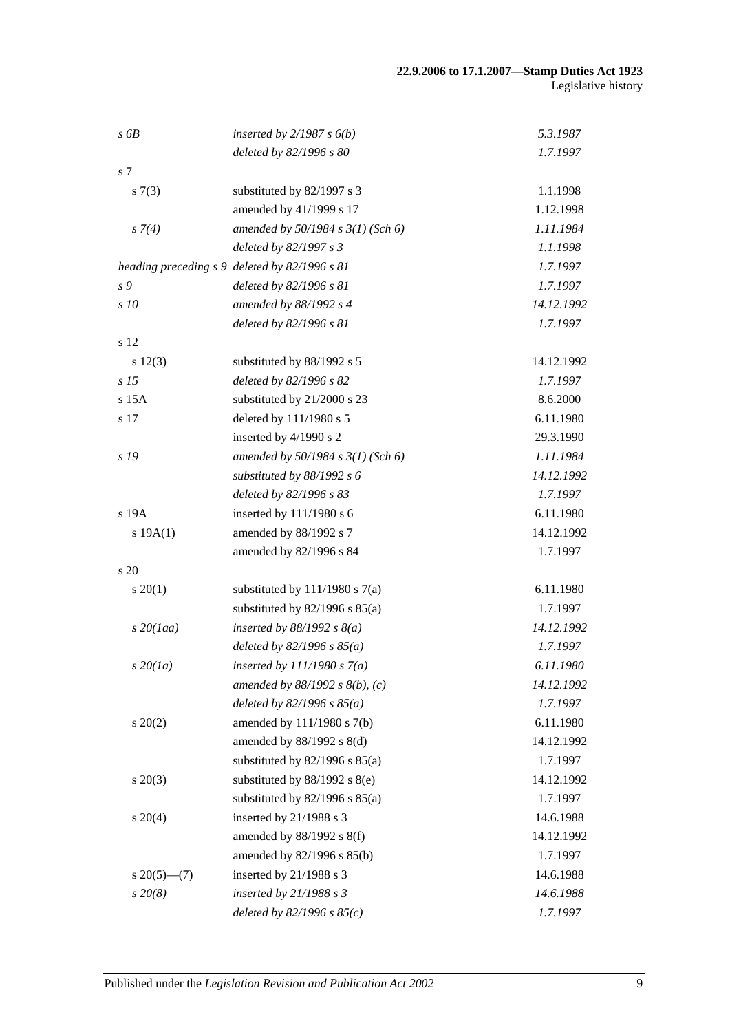| $s$ 6 $B$          | inserted by $2/1987 s 6(b)$                   | 5.3.1987   |
|--------------------|-----------------------------------------------|------------|
|                    | deleted by 82/1996 s 80                       | 1.7.1997   |
| s 7                |                                               |            |
| s(7(3))            | substituted by 82/1997 s 3                    | 1.1.1998   |
|                    | amended by 41/1999 s 17                       | 1.12.1998  |
| $s \, 7(4)$        | amended by 50/1984 s 3(1) (Sch 6)             | 1.11.1984  |
|                    | deleted by 82/1997 s 3                        | 1.1.1998   |
|                    | heading preceding s 9 deleted by 82/1996 s 81 | 1.7.1997   |
| s 9                | deleted by 82/1996 s 81                       | 1.7.1997   |
| s 10               | amended by 88/1992 s 4                        | 14.12.1992 |
|                    | deleted by 82/1996 s 81                       | 1.7.1997   |
| s 12               |                                               |            |
| s 12(3)            | substituted by 88/1992 s 5                    | 14.12.1992 |
| s <sub>15</sub>    | deleted by 82/1996 s 82                       | 1.7.1997   |
| $s$ 15 $A$         | substituted by 21/2000 s 23                   | 8.6.2000   |
| s 17               | deleted by 111/1980 s 5                       | 6.11.1980  |
|                    | inserted by 4/1990 s 2                        | 29.3.1990  |
| s 19               | amended by 50/1984 s 3(1) (Sch 6)             | 1.11.1984  |
|                    | substituted by $88/1992 s 6$                  | 14.12.1992 |
|                    | deleted by 82/1996 s 83                       | 1.7.1997   |
| s 19A              | inserted by 111/1980 s 6                      | 6.11.1980  |
| s 19A(1)           | amended by 88/1992 s 7                        | 14.12.1992 |
|                    | amended by 82/1996 s 84                       | 1.7.1997   |
| s 20               |                                               |            |
| $s \, 20(1)$       | substituted by $111/1980$ s $7(a)$            | 6.11.1980  |
|                    | substituted by $82/1996$ s $85(a)$            | 1.7.1997   |
| $s$ 20(1aa)        | inserted by $88/1992 s 8(a)$                  | 14.12.1992 |
|                    | deleted by $82/1996 s 85(a)$                  | 1.7.1997   |
| $s\,20(1a)$        | inserted by $111/1980 s7(a)$                  | 6.11.1980  |
|                    | amended by $88/1992$ s $8(b)$ , (c)           | 14.12.1992 |
|                    | deleted by $82/1996 s 85(a)$                  | 1.7.1997   |
| $s \ 20(2)$        | amended by 111/1980 s 7(b)                    | 6.11.1980  |
|                    | amended by 88/1992 s 8(d)                     | 14.12.1992 |
|                    | substituted by $82/1996$ s $85(a)$            | 1.7.1997   |
| $s \ 20(3)$        | substituted by $88/1992$ s $8(e)$             | 14.12.1992 |
|                    | substituted by $82/1996$ s $85(a)$            | 1.7.1997   |
| $s \ 20(4)$        | inserted by 21/1988 s 3                       | 14.6.1988  |
|                    | amended by 88/1992 s 8(f)                     | 14.12.1992 |
|                    | amended by 82/1996 s 85(b)                    | 1.7.1997   |
| $s\,20(5)$ — $(7)$ | inserted by $21/1988$ s 3                     | 14.6.1988  |
| $s\,20(8)$         | inserted by $21/1988 s 3$                     | 14.6.1988  |
|                    | deleted by $82/1996 s 85(c)$                  | 1.7.1997   |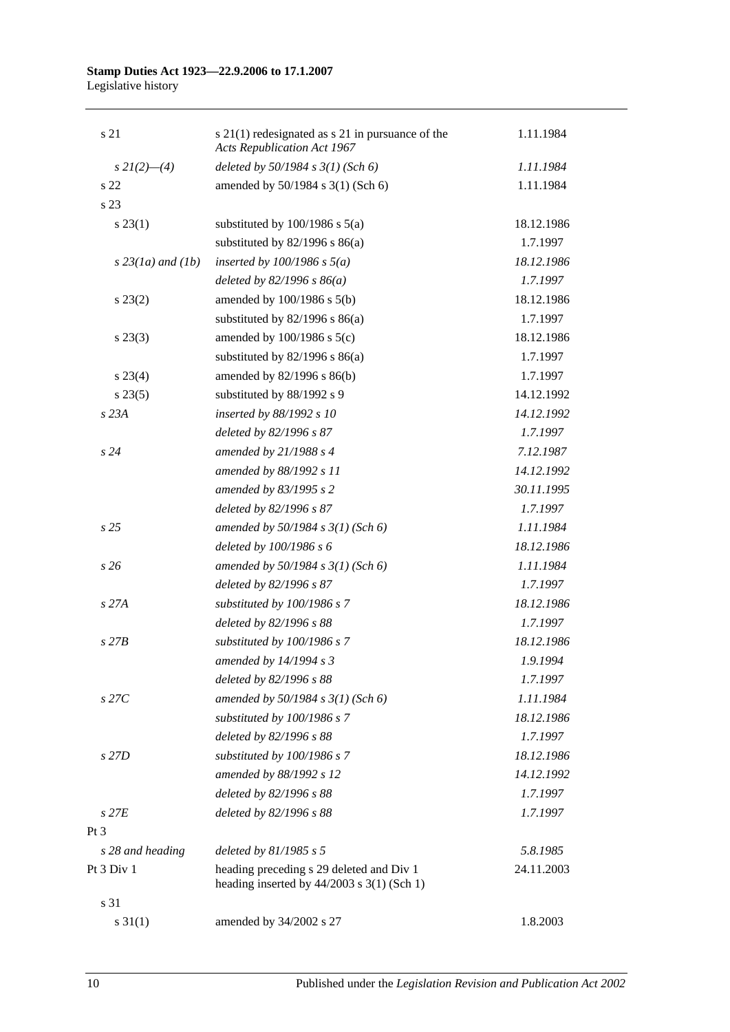| s 21                | $s$ 21(1) redesignated as $s$ 21 in pursuance of the<br><b>Acts Republication Act 1967</b> | 1.11.1984  |
|---------------------|--------------------------------------------------------------------------------------------|------------|
| $s\,2I(2)$ —(4)     | deleted by $50/1984 s 3(1)$ (Sch 6)                                                        | 1.11.1984  |
| s <sub>22</sub>     | amended by 50/1984 s 3(1) (Sch 6)                                                          | 1.11.1984  |
| s 23                |                                                                                            |            |
| $s\,23(1)$          | substituted by $100/1986$ s $5(a)$                                                         | 18.12.1986 |
|                     | substituted by $82/1996$ s $86(a)$                                                         | 1.7.1997   |
| $s$ 23(1a) and (1b) | inserted by $100/1986$ s $5(a)$                                                            | 18.12.1986 |
|                     | deleted by $82/1996 s 86(a)$                                                               | 1.7.1997   |
| $s\,23(2)$          | amended by $100/1986$ s $5(b)$                                                             | 18.12.1986 |
|                     | substituted by $82/1996$ s $86(a)$                                                         | 1.7.1997   |
| $s\,23(3)$          | amended by $100/1986$ s $5(c)$                                                             | 18.12.1986 |
|                     | substituted by $82/1996$ s $86(a)$                                                         | 1.7.1997   |
| $s\,23(4)$          | amended by 82/1996 s 86(b)                                                                 | 1.7.1997   |
| $s\,23(5)$          | substituted by 88/1992 s 9                                                                 | 14.12.1992 |
| s23A                | inserted by 88/1992 s 10                                                                   | 14.12.1992 |
|                     | deleted by 82/1996 s 87                                                                    | 1.7.1997   |
| s24                 | amended by $21/1988 s 4$                                                                   | 7.12.1987  |
|                     | amended by 88/1992 s 11                                                                    | 14.12.1992 |
|                     | amended by 83/1995 s 2                                                                     | 30.11.1995 |
|                     | deleted by 82/1996 s 87                                                                    | 1.7.1997   |
| s <sub>25</sub>     | amended by $50/1984 s 3(1)$ (Sch 6)                                                        | 1.11.1984  |
|                     | deleted by 100/1986 s 6                                                                    | 18.12.1986 |
| s26                 | amended by $50/1984$ s $3(1)$ (Sch 6)                                                      | 1.11.1984  |
|                     | deleted by 82/1996 s 87                                                                    | 1.7.1997   |
| s 27A               | substituted by 100/1986 s 7                                                                | 18.12.1986 |
|                     | deleted by 82/1996 s 88                                                                    | 1.7.1997   |
| $s$ 27 $B$          | substituted by 100/1986 s 7                                                                | 18.12.1986 |
|                     | amended by 14/1994 s 3                                                                     | 1.9.1994   |
|                     | deleted by 82/1996 s 88                                                                    | 1.7.1997   |
| $s$ 27 $C$          | amended by 50/1984 s 3(1) (Sch 6)                                                          | 1.11.1984  |
|                     | substituted by 100/1986 s 7                                                                | 18.12.1986 |
|                     | deleted by 82/1996 s 88                                                                    | 1.7.1997   |
| s 27D               | substituted by 100/1986 s 7                                                                | 18.12.1986 |
|                     | amended by 88/1992 s 12                                                                    | 14.12.1992 |
|                     | deleted by 82/1996 s 88                                                                    | 1.7.1997   |
| $s$ 27 $E$          | deleted by 82/1996 s 88                                                                    | 1.7.1997   |
| Pt 3                |                                                                                            |            |
| s 28 and heading    | deleted by $81/1985 s 5$                                                                   | 5.8.1985   |
| Pt 3 Div 1          | heading preceding s 29 deleted and Div 1<br>heading inserted by $44/2003$ s 3(1) (Sch 1)   | 24.11.2003 |
| s 31                |                                                                                            |            |
| $s \ 31(1)$         | amended by 34/2002 s 27                                                                    | 1.8.2003   |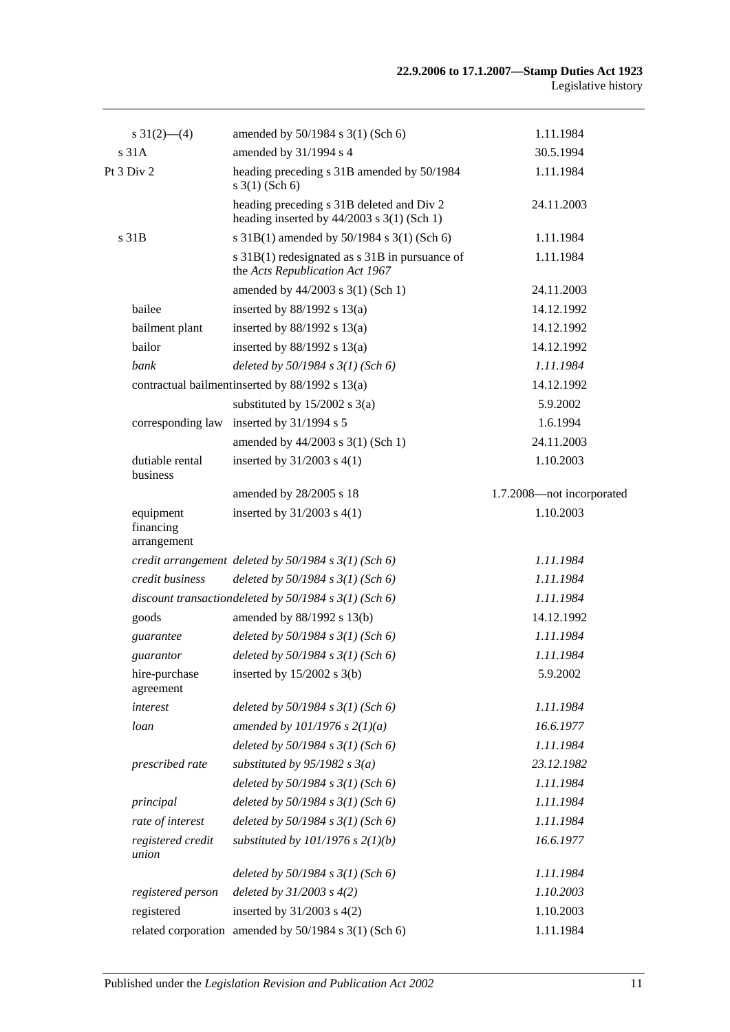| $s \frac{31(2)}{6}(4)$                | amended by 50/1984 s 3(1) (Sch 6)                                                           | 1.11.1984                 |
|---------------------------------------|---------------------------------------------------------------------------------------------|---------------------------|
| s <sub>31A</sub>                      | amended by 31/1994 s 4                                                                      | 30.5.1994                 |
| Pt 3 Div 2                            | heading preceding s 31B amended by 50/1984<br>$s \; 3(1)$ (Sch 6)                           | 1.11.1984                 |
|                                       | heading preceding s 31B deleted and Div 2<br>heading inserted by $44/2003$ s $3(1)$ (Sch 1) | 24.11.2003                |
| s 31B                                 | s 31B(1) amended by 50/1984 s 3(1) (Sch 6)                                                  | 1.11.1984                 |
|                                       | s 31B(1) redesignated as s 31B in pursuance of<br>the Acts Republication Act 1967           | 1.11.1984                 |
|                                       | amended by 44/2003 s 3(1) (Sch 1)                                                           | 24.11.2003                |
| bailee                                | inserted by $88/1992$ s $13(a)$                                                             | 14.12.1992                |
| bailment plant                        | inserted by $88/1992$ s $13(a)$                                                             | 14.12.1992                |
| bailor                                | inserted by $88/1992$ s $13(a)$                                                             | 14.12.1992                |
| bank                                  | deleted by $50/1984$ s $3(1)$ (Sch 6)                                                       | 1.11.1984                 |
|                                       | contractual bailment inserted by 88/1992 s 13(a)                                            | 14.12.1992                |
|                                       | substituted by $15/2002$ s 3(a)                                                             | 5.9.2002                  |
| corresponding law                     | inserted by $31/1994$ s 5                                                                   | 1.6.1994                  |
|                                       | amended by 44/2003 s 3(1) (Sch 1)                                                           | 24.11.2003                |
| dutiable rental<br>business           | inserted by $31/2003$ s $4(1)$                                                              | 1.10.2003                 |
|                                       | amended by 28/2005 s 18                                                                     | 1.7.2008-not incorporated |
| equipment<br>financing<br>arrangement | inserted by $31/2003$ s $4(1)$                                                              | 1.10.2003                 |
|                                       | credit arrangement deleted by $50/1984$ s $3(1)$ (Sch 6)                                    | 1.11.1984                 |
| credit business                       | deleted by $50/1984$ s $3(1)$ (Sch 6)                                                       | 1.11.1984                 |
|                                       | discount transactiondeleted by $50/1984$ s $3(1)$ (Sch 6)                                   | 1.11.1984                 |
| goods                                 | amended by 88/1992 s 13(b)                                                                  | 14.12.1992                |
| guarantee                             | deleted by $50/1984$ s $3(1)$ (Sch 6)                                                       | 1.11.1984                 |
| guarantor                             | deleted by $50/1984$ s $3(1)$ (Sch 6)                                                       | 1.11.1984                 |
| hire-purchase<br>agreement            | inserted by $15/2002$ s 3(b)                                                                | 5.9.2002                  |
| interest                              | deleted by $50/1984$ s $3(1)$ (Sch 6)                                                       | 1.11.1984                 |
| loan                                  | amended by $101/1976$ s $2(1)(a)$                                                           | 16.6.1977                 |
|                                       | deleted by $50/1984 s 3(1)$ (Sch 6)                                                         | 1.11.1984                 |
| prescribed rate                       | substituted by $95/1982$ s $3(a)$                                                           | 23.12.1982                |
|                                       | deleted by $50/1984 s 3(1)$ (Sch 6)                                                         | 1.11.1984                 |
| principal                             | deleted by $50/1984$ s $3(1)$ (Sch 6)                                                       | 1.11.1984                 |
| rate of interest                      | deleted by $50/1984 s 3(1)$ (Sch 6)                                                         | 1.11.1984                 |
| registered credit<br>union            | substituted by $101/1976$ s $2(1)(b)$                                                       | 16.6.1977                 |
|                                       | deleted by $50/1984$ s $3(1)$ (Sch 6)                                                       | 1.11.1984                 |
| registered person                     | deleted by $31/2003$ s $4(2)$                                                               | 1.10.2003                 |
| registered                            | inserted by $31/2003$ s $4(2)$                                                              | 1.10.2003                 |
|                                       | related corporation amended by 50/1984 s 3(1) (Sch 6)                                       | 1.11.1984                 |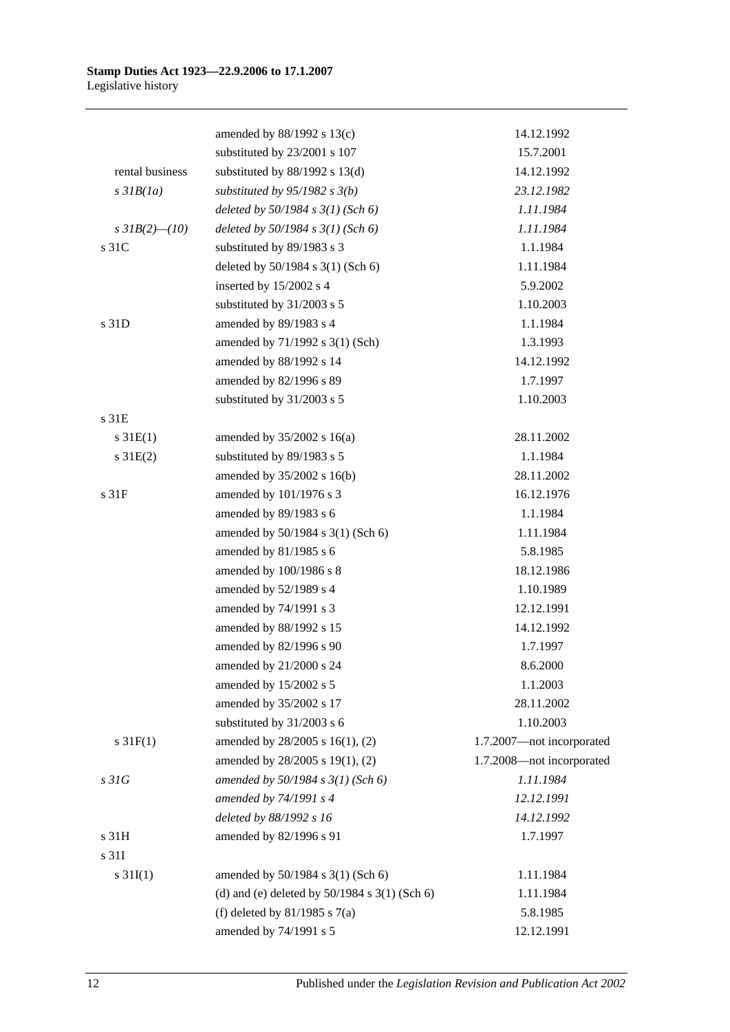|                     | amended by 88/1992 s 13(c)                        | 14.12.1992                |
|---------------------|---------------------------------------------------|---------------------------|
|                     | substituted by 23/2001 s 107                      | 15.7.2001                 |
| rental business     | substituted by $88/1992$ s $13(d)$                | 14.12.1992                |
| $s$ 31 $B(1a)$      | substituted by $95/1982$ s $3(b)$                 | 23.12.1982                |
|                     | deleted by $50/1984 s 3(1)$ (Sch 6)               | 1.11.1984                 |
| s $3IB(2)$ - $(10)$ | deleted by $50/1984$ s $3(1)$ (Sch 6)             | 1.11.1984                 |
| s 31C               | substituted by 89/1983 s 3                        | 1.1.1984                  |
|                     | deleted by 50/1984 s 3(1) (Sch 6)                 | 1.11.1984                 |
|                     | inserted by 15/2002 s 4                           | 5.9.2002                  |
|                     | substituted by 31/2003 s 5                        | 1.10.2003                 |
| s 31D               | amended by 89/1983 s 4                            | 1.1.1984                  |
|                     | amended by 71/1992 s 3(1) (Sch)                   | 1.3.1993                  |
|                     | amended by 88/1992 s 14                           | 14.12.1992                |
|                     | amended by 82/1996 s 89                           | 1.7.1997                  |
|                     | substituted by 31/2003 s 5                        | 1.10.2003                 |
| s 31E               |                                                   |                           |
| $s \, 31E(1)$       | amended by $35/2002$ s 16(a)                      | 28.11.2002                |
| $s \, 31E(2)$       | substituted by 89/1983 s 5                        | 1.1.1984                  |
|                     | amended by 35/2002 s 16(b)                        | 28.11.2002                |
| s <sub>31F</sub>    | amended by 101/1976 s 3                           | 16.12.1976                |
|                     | amended by 89/1983 s 6                            | 1.1.1984                  |
|                     | amended by 50/1984 s 3(1) (Sch 6)                 | 1.11.1984                 |
|                     | amended by 81/1985 s 6                            | 5.8.1985                  |
|                     | amended by 100/1986 s 8                           | 18.12.1986                |
|                     | amended by 52/1989 s 4                            | 1.10.1989                 |
|                     | amended by 74/1991 s 3                            | 12.12.1991                |
|                     | amended by 88/1992 s 15                           | 14.12.1992                |
|                     | amended by 82/1996 s 90                           | 1.7.1997                  |
|                     | amended by 21/2000 s 24                           | 8.6.2000                  |
|                     | amended by 15/2002 s 5                            | 1.1.2003                  |
|                     | amended by 35/2002 s 17                           | 28.11.2002                |
|                     | substituted by 31/2003 s 6                        | 1.10.2003                 |
| $s \, 31F(1)$       | amended by 28/2005 s 16(1), (2)                   | 1.7.2007-not incorporated |
|                     | amended by 28/2005 s 19(1), (2)                   | 1.7.2008-not incorporated |
| s31G                | amended by $50/1984 s 3(1)$ (Sch 6)               | 1.11.1984                 |
|                     | amended by 74/1991 s 4                            | 12.12.1991                |
|                     | deleted by 88/1992 s 16                           | 14.12.1992                |
| s 31H               | amended by 82/1996 s 91                           | 1.7.1997                  |
| s 31I               |                                                   |                           |
| $s \, 31I(1)$       | amended by 50/1984 s 3(1) (Sch 6)                 | 1.11.1984                 |
|                     | (d) and (e) deleted by $50/1984$ s $3(1)$ (Sch 6) | 1.11.1984                 |
|                     | (f) deleted by $81/1985$ s $7(a)$                 | 5.8.1985                  |
|                     | amended by 74/1991 s 5                            | 12.12.1991                |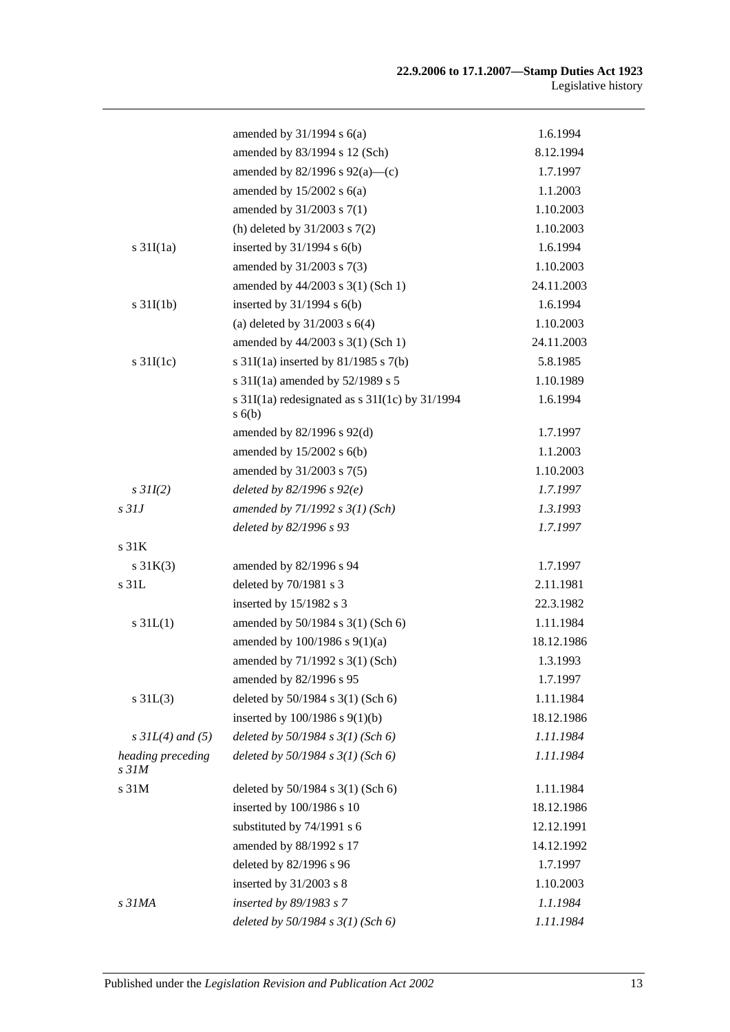|                                       | amended by $31/1994$ s $6(a)$                                | 1.6.1994   |
|---------------------------------------|--------------------------------------------------------------|------------|
|                                       | amended by 83/1994 s 12 (Sch)                                | 8.12.1994  |
|                                       | amended by $82/1996$ s $92(a)$ —(c)                          | 1.7.1997   |
|                                       | amended by $15/2002$ s $6(a)$                                | 1.1.2003   |
|                                       | amended by 31/2003 s 7(1)                                    | 1.10.2003  |
|                                       | (h) deleted by $31/2003$ s $7(2)$                            | 1.10.2003  |
| s $31I(1a)$                           | inserted by $31/1994$ s $6(b)$                               | 1.6.1994   |
|                                       | amended by 31/2003 s 7(3)                                    | 1.10.2003  |
|                                       | amended by 44/2003 s 3(1) (Sch 1)                            | 24.11.2003 |
| $s \frac{31I(1b)}{2}$                 | inserted by $31/1994$ s $6(b)$                               | 1.6.1994   |
|                                       | (a) deleted by $31/2003$ s $6(4)$                            | 1.10.2003  |
|                                       | amended by 44/2003 s 3(1) (Sch 1)                            | 24.11.2003 |
| s $31I(1c)$                           | s $31I(1a)$ inserted by $81/1985$ s $7(b)$                   | 5.8.1985   |
|                                       | s $31I(1a)$ amended by $52/1989$ s 5                         | 1.10.1989  |
|                                       | s $31I(1a)$ redesignated as s $31I(1c)$ by $31/1994$<br>s(6) | 1.6.1994   |
|                                       | amended by $82/1996$ s $92(d)$                               | 1.7.1997   |
|                                       | amended by $15/2002$ s $6(b)$                                | 1.1.2003   |
|                                       | amended by 31/2003 s 7(5)                                    | 1.10.2003  |
| $s$ 31I(2)                            | deleted by $82/1996 s 92(e)$                                 | 1.7.1997   |
| s <sub>31J</sub>                      | amended by $71/1992 s 3(1)$ (Sch)                            | 1.3.1993   |
|                                       | deleted by 82/1996 s 93                                      | 1.7.1997   |
| s 31K                                 |                                                              |            |
| $s \, 31K(3)$                         | amended by 82/1996 s 94                                      | 1.7.1997   |
| s 31L                                 | deleted by 70/1981 s 3                                       | 2.11.1981  |
|                                       | inserted by 15/1982 s 3                                      | 22.3.1982  |
| $s \, 31L(1)$                         | amended by 50/1984 s 3(1) (Sch 6)                            | 1.11.1984  |
|                                       | amended by 100/1986 s 9(1)(a)                                | 18.12.1986 |
|                                       | amended by 71/1992 s 3(1) (Sch)                              | 1.3.1993   |
|                                       | amended by 82/1996 s 95                                      | 1.7.1997   |
| $s \, 31L(3)$                         | deleted by 50/1984 s 3(1) (Sch 6)                            | 1.11.1984  |
|                                       | inserted by $100/1986$ s $9(1)(b)$                           | 18.12.1986 |
| $s$ 31L(4) and (5)                    | deleted by $50/1984$ s $3(1)$ (Sch 6)                        | 1.11.1984  |
| heading preceding<br>s <sub>31M</sub> | deleted by $50/1984$ s $3(1)$ (Sch 6)                        | 1.11.1984  |
| s 31M                                 | deleted by 50/1984 s 3(1) (Sch 6)                            | 1.11.1984  |
|                                       | inserted by 100/1986 s 10                                    | 18.12.1986 |
|                                       | substituted by 74/1991 s 6                                   | 12.12.1991 |
|                                       | amended by 88/1992 s 17                                      | 14.12.1992 |
|                                       | deleted by 82/1996 s 96                                      | 1.7.1997   |
|                                       | inserted by $31/2003$ s 8                                    | 1.10.2003  |
| s 31MA                                | inserted by 89/1983 s 7                                      | 1.1.1984   |
|                                       | deleted by $50/1984$ s $3(1)$ (Sch 6)                        | 1.11.1984  |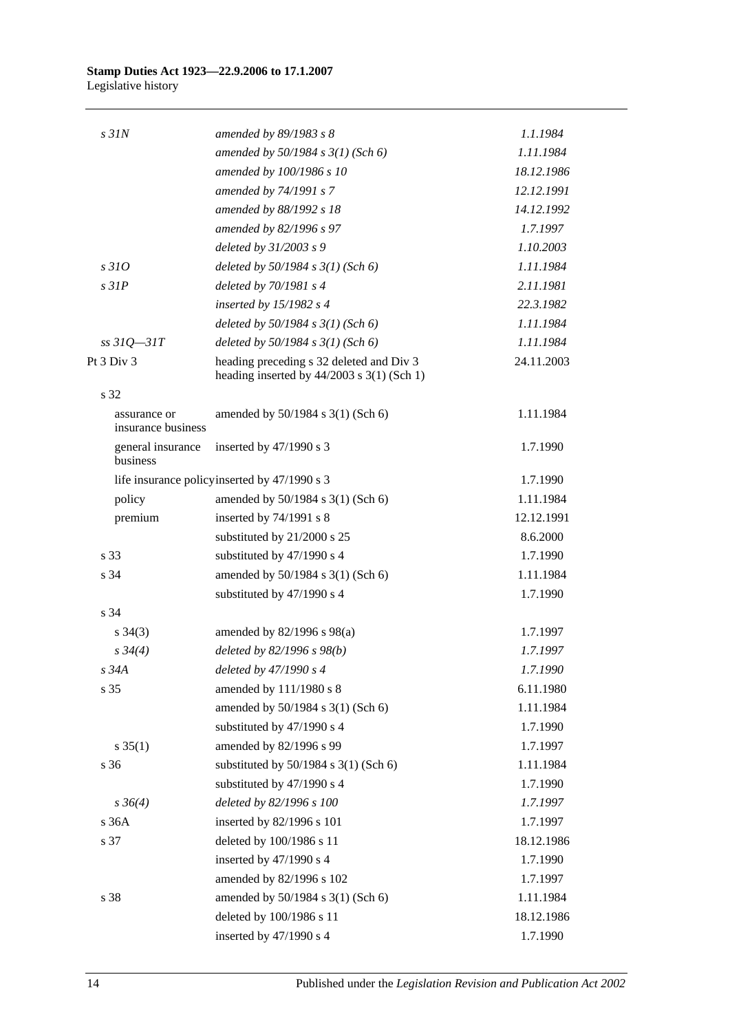| $s$ 31 $N$                         | amended by 89/1983 s 8                                                                   | 1.1.1984   |
|------------------------------------|------------------------------------------------------------------------------------------|------------|
|                                    | amended by $50/1984 s 3(1)$ (Sch 6)                                                      | 1.11.1984  |
|                                    | amended by 100/1986 s 10                                                                 | 18.12.1986 |
|                                    | amended by 74/1991 s 7                                                                   | 12.12.1991 |
|                                    | amended by 88/1992 s 18                                                                  | 14.12.1992 |
|                                    | amended by 82/1996 s 97                                                                  | 1.7.1997   |
|                                    | deleted by 31/2003 s 9                                                                   | 1.10.2003  |
| s310                               | deleted by $50/1984$ s $3(1)$ (Sch 6)                                                    | 1.11.1984  |
| $s$ 31 $P$                         | deleted by 70/1981 s 4                                                                   | 2.11.1981  |
|                                    | inserted by $15/1982$ s 4                                                                | 22.3.1982  |
|                                    | deleted by $50/1984$ s $3(1)$ (Sch 6)                                                    | 1.11.1984  |
| $ss31Q - 31T$                      | deleted by $50/1984$ s $3(1)$ (Sch 6)                                                    | 1.11.1984  |
| Pt 3 Div 3                         | heading preceding s 32 deleted and Div 3<br>heading inserted by $44/2003$ s 3(1) (Sch 1) | 24.11.2003 |
| s 32                               |                                                                                          |            |
| assurance or<br>insurance business | amended by 50/1984 s 3(1) (Sch 6)                                                        | 1.11.1984  |
| general insurance<br>business      | inserted by $47/1990$ s 3                                                                | 1.7.1990   |
|                                    | life insurance policy inserted by 47/1990 s 3                                            | 1.7.1990   |
| policy                             | amended by 50/1984 s 3(1) (Sch 6)                                                        | 1.11.1984  |
| premium                            | inserted by 74/1991 s 8                                                                  | 12.12.1991 |
|                                    | substituted by 21/2000 s 25                                                              | 8.6.2000   |
| s 33                               | substituted by 47/1990 s 4                                                               | 1.7.1990   |
| s 34                               | amended by 50/1984 s 3(1) (Sch 6)                                                        | 1.11.1984  |
|                                    | substituted by 47/1990 s 4                                                               | 1.7.1990   |
| s 34                               |                                                                                          |            |
| $s \; 34(3)$                       | amended by 82/1996 s 98(a)                                                               | 1.7.1997   |
| $s \frac{34}{4}$                   | deleted by 82/1996 s 98(b)                                                               | 1.7.1997   |
| s 34A                              | deleted by 47/1990 s 4                                                                   | 1.7.1990   |
| s 35                               | amended by 111/1980 s 8                                                                  | 6.11.1980  |
|                                    | amended by 50/1984 s 3(1) (Sch 6)                                                        | 1.11.1984  |
|                                    | substituted by 47/1990 s 4                                                               | 1.7.1990   |
| $s \; 35(1)$                       | amended by 82/1996 s 99                                                                  | 1.7.1997   |
| s 36                               | substituted by $50/1984$ s $3(1)$ (Sch 6)                                                | 1.11.1984  |
|                                    | substituted by 47/1990 s 4                                                               | 1.7.1990   |
| $s \, 36(4)$                       | deleted by 82/1996 s 100                                                                 | 1.7.1997   |
| s 36A                              | inserted by 82/1996 s 101                                                                | 1.7.1997   |
| s 37                               | deleted by 100/1986 s 11                                                                 | 18.12.1986 |
|                                    | inserted by 47/1990 s 4                                                                  | 1.7.1990   |
|                                    | amended by 82/1996 s 102                                                                 | 1.7.1997   |
| s 38                               | amended by 50/1984 s 3(1) (Sch 6)                                                        | 1.11.1984  |
|                                    | deleted by 100/1986 s 11                                                                 | 18.12.1986 |
|                                    | inserted by 47/1990 s 4                                                                  | 1.7.1990   |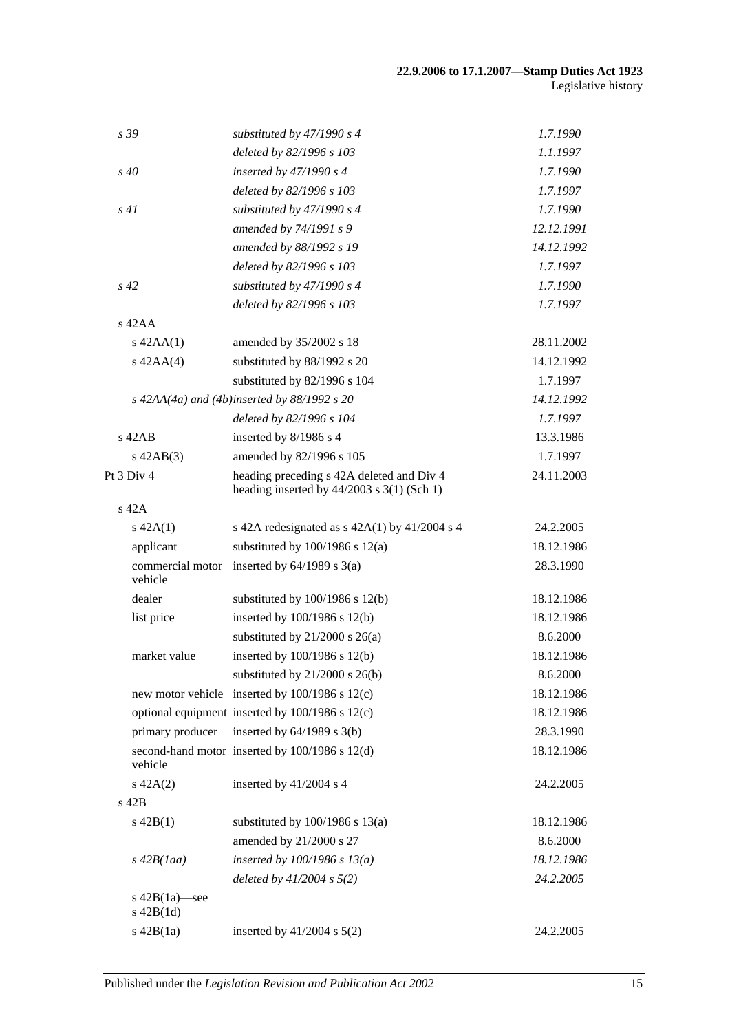| s 39                               | substituted by 47/1990 s 4                                                                | 1.7.1990   |
|------------------------------------|-------------------------------------------------------------------------------------------|------------|
|                                    | deleted by 82/1996 s 103                                                                  | 1.1.1997   |
| s 40                               | inserted by 47/1990 s 4                                                                   | 1.7.1990   |
|                                    | deleted by 82/1996 s 103                                                                  | 1.7.1997   |
| s41                                | substituted by 47/1990 s 4                                                                | 1.7.1990   |
|                                    | amended by 74/1991 s 9                                                                    | 12.12.1991 |
|                                    | amended by 88/1992 s 19                                                                   | 14.12.1992 |
|                                    | deleted by 82/1996 s 103                                                                  | 1.7.1997   |
| $s\,42$                            | substituted by $47/1990 s 4$                                                              | 1.7.1990   |
|                                    | deleted by 82/1996 s 103                                                                  | 1.7.1997   |
| $s$ 42AA                           |                                                                                           |            |
| $s$ 42AA $(1)$                     | amended by 35/2002 s 18                                                                   | 28.11.2002 |
| $s$ 42AA $(4)$                     | substituted by 88/1992 s 20                                                               | 14.12.1992 |
|                                    | substituted by 82/1996 s 104                                                              | 1.7.1997   |
|                                    | s $42AA(4a)$ and $(4b)$ inserted by 88/1992 s 20                                          | 14.12.1992 |
|                                    | deleted by 82/1996 s 104                                                                  | 1.7.1997   |
| $s$ 42AB                           | inserted by 8/1986 s 4                                                                    | 13.3.1986  |
| $s\,42AB(3)$                       | amended by 82/1996 s 105                                                                  | 1.7.1997   |
| Pt 3 Div 4                         | heading preceding s 42A deleted and Div 4<br>heading inserted by $44/2003$ s 3(1) (Sch 1) | 24.11.2003 |
| s 42A                              |                                                                                           |            |
| $s\ 42A(1)$                        | s 42A redesignated as $s$ 42A(1) by 41/2004 s 4                                           | 24.2.2005  |
| applicant                          | substituted by $100/1986$ s $12(a)$                                                       | 18.12.1986 |
| commercial motor<br>vehicle        | inserted by $64/1989$ s $3(a)$                                                            | 28.3.1990  |
| dealer                             | substituted by $100/1986$ s $12(b)$                                                       | 18.12.1986 |
| list price                         | inserted by $100/1986$ s $12(b)$                                                          | 18.12.1986 |
|                                    | substituted by $21/2000$ s $26(a)$                                                        | 8.6.2000   |
| market value                       | inserted by 100/1986 s 12(b)                                                              | 18.12.1986 |
|                                    | substituted by $21/2000$ s $26(b)$                                                        | 8.6.2000   |
|                                    | new motor vehicle inserted by 100/1986 s 12(c)                                            | 18.12.1986 |
|                                    | optional equipment inserted by 100/1986 s 12(c)                                           | 18.12.1986 |
| primary producer                   | inserted by $64/1989$ s $3(b)$                                                            | 28.3.1990  |
| vehicle                            | second-hand motor inserted by 100/1986 s 12(d)                                            | 18.12.1986 |
| $s\ 42A(2)$                        | inserted by 41/2004 s 4                                                                   | 24.2.2005  |
| $s$ 42 $B$                         |                                                                                           |            |
| $s\ 42B(1)$                        | substituted by $100/1986$ s $13(a)$                                                       | 18.12.1986 |
|                                    | amended by 21/2000 s 27                                                                   | 8.6.2000   |
| $s\,42B(1aa)$                      | inserted by $100/1986$ s $13(a)$                                                          | 18.12.1986 |
|                                    | deleted by $41/2004$ s $5(2)$                                                             | 24.2.2005  |
| s $42B(1a)$ —see<br>$s$ 42B $(1d)$ |                                                                                           |            |
| $s$ 42B $(1a)$                     | inserted by $41/2004$ s $5(2)$                                                            | 24.2.2005  |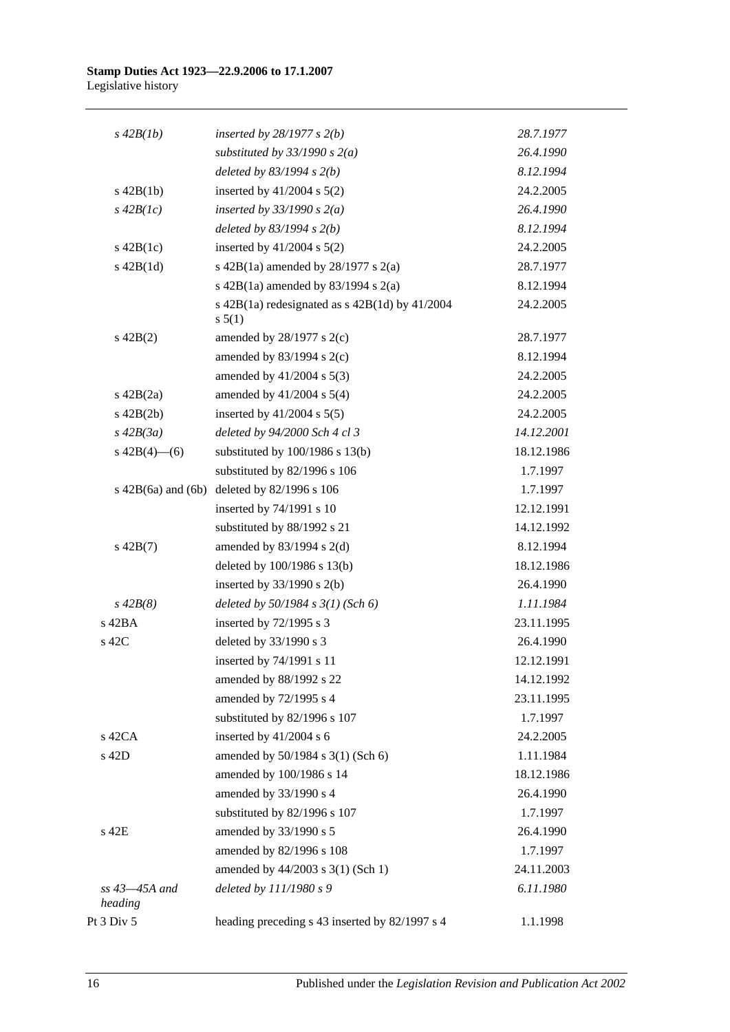| $s\,42B(1b)$                  | inserted by $28/1977 s 2(b)$                                   | 28.7.1977  |
|-------------------------------|----------------------------------------------------------------|------------|
|                               | substituted by $33/1990 s 2(a)$                                | 26.4.1990  |
|                               | deleted by $83/1994 s 2(b)$                                    | 8.12.1994  |
| $s$ 42B(1b)                   | inserted by $41/2004$ s $5(2)$                                 | 24.2.2005  |
| $s\,42B(1c)$                  | inserted by $33/1990$ s $2(a)$                                 | 26.4.1990  |
|                               | deleted by $83/1994 s 2(b)$                                    | 8.12.1994  |
| $s\ 42B(1c)$                  | inserted by $41/2004$ s $5(2)$                                 | 24.2.2005  |
| $s\ 42B(1d)$                  | s 42B(1a) amended by $28/1977$ s $2(a)$                        | 28.7.1977  |
|                               | s 42B(1a) amended by 83/1994 s $2(a)$                          | 8.12.1994  |
|                               | s $42B(1a)$ redesignated as s $42B(1d)$ by $41/2004$<br>s 5(1) | 24.2.2005  |
| $s\ 42B(2)$                   | amended by $28/1977$ s $2(c)$                                  | 28.7.1977  |
|                               | amended by $83/1994$ s $2(c)$                                  | 8.12.1994  |
|                               | amended by $41/2004$ s $5(3)$                                  | 24.2.2005  |
| $s\ 42B(2a)$                  | amended by $41/2004$ s $5(4)$                                  | 24.2.2005  |
| $s\ 42B(2b)$                  | inserted by $41/2004$ s $5(5)$                                 | 24.2.2005  |
| $s\,42B(3a)$                  | deleted by 94/2000 Sch 4 cl 3                                  | 14.12.2001 |
| s $42B(4)$ - (6)              | substituted by $100/1986$ s $13(b)$                            | 18.12.1986 |
|                               | substituted by 82/1996 s 106                                   | 1.7.1997   |
|                               | s 42B(6a) and (6b) deleted by 82/1996 s 106                    | 1.7.1997   |
|                               | inserted by 74/1991 s 10                                       | 12.12.1991 |
|                               | substituted by 88/1992 s 21                                    | 14.12.1992 |
| $s\ 42B(7)$                   | amended by $83/1994$ s 2(d)                                    | 8.12.1994  |
|                               | deleted by 100/1986 s 13(b)                                    | 18.12.1986 |
|                               | inserted by $33/1990$ s 2(b)                                   | 26.4.1990  |
| $s\,42B(8)$                   | deleted by $50/1984$ s $3(1)$ (Sch 6)                          | 1.11.1984  |
| s 42BA                        | inserted by 72/1995 s 3                                        | 23.11.1995 |
| s 42C                         | deleted by 33/1990 s 3                                         | 26.4.1990  |
|                               | inserted by 74/1991 s 11                                       | 12.12.1991 |
|                               | amended by 88/1992 s 22                                        | 14.12.1992 |
|                               | amended by 72/1995 s 4                                         | 23.11.1995 |
|                               | substituted by 82/1996 s 107                                   | 1.7.1997   |
| $s$ 42CA                      | inserted by 41/2004 s 6                                        | 24.2.2005  |
| s 42D                         | amended by 50/1984 s 3(1) (Sch 6)                              | 1.11.1984  |
|                               | amended by 100/1986 s 14                                       | 18.12.1986 |
|                               | amended by 33/1990 s 4                                         | 26.4.1990  |
|                               | substituted by 82/1996 s 107                                   | 1.7.1997   |
| s 42E                         | amended by 33/1990 s 5                                         | 26.4.1990  |
|                               | amended by 82/1996 s 108                                       | 1.7.1997   |
|                               | amended by 44/2003 s 3(1) (Sch 1)                              | 24.11.2003 |
| $ss$ 43 $-45A$ and<br>heading | deleted by 111/1980 s 9                                        | 6.11.1980  |
| Pt 3 Div 5                    | heading preceding s 43 inserted by 82/1997 s 4                 | 1.1.1998   |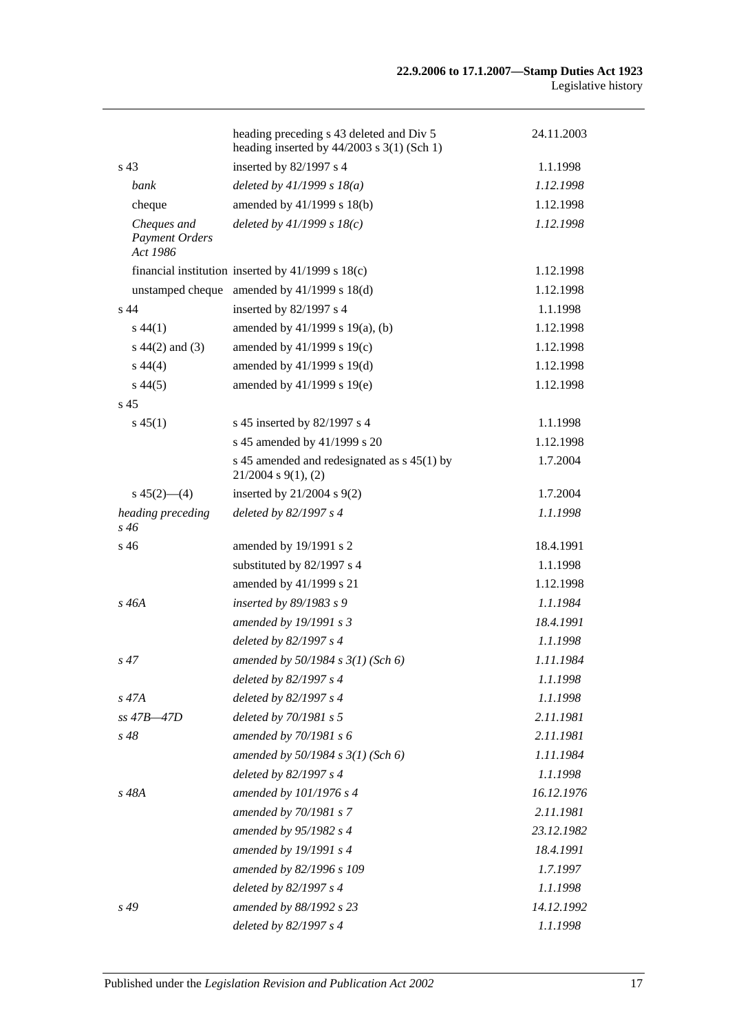|                                                  | heading preceding s 43 deleted and Div 5<br>heading inserted by $44/2003$ s 3(1) (Sch 1) | 24.11.2003 |
|--------------------------------------------------|------------------------------------------------------------------------------------------|------------|
| s <sub>43</sub>                                  | inserted by 82/1997 s 4                                                                  | 1.1.1998   |
| bank                                             | deleted by $41/1999 s 18(a)$                                                             | 1.12.1998  |
| cheque                                           | amended by 41/1999 s 18(b)                                                               | 1.12.1998  |
| Cheques and<br><b>Payment Orders</b><br>Act 1986 | deleted by $41/1999 s 18(c)$                                                             | 1.12.1998  |
|                                                  | financial institution inserted by $41/1999$ s $18(c)$                                    | 1.12.1998  |
|                                                  | unstamped cheque amended by 41/1999 s 18(d)                                              | 1.12.1998  |
| s <sub>44</sub>                                  | inserted by 82/1997 s 4                                                                  | 1.1.1998   |
| $s\,44(1)$                                       | amended by 41/1999 s 19(a), (b)                                                          | 1.12.1998  |
| $s\ 44(2)$ and (3)                               | amended by 41/1999 s 19(c)                                                               | 1.12.1998  |
| $s\,44(4)$                                       | amended by 41/1999 s 19(d)                                                               | 1.12.1998  |
| $s\,44(5)$                                       | amended by 41/1999 s 19(e)                                                               | 1.12.1998  |
| s <sub>45</sub>                                  |                                                                                          |            |
| $s\,45(1)$                                       | s 45 inserted by 82/1997 s 4                                                             | 1.1.1998   |
|                                                  | s 45 amended by 41/1999 s 20                                                             | 1.12.1998  |
|                                                  | s 45 amended and redesignated as s 45(1) by<br>$21/2004$ s $9(1)$ , (2)                  | 1.7.2004   |
| $s\,45(2)$ —(4)                                  | inserted by $21/2004$ s $9(2)$                                                           | 1.7.2004   |
| heading preceding<br>s 46                        | deleted by 82/1997 s 4                                                                   | 1.1.1998   |
| s 46                                             | amended by 19/1991 s 2                                                                   | 18.4.1991  |
|                                                  | substituted by 82/1997 s 4                                                               | 1.1.1998   |
|                                                  | amended by 41/1999 s 21                                                                  | 1.12.1998  |
| s 46A                                            | inserted by 89/1983 s 9                                                                  | 1.1.1984   |
|                                                  | amended by 19/1991 s 3                                                                   | 18.4.1991  |
|                                                  | deleted by 82/1997 s 4                                                                   | 1.1.1998   |
| $s\,47$                                          | amended by $50/1984$ s $3(1)$ (Sch 6)                                                    | 1.11.1984  |
|                                                  | deleted by 82/1997 s 4                                                                   | 1.1.1998   |
| $s\,47A$                                         | deleted by 82/1997 s 4                                                                   | 1.1.1998   |
| $ss$ 47B $-47D$                                  | deleted by 70/1981 s 5                                                                   | 2.11.1981  |
| s 48                                             | amended by 70/1981 s 6                                                                   | 2.11.1981  |
|                                                  | amended by $50/1984 s 3(1)$ (Sch 6)                                                      | 1.11.1984  |
|                                                  | deleted by 82/1997 s 4                                                                   | 1.1.1998   |
| s 48A                                            | amended by 101/1976 s 4                                                                  | 16.12.1976 |
|                                                  | amended by 70/1981 s 7                                                                   | 2.11.1981  |
|                                                  | amended by 95/1982 s 4                                                                   | 23.12.1982 |
|                                                  | amended by 19/1991 s 4                                                                   | 18.4.1991  |
|                                                  | amended by 82/1996 s 109                                                                 | 1.7.1997   |
|                                                  | deleted by 82/1997 s 4                                                                   | 1.1.1998   |
| $s\,49$                                          | amended by 88/1992 s 23                                                                  | 14.12.1992 |
|                                                  | deleted by 82/1997 s 4                                                                   | 1.1.1998   |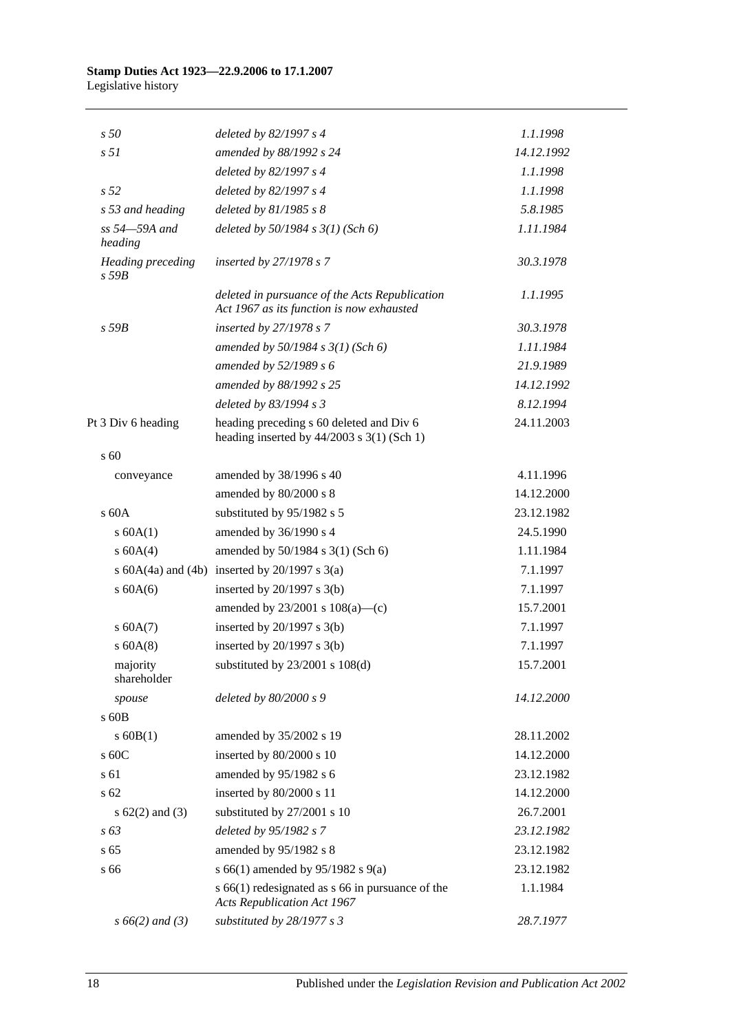| s50                                    | deleted by 82/1997 s 4                                                                      | 1.1.1998   |
|----------------------------------------|---------------------------------------------------------------------------------------------|------------|
| s <sub>51</sub>                        | amended by 88/1992 s 24                                                                     | 14.12.1992 |
|                                        | deleted by 82/1997 s 4                                                                      | 1.1.1998   |
| s 52                                   | deleted by 82/1997 s 4                                                                      | 1.1.1998   |
| s 53 and heading                       | deleted by $81/1985 s 8$                                                                    | 5.8.1985   |
| ss 54-59A and<br>heading               | deleted by $50/1984$ s $3(1)$ (Sch 6)                                                       | 1.11.1984  |
| <b>Heading</b> preceding<br>$s$ 59 $B$ | inserted by 27/1978 s 7                                                                     | 30.3.1978  |
|                                        | deleted in pursuance of the Acts Republication<br>Act 1967 as its function is now exhausted | 1.1.1995   |
| $s$ 59 $B$                             | inserted by $27/1978 s 7$                                                                   | 30.3.1978  |
|                                        | amended by $50/1984$ s $3(1)$ (Sch 6)                                                       | 1.11.1984  |
|                                        | amended by $52/1989 s 6$                                                                    | 21.9.1989  |
|                                        | amended by 88/1992 s 25                                                                     | 14.12.1992 |
|                                        | deleted by 83/1994 s 3                                                                      | 8.12.1994  |
| Pt 3 Div 6 heading                     | heading preceding s 60 deleted and Div 6<br>heading inserted by $44/2003$ s 3(1) (Sch 1)    | 24.11.2003 |
| $\sqrt{60}$                            |                                                                                             |            |
| conveyance                             | amended by 38/1996 s 40                                                                     | 4.11.1996  |
|                                        | amended by 80/2000 s 8                                                                      | 14.12.2000 |
| $\rm s$ 60A                            | substituted by 95/1982 s 5                                                                  | 23.12.1982 |
| s 60A(1)                               | amended by 36/1990 s 4                                                                      | 24.5.1990  |
| s 60A(4)                               | amended by 50/1984 s 3(1) (Sch 6)                                                           | 1.11.1984  |
|                                        | s $60A(4a)$ and $(4b)$ inserted by $20/1997$ s $3(a)$                                       | 7.1.1997   |
| $\sigma$ 60A(6)                        | inserted by $20/1997$ s $3(b)$                                                              | 7.1.1997   |
|                                        | amended by $23/2001$ s $108(a)$ —(c)                                                        | 15.7.2001  |
| s 60A(7)                               | inserted by $20/1997$ s $3(b)$                                                              | 7.1.1997   |
| $s$ 60A(8)                             | inserted by $20/1997$ s $3(b)$                                                              | 7.1.1997   |
| majority<br>shareholder                | substituted by 23/2001 s 108(d)                                                             | 15.7.2001  |
| spouse                                 | deleted by 80/2000 s 9                                                                      | 14.12.2000 |
| $\rm s$ 60B                            |                                                                                             |            |
| $s$ 60B(1)                             | amended by 35/2002 s 19                                                                     | 28.11.2002 |
| s 60C                                  | inserted by 80/2000 s 10                                                                    | 14.12.2000 |
| s 61                                   | amended by 95/1982 s 6                                                                      | 23.12.1982 |
| s 62                                   | inserted by 80/2000 s 11                                                                    | 14.12.2000 |
| s $62(2)$ and $(3)$                    | substituted by 27/2001 s 10                                                                 | 26.7.2001  |
| $s\,63$                                | deleted by 95/1982 s 7                                                                      | 23.12.1982 |
| s <sub>65</sub>                        | amended by 95/1982 s 8                                                                      | 23.12.1982 |
| s 66                                   | s 66(1) amended by 95/1982 s 9(a)                                                           | 23.12.1982 |
|                                        | $s$ 66(1) redesignated as $s$ 66 in pursuance of the<br><b>Acts Republication Act 1967</b>  | 1.1.1984   |
| $s\,66(2)$ and (3)                     | substituted by 28/1977 s 3                                                                  | 28.7.1977  |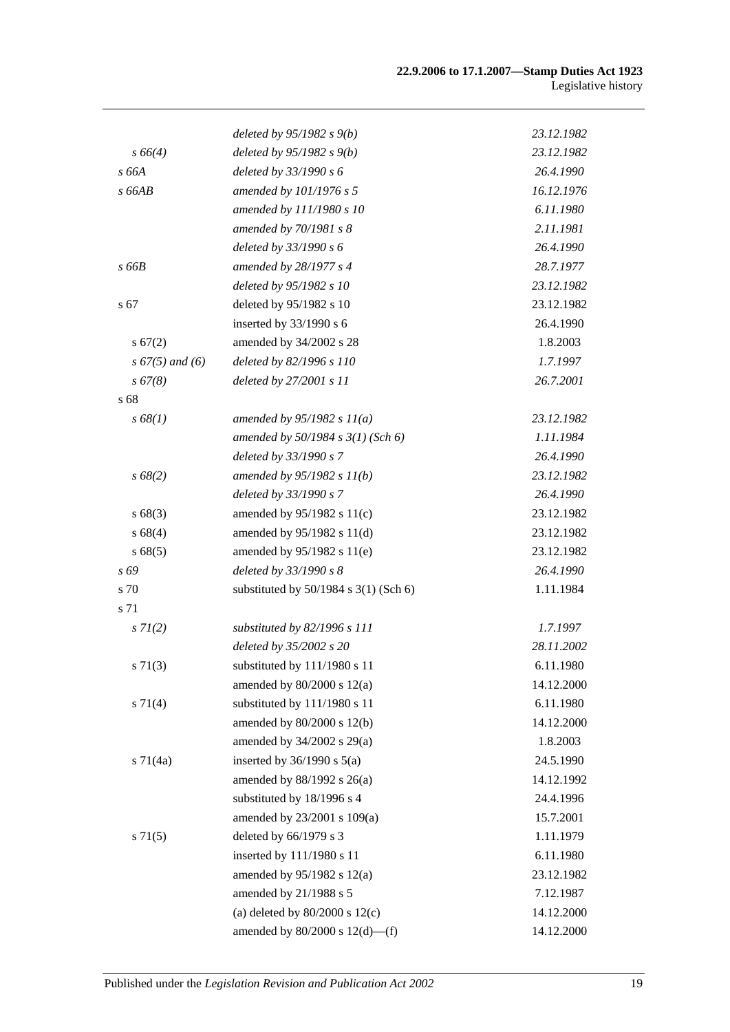|                    | deleted by $95/1982 s(96)$                | 23.12.1982 |
|--------------------|-------------------------------------------|------------|
| $s\,66(4)$         | deleted by $95/1982 s 9(b)$               | 23.12.1982 |
| s 66A              | deleted by 33/1990 s 6                    | 26.4.1990  |
| s 66AB             | amended by 101/1976 s 5                   | 16.12.1976 |
|                    | amended by 111/1980 s 10                  | 6.11.1980  |
|                    | amended by 70/1981 s 8                    | 2.11.1981  |
|                    | deleted by 33/1990 s 6                    | 26.4.1990  |
| s 66B              | amended by 28/1977 s 4                    | 28.7.1977  |
|                    | deleted by 95/1982 s 10                   | 23.12.1982 |
| s 67               | deleted by 95/1982 s 10                   | 23.12.1982 |
|                    | inserted by 33/1990 s 6                   | 26.4.1990  |
| s 67(2)            | amended by 34/2002 s 28                   | 1.8.2003   |
| $s\,67(5)$ and (6) | deleted by 82/1996 s 110                  | 1.7.1997   |
| $s\,67(8)$         | deleted by 27/2001 s 11                   | 26.7.2001  |
| s 68               |                                           |            |
| s 68(1)            | amended by $95/1982 s 11(a)$              | 23.12.1982 |
|                    | amended by $50/1984$ s $3(1)$ (Sch 6)     | 1.11.1984  |
|                    | deleted by 33/1990 s 7                    | 26.4.1990  |
| s 68(2)            | amended by $95/1982 s 11(b)$              | 23.12.1982 |
|                    | deleted by 33/1990 s 7                    | 26.4.1990  |
| s68(3)             | amended by 95/1982 s 11(c)                | 23.12.1982 |
| s 68(4)            | amended by $95/1982$ s $11(d)$            | 23.12.1982 |
| s 68(5)            | amended by 95/1982 s 11(e)                | 23.12.1982 |
| s 69               | deleted by 33/1990 s 8                    | 26.4.1990  |
| s 70               | substituted by $50/1984$ s $3(1)$ (Sch 6) | 1.11.1984  |
| s 71               |                                           |            |
| $s \, 7I(2)$       | substituted by 82/1996 s 111              | 1.7.1997   |
|                    | deleted by 35/2002 s 20                   | 28.11.2002 |
| $s \, 71(3)$       | substituted by 111/1980 s 11              | 6.11.1980  |
|                    | amended by $80/2000$ s $12(a)$            | 14.12.2000 |
| $s \, 71(4)$       | substituted by 111/1980 s 11              | 6.11.1980  |
|                    | amended by 80/2000 s 12(b)                | 14.12.2000 |
|                    | amended by 34/2002 s 29(a)                | 1.8.2003   |
| $s \, 71(4a)$      | inserted by $36/1990$ s $5(a)$            | 24.5.1990  |
|                    | amended by 88/1992 s 26(a)                | 14.12.1992 |
|                    | substituted by 18/1996 s 4                | 24.4.1996  |
|                    | amended by 23/2001 s 109(a)               | 15.7.2001  |
| $s \, 71(5)$       | deleted by 66/1979 s 3                    | 1.11.1979  |
|                    | inserted by 111/1980 s 11                 | 6.11.1980  |
|                    | amended by 95/1982 s 12(a)                | 23.12.1982 |
|                    | amended by 21/1988 s 5                    | 7.12.1987  |
|                    | (a) deleted by $80/2000$ s $12(c)$        | 14.12.2000 |
|                    | amended by $80/2000$ s $12(d)$ —(f)       | 14.12.2000 |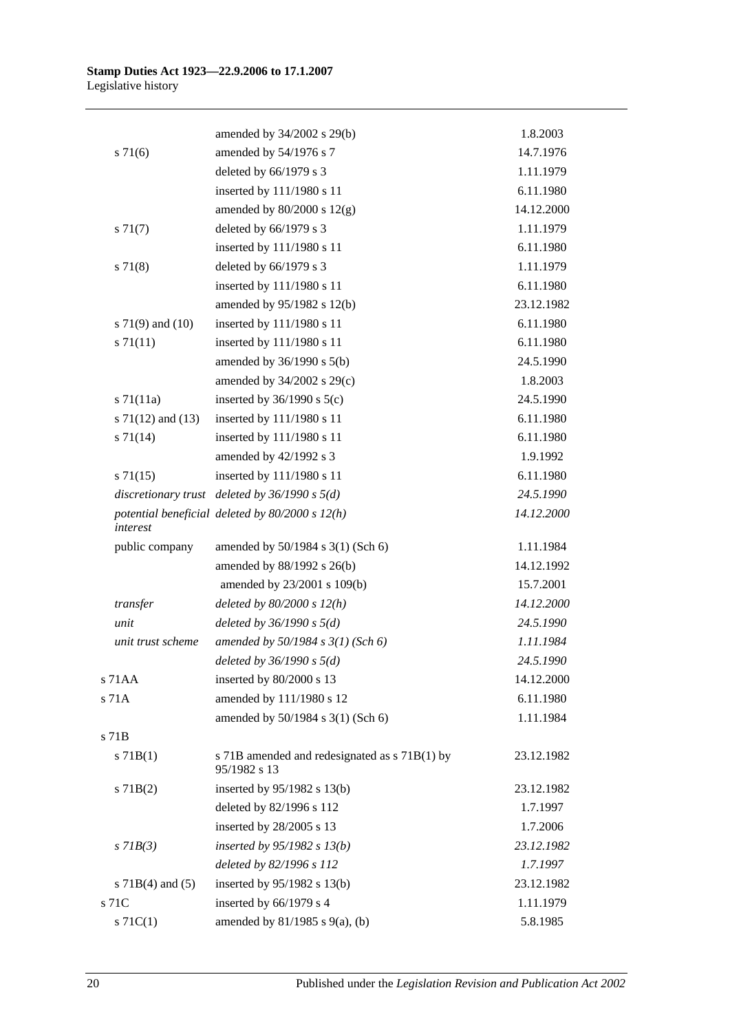|                       | amended by 34/2002 s 29(b)                                    | 1.8.2003   |
|-----------------------|---------------------------------------------------------------|------------|
| $s \, 71(6)$          | amended by 54/1976 s 7                                        | 14.7.1976  |
|                       | deleted by 66/1979 s 3                                        | 1.11.1979  |
|                       | inserted by 111/1980 s 11                                     | 6.11.1980  |
|                       | amended by $80/2000$ s $12(g)$                                | 14.12.2000 |
| $s \, 71(7)$          | deleted by 66/1979 s 3                                        | 1.11.1979  |
|                       | inserted by 111/1980 s 11                                     | 6.11.1980  |
| $s \, 71(8)$          | deleted by $66/1979$ s 3                                      | 1.11.1979  |
|                       | inserted by 111/1980 s 11                                     | 6.11.1980  |
|                       | amended by 95/1982 s 12(b)                                    | 23.12.1982 |
| s $71(9)$ and $(10)$  | inserted by 111/1980 s 11                                     | 6.11.1980  |
| $s \, 71(11)$         | inserted by 111/1980 s 11                                     | 6.11.1980  |
|                       | amended by $36/1990$ s $5(b)$                                 | 24.5.1990  |
|                       | amended by 34/2002 s 29(c)                                    | 1.8.2003   |
| $s$ 71(11a)           | inserted by $36/1990$ s $5(c)$                                | 24.5.1990  |
| s $71(12)$ and $(13)$ | inserted by 111/1980 s 11                                     | 6.11.1980  |
| $s \, 71(14)$         | inserted by 111/1980 s 11                                     | 6.11.1980  |
|                       | amended by 42/1992 s 3                                        | 1.9.1992   |
| $s \, 71(15)$         | inserted by 111/1980 s 11                                     | 6.11.1980  |
|                       | discretionary trust deleted by $36/1990 s 5(d)$               | 24.5.1990  |
| interest              | potential beneficial deleted by $80/2000 s 12(h)$             | 14.12.2000 |
| public company        | amended by 50/1984 s 3(1) (Sch 6)                             | 1.11.1984  |
|                       | amended by 88/1992 s 26(b)                                    | 14.12.1992 |
|                       | amended by 23/2001 s 109(b)                                   | 15.7.2001  |
| transfer              | deleted by $80/2000 s 12(h)$                                  | 14.12.2000 |
| unit                  | deleted by $36/1990 s 5(d)$                                   | 24.5.1990  |
| unit trust scheme     | amended by $50/1984 s 3(1)$ (Sch 6)                           | 1.11.1984  |
|                       | deleted by $36/1990 s 5(d)$                                   | 24.5.1990  |
| s 71AA                | inserted by 80/2000 s 13                                      | 14.12.2000 |
| s 71A                 | amended by 111/1980 s 12                                      | 6.11.1980  |
|                       | amended by 50/1984 s 3(1) (Sch 6)                             | 1.11.1984  |
| s 71B                 |                                                               |            |
| $s$ 71B(1)            | s 71B amended and redesignated as s 71B(1) by<br>95/1982 s 13 | 23.12.1982 |
| $s$ 71B(2)            | inserted by $95/1982$ s 13(b)                                 | 23.12.1982 |
|                       | deleted by 82/1996 s 112                                      | 1.7.1997   |
|                       | inserted by 28/2005 s 13                                      | 1.7.2006   |
| $s$ 71 $B(3)$         | inserted by $95/1982$ s $13(b)$                               | 23.12.1982 |
|                       | deleted by 82/1996 s 112                                      | 1.7.1997   |
| s $71B(4)$ and $(5)$  | inserted by $95/1982$ s 13(b)                                 | 23.12.1982 |
| s 71C                 | inserted by 66/1979 s 4                                       | 1.11.1979  |
| $s \, 71C(1)$         | amended by 81/1985 s 9(a), (b)                                | 5.8.1985   |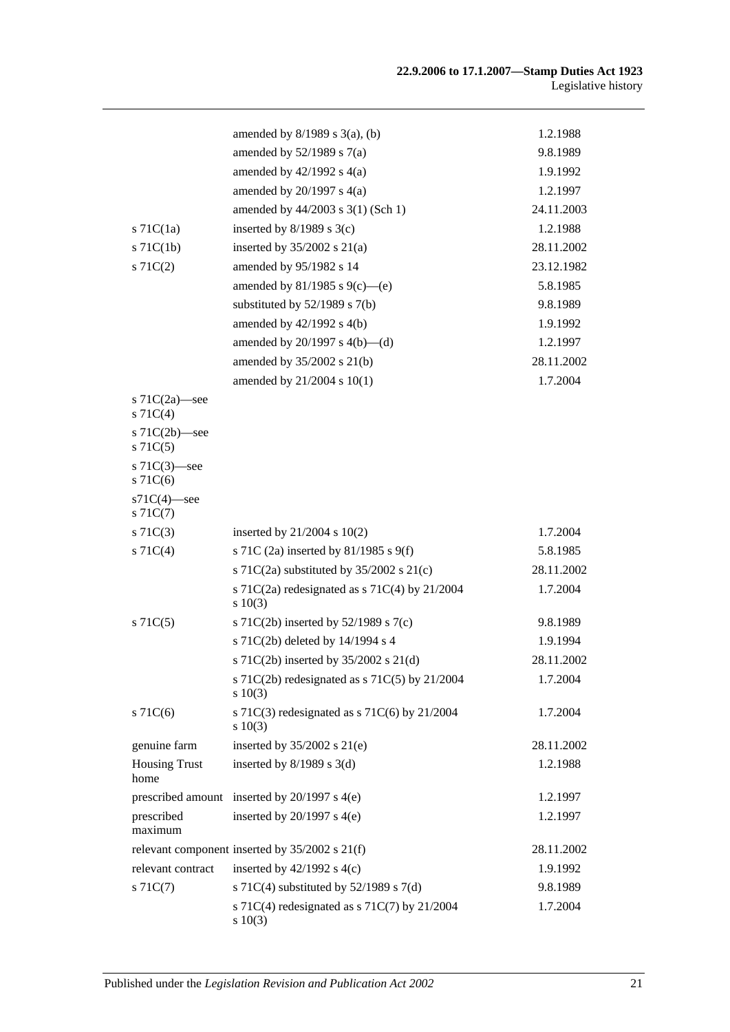|                                   | amended by $8/1989$ s $3(a)$ , (b)                            | 1.2.1988   |
|-----------------------------------|---------------------------------------------------------------|------------|
|                                   | amended by $52/1989$ s $7(a)$                                 | 9.8.1989   |
|                                   | amended by $42/1992$ s $4(a)$                                 | 1.9.1992   |
|                                   | amended by $20/1997$ s $4(a)$                                 | 1.2.1997   |
|                                   | amended by 44/2003 s 3(1) (Sch 1)                             | 24.11.2003 |
| $s$ 71C(1a)                       | inserted by $8/1989$ s 3(c)                                   | 1.2.1988   |
| $s$ 71 $C(1b)$                    | inserted by $35/2002$ s $21(a)$                               | 28.11.2002 |
| $s \, 71C(2)$                     | amended by 95/1982 s 14                                       | 23.12.1982 |
|                                   | amended by $81/1985$ s $9(c)$ —(e)                            | 5.8.1985   |
|                                   | substituted by $52/1989$ s $7(b)$                             | 9.8.1989   |
|                                   | amended by $42/1992$ s $4(b)$                                 | 1.9.1992   |
|                                   | amended by $20/1997$ s $4(b)$ —(d)                            | 1.2.1997   |
|                                   | amended by 35/2002 s 21(b)                                    | 28.11.2002 |
|                                   | amended by 21/2004 s 10(1)                                    | 1.7.2004   |
| s $71C(2a)$ —see<br>S71C(4)       |                                                               |            |
| s $71C(2b)$ —see<br>$s \, 71C(5)$ |                                                               |            |
| s $71C(3)$ —see<br>$s$ 71 $C(6)$  |                                                               |            |
| $s71C(4)$ -see<br>$s \, 71C(7)$   |                                                               |            |
| $s \, 71C(3)$                     | inserted by $21/2004$ s $10(2)$                               | 1.7.2004   |
| S71C(4)                           | s 71C (2a) inserted by 81/1985 s 9(f)                         | 5.8.1985   |
|                                   | s 71C(2a) substituted by $35/2002$ s 21(c)                    | 28.11.2002 |
|                                   | s 71C(2a) redesignated as s 71C(4) by 21/2004<br>s 10(3)      | 1.7.2004   |
| $s$ 71 $C(5)$                     | s 71C(2b) inserted by $52/1989$ s 7(c)                        | 9.8.1989   |
|                                   | s 71C(2b) deleted by 14/1994 s 4                              | 1.9.1994   |
|                                   | s 71C(2b) inserted by 35/2002 s 21(d)                         | 28.11.2002 |
|                                   | s 71C(2b) redesignated as s 71C(5) by 21/2004<br>s 10(3)      | 1.7.2004   |
| $s \, 71C(6)$                     | s 71C(3) redesignated as s 71C(6) by $21/2004$<br>$s\ 10(3)$  | 1.7.2004   |
| genuine farm                      | inserted by $35/2002$ s $21(e)$                               | 28.11.2002 |
| <b>Housing Trust</b><br>home      | inserted by $8/1989$ s 3(d)                                   | 1.2.1988   |
|                                   | prescribed amount inserted by 20/1997 s 4(e)                  | 1.2.1997   |
| prescribed<br>maximum             | inserted by $20/1997$ s $4(e)$                                | 1.2.1997   |
|                                   | relevant component inserted by 35/2002 s 21(f)                | 28.11.2002 |
| relevant contract                 | inserted by $42/1992$ s $4(c)$                                | 1.9.1992   |
| $s \, 71C(7)$                     | s 71C(4) substituted by $52/1989$ s 7(d)                      | 9.8.1989   |
|                                   | s 71C(4) redesignated as s 71C(7) by $21/2004$<br>$s \ 10(3)$ | 1.7.2004   |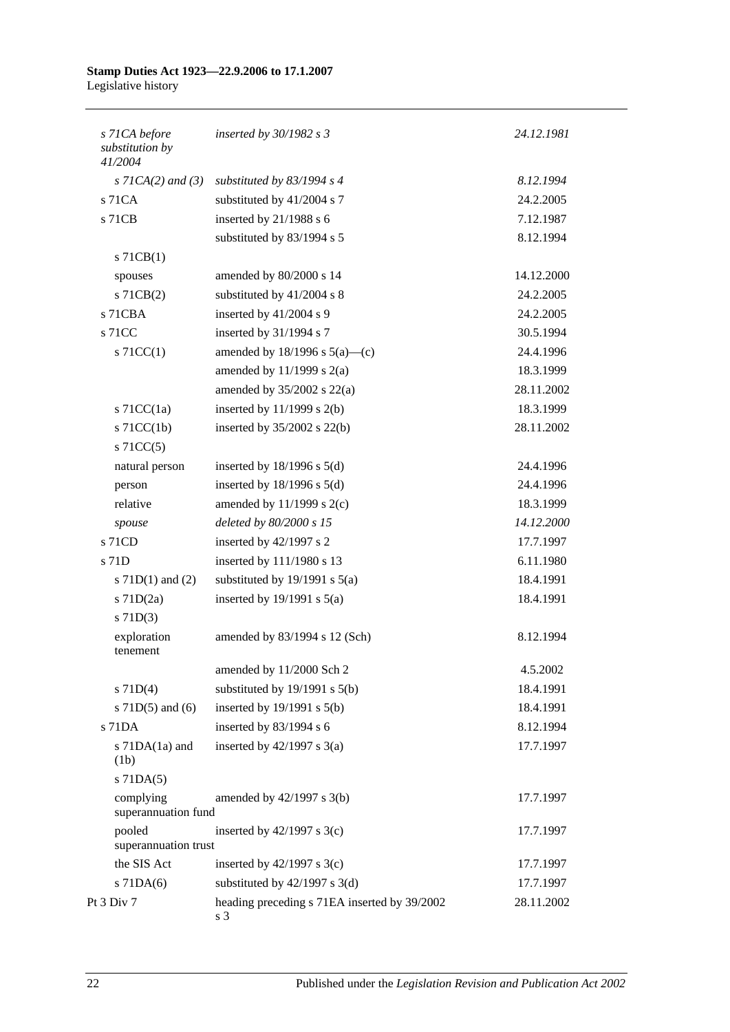| s 71CA before<br>substitution by<br>41/2004 | inserted by $30/1982$ s 3                           | 24.12.1981 |
|---------------------------------------------|-----------------------------------------------------|------------|
| $s$ 71CA(2) and (3)                         | substituted by $83/1994$ s 4                        | 8.12.1994  |
| s 71CA                                      | substituted by 41/2004 s 7                          | 24.2.2005  |
| s 71CB                                      | inserted by 21/1988 s 6                             | 7.12.1987  |
|                                             | substituted by 83/1994 s 5                          | 8.12.1994  |
| $s$ 71CB(1)                                 |                                                     |            |
| spouses                                     | amended by 80/2000 s 14                             | 14.12.2000 |
| $s$ 71CB $(2)$                              | substituted by 41/2004 s 8                          | 24.2.2005  |
| s 71CBA                                     | inserted by 41/2004 s 9                             | 24.2.2005  |
| s 71CC                                      | inserted by 31/1994 s 7                             | 30.5.1994  |
| $\vert$ s 71CC(1)                           | amended by $18/1996$ s $5(a)$ —(c)                  | 24.4.1996  |
|                                             | amended by $11/1999$ s $2(a)$                       | 18.3.1999  |
|                                             | amended by $35/2002$ s $22(a)$                      | 28.11.2002 |
| $s$ 71CC(1a)                                | inserted by $11/1999$ s $2(b)$                      | 18.3.1999  |
| $s$ 71CC(1b)                                | inserted by $35/2002$ s $22(b)$                     | 28.11.2002 |
| $s$ 71CC(5)                                 |                                                     |            |
| natural person                              | inserted by $18/1996$ s $5(d)$                      | 24.4.1996  |
| person                                      | inserted by $18/1996$ s $5(d)$                      | 24.4.1996  |
| relative                                    | amended by $11/1999$ s $2(c)$                       | 18.3.1999  |
| spouse                                      | deleted by 80/2000 s 15                             | 14.12.2000 |
| s 71CD                                      | inserted by 42/1997 s 2                             | 17.7.1997  |
| s 71D                                       | inserted by 111/1980 s 13                           | 6.11.1980  |
| s $71D(1)$ and $(2)$                        | substituted by $19/1991$ s $5(a)$                   | 18.4.1991  |
| $s$ 71D $(2a)$                              | inserted by $19/1991$ s $5(a)$                      | 18.4.1991  |
| $s$ 71D(3)                                  |                                                     |            |
| exploration<br>tenement                     | amended by 83/1994 s 12 (Sch)                       | 8.12.1994  |
|                                             | amended by 11/2000 Sch 2                            | 4.5.2002   |
| $s$ 71D(4)                                  | substituted by $19/1991$ s $5(b)$                   | 18.4.1991  |
| s $71D(5)$ and $(6)$                        | inserted by $19/1991$ s $5(b)$                      | 18.4.1991  |
| s 71DA                                      | inserted by 83/1994 s 6                             | 8.12.1994  |
| s $71DA(1a)$ and<br>(1b)                    | inserted by $42/1997$ s $3(a)$                      | 17.7.1997  |
| $s$ 71DA $(5)$                              |                                                     |            |
| complying<br>superannuation fund            | amended by $42/1997$ s $3(b)$                       | 17.7.1997  |
| pooled<br>superannuation trust              | inserted by $42/1997$ s 3(c)                        | 17.7.1997  |
| the SIS Act                                 | inserted by $42/1997$ s 3(c)                        | 17.7.1997  |
| $s$ 71DA $(6)$                              | substituted by $42/1997$ s 3(d)                     | 17.7.1997  |
| Pt 3 Div 7                                  | heading preceding s 71EA inserted by 39/2002<br>s 3 | 28.11.2002 |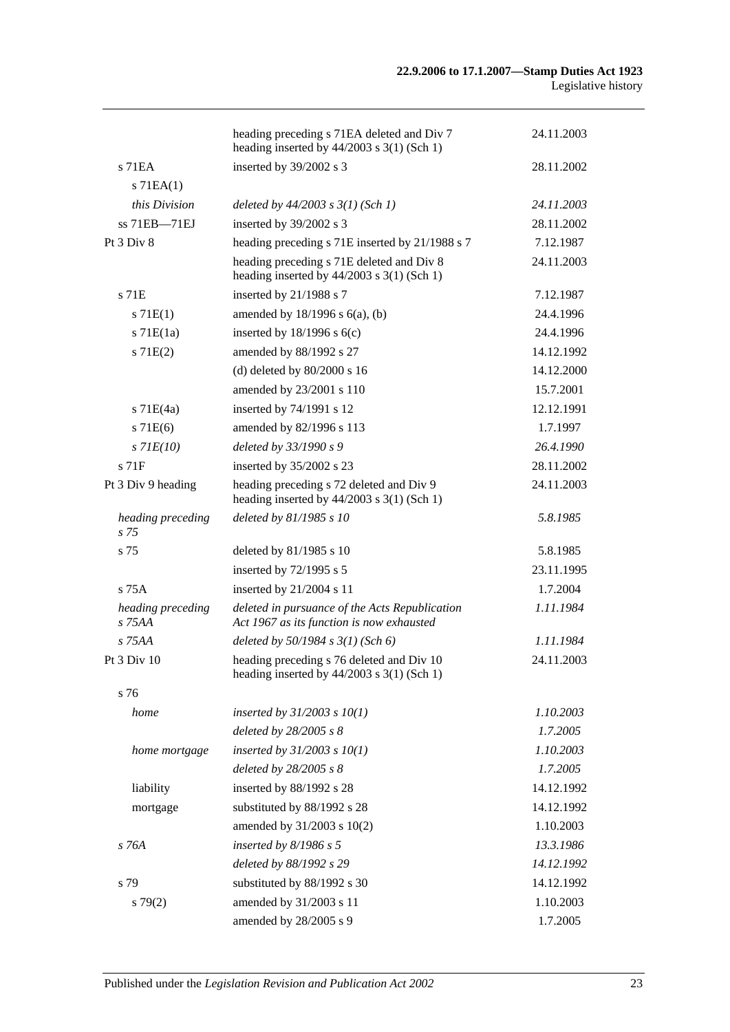|                                      | heading preceding s 71EA deleted and Div 7<br>heading inserted by $44/2003$ s 3(1) (Sch 1)  | 24.11.2003 |
|--------------------------------------|---------------------------------------------------------------------------------------------|------------|
| $s$ 71EA                             | inserted by 39/2002 s 3                                                                     | 28.11.2002 |
| $s$ 71EA $(1)$                       |                                                                                             |            |
| this Division                        | deleted by $44/2003$ s $3(1)$ (Sch 1)                                                       | 24.11.2003 |
| ss 71EB-71EJ                         | inserted by 39/2002 s 3                                                                     | 28.11.2002 |
| Pt 3 Div 8                           | heading preceding s 71E inserted by 21/1988 s 7                                             | 7.12.1987  |
|                                      | heading preceding s 71E deleted and Div 8<br>heading inserted by $44/2003$ s 3(1) (Sch 1)   | 24.11.2003 |
| s 71E                                | inserted by 21/1988 s 7                                                                     | 7.12.1987  |
| s 71E(1)                             | amended by $18/1996$ s $6(a)$ , (b)                                                         | 24.4.1996  |
| $s$ 71 $E(1a)$                       | inserted by $18/1996$ s $6(c)$                                                              | 24.4.1996  |
| s 71E(2)                             | amended by 88/1992 s 27                                                                     | 14.12.1992 |
|                                      | (d) deleted by $80/2000$ s 16                                                               | 14.12.2000 |
|                                      | amended by 23/2001 s 110                                                                    | 15.7.2001  |
| $s$ 71E(4a)                          | inserted by 74/1991 s 12                                                                    | 12.12.1991 |
| s 71E(6)                             | amended by 82/1996 s 113                                                                    | 1.7.1997   |
| $s$ 71 $E(10)$                       | deleted by 33/1990 s 9                                                                      | 26.4.1990  |
| s 71F                                | inserted by 35/2002 s 23                                                                    | 28.11.2002 |
| Pt 3 Div 9 heading                   | heading preceding s 72 deleted and Div 9<br>heading inserted by $44/2003$ s 3(1) (Sch 1)    | 24.11.2003 |
| heading preceding<br>s <sub>75</sub> | deleted by 81/1985 s 10                                                                     | 5.8.1985   |
| s 75                                 | deleted by $81/1985$ s 10                                                                   | 5.8.1985   |
|                                      | inserted by 72/1995 s 5                                                                     | 23.11.1995 |
| $s$ 75 $A$                           | inserted by 21/2004 s 11                                                                    | 1.7.2004   |
| heading preceding<br>s 75AA          | deleted in pursuance of the Acts Republication<br>Act 1967 as its function is now exhausted | 1.11.1984  |
| s 75AA                               | deleted by $50/1984$ s $3(1)$ (Sch 6)                                                       | 1.11.1984  |
| Pt 3 Div 10                          | heading preceding s 76 deleted and Div 10<br>heading inserted by $44/2003$ s 3(1) (Sch 1)   | 24.11.2003 |
| s 76                                 |                                                                                             |            |
| home                                 | inserted by $31/2003$ s $10(1)$                                                             | 1.10.2003  |
|                                      | deleted by 28/2005 s 8                                                                      | 1.7.2005   |
| home mortgage                        | inserted by $31/2003$ s $10(1)$                                                             | 1.10.2003  |
|                                      | deleted by 28/2005 s 8                                                                      | 1.7.2005   |
| liability                            | inserted by 88/1992 s 28                                                                    | 14.12.1992 |
| mortgage                             | substituted by 88/1992 s 28                                                                 | 14.12.1992 |
|                                      | amended by 31/2003 s 10(2)                                                                  | 1.10.2003  |
| $s$ 76A                              | inserted by $8/1986$ s 5                                                                    | 13.3.1986  |
|                                      | deleted by 88/1992 s 29                                                                     | 14.12.1992 |
| s 79                                 | substituted by 88/1992 s 30                                                                 | 14.12.1992 |
| s79(2)                               | amended by 31/2003 s 11                                                                     | 1.10.2003  |
|                                      | amended by 28/2005 s 9                                                                      | 1.7.2005   |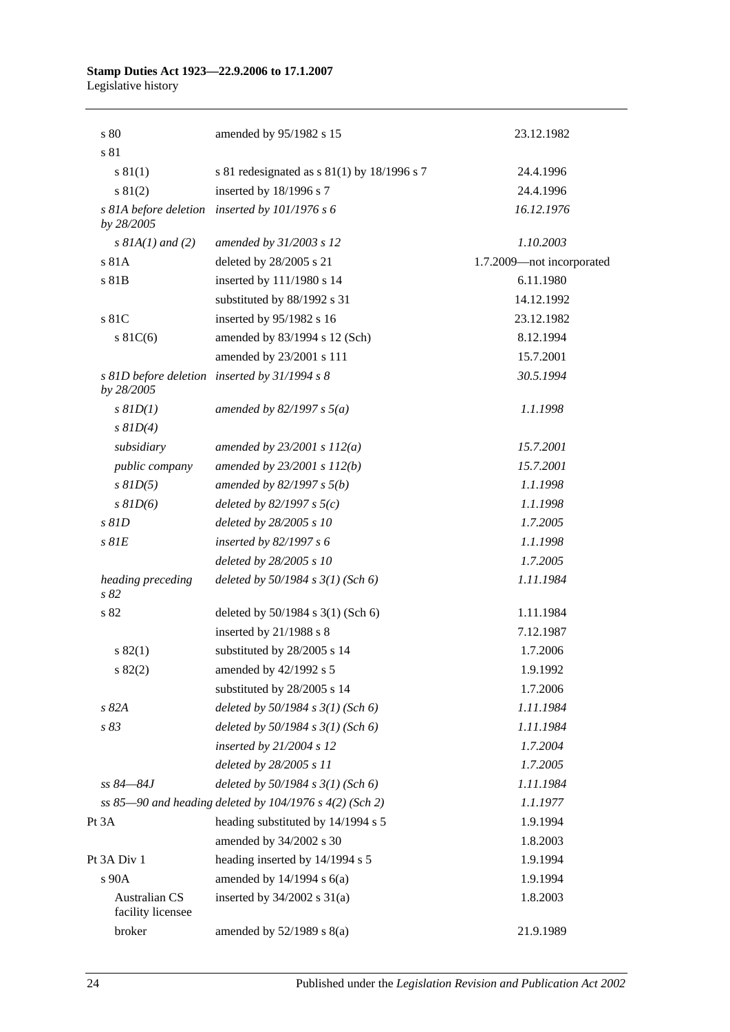| s 80                                      | amended by 95/1982 s 15                                 | 23.12.1982                |
|-------------------------------------------|---------------------------------------------------------|---------------------------|
| s 81                                      |                                                         |                           |
| s 81(1)                                   | s 81 redesignated as s $81(1)$ by 18/1996 s 7           | 24.4.1996                 |
| s 81(2)                                   | inserted by 18/1996 s 7                                 | 24.4.1996                 |
| by 28/2005                                | s 81A before deletion inserted by 101/1976 s 6          | 16.12.1976                |
| $s$ 81A(1) and (2)                        | amended by 31/2003 s 12                                 | 1.10.2003                 |
| s 81A                                     | deleted by 28/2005 s 21                                 | 1.7.2009-not incorporated |
| s 81B                                     | inserted by 111/1980 s 14                               | 6.11.1980                 |
|                                           | substituted by 88/1992 s 31                             | 14.12.1992                |
| s 81C                                     | inserted by 95/1982 s 16                                | 23.12.1982                |
| $s \, 81C(6)$                             | amended by 83/1994 s 12 (Sch)                           | 8.12.1994                 |
|                                           | amended by 23/2001 s 111                                | 15.7.2001                 |
| by 28/2005                                | s 81D before deletion inserted by 31/1994 s 8           | 30.5.1994                 |
| $s$ $81D(1)$                              | amended by 82/1997 s $5(a)$                             | 1.1.1998                  |
| $s$ $81D(4)$                              |                                                         |                           |
| subsidiary                                | amended by $23/2001 s 112(a)$                           | 15.7.2001                 |
| public company                            | amended by 23/2001 s 112(b)                             | 15.7.2001                 |
| $s$ $81D(5)$                              | amended by $82/1997 s 5(b)$                             | 1.1.1998                  |
| $s$ $81D(6)$                              | deleted by $82/1997 s 5(c)$                             | 1.1.1998                  |
| $s$ $81D$                                 | deleted by 28/2005 s 10                                 | 1.7.2005                  |
| $s$ $81E$                                 | inserted by 82/1997 s 6                                 | 1.1.1998                  |
|                                           | deleted by 28/2005 s 10                                 | 1.7.2005                  |
| heading preceding<br>s82                  | deleted by $50/1984$ s $3(1)$ (Sch 6)                   | 1.11.1984                 |
| s 82                                      | deleted by 50/1984 s 3(1) (Sch 6)                       | 1.11.1984                 |
|                                           | inserted by 21/1988 s 8                                 | 7.12.1987                 |
| s 82(1)                                   | substituted by 28/2005 s 14                             | 1.7.2006                  |
| s 82(2)                                   | amended by 42/1992 s 5                                  | 1.9.1992                  |
|                                           | substituted by 28/2005 s 14                             | 1.7.2006                  |
| s 82A                                     | deleted by $50/1984$ s $3(1)$ (Sch 6)                   | 1.11.1984                 |
| s 83                                      | deleted by $50/1984$ s $3(1)$ (Sch 6)                   | 1.11.1984                 |
|                                           | inserted by $21/2004$ s 12                              | 1.7.2004                  |
|                                           | deleted by 28/2005 s 11                                 | 1.7.2005                  |
| ss 84–84J                                 | deleted by $50/1984$ s $3(1)$ (Sch 6)                   | 1.11.1984                 |
|                                           | ss 85-90 and heading deleted by 104/1976 s 4(2) (Sch 2) | 1.1.1977                  |
| Pt 3A                                     | heading substituted by 14/1994 s 5                      | 1.9.1994                  |
|                                           | amended by 34/2002 s 30                                 | 1.8.2003                  |
| Pt 3A Div 1                               | heading inserted by 14/1994 s 5                         | 1.9.1994                  |
| s 90A                                     | amended by $14/1994$ s $6(a)$                           | 1.9.1994                  |
| <b>Australian CS</b><br>facility licensee | inserted by $34/2002$ s $31(a)$                         | 1.8.2003                  |
| broker                                    | amended by $52/1989$ s $8(a)$                           | 21.9.1989                 |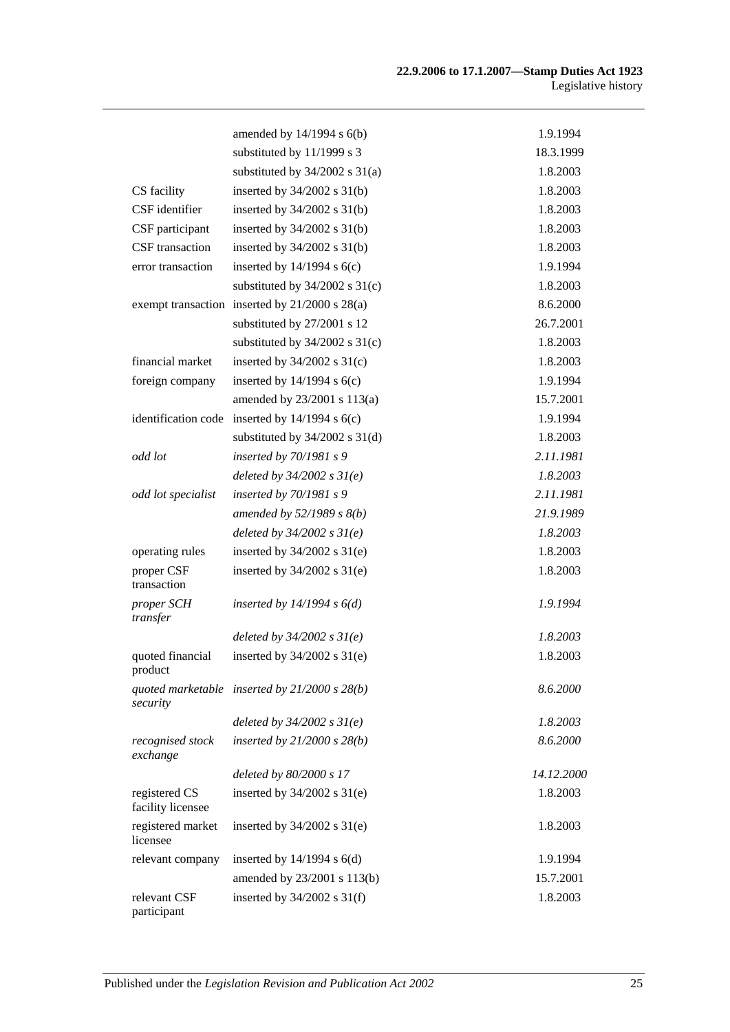|                                    | amended by $14/1994$ s $6(b)$                   | 1.9.1994   |
|------------------------------------|-------------------------------------------------|------------|
|                                    | substituted by 11/1999 s 3                      | 18.3.1999  |
|                                    | substituted by $34/2002$ s $31(a)$              | 1.8.2003   |
| CS facility                        | inserted by 34/2002 s 31(b)                     | 1.8.2003   |
| CSF identifier                     | inserted by $34/2002$ s $31(b)$                 | 1.8.2003   |
| CSF participant                    | inserted by $34/2002$ s $31(b)$                 | 1.8.2003   |
| CSF transaction                    | inserted by $34/2002$ s $31(b)$                 | 1.8.2003   |
| error transaction                  | inserted by $14/1994$ s $6(c)$                  | 1.9.1994   |
|                                    | substituted by $34/2002$ s $31(c)$              | 1.8.2003   |
|                                    | exempt transaction inserted by 21/2000 s 28(a)  | 8.6.2000   |
|                                    | substituted by 27/2001 s 12                     | 26.7.2001  |
|                                    | substituted by $34/2002$ s $31(c)$              | 1.8.2003   |
| financial market                   | inserted by $34/2002$ s $31(c)$                 | 1.8.2003   |
| foreign company                    | inserted by $14/1994$ s $6(c)$                  | 1.9.1994   |
|                                    | amended by 23/2001 s 113(a)                     | 15.7.2001  |
| identification code                | inserted by $14/1994$ s $6(c)$                  | 1.9.1994   |
|                                    | substituted by $34/2002$ s $31(d)$              | 1.8.2003   |
| odd lot                            | inserted by $70/1981 s$ 9                       | 2.11.1981  |
|                                    | deleted by $34/2002$ s $31(e)$                  | 1.8.2003   |
| odd lot specialist                 | inserted by $70/1981$ s 9                       | 2.11.1981  |
|                                    | amended by $52/1989 s 8(b)$                     | 21.9.1989  |
|                                    | deleted by $34/2002 s 31(e)$                    | 1.8.2003   |
| operating rules                    | inserted by $34/2002$ s $31(e)$                 | 1.8.2003   |
| proper CSF<br>transaction          | inserted by $34/2002$ s $31(e)$                 | 1.8.2003   |
| proper SCH<br>transfer             | inserted by $14/1994 s 6(d)$                    | 1.9.1994   |
|                                    | deleted by $34/2002 s 31(e)$                    | 1.8.2003   |
| quoted financial<br>product        | inserted by $34/2002$ s $31(e)$                 | 1.8.2003   |
| security                           | quoted marketable inserted by $21/2000 s 28(b)$ | 8.6.2000   |
|                                    | deleted by $34/2002 s 31(e)$                    | 1.8.2003   |
| recognised stock<br>exchange       | inserted by $21/2000$ s $28(b)$                 | 8.6.2000   |
|                                    | deleted by 80/2000 s 17                         | 14.12.2000 |
| registered CS<br>facility licensee | inserted by $34/2002$ s $31(e)$                 | 1.8.2003   |
| registered market<br>licensee      | inserted by $34/2002$ s $31(e)$                 | 1.8.2003   |
| relevant company                   | inserted by $14/1994$ s $6(d)$                  | 1.9.1994   |
|                                    | amended by 23/2001 s 113(b)                     | 15.7.2001  |
| relevant CSF<br>participant        | inserted by $34/2002$ s $31(f)$                 | 1.8.2003   |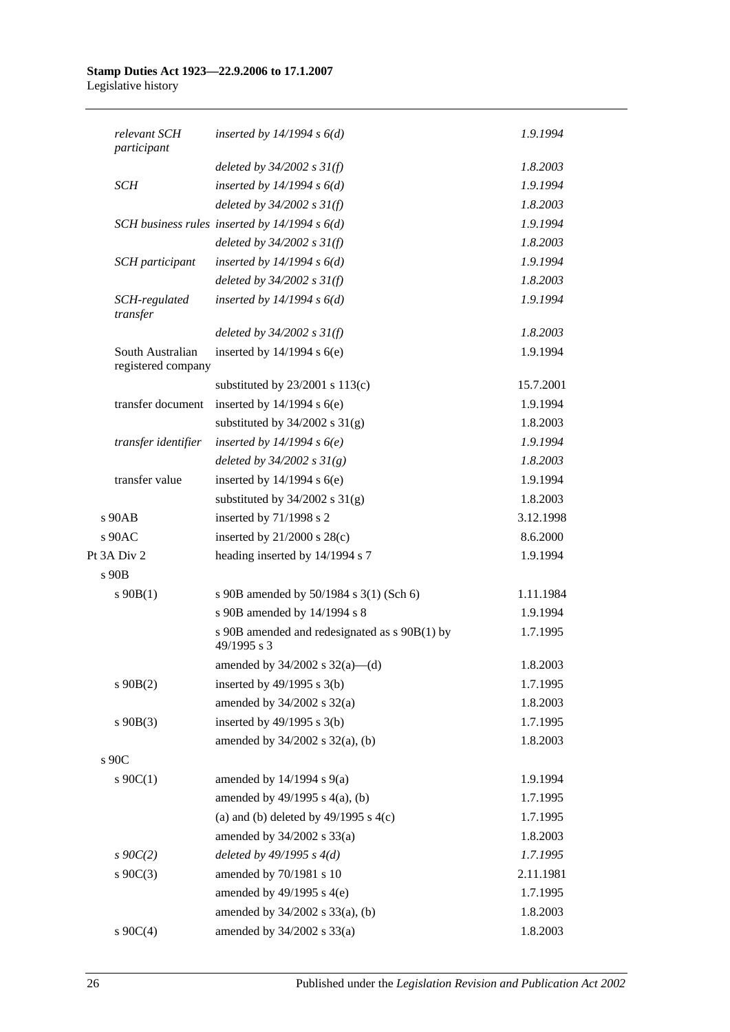| relevant SCH<br>participant            | inserted by $14/1994 s 6(d)$                                 | 1.9.1994  |
|----------------------------------------|--------------------------------------------------------------|-----------|
|                                        | deleted by $34/2002 s 31(f)$                                 | 1.8.2003  |
| <b>SCH</b>                             | inserted by $14/1994 s 6(d)$                                 | 1.9.1994  |
|                                        | deleted by $34/2002 s 31(f)$                                 | 1.8.2003  |
|                                        | SCH business rules inserted by $14/1994 s 6(d)$              | 1.9.1994  |
|                                        | deleted by $34/2002 s 31(f)$                                 | 1.8.2003  |
| SCH participant                        | inserted by $14/1994 s 6(d)$                                 | 1.9.1994  |
|                                        | deleted by $34/2002 s 31(f)$                                 | 1.8.2003  |
| SCH-regulated<br>transfer              | inserted by $14/1994 s 6(d)$                                 | 1.9.1994  |
|                                        | deleted by $34/2002$ s $31(f)$                               | 1.8.2003  |
| South Australian<br>registered company | inserted by $14/1994$ s $6(e)$                               | 1.9.1994  |
|                                        | substituted by $23/2001$ s $113(c)$                          | 15.7.2001 |
| transfer document                      | inserted by $14/1994$ s $6(e)$                               | 1.9.1994  |
|                                        | substituted by $34/2002$ s $31(g)$                           | 1.8.2003  |
| transfer identifier                    | inserted by $14/1994 s6(e)$                                  | 1.9.1994  |
|                                        | deleted by $34/2002 s 31(g)$                                 | 1.8.2003  |
| transfer value                         | inserted by $14/1994$ s $6(e)$                               | 1.9.1994  |
|                                        | substituted by $34/2002$ s $31(g)$                           | 1.8.2003  |
| s 90AB                                 | inserted by 71/1998 s 2                                      | 3.12.1998 |
| $s$ 90AC                               | inserted by $21/2000$ s $28(c)$                              | 8.6.2000  |
| Pt 3A Div 2                            | heading inserted by 14/1994 s 7                              | 1.9.1994  |
| s 90B                                  |                                                              |           |
| $s\ 90B(1)$                            | s 90B amended by 50/1984 s 3(1) (Sch 6)                      | 1.11.1984 |
|                                        | s 90B amended by 14/1994 s 8                                 | 1.9.1994  |
|                                        | s 90B amended and redesignated as s 90B(1) by<br>49/1995 s 3 | 1.7.1995  |
|                                        | amended by $34/2002$ s $32(a)$ —(d)                          | 1.8.2003  |
| $s\ 90B(2)$                            | inserted by $49/1995$ s $3(b)$                               | 1.7.1995  |
|                                        | amended by $34/2002$ s $32(a)$                               | 1.8.2003  |
| $s\ 90B(3)$                            | inserted by $49/1995$ s $3(b)$                               | 1.7.1995  |
|                                        | amended by 34/2002 s 32(a), (b)                              | 1.8.2003  |
| s 90C                                  |                                                              |           |
| $s \ 90C(1)$                           | amended by $14/1994$ s $9(a)$                                | 1.9.1994  |
|                                        | amended by 49/1995 s 4(a), (b)                               | 1.7.1995  |
|                                        | (a) and (b) deleted by $49/1995$ s $4(c)$                    | 1.7.1995  |
|                                        | amended by $34/2002$ s $33(a)$                               | 1.8.2003  |
| $s \, 90C(2)$                          | deleted by $49/1995 s 4(d)$                                  | 1.7.1995  |
| $s \ 90C(3)$                           | amended by 70/1981 s 10                                      | 2.11.1981 |
|                                        | amended by $49/1995$ s $4(e)$                                | 1.7.1995  |
|                                        | amended by 34/2002 s 33(a), (b)                              | 1.8.2003  |
| s $90C(4)$                             | amended by 34/2002 s 33(a)                                   | 1.8.2003  |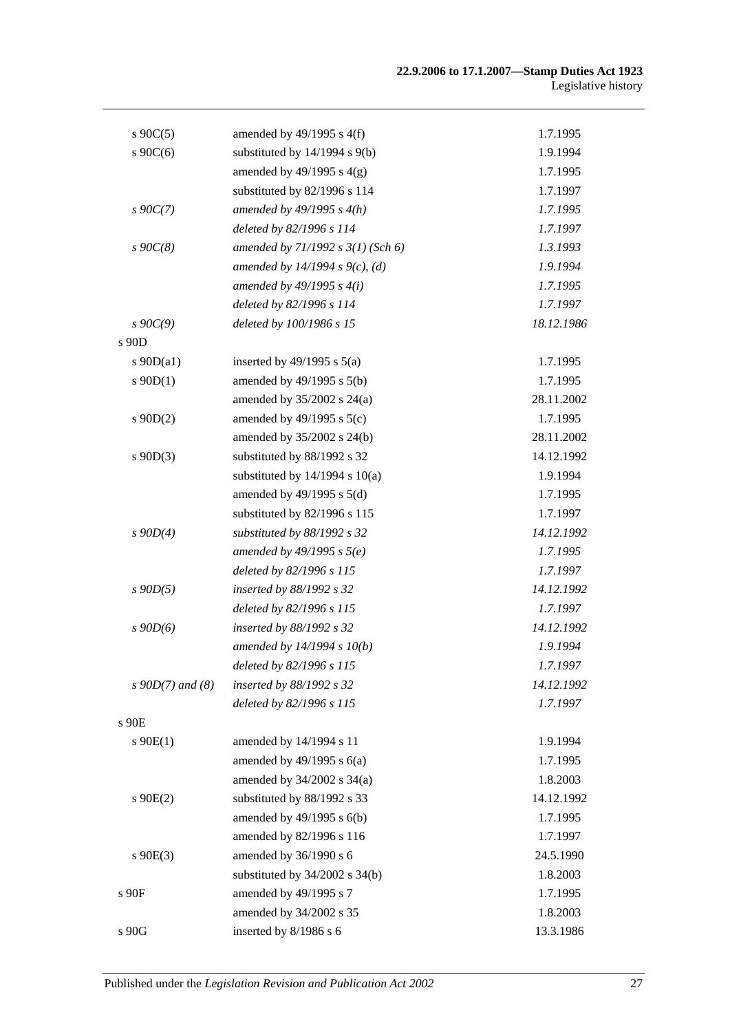| $s \ 90C(5)$          | amended by $49/1995$ s $4(f)$         | 1.7.1995   |
|-----------------------|---------------------------------------|------------|
| $s \cdot 90C(6)$      | substituted by 14/1994 s 9(b)         | 1.9.1994   |
|                       | amended by $49/1995$ s $4(g)$         | 1.7.1995   |
|                       | substituted by 82/1996 s 114          | 1.7.1997   |
| $s\ 90C(7)$           | amended by $49/1995 s 4(h)$           | 1.7.1995   |
|                       | deleted by 82/1996 s 114              | 1.7.1997   |
| $s \, 90C(8)$         | amended by $71/1992$ s $3(1)$ (Sch 6) | 1.3.1993   |
|                       | amended by 14/1994 s $9(c)$ , (d)     | 1.9.1994   |
|                       | amended by $49/1995 s 4(i)$           | 1.7.1995   |
|                       | deleted by 82/1996 s 114              | 1.7.1997   |
| $s\,90C(9)$           | deleted by 100/1986 s 15              | 18.12.1986 |
| s 90D                 |                                       |            |
| $s$ 90D(a1)           | inserted by $49/1995$ s $5(a)$        | 1.7.1995   |
| $s \ 90D(1)$          | amended by $49/1995$ s $5(b)$         | 1.7.1995   |
|                       | amended by $35/2002$ s $24(a)$        | 28.11.2002 |
| $s$ 90D(2)            | amended by $49/1995$ s $5(c)$         | 1.7.1995   |
|                       | amended by 35/2002 s 24(b)            | 28.11.2002 |
| $s$ 90D(3)            | substituted by 88/1992 s 32           | 14.12.1992 |
|                       | substituted by $14/1994$ s $10(a)$    | 1.9.1994   |
|                       | amended by $49/1995$ s $5(d)$         | 1.7.1995   |
|                       | substituted by 82/1996 s 115          | 1.7.1997   |
| $s$ 90D(4)            | substituted by 88/1992 s 32           | 14.12.1992 |
|                       | amended by $49/1995 s 5(e)$           | 1.7.1995   |
|                       | deleted by 82/1996 s 115              | 1.7.1997   |
| $s$ 90D(5)            | inserted by 88/1992 s 32              | 14.12.1992 |
|                       | deleted by 82/1996 s 115              | 1.7.1997   |
| $s$ 90 $D(6)$         | inserted by 88/1992 s 32              | 14.12.1992 |
|                       | amended by 14/1994 s 10(b)            | 1.9.1994   |
|                       | deleted by 82/1996 s 115              | 1.7.1997   |
| $s \, 90D(7)$ and (8) | inserted by 88/1992 s 32              | 14.12.1992 |
|                       | deleted by 82/1996 s 115              | 1.7.1997   |
| s 90E                 |                                       |            |
| $s \ 90E(1)$          | amended by 14/1994 s 11               | 1.9.1994   |
|                       | amended by $49/1995$ s $6(a)$         | 1.7.1995   |
|                       | amended by $34/2002$ s $34(a)$        | 1.8.2003   |
| $s$ 90 $E(2)$         | substituted by 88/1992 s 33           | 14.12.1992 |
|                       | amended by 49/1995 s 6(b)             | 1.7.1995   |
|                       | amended by 82/1996 s 116              | 1.7.1997   |
| $s$ 90E(3)            | amended by 36/1990 s 6                | 24.5.1990  |
|                       | substituted by 34/2002 s 34(b)        | 1.8.2003   |
| s 90F                 | amended by 49/1995 s 7                | 1.7.1995   |
|                       | amended by 34/2002 s 35               | 1.8.2003   |
| s 90G                 | inserted by 8/1986 s 6                | 13.3.1986  |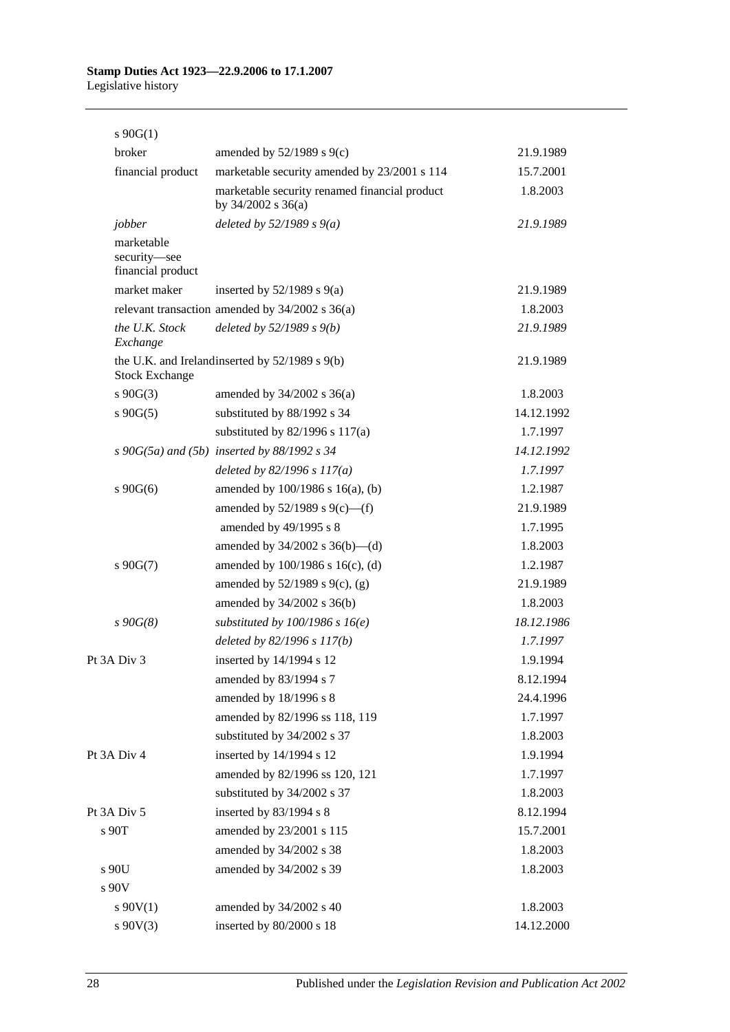## s 90G(1) broker amended by 52/1989 s 9(c) 21.9.1989 financial product marketable security amended by 23/2001 s 114 15.7.2001 marketable security renamed financial product by 34/2002 s 36(a) 1.8.2003 *jobber deleted by 52/1989 s 9(a) 21.9.1989* marketable security—see financial product market maker inserted by 52/1989 s 9(a) 21.9.1989 relevant transaction amended by 34/2002 s 36(a) 1.8.2003 *the U.K. Stock Exchange deleted by 52/1989 s 9(b) 21.9.1989* the U.K. and Ireland inserted by  $52/1989$  s  $9(b)$  21.9.1989 Stock Exchange s 90G(3) amended by 34/2002 s 36(a) 1.8.2003 s 90G(5) substituted by 88/1992 s 34 14.12.1992 substituted by 82/1996 s 117(a) 1.7.1997 *s 90G(5a) and (5b) inserted by 88/1992 s 34 14.12.1992 deleted by 82/1996 s 117(a) 1.7.1997* s 90G(6) amended by 100/1986 s 16(a), (b) 1.2.1987 amended by 52/1989 s 9(c)—(f) 21.9.1989 amended by 49/1995 s 8 1.7.1995 amended by 34/2002 s 36(b)—(d) 1.8.2003 s 90G(7) amended by 100/1986 s 16(c), (d) 1.2.1987 amended by 52/1989 s 9(c), (g) 21.9.1989 amended by 34/2002 s 36(b) 1.8.2003 *s 90G(8) substituted by 100/1986 s 16(e) 18.12.1986 deleted by 82/1996 s 117(b) 1.7.1997* Pt 3A Div 3 inserted by 14/1994 s 12 1.9.1994 amended by 83/1994 s 7 8.12.1994 amended by 18/1996 s 8 24.4.1996 amended by 82/1996 ss 118, 119 1.7.1997 substituted by 34/2002 s 37 1.8.2003 Pt 3A Div 4 inserted by 14/1994 s 12 1.9.1994 amended by 82/1996 ss 120, 121 1.7.1997 substituted by 34/2002 s 37 1.8.2003 Pt 3A Div 5 inserted by 83/1994 s 8 8.12.1994 s 90T amended by 23/2001 s 115 15.7.2001 amended by 34/2002 s 38 1.8.2003 s 90U amended by 34/2002 s 39 1.8.2003 s 90V s 90V(1) amended by 34/2002 s 40 1.8.2003 s 90V(3) inserted by 80/2000 s 18 14.12.2000

28 Published under the *Legislation Revision and Publication Act 2002*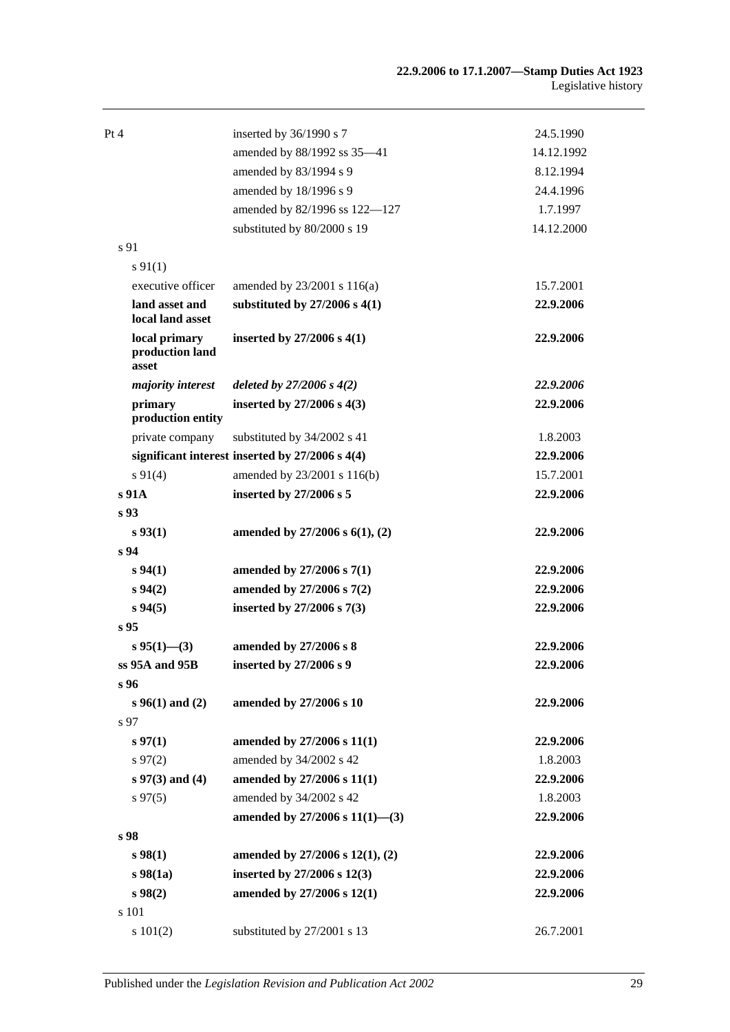| Pt 4 |                                           | inserted by 36/1990 s 7                         | 24.5.1990  |
|------|-------------------------------------------|-------------------------------------------------|------------|
|      |                                           | amended by 88/1992 ss 35-41                     | 14.12.1992 |
|      |                                           | amended by 83/1994 s 9                          | 8.12.1994  |
|      |                                           | amended by 18/1996 s 9                          | 24.4.1996  |
|      |                                           | amended by 82/1996 ss 122-127                   | 1.7.1997   |
|      |                                           | substituted by 80/2000 s 19                     | 14.12.2000 |
|      | s 91                                      |                                                 |            |
|      | $s\,91(1)$                                |                                                 |            |
|      | executive officer                         | amended by 23/2001 s 116(a)                     | 15.7.2001  |
|      | land asset and<br>local land asset        | substituted by $27/2006$ s $4(1)$               | 22.9.2006  |
|      | local primary<br>production land<br>asset | inserted by $27/2006$ s $4(1)$                  | 22.9.2006  |
|      | majority interest                         | deleted by $27/2006 s 4(2)$                     | 22.9.2006  |
|      | primary<br>production entity              | inserted by $27/2006$ s $4(3)$                  | 22.9.2006  |
|      | private company                           | substituted by 34/2002 s 41                     | 1.8.2003   |
|      |                                           | significant interest inserted by 27/2006 s 4(4) | 22.9.2006  |
|      | $s\ 91(4)$                                | amended by 23/2001 s 116(b)                     | 15.7.2001  |
|      | s 91A                                     | inserted by 27/2006 s 5                         | 22.9.2006  |
|      | s <sub>93</sub>                           |                                                 |            |
|      | s 93(1)                                   | amended by $27/2006$ s $6(1)$ , $(2)$           | 22.9.2006  |
|      | s 94                                      |                                                 |            |
|      | s 94(1)                                   | amended by $27/2006$ s $7(1)$                   | 22.9.2006  |
|      | $s\,94(2)$                                | amended by 27/2006 s 7(2)                       | 22.9.2006  |
|      | $s\,94(5)$                                | inserted by 27/2006 s 7(3)                      | 22.9.2006  |
|      | $s\,95$                                   |                                                 |            |
|      | $s$ 95(1)–(3)                             | amended by 27/2006 s 8                          | 22.9.2006  |
|      | ss 95A and 95B                            | inserted by 27/2006 s 9                         | 22.9.2006  |
|      | s 96                                      |                                                 |            |
|      | $s\,96(1)$ and (2)                        | amended by 27/2006 s 10                         | 22.9.2006  |
|      | s 97                                      |                                                 |            |
|      | $s\,97(1)$                                | amended by 27/2006 s 11(1)                      | 22.9.2006  |
|      | $s\,97(2)$                                | amended by 34/2002 s 42                         | 1.8.2003   |
|      | $s 97(3)$ and (4)                         | amended by 27/2006 s 11(1)                      | 22.9.2006  |
|      | $s\,97(5)$                                | amended by 34/2002 s 42                         | 1.8.2003   |
|      |                                           | amended by 27/2006 s $11(1)$ —(3)               | 22.9.2006  |
|      | s 98                                      |                                                 |            |
|      | s 98(1)                                   | amended by $27/2006$ s $12(1)$ , $(2)$          | 22.9.2006  |
|      | $s\,98(1a)$                               | inserted by 27/2006 s 12(3)                     | 22.9.2006  |
|      | $s\,98(2)$                                | amended by 27/2006 s 12(1)                      | 22.9.2006  |
|      | s 101                                     |                                                 |            |
|      | s 101(2)                                  | substituted by 27/2001 s 13                     | 26.7.2001  |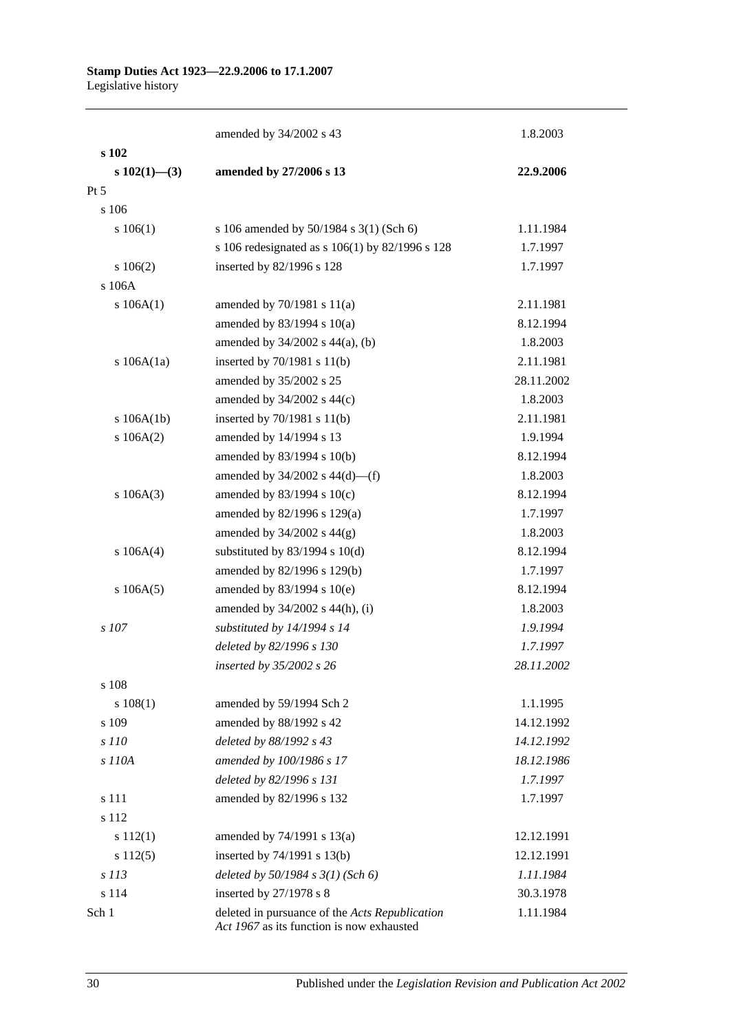|                  | amended by 34/2002 s 43                                                                     | 1.8.2003   |
|------------------|---------------------------------------------------------------------------------------------|------------|
| s 102            |                                                                                             |            |
| $s\ 102(1)$ —(3) | amended by 27/2006 s 13                                                                     | 22.9.2006  |
| $Pt\,5$          |                                                                                             |            |
| s 106            |                                                                                             |            |
| s 106(1)         | s 106 amended by 50/1984 s 3(1) (Sch 6)                                                     | 1.11.1984  |
|                  | s 106 redesignated as s 106(1) by 82/1996 s 128                                             | 1.7.1997   |
| $s\ 106(2)$      | inserted by 82/1996 s 128                                                                   | 1.7.1997   |
| $s$ 106A         |                                                                                             |            |
| s $106A(1)$      | amended by $70/1981$ s $11(a)$                                                              | 2.11.1981  |
|                  | amended by 83/1994 s 10(a)                                                                  | 8.12.1994  |
|                  | amended by 34/2002 s 44(a), (b)                                                             | 1.8.2003   |
| s $106A(1a)$     | inserted by $70/1981$ s $11(b)$                                                             | 2.11.1981  |
|                  | amended by 35/2002 s 25                                                                     | 28.11.2002 |
|                  | amended by 34/2002 s 44(c)                                                                  | 1.8.2003   |
| s 106A(1b)       | inserted by 70/1981 s 11(b)                                                                 | 2.11.1981  |
| s 106A(2)        | amended by 14/1994 s 13                                                                     | 1.9.1994   |
|                  | amended by 83/1994 s 10(b)                                                                  | 8.12.1994  |
|                  | amended by $34/2002$ s $44(d)$ —(f)                                                         | 1.8.2003   |
| s 106A(3)        | amended by 83/1994 s 10(c)                                                                  | 8.12.1994  |
|                  | amended by 82/1996 s 129(a)                                                                 | 1.7.1997   |
|                  | amended by $34/2002$ s $44(g)$                                                              | 1.8.2003   |
| s 106A(4)        | substituted by $83/1994$ s $10(d)$                                                          | 8.12.1994  |
|                  | amended by 82/1996 s 129(b)                                                                 | 1.7.1997   |
| s 106A(5)        | amended by 83/1994 s 10(e)                                                                  | 8.12.1994  |
|                  | amended by 34/2002 s 44(h), (i)                                                             | 1.8.2003   |
| $s$ 107          | substituted by 14/1994 s 14                                                                 | 1.9.1994   |
|                  | deleted by 82/1996 s 130                                                                    | 1.7.1997   |
|                  | inserted by 35/2002 s 26                                                                    | 28.11.2002 |
| s 108            |                                                                                             |            |
| s 108(1)         | amended by 59/1994 Sch 2                                                                    | 1.1.1995   |
| s 109            | amended by 88/1992 s 42                                                                     | 14.12.1992 |
| s 110            | deleted by 88/1992 s 43                                                                     | 14.12.1992 |
| s 110A           | amended by 100/1986 s 17                                                                    | 18.12.1986 |
|                  | deleted by 82/1996 s 131                                                                    | 1.7.1997   |
| s 111            | amended by 82/1996 s 132                                                                    | 1.7.1997   |
| s 112            |                                                                                             |            |
| s 112(1)         | amended by 74/1991 s 13(a)                                                                  | 12.12.1991 |
| $s\ 112(5)$      | inserted by $74/1991$ s $13(b)$                                                             | 12.12.1991 |
| s 113            | deleted by $50/1984$ s $3(1)$ (Sch 6)                                                       | 1.11.1984  |
| s 114            | inserted by 27/1978 s 8                                                                     | 30.3.1978  |
| Sch 1            | deleted in pursuance of the Acts Republication<br>Act 1967 as its function is now exhausted | 1.11.1984  |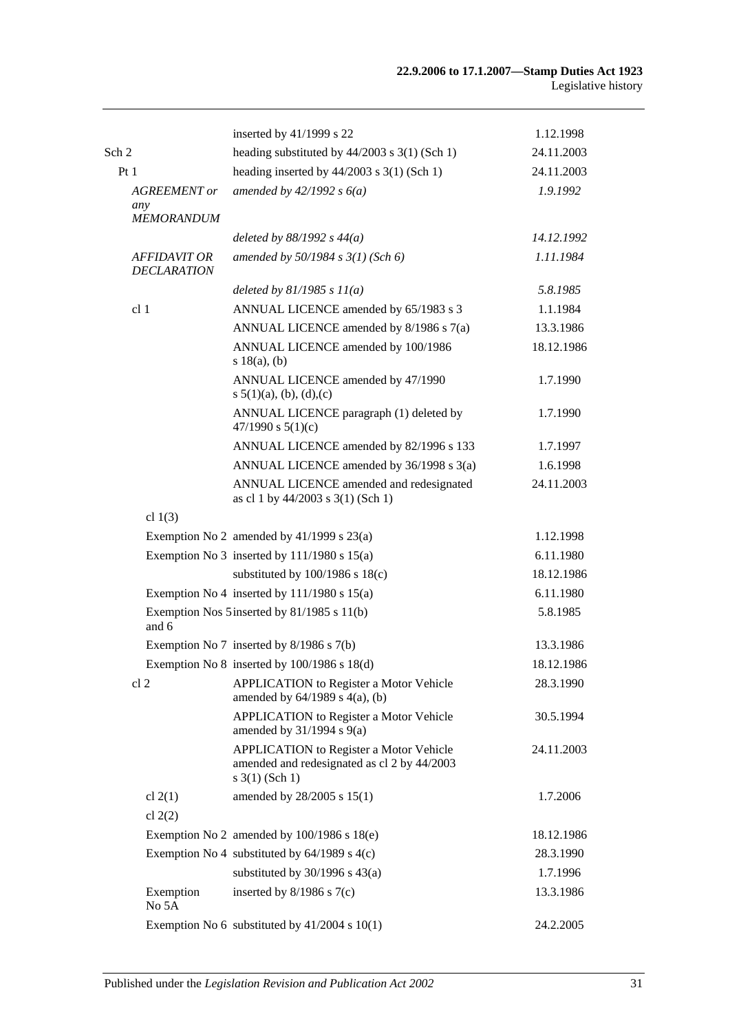|                                           | inserted by 41/1999 s 22                                                                                      | 1.12.1998  |
|-------------------------------------------|---------------------------------------------------------------------------------------------------------------|------------|
| Sch 2                                     | heading substituted by $44/2003$ s $3(1)$ (Sch 1)                                                             | 24.11.2003 |
| Pt1                                       | heading inserted by $44/2003$ s 3(1) (Sch 1)                                                                  | 24.11.2003 |
| <b>AGREEMENT</b> or                       | amended by $42/1992 s 6(a)$                                                                                   | 1.9.1992   |
| any<br><b>MEMORANDUM</b>                  |                                                                                                               |            |
|                                           | deleted by $88/1992 s 44(a)$                                                                                  | 14.12.1992 |
| <b>AFFIDAVIT OR</b><br><b>DECLARATION</b> | amended by 50/1984 s 3(1) (Sch 6)                                                                             | 1.11.1984  |
|                                           | deleted by $81/1985 s 11(a)$                                                                                  | 5.8.1985   |
| cl <sub>1</sub>                           | ANNUAL LICENCE amended by 65/1983 s 3                                                                         | 1.1.1984   |
|                                           | ANNUAL LICENCE amended by 8/1986 s 7(a)                                                                       | 13.3.1986  |
|                                           | ANNUAL LICENCE amended by 100/1986<br>s 18(a), (b)                                                            | 18.12.1986 |
|                                           | ANNUAL LICENCE amended by 47/1990<br>s $5(1)(a)$ , (b), (d), (c)                                              | 1.7.1990   |
|                                           | ANNUAL LICENCE paragraph (1) deleted by<br>47/1990 s $5(1)(c)$                                                | 1.7.1990   |
|                                           | ANNUAL LICENCE amended by 82/1996 s 133                                                                       | 1.7.1997   |
|                                           | ANNUAL LICENCE amended by 36/1998 s 3(a)                                                                      | 1.6.1998   |
|                                           | ANNUAL LICENCE amended and redesignated<br>as cl 1 by 44/2003 s 3(1) (Sch 1)                                  | 24.11.2003 |
| cl $1(3)$                                 |                                                                                                               |            |
|                                           | Exemption No 2 amended by $41/1999$ s $23(a)$                                                                 | 1.12.1998  |
|                                           | Exemption No 3 inserted by $111/1980$ s $15(a)$                                                               | 6.11.1980  |
|                                           | substituted by $100/1986$ s $18(c)$                                                                           | 18.12.1986 |
|                                           | Exemption No 4 inserted by $111/1980$ s $15(a)$                                                               | 6.11.1980  |
| and 6                                     | Exemption Nos 5 inserted by 81/1985 s 11(b)                                                                   | 5.8.1985   |
|                                           | Exemption No 7 inserted by 8/1986 s 7(b)                                                                      | 13.3.1986  |
|                                           | Exemption No 8 inserted by 100/1986 s 18(d)                                                                   | 18.12.1986 |
| cl <sub>2</sub>                           | <b>APPLICATION</b> to Register a Motor Vehicle<br>amended by $64/1989$ s $4(a)$ , (b)                         | 28.3.1990  |
|                                           | <b>APPLICATION</b> to Register a Motor Vehicle<br>amended by $31/1994$ s $9(a)$                               | 30.5.1994  |
|                                           | APPLICATION to Register a Motor Vehicle<br>amended and redesignated as cl 2 by 44/2003<br>$s \; 3(1)$ (Sch 1) | 24.11.2003 |
| cl $2(1)$<br>cl $2(2)$                    | amended by 28/2005 s 15(1)                                                                                    | 1.7.2006   |
|                                           | Exemption No 2 amended by $100/1986$ s $18(e)$                                                                | 18.12.1986 |
|                                           | Exemption No 4 substituted by $64/1989$ s $4(c)$                                                              | 28.3.1990  |
|                                           | substituted by $30/1996$ s $43(a)$                                                                            | 1.7.1996   |
| Exemption<br>No 5A                        | inserted by $8/1986$ s $7(c)$                                                                                 | 13.3.1986  |
|                                           | Exemption No 6 substituted by $41/2004$ s $10(1)$                                                             | 24.2.2005  |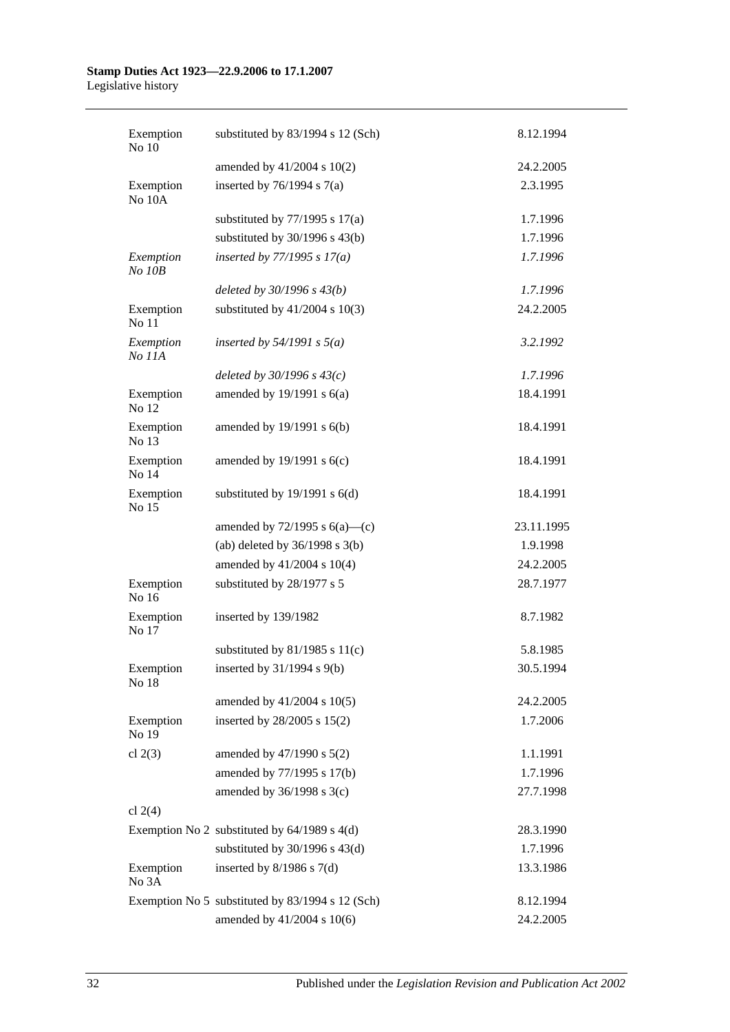| Exemption<br>No 10  | substituted by 83/1994 s 12 (Sch)                | 8.12.1994  |
|---------------------|--------------------------------------------------|------------|
|                     | amended by 41/2004 s 10(2)                       | 24.2.2005  |
| Exemption<br>No 10A | inserted by $76/1994$ s $7(a)$                   | 2.3.1995   |
|                     | substituted by $77/1995$ s $17(a)$               | 1.7.1996   |
|                     | substituted by $30/1996$ s $43(b)$               | 1.7.1996   |
| Exemption<br>No 10B | inserted by $77/1995 s 17(a)$                    | 1.7.1996   |
|                     | deleted by $30/1996 s 43(b)$                     | 1.7.1996   |
| Exemption<br>No 11  | substituted by $41/2004$ s $10(3)$               | 24.2.2005  |
| Exemption<br>No 11A | inserted by $54/1991$ s $5(a)$                   | 3.2.1992   |
|                     | deleted by $30/1996 s 43(c)$                     | 1.7.1996   |
| Exemption<br>No 12  | amended by $19/1991$ s $6(a)$                    | 18.4.1991  |
| Exemption<br>No 13  | amended by 19/1991 s 6(b)                        | 18.4.1991  |
| Exemption<br>No 14  | amended by $19/1991$ s $6(c)$                    | 18.4.1991  |
| Exemption<br>No 15  | substituted by $19/1991$ s $6(d)$                | 18.4.1991  |
|                     | amended by $72/1995$ s $6(a)$ —(c)               | 23.11.1995 |
|                     | (ab) deleted by $36/1998$ s $3(b)$               | 1.9.1998   |
|                     | amended by 41/2004 s 10(4)                       | 24.2.2005  |
| Exemption<br>No 16  | substituted by 28/1977 s 5                       | 28.7.1977  |
| Exemption<br>No 17  | inserted by 139/1982                             | 8.7.1982   |
|                     | substituted by $81/1985$ s $11(c)$               | 5.8.1985   |
| Exemption<br>No 18  | inserted by $31/1994$ s $9(b)$                   | 30.5.1994  |
|                     | amended by 41/2004 s 10(5)                       | 24.2.2005  |
| Exemption<br>No 19  | inserted by 28/2005 s 15(2)                      | 1.7.2006   |
| cl $2(3)$           | amended by $47/1990$ s $5(2)$                    | 1.1.1991   |
|                     | amended by 77/1995 s 17(b)                       | 1.7.1996   |
|                     | amended by $36/1998$ s $3(c)$                    | 27.7.1998  |
| cl $2(4)$           |                                                  |            |
|                     | Exemption No 2 substituted by $64/1989$ s $4(d)$ | 28.3.1990  |
|                     | substituted by $30/1996$ s $43(d)$               | 1.7.1996   |
| Exemption<br>No 3A  | inserted by $8/1986$ s $7(d)$                    | 13.3.1986  |
|                     | Exemption No 5 substituted by 83/1994 s 12 (Sch) | 8.12.1994  |
|                     | amended by 41/2004 s 10(6)                       | 24.2.2005  |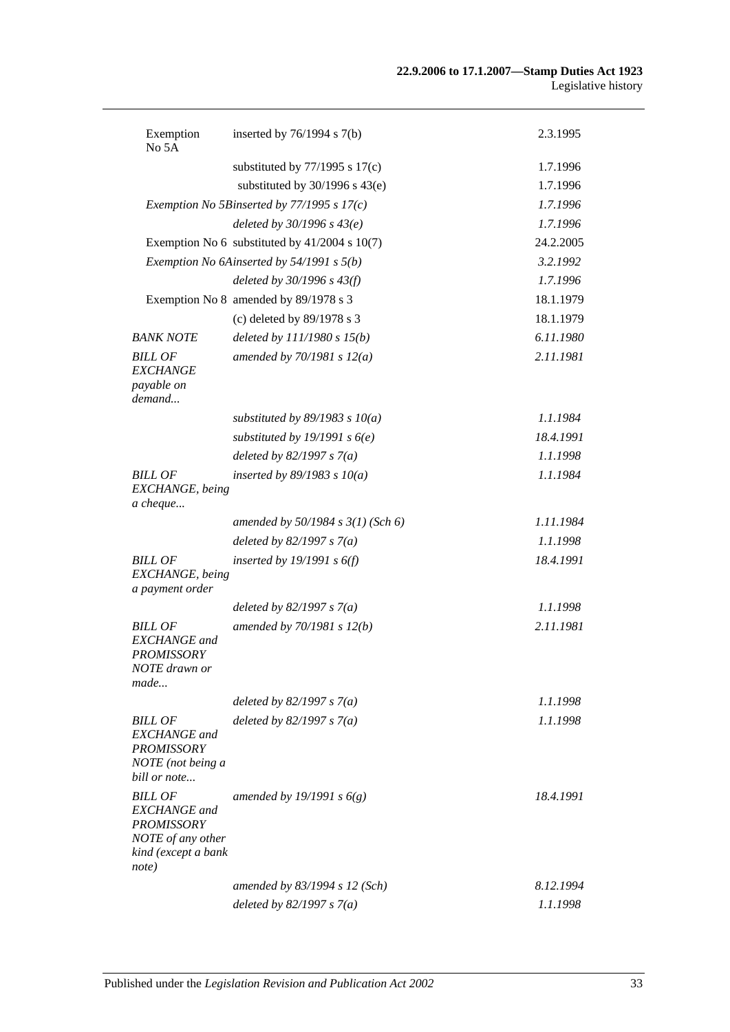| Exemption<br>No 5A                                                                                              | inserted by $76/1994$ s $7(b)$                  | 2.3.1995  |
|-----------------------------------------------------------------------------------------------------------------|-------------------------------------------------|-----------|
|                                                                                                                 | substituted by $77/1995$ s $17(c)$              | 1.7.1996  |
|                                                                                                                 | substituted by $30/1996$ s $43(e)$              | 1.7.1996  |
|                                                                                                                 | Exemption No 5Binserted by $77/1995$ s $17(c)$  | 1.7.1996  |
|                                                                                                                 | deleted by $30/1996 s 43(e)$                    | 1.7.1996  |
|                                                                                                                 | Exemption No 6 substituted by $41/2004$ s 10(7) | 24.2.2005 |
|                                                                                                                 | Exemption No 6Ainserted by 54/1991 s 5(b)       | 3.2.1992  |
|                                                                                                                 | deleted by $30/1996 s 43(f)$                    | 1.7.1996  |
|                                                                                                                 | Exemption No 8 amended by 89/1978 s 3           | 18.1.1979 |
|                                                                                                                 | (c) deleted by 89/1978 s 3                      | 18.1.1979 |
| <b>BANK NOTE</b>                                                                                                | deleted by $111/1980 s 15(b)$                   | 6.11.1980 |
| <b>BILL OF</b><br><b>EXCHANGE</b><br>payable on<br>demand                                                       | amended by $70/1981 s 12(a)$                    | 2.11.1981 |
|                                                                                                                 | substituted by $89/1983$ s $10(a)$              | 1.1.1984  |
|                                                                                                                 | substituted by 19/1991 s $6(e)$                 | 18.4.1991 |
|                                                                                                                 | deleted by $82/1997 s 7(a)$                     | 1.1.1998  |
| <b>BILL OF</b><br>EXCHANGE, being<br>a cheque                                                                   | inserted by $89/1983$ s $10(a)$                 | 1.1.1984  |
|                                                                                                                 | amended by $50/1984$ s $3(1)$ (Sch 6)           | 1.11.1984 |
|                                                                                                                 | deleted by $82/1997 s 7(a)$                     | 1.1.1998  |
| <b>BILL OF</b><br>EXCHANGE, being<br>a payment order                                                            | inserted by $19/1991 s 6(f)$                    | 18.4.1991 |
|                                                                                                                 | deleted by $82/1997 s 7(a)$                     | 1.1.1998  |
| <b>BILL OF</b><br><b>EXCHANGE</b> and<br>PROMISSORY<br>NOTE drawn or<br>made                                    | amended by 70/1981 s 12(b)                      | 2.11.1981 |
|                                                                                                                 | deleted by $82/1997 s 7(a)$                     | 1.1.1998  |
| <b>BILL OF</b><br><b>EXCHANGE</b> and<br><b>PROMISSORY</b><br>NOTE (not being a<br>bill or note                 | deleted by $82/1997 s 7(a)$                     | 1.1.1998  |
| <b>BILL OF</b><br><b>EXCHANGE</b> and<br><b>PROMISSORY</b><br>NOTE of any other<br>kind (except a bank<br>note) | amended by 19/1991 s $6(g)$                     | 18.4.1991 |
|                                                                                                                 | amended by 83/1994 s 12 (Sch)                   | 8.12.1994 |
|                                                                                                                 | deleted by $82/1997 s 7(a)$                     | 1.1.1998  |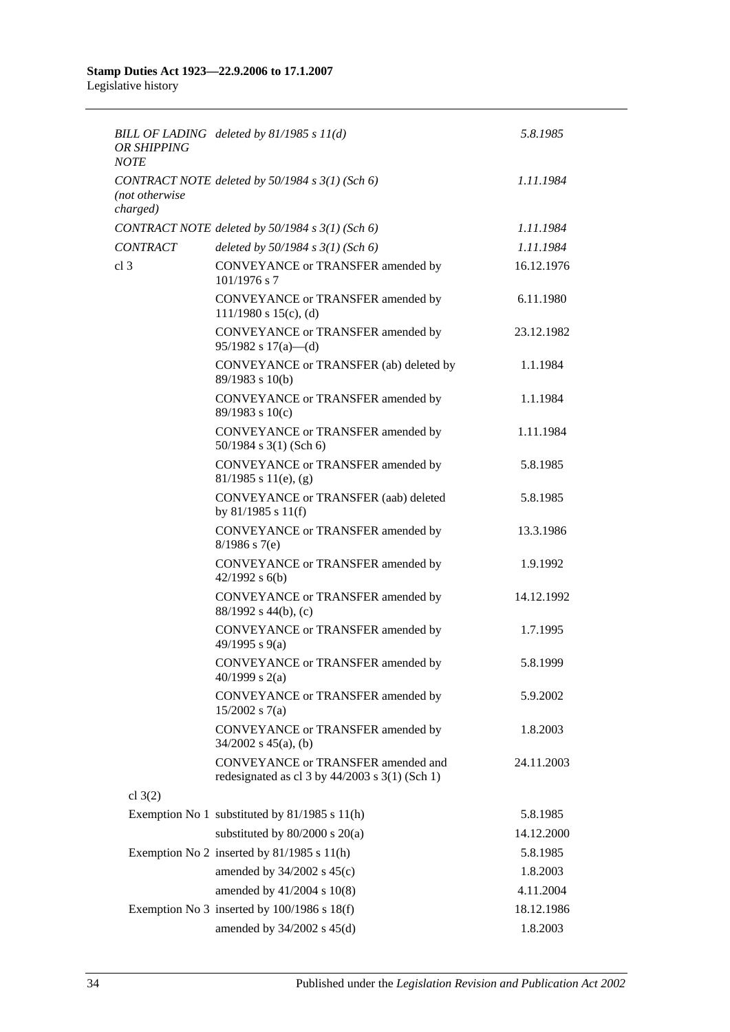| <b>OR SHIPPING</b><br><b>NOTE</b> | BILL OF LADING deleted by $81/1985 s 11(d)$                                                | 5.8.1985   |
|-----------------------------------|--------------------------------------------------------------------------------------------|------------|
| (not otherwise<br>charged)        | CONTRACT NOTE deleted by $50/1984 s 3(1)$ (Sch 6)                                          | 1.11.1984  |
|                                   | CONTRACT NOTE deleted by 50/1984 s 3(1) (Sch 6)                                            | 1.11.1984  |
| <b>CONTRACT</b>                   | deleted by $50/1984$ s $3(1)$ (Sch 6)                                                      | 1.11.1984  |
| cl <sub>3</sub>                   | CONVEYANCE or TRANSFER amended by<br>$101/1976$ s 7                                        | 16.12.1976 |
|                                   | CONVEYANCE or TRANSFER amended by<br>$111/1980$ s $15(c)$ , (d)                            | 6.11.1980  |
|                                   | CONVEYANCE or TRANSFER amended by<br>$95/1982$ s $17(a)$ —(d)                              | 23.12.1982 |
|                                   | CONVEYANCE or TRANSFER (ab) deleted by<br>89/1983 s 10(b)                                  | 1.1.1984   |
|                                   | CONVEYANCE or TRANSFER amended by<br>89/1983 s 10(c)                                       | 1.1.1984   |
|                                   | CONVEYANCE or TRANSFER amended by<br>$50/1984$ s 3(1) (Sch 6)                              | 1.11.1984  |
|                                   | CONVEYANCE or TRANSFER amended by<br>$81/1985$ s $11(e)$ , (g)                             | 5.8.1985   |
|                                   | CONVEYANCE or TRANSFER (aab) deleted<br>by $81/1985$ s $11(f)$                             | 5.8.1985   |
|                                   | CONVEYANCE or TRANSFER amended by<br>$8/1986$ s 7(e)                                       | 13.3.1986  |
|                                   | CONVEYANCE or TRANSFER amended by<br>$42/1992$ s $6(b)$                                    | 1.9.1992   |
|                                   | CONVEYANCE or TRANSFER amended by<br>88/1992 s 44(b), (c)                                  | 14.12.1992 |
|                                   | CONVEYANCE or TRANSFER amended by<br>49/1995 s 9(a)                                        | 1.7.1995   |
|                                   | CONVEYANCE or TRANSFER amended by<br>40/1999 s $2(a)$                                      | 5.8.1999   |
|                                   | CONVEYANCE or TRANSFER amended by<br>$15/2002$ s 7(a)                                      | 5.9.2002   |
|                                   | CONVEYANCE or TRANSFER amended by<br>$34/2002$ s $45(a)$ , (b)                             | 1.8.2003   |
|                                   | CONVEYANCE or TRANSFER amended and<br>redesignated as cl $3$ by $44/2003$ s $3(1)$ (Sch 1) | 24.11.2003 |
| cl $3(2)$                         |                                                                                            |            |
|                                   | Exemption No 1 substituted by 81/1985 s 11(h)                                              | 5.8.1985   |
|                                   | substituted by $80/2000$ s $20(a)$                                                         | 14.12.2000 |
|                                   | Exemption No 2 inserted by 81/1985 s 11(h)                                                 | 5.8.1985   |
|                                   | amended by 34/2002 s 45(c)                                                                 | 1.8.2003   |
|                                   | amended by 41/2004 s 10(8)                                                                 | 4.11.2004  |
|                                   | Exemption No 3 inserted by $100/1986$ s $18(f)$                                            | 18.12.1986 |
|                                   | amended by 34/2002 s 45(d)                                                                 | 1.8.2003   |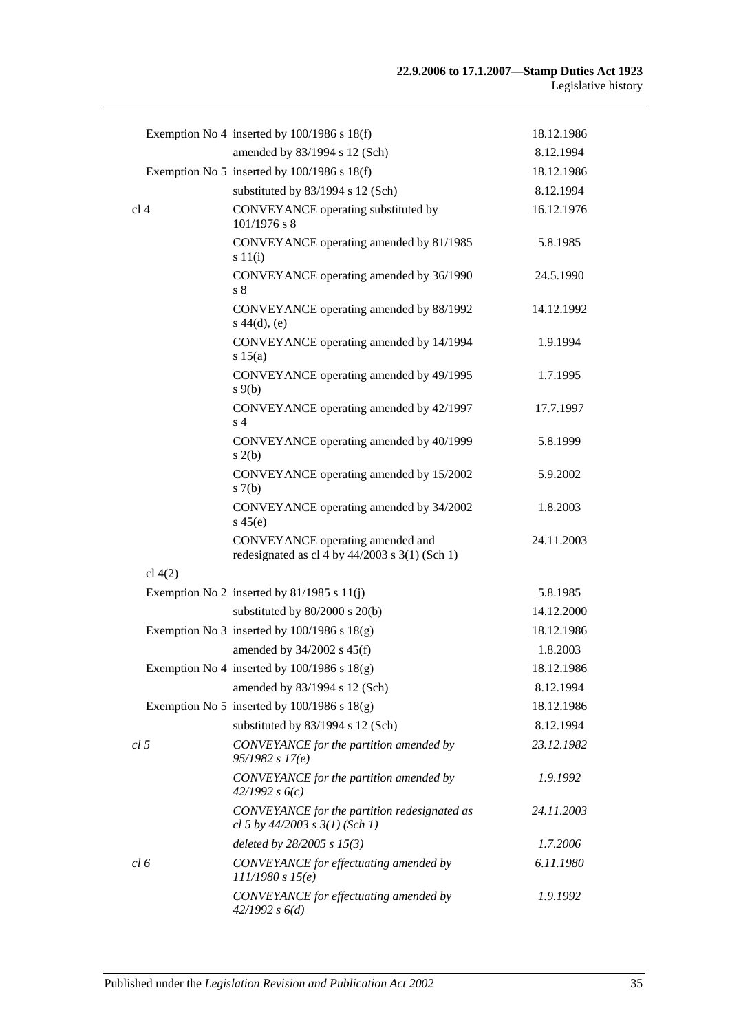|                 | Exemption No 4 inserted by $100/1986$ s $18(f)$                                      | 18.12.1986 |
|-----------------|--------------------------------------------------------------------------------------|------------|
|                 | amended by 83/1994 s 12 (Sch)                                                        | 8.12.1994  |
|                 | Exemption No 5 inserted by $100/1986$ s $18(f)$                                      | 18.12.1986 |
|                 | substituted by 83/1994 s 12 (Sch)                                                    | 8.12.1994  |
| cl <sub>4</sub> | CONVEYANCE operating substituted by<br>$101/1976$ s 8                                | 16.12.1976 |
|                 | CONVEYANCE operating amended by 81/1985<br>s 11(i)                                   | 5.8.1985   |
|                 | CONVEYANCE operating amended by 36/1990<br>s 8                                       | 24.5.1990  |
|                 | CONVEYANCE operating amended by 88/1992<br>$s\ 44(d), (e)$                           | 14.12.1992 |
|                 | CONVEYANCE operating amended by 14/1994<br>s 15(a)                                   | 1.9.1994   |
|                 | CONVEYANCE operating amended by 49/1995<br>$s \theta(b)$                             | 1.7.1995   |
|                 | CONVEYANCE operating amended by 42/1997<br>s <sub>4</sub>                            | 17.7.1997  |
|                 | CONVEYANCE operating amended by 40/1999<br>s(2(b)                                    | 5.8.1999   |
|                 | CONVEYANCE operating amended by 15/2002<br>s(7(b)                                    | 5.9.2002   |
|                 | CONVEYANCE operating amended by 34/2002<br>$s\,45(e)$                                | 1.8.2003   |
|                 | CONVEYANCE operating amended and<br>redesignated as cl 4 by $44/2003$ s 3(1) (Sch 1) | 24.11.2003 |
| cl $4(2)$       |                                                                                      |            |
|                 | Exemption No 2 inserted by $81/1985$ s $11(j)$                                       | 5.8.1985   |
|                 | substituted by $80/2000$ s $20(b)$                                                   | 14.12.2000 |
|                 | Exemption No 3 inserted by $100/1986$ s $18(g)$                                      | 18.12.1986 |
|                 | amended by 34/2002 s 45(f)                                                           | 1.8.2003   |
|                 | Exemption No 4 inserted by $100/1986$ s $18(g)$                                      | 18.12.1986 |
|                 | amended by 83/1994 s 12 (Sch)                                                        | 8.12.1994  |
|                 | Exemption No 5 inserted by $100/1986$ s $18(g)$                                      | 18.12.1986 |
|                 | substituted by 83/1994 s 12 (Sch)                                                    | 8.12.1994  |
| cl <sub>5</sub> | CONVEYANCE for the partition amended by<br>95/1982 s 17(e)                           | 23.12.1982 |
|                 | CONVEYANCE for the partition amended by<br>42/1992 s6(c)                             | 1.9.1992   |
|                 | CONVEYANCE for the partition redesignated as<br>cl 5 by $44/2003$ s $3(1)$ (Sch 1)   | 24.11.2003 |
|                 | deleted by $28/2005$ s $15(3)$                                                       | 1.7.2006   |
| cl 6            | CONVEYANCE for effectuating amended by<br>111/1980 s 15(e)                           | 6.11.1980  |
|                 | CONVEYANCE for effectuating amended by<br>42/1992 s 6(d)                             | 1.9.1992   |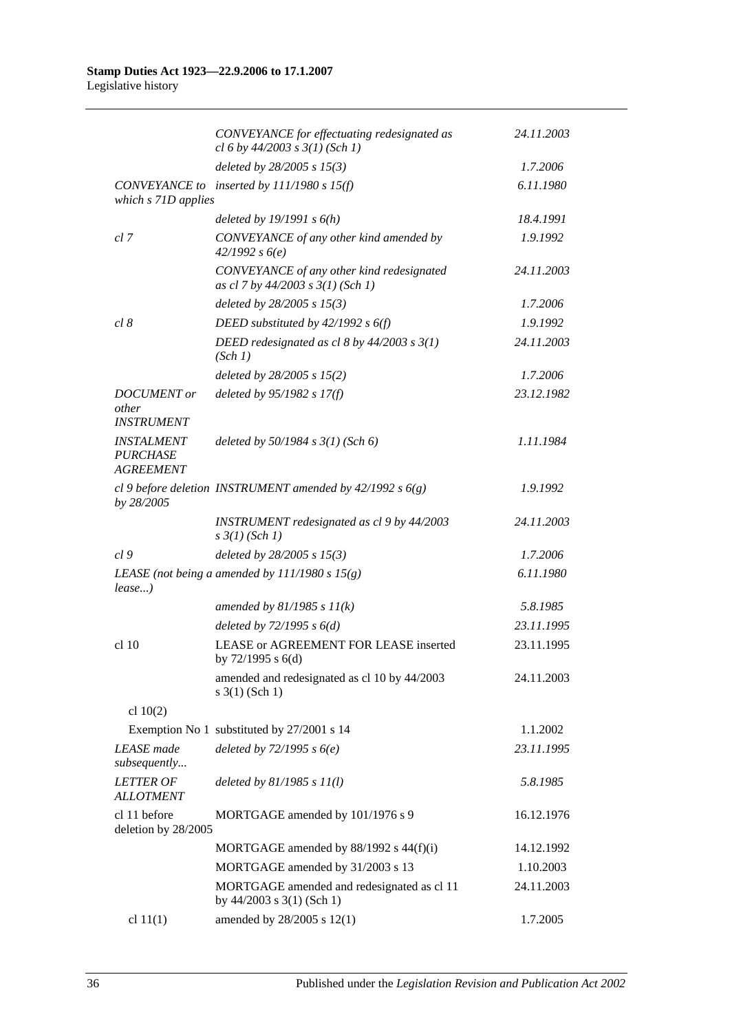|                                                          | CONVEYANCE for effectuating redesignated as<br>cl 6 by $44/2003$ s $3(1)$ (Sch 1) | 24.11.2003 |
|----------------------------------------------------------|-----------------------------------------------------------------------------------|------------|
|                                                          | deleted by 28/2005 s 15(3)                                                        | 1.7.2006   |
| which s 71D applies                                      | CONVEYANCE to inserted by $111/1980$ s $15(f)$                                    | 6.11.1980  |
|                                                          | deleted by $19/1991 s 6(h)$                                                       | 18.4.1991  |
| cl 7                                                     | CONVEYANCE of any other kind amended by<br>42/1992 s6(e)                          | 1.9.1992   |
|                                                          | CONVEYANCE of any other kind redesignated<br>as cl 7 by 44/2003 s 3(1) (Sch 1)    | 24.11.2003 |
|                                                          | deleted by $28/2005 s 15(3)$                                                      | 1.7.2006   |
| cl 8                                                     | DEED substituted by $42/1992 s 6(f)$                                              | 1.9.1992   |
|                                                          | DEED redesignated as cl 8 by $44/2003$ s $3(1)$<br>(Sch 1)                        | 24.11.2003 |
|                                                          | deleted by $28/2005$ s $15(2)$                                                    | 1.7.2006   |
| <b>DOCUMENT</b> or<br>other<br><b>INSTRUMENT</b>         | deleted by 95/1982 s 17(f)                                                        | 23.12.1982 |
| <b>INSTALMENT</b><br><b>PURCHASE</b><br><b>AGREEMENT</b> | deleted by 50/1984 s 3(1) (Sch 6)                                                 | 1.11.1984  |
| by 28/2005                                               | cl 9 before deletion INSTRUMENT amended by $42/1992 s 6(g)$                       | 1.9.1992   |
|                                                          | INSTRUMENT redesignated as cl 9 by 44/2003<br>$s \frac{3}{1}$ (Sch 1)             | 24.11.2003 |
| cl9                                                      | deleted by 28/2005 s 15(3)                                                        | 1.7.2006   |
| $lease$ )                                                | LEASE (not being a amended by $111/1980 s 15(g)$ )                                | 6.11.1980  |
|                                                          | amended by $81/1985 s 11(k)$                                                      | 5.8.1985   |
|                                                          | deleted by $72/1995 s 6(d)$                                                       | 23.11.1995 |
| cl 10                                                    | LEASE or AGREEMENT FOR LEASE inserted<br>by $72/1995$ s $6(d)$                    | 23.11.1995 |
|                                                          | amended and redesignated as cl 10 by 44/2003<br>$s \; 3(1)$ (Sch 1)               | 24.11.2003 |
| cl $10(2)$                                               |                                                                                   |            |
|                                                          | Exemption No 1 substituted by 27/2001 s 14                                        | 1.1.2002   |
| <b>LEASE</b> made<br>subsequently                        | deleted by $72/1995 s 6(e)$                                                       | 23.11.1995 |
| <b>LETTER OF</b><br><b>ALLOTMENT</b>                     | deleted by $81/1985 s 11(l)$                                                      | 5.8.1985   |
| cl 11 before<br>deletion by 28/2005                      | MORTGAGE amended by 101/1976 s 9                                                  | 16.12.1976 |
|                                                          | MORTGAGE amended by 88/1992 s 44(f)(i)                                            | 14.12.1992 |
|                                                          | MORTGAGE amended by 31/2003 s 13                                                  | 1.10.2003  |
|                                                          | MORTGAGE amended and redesignated as cl 11<br>by $44/2003$ s $3(1)$ (Sch 1)       | 24.11.2003 |
| cl $11(1)$                                               | amended by 28/2005 s 12(1)                                                        | 1.7.2005   |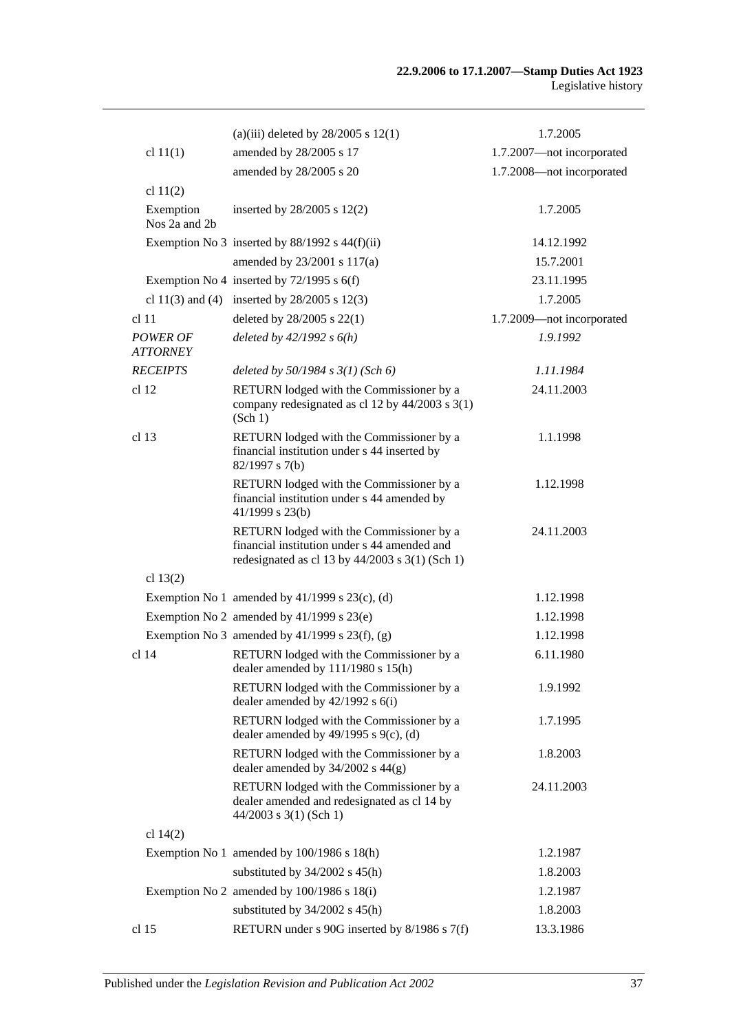|                                    | (a)(iii) deleted by $28/2005$ s $12(1)$                                                                                                       | 1.7.2005                  |
|------------------------------------|-----------------------------------------------------------------------------------------------------------------------------------------------|---------------------------|
| cl $11(1)$                         | amended by 28/2005 s 17                                                                                                                       | 1.7.2007-not incorporated |
|                                    | amended by 28/2005 s 20                                                                                                                       | 1.7.2008-not incorporated |
| cl $11(2)$                         |                                                                                                                                               |                           |
| Exemption<br>Nos 2a and 2b         | inserted by $28/2005$ s $12(2)$                                                                                                               | 1.7.2005                  |
|                                    | Exemption No 3 inserted by $88/1992$ s $44(f)(ii)$                                                                                            | 14.12.1992                |
|                                    | amended by 23/2001 s 117(a)                                                                                                                   | 15.7.2001                 |
|                                    | Exemption No 4 inserted by $72/1995$ s 6(f)                                                                                                   | 23.11.1995                |
|                                    | cl 11(3) and (4) inserted by $28/2005$ s 12(3)                                                                                                | 1.7.2005                  |
| cl <sub>11</sub>                   | deleted by $28/2005$ s $22(1)$                                                                                                                | 1.7.2009—not incorporated |
| <b>POWER OF</b><br><b>ATTORNEY</b> | deleted by $42/1992 s 6(h)$                                                                                                                   | 1.9.1992                  |
| <b>RECEIPTS</b>                    | deleted by $50/1984$ s $3(1)$ (Sch 6)                                                                                                         | 1.11.1984                 |
| cl <sub>12</sub>                   | RETURN lodged with the Commissioner by a<br>company redesignated as cl 12 by $44/2003$ s 3(1)<br>(Sch 1)                                      | 24.11.2003                |
| cl <sub>13</sub>                   | RETURN lodged with the Commissioner by a<br>financial institution under s 44 inserted by<br>82/1997 s 7(b)                                    | 1.1.1998                  |
|                                    | RETURN lodged with the Commissioner by a<br>financial institution under s 44 amended by<br>$41/1999$ s 23(b)                                  | 1.12.1998                 |
|                                    | RETURN lodged with the Commissioner by a<br>financial institution under s 44 amended and<br>redesignated as cl 13 by $44/2003$ s 3(1) (Sch 1) | 24.11.2003                |
| cl $13(2)$                         |                                                                                                                                               |                           |
|                                    | Exemption No 1 amended by $41/1999$ s $23(c)$ , (d)                                                                                           | 1.12.1998                 |
|                                    | Exemption No 2 amended by $41/1999$ s $23(e)$                                                                                                 | 1.12.1998                 |
|                                    | Exemption No 3 amended by $41/1999$ s $23(f)$ , (g)                                                                                           | 1.12.1998                 |
| $cl$ 14                            | RETURN lodged with the Commissioner by a<br>dealer amended by $111/1980$ s $15(h)$                                                            | 6.11.1980                 |
|                                    | RETURN lodged with the Commissioner by a<br>dealer amended by $42/1992$ s $6(i)$                                                              | 1.9.1992                  |
|                                    | RETURN lodged with the Commissioner by a<br>dealer amended by $49/1995$ s $9(c)$ , (d)                                                        | 1.7.1995                  |
|                                    | RETURN lodged with the Commissioner by a<br>dealer amended by $34/2002$ s $44(g)$                                                             | 1.8.2003                  |
|                                    | RETURN lodged with the Commissioner by a<br>dealer amended and redesignated as cl 14 by<br>$44/2003$ s 3(1) (Sch 1)                           | 24.11.2003                |
| cl 14(2)                           |                                                                                                                                               |                           |
|                                    | Exemption No 1 amended by 100/1986 s 18(h)                                                                                                    | 1.2.1987                  |
|                                    | substituted by $34/2002$ s $45(h)$                                                                                                            | 1.8.2003                  |
|                                    | Exemption No 2 amended by $100/1986$ s $18(i)$                                                                                                | 1.2.1987                  |
|                                    | substituted by $34/2002$ s $45(h)$                                                                                                            | 1.8.2003                  |
| cl <sub>15</sub>                   | RETURN under s 90G inserted by 8/1986 s 7(f)                                                                                                  | 13.3.1986                 |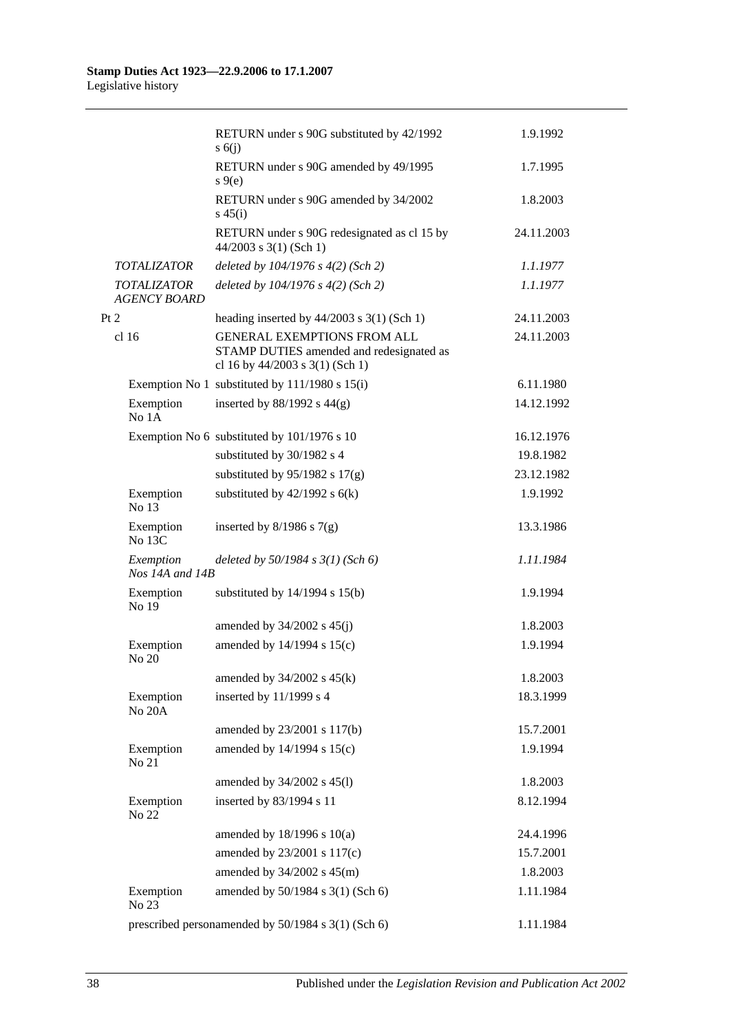|                                           | RETURN under s 90G substituted by 42/1992<br>s(6)                                                                 | 1.9.1992   |
|-------------------------------------------|-------------------------------------------------------------------------------------------------------------------|------------|
|                                           | RETURN under s 90G amended by 49/1995<br>$s \theta(e)$                                                            | 1.7.1995   |
|                                           | RETURN under s 90G amended by 34/2002<br>$s\,45(i)$                                                               | 1.8.2003   |
|                                           | RETURN under s 90G redesignated as cl 15 by<br>$44/2003$ s 3(1) (Sch 1)                                           | 24.11.2003 |
| <i>TOTALIZATOR</i>                        | deleted by $104/1976$ s $4(2)$ (Sch 2)                                                                            | 1.1.1977   |
| <b>TOTALIZATOR</b><br><b>AGENCY BOARD</b> | deleted by $104/1976$ s $4(2)$ (Sch 2)                                                                            | 1.1.1977   |
| Pt 2                                      | heading inserted by $44/2003$ s 3(1) (Sch 1)                                                                      | 24.11.2003 |
| cl <sub>16</sub>                          | <b>GENERAL EXEMPTIONS FROM ALL</b><br>STAMP DUTIES amended and redesignated as<br>cl 16 by 44/2003 s 3(1) (Sch 1) | 24.11.2003 |
|                                           | Exemption No 1 substituted by $111/1980$ s $15(i)$                                                                | 6.11.1980  |
| Exemption<br>No 1A                        | inserted by $88/1992$ s $44(g)$                                                                                   | 14.12.1992 |
|                                           | Exemption No 6 substituted by 101/1976 s 10                                                                       | 16.12.1976 |
|                                           | substituted by 30/1982 s 4                                                                                        | 19.8.1982  |
|                                           | substituted by $95/1982$ s $17(g)$                                                                                | 23.12.1982 |
| Exemption<br>No 13                        | substituted by $42/1992$ s $6(k)$                                                                                 | 1.9.1992   |
| Exemption<br>No 13C                       | inserted by $8/1986$ s $7(g)$                                                                                     | 13.3.1986  |
| Exemption<br>Nos 14A and 14B              | deleted by $50/1984 s 3(1)$ (Sch 6)                                                                               | 1.11.1984  |
| Exemption<br>No 19                        | substituted by $14/1994$ s $15(b)$                                                                                | 1.9.1994   |
|                                           | amended by $34/2002$ s $45(j)$                                                                                    | 1.8.2003   |
| Exemption<br>No 20                        | amended by 14/1994 s 15(c)                                                                                        | 1.9.1994   |
|                                           | amended by $34/2002$ s $45(k)$                                                                                    | 1.8.2003   |
| Exemption<br>No 20A                       | inserted by 11/1999 s 4                                                                                           | 18.3.1999  |
|                                           | amended by 23/2001 s 117(b)                                                                                       | 15.7.2001  |
| Exemption<br>No 21                        | amended by 14/1994 s 15(c)                                                                                        | 1.9.1994   |
|                                           | amended by 34/2002 s 45(l)                                                                                        | 1.8.2003   |
| Exemption<br>No 22                        | inserted by 83/1994 s 11                                                                                          | 8.12.1994  |
|                                           | amended by 18/1996 s 10(a)                                                                                        | 24.4.1996  |
|                                           | amended by 23/2001 s 117(c)                                                                                       | 15.7.2001  |
|                                           | amended by 34/2002 s 45(m)                                                                                        | 1.8.2003   |
| Exemption<br>No 23                        | amended by 50/1984 s 3(1) (Sch 6)                                                                                 | 1.11.1984  |
|                                           | prescribed personamended by 50/1984 s 3(1) (Sch 6)                                                                | 1.11.1984  |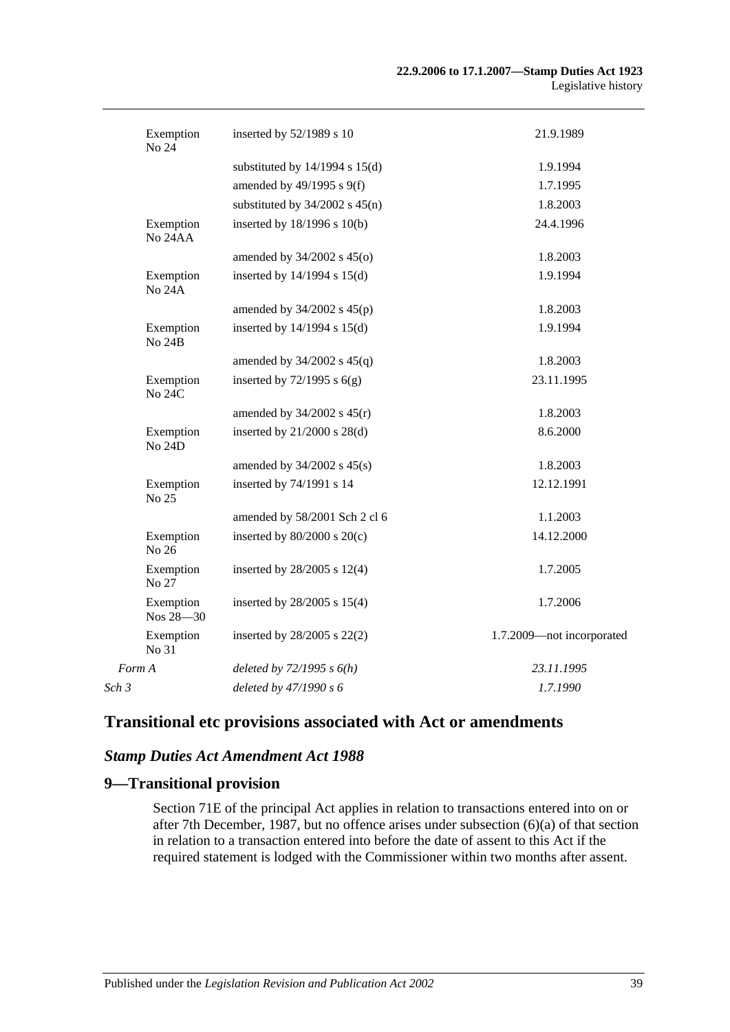| Exemption<br>No 24         | inserted by 52/1989 s 10           | 21.9.1989                 |
|----------------------------|------------------------------------|---------------------------|
|                            | substituted by $14/1994$ s $15(d)$ | 1.9.1994                  |
|                            | amended by 49/1995 s 9(f)          | 1.7.1995                  |
|                            | substituted by $34/2002$ s $45(n)$ | 1.8.2003                  |
| Exemption<br>No 24AA       | inserted by 18/1996 s 10(b)        | 24.4.1996                 |
|                            | amended by $34/2002$ s $45(0)$     | 1.8.2003                  |
| Exemption<br><b>No 24A</b> | inserted by $14/1994$ s $15(d)$    | 1.9.1994                  |
|                            | amended by $34/2002$ s $45(p)$     | 1.8.2003                  |
| Exemption<br><b>No 24B</b> | inserted by $14/1994$ s $15(d)$    | 1.9.1994                  |
|                            | amended by $34/2002$ s $45(q)$     | 1.8.2003                  |
| Exemption<br>No 24C        | inserted by $72/1995$ s $6(g)$     | 23.11.1995                |
|                            | amended by $34/2002$ s $45(r)$     | 1.8.2003                  |
| Exemption<br>No 24D        | inserted by 21/2000 s 28(d)        | 8.6.2000                  |
|                            | amended by $34/2002$ s $45(s)$     | 1.8.2003                  |
| Exemption<br>No 25         | inserted by 74/1991 s 14           | 12.12.1991                |
|                            | amended by 58/2001 Sch 2 cl 6      | 1.1.2003                  |
| Exemption<br>No 26         | inserted by $80/2000$ s $20(c)$    | 14.12.2000                |
| Exemption<br>No 27         | inserted by 28/2005 s 12(4)        | 1.7.2005                  |
| Exemption<br>Nos 28-30     | inserted by 28/2005 s 15(4)        | 1.7.2006                  |
| Exemption<br>No 31         | inserted by 28/2005 s 22(2)        | 1.7.2009-not incorporated |
| Form A                     | deleted by $72/1995 s 6(h)$        | 23.11.1995                |
| Sch 3                      | deleted by 47/1990 s 6             | 1.7.1990                  |

# **Transitional etc provisions associated with Act or amendments**

#### *Stamp Duties Act Amendment Act 1988*

### **9—Transitional provision**

Section 71E of the principal Act applies in relation to transactions entered into on or after 7th December, 1987, but no offence arises under subsection (6)(a) of that section in relation to a transaction entered into before the date of assent to this Act if the required statement is lodged with the Commissioner within two months after assent.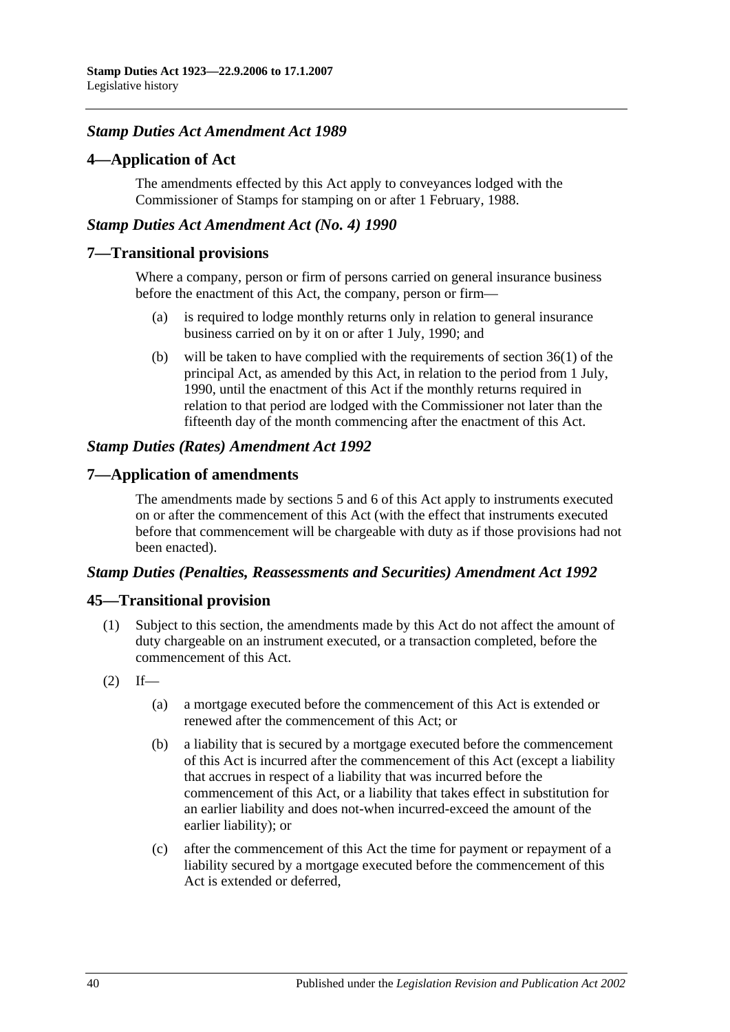## *Stamp Duties Act Amendment Act 1989*

### **4—Application of Act**

The amendments effected by this Act apply to conveyances lodged with the Commissioner of Stamps for stamping on or after 1 February, 1988.

### *Stamp Duties Act Amendment Act (No. 4) 1990*

#### **7—Transitional provisions**

Where a company, person or firm of persons carried on general insurance business before the enactment of this Act, the company, person or firm—

- (a) is required to lodge monthly returns only in relation to general insurance business carried on by it on or after 1 July, 1990; and
- (b) will be taken to have complied with the requirements of section 36(1) of the principal Act, as amended by this Act, in relation to the period from 1 July, 1990, until the enactment of this Act if the monthly returns required in relation to that period are lodged with the Commissioner not later than the fifteenth day of the month commencing after the enactment of this Act.

## *Stamp Duties (Rates) Amendment Act 1992*

## **7—Application of amendments**

The amendments made by sections 5 and 6 of this Act apply to instruments executed on or after the commencement of this Act (with the effect that instruments executed before that commencement will be chargeable with duty as if those provisions had not been enacted).

#### *Stamp Duties (Penalties, Reassessments and Securities) Amendment Act 1992*

## **45—Transitional provision**

- (1) Subject to this section, the amendments made by this Act do not affect the amount of duty chargeable on an instrument executed, or a transaction completed, before the commencement of this Act.
- $(2)$  If—
	- (a) a mortgage executed before the commencement of this Act is extended or renewed after the commencement of this Act; or
	- (b) a liability that is secured by a mortgage executed before the commencement of this Act is incurred after the commencement of this Act (except a liability that accrues in respect of a liability that was incurred before the commencement of this Act, or a liability that takes effect in substitution for an earlier liability and does not-when incurred-exceed the amount of the earlier liability); or
	- (c) after the commencement of this Act the time for payment or repayment of a liability secured by a mortgage executed before the commencement of this Act is extended or deferred,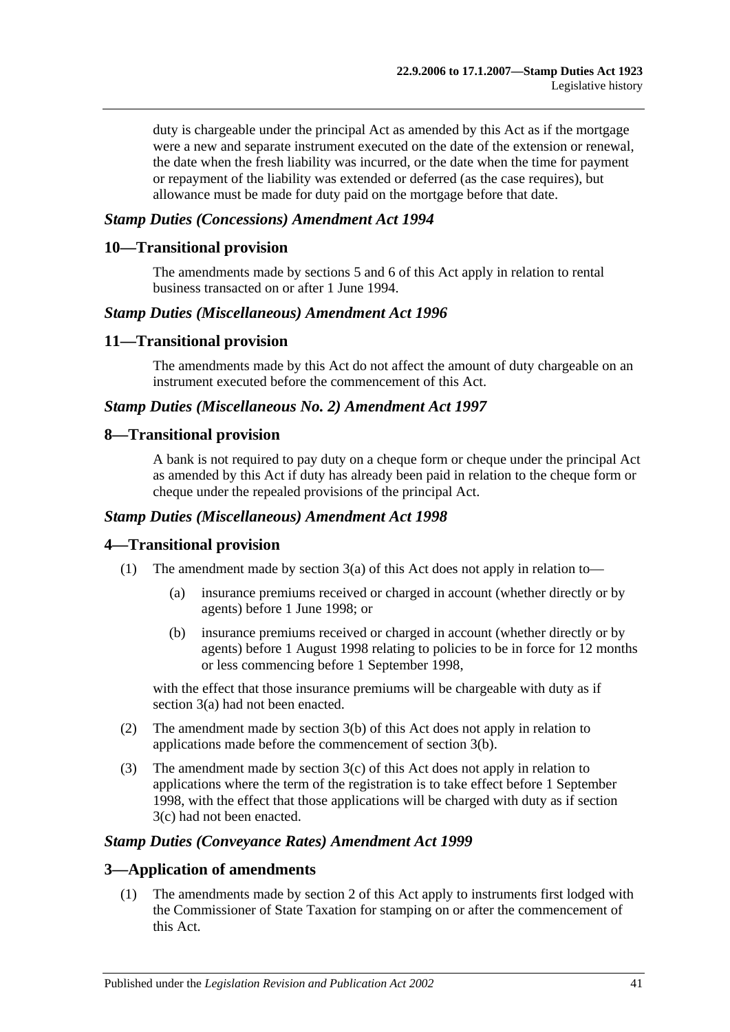duty is chargeable under the principal Act as amended by this Act as if the mortgage were a new and separate instrument executed on the date of the extension or renewal, the date when the fresh liability was incurred, or the date when the time for payment or repayment of the liability was extended or deferred (as the case requires), but allowance must be made for duty paid on the mortgage before that date.

## *Stamp Duties (Concessions) Amendment Act 1994*

#### **10—Transitional provision**

The amendments made by sections 5 and 6 of this Act apply in relation to rental business transacted on or after 1 June 1994.

#### *Stamp Duties (Miscellaneous) Amendment Act 1996*

#### **11—Transitional provision**

The amendments made by this Act do not affect the amount of duty chargeable on an instrument executed before the commencement of this Act.

#### *Stamp Duties (Miscellaneous No. 2) Amendment Act 1997*

### **8—Transitional provision**

A bank is not required to pay duty on a cheque form or cheque under the principal Act as amended by this Act if duty has already been paid in relation to the cheque form or cheque under the repealed provisions of the principal Act.

#### *Stamp Duties (Miscellaneous) Amendment Act 1998*

## **4—Transitional provision**

- (1) The amendment made by section 3(a) of this Act does not apply in relation to—
	- (a) insurance premiums received or charged in account (whether directly or by agents) before 1 June 1998; or
	- (b) insurance premiums received or charged in account (whether directly or by agents) before 1 August 1998 relating to policies to be in force for 12 months or less commencing before 1 September 1998,

with the effect that those insurance premiums will be chargeable with duty as if section 3(a) had not been enacted.

- (2) The amendment made by section 3(b) of this Act does not apply in relation to applications made before the commencement of section 3(b).
- (3) The amendment made by section 3(c) of this Act does not apply in relation to applications where the term of the registration is to take effect before 1 September 1998, with the effect that those applications will be charged with duty as if section 3(c) had not been enacted.

#### *Stamp Duties (Conveyance Rates) Amendment Act 1999*

#### **3—Application of amendments**

(1) The amendments made by section 2 of this Act apply to instruments first lodged with the Commissioner of State Taxation for stamping on or after the commencement of this Act.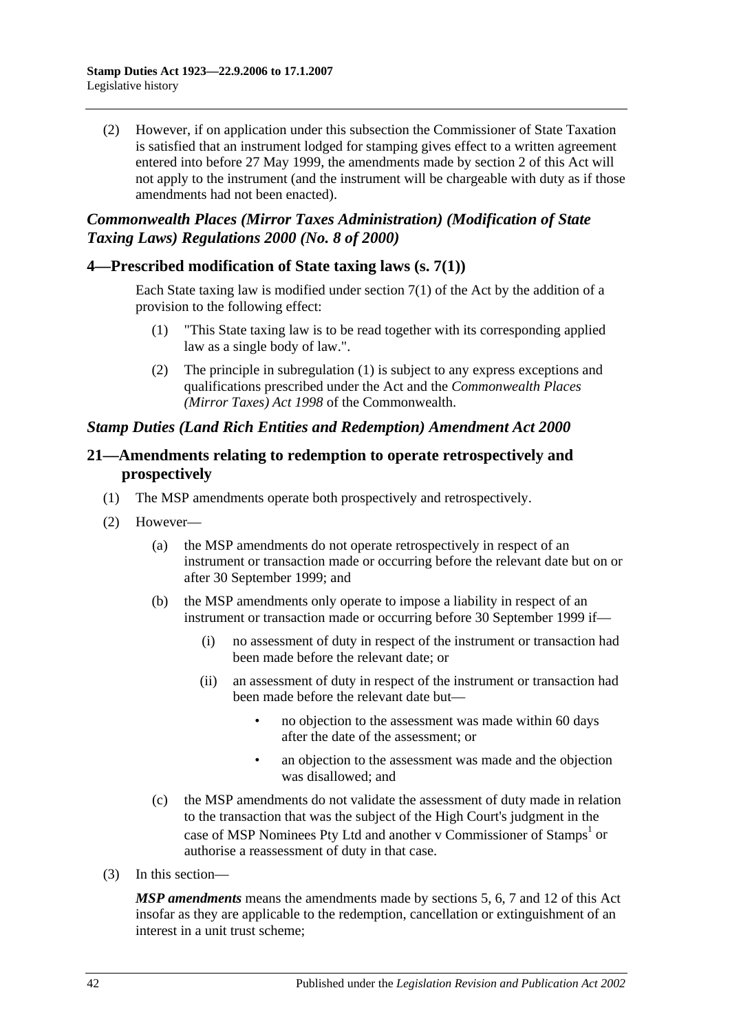(2) However, if on application under this subsection the Commissioner of State Taxation is satisfied that an instrument lodged for stamping gives effect to a written agreement entered into before 27 May 1999, the amendments made by section 2 of this Act will not apply to the instrument (and the instrument will be chargeable with duty as if those amendments had not been enacted).

## *Commonwealth Places (Mirror Taxes Administration) (Modification of State Taxing Laws) Regulations 2000 (No. 8 of 2000)*

## **4—Prescribed modification of State taxing laws (s. 7(1))**

Each State taxing law is modified under section 7(1) of the Act by the addition of a provision to the following effect:

- (1) "This State taxing law is to be read together with its corresponding applied law as a single body of law.".
- (2) The principle in subregulation (1) is subject to any express exceptions and qualifications prescribed under the Act and the *Commonwealth Places (Mirror Taxes) Act 1998* of the Commonwealth.

## *Stamp Duties (Land Rich Entities and Redemption) Amendment Act 2000*

## **21—Amendments relating to redemption to operate retrospectively and prospectively**

- (1) The MSP amendments operate both prospectively and retrospectively.
- (2) However—
	- (a) the MSP amendments do not operate retrospectively in respect of an instrument or transaction made or occurring before the relevant date but on or after 30 September 1999; and
	- (b) the MSP amendments only operate to impose a liability in respect of an instrument or transaction made or occurring before 30 September 1999 if—
		- (i) no assessment of duty in respect of the instrument or transaction had been made before the relevant date; or
		- (ii) an assessment of duty in respect of the instrument or transaction had been made before the relevant date but—
			- no objection to the assessment was made within 60 days after the date of the assessment; or
			- an objection to the assessment was made and the objection was disallowed; and
	- (c) the MSP amendments do not validate the assessment of duty made in relation to the transaction that was the subject of the High Court's judgment in the case of MSP Nominees Pty Ltd and another v Commissioner of Stamps<sup>1</sup> or authorise a reassessment of duty in that case.
- (3) In this section—

*MSP amendments* means the amendments made by sections 5, 6, 7 and 12 of this Act insofar as they are applicable to the redemption, cancellation or extinguishment of an interest in a unit trust scheme;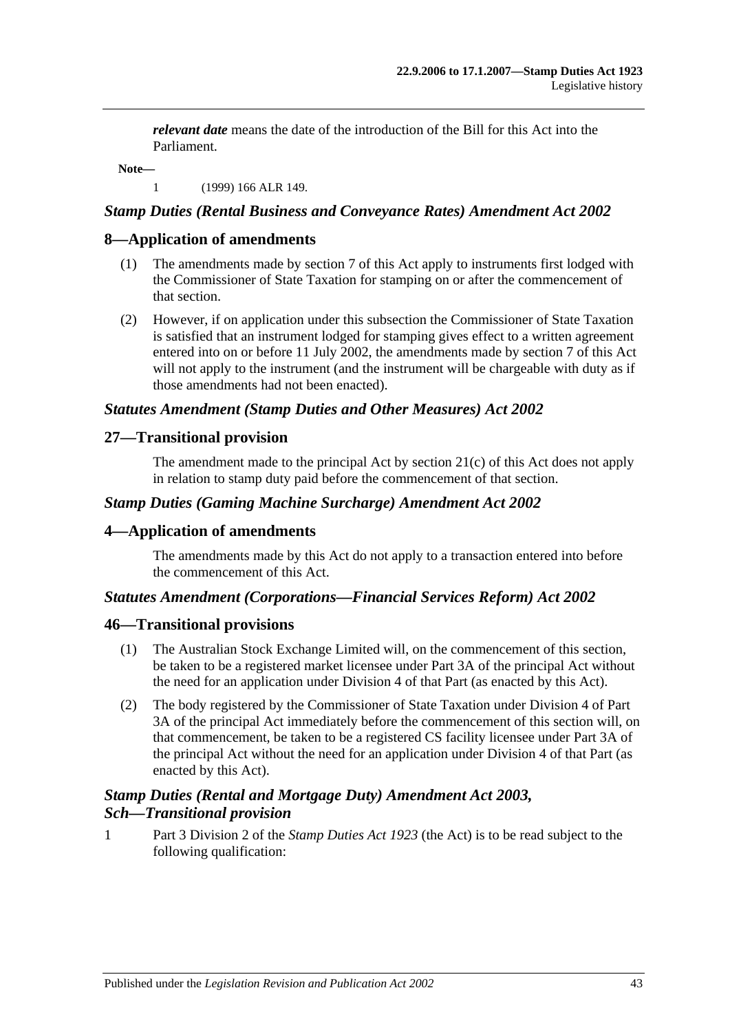*relevant date* means the date of the introduction of the Bill for this Act into the Parliament.

**Note—**

1 (1999) 166 ALR 149.

## *Stamp Duties (Rental Business and Conveyance Rates) Amendment Act 2002*

## **8—Application of amendments**

- (1) The amendments made by section 7 of this Act apply to instruments first lodged with the Commissioner of State Taxation for stamping on or after the commencement of that section.
- (2) However, if on application under this subsection the Commissioner of State Taxation is satisfied that an instrument lodged for stamping gives effect to a written agreement entered into on or before 11 July 2002, the amendments made by section 7 of this Act will not apply to the instrument (and the instrument will be chargeable with duty as if those amendments had not been enacted).

### *Statutes Amendment (Stamp Duties and Other Measures) Act 2002*

## **27—Transitional provision**

The amendment made to the principal Act by section 21(c) of this Act does not apply in relation to stamp duty paid before the commencement of that section.

### *Stamp Duties (Gaming Machine Surcharge) Amendment Act 2002*

## **4—Application of amendments**

The amendments made by this Act do not apply to a transaction entered into before the commencement of this Act.

#### *Statutes Amendment (Corporations—Financial Services Reform) Act 2002*

#### **46—Transitional provisions**

- (1) The Australian Stock Exchange Limited will, on the commencement of this section, be taken to be a registered market licensee under Part 3A of the principal Act without the need for an application under Division 4 of that Part (as enacted by this Act).
- (2) The body registered by the Commissioner of State Taxation under Division 4 of Part 3A of the principal Act immediately before the commencement of this section will, on that commencement, be taken to be a registered CS facility licensee under Part 3A of the principal Act without the need for an application under Division 4 of that Part (as enacted by this Act).

## *Stamp Duties (Rental and Mortgage Duty) Amendment Act 2003, Sch—Transitional provision*

1 Part 3 Division 2 of the *[Stamp Duties](http://www.legislation.sa.gov.au/index.aspx?action=legref&type=act&legtitle=Stamp%20Duties%20Act%201923) Act 1923* (the Act) is to be read subject to the following qualification: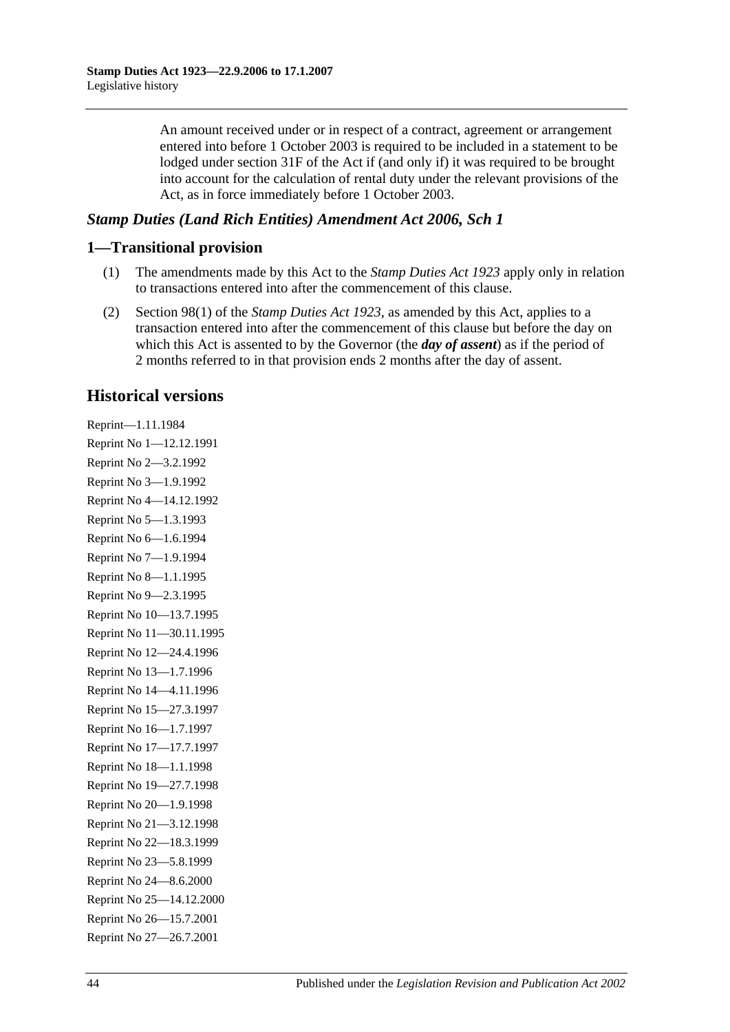An amount received under or in respect of a contract, agreement or arrangement entered into before 1 October 2003 is required to be included in a statement to be lodged under section 31F of the Act if (and only if) it was required to be brought into account for the calculation of rental duty under the relevant provisions of the Act, as in force immediately before 1 October 2003.

## *Stamp Duties (Land Rich Entities) Amendment Act 2006, Sch 1*

## **1—Transitional provision**

- (1) The amendments made by this Act to the *[Stamp Duties Act](http://www.legislation.sa.gov.au/index.aspx?action=legref&type=act&legtitle=Stamp%20Duties%20Act%201923) 1923* apply only in relation to transactions entered into after the commencement of this clause.
- (2) Section 98(1) of the *[Stamp Duties Act](http://www.legislation.sa.gov.au/index.aspx?action=legref&type=act&legtitle=Stamp%20Duties%20Act%201923) 1923*, as amended by this Act, applies to a transaction entered into after the commencement of this clause but before the day on which this Act is assented to by the Governor (the *day of assent*) as if the period of 2 months referred to in that provision ends 2 months after the day of assent.

# **Historical versions**

Reprint—1.11.1984 Reprint No 1—12.12.1991 Reprint No 2—3.2.1992 Reprint No 3—1.9.1992 Reprint No 4—14.12.1992 Reprint No 5—1.3.1993 Reprint No 6—1.6.1994 Reprint No 7—1.9.1994 Reprint No 8—1.1.1995 Reprint No 9—2.3.1995 Reprint No 10—13.7.1995 Reprint No 11—30.11.1995 Reprint No 12—24.4.1996 Reprint No 13—1.7.1996 Reprint No 14—4.11.1996 Reprint No 15—27.3.1997 Reprint No 16—1.7.1997 Reprint No 17—17.7.1997 Reprint No 18—1.1.1998 Reprint No 19—27.7.1998 Reprint No 20—1.9.1998 Reprint No 21—3.12.1998 Reprint No 22—18.3.1999 Reprint No 23—5.8.1999 Reprint No 24—8.6.2000 Reprint No 25—14.12.2000 Reprint No 26—15.7.2001 Reprint No 27—26.7.2001